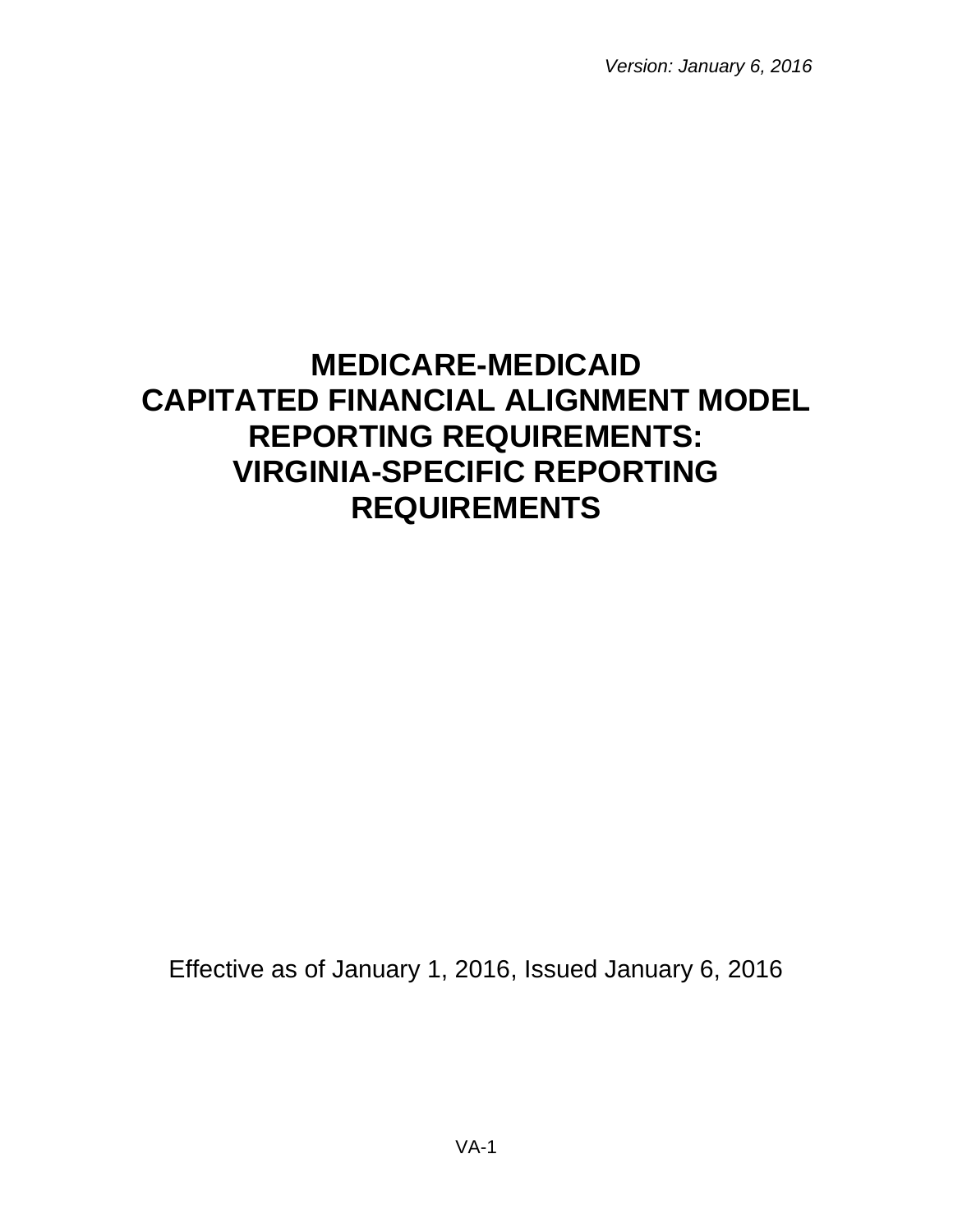*Version: January 6, 2016*

# **MEDICARE-MEDICAID CAPITATED FINANCIAL ALIGNMENT MODEL REPORTING REQUIREMENTS: VIRGINIA-SPECIFIC REPORTING REQUIREMENTS**

Effective as of January 1, 2016, Issued January 6, 2016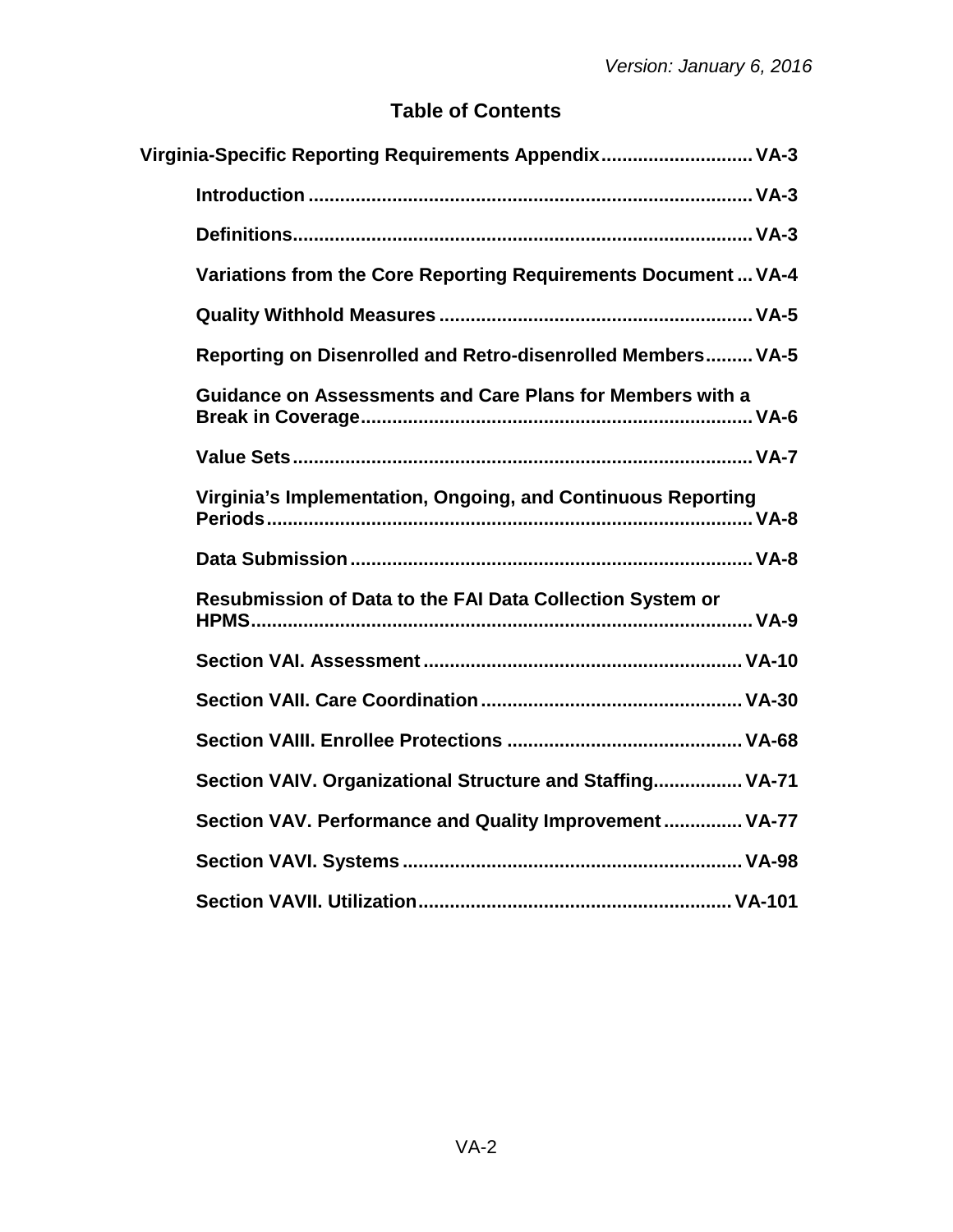## **Table of Contents**

| Virginia-Specific Reporting Requirements Appendix VA-3           |  |
|------------------------------------------------------------------|--|
|                                                                  |  |
|                                                                  |  |
| Variations from the Core Reporting Requirements Document  VA-4   |  |
|                                                                  |  |
| Reporting on Disenrolled and Retro-disenrolled Members VA-5      |  |
| <b>Guidance on Assessments and Care Plans for Members with a</b> |  |
|                                                                  |  |
| Virginia's Implementation, Ongoing, and Continuous Reporting     |  |
|                                                                  |  |
| Resubmission of Data to the FAI Data Collection System or        |  |
|                                                                  |  |
|                                                                  |  |
|                                                                  |  |
| Section VAIV. Organizational Structure and Staffing VA-71        |  |
| Section VAV. Performance and Quality Improvement VA-77           |  |
|                                                                  |  |
|                                                                  |  |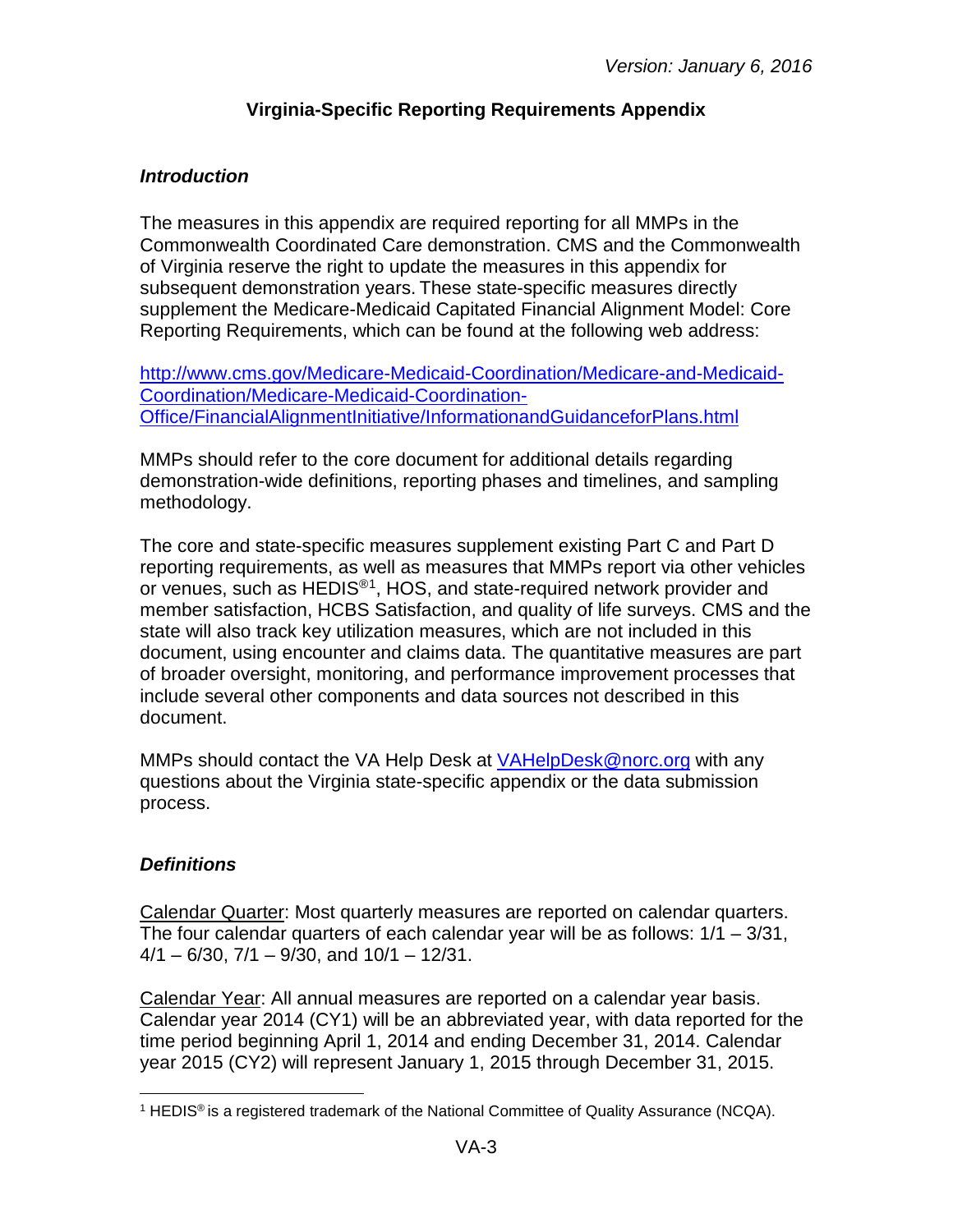## **Virginia-Specific Reporting Requirements Appendix**

## <span id="page-2-1"></span><span id="page-2-0"></span>*Introduction*

The measures in this appendix are required reporting for all MMPs in the Commonwealth Coordinated Care demonstration. CMS and the Commonwealth of Virginia reserve the right to update the measures in this appendix for subsequent demonstration years. These state-specific measures directly supplement the Medicare-Medicaid Capitated Financial Alignment Model: Core Reporting Requirements, which can be found at the following web address:

[http://www.cms.gov/Medicare-Medicaid-Coordination/Medicare-and-Medicaid-](http://www.cms.gov/Medicare-Medicaid-Coordination/Medicare-and-Medicaid-Coordination/Medicare-Medicaid-Coordination-Office/FinancialAlignmentInitiative/InformationandGuidanceforPlans.html)[Coordination/Medicare-Medicaid-Coordination-](http://www.cms.gov/Medicare-Medicaid-Coordination/Medicare-and-Medicaid-Coordination/Medicare-Medicaid-Coordination-Office/FinancialAlignmentInitiative/InformationandGuidanceforPlans.html)[Office/FinancialAlignmentInitiative/InformationandGuidanceforPlans.html](http://www.cms.gov/Medicare-Medicaid-Coordination/Medicare-and-Medicaid-Coordination/Medicare-Medicaid-Coordination-Office/FinancialAlignmentInitiative/InformationandGuidanceforPlans.html)

MMPs should refer to the core document for additional details regarding demonstration-wide definitions, reporting phases and timelines, and sampling methodology.

The core and state-specific measures supplement existing Part C and Part D reporting requirements, as well as measures that MMPs report via other vehicles or venues, such as HEDIS<sup>®1</sup>, HOS, and state-required network provider and member satisfaction, HCBS Satisfaction, and quality of life surveys. CMS and the state will also track key utilization measures, which are not included in this document, using encounter and claims data. The quantitative measures are part of broader oversight, monitoring, and performance improvement processes that include several other components and data sources not described in this document.

MMPs should contact the VA Help Desk at **VAHelpDesk@norc.org** with any questions about the Virginia state-specific appendix or the data submission process.

## <span id="page-2-2"></span>*Definitions*

Calendar Quarter: Most quarterly measures are reported on calendar quarters. The four calendar quarters of each calendar year will be as follows:  $1/1 - 3/31$ ,  $4/1 - 6/30$ ,  $7/1 - 9/30$ , and  $10/1 - 12/31$ .

Calendar Year: All annual measures are reported on a calendar year basis. Calendar year 2014 (CY1) will be an abbreviated year, with data reported for the time period beginning April 1, 2014 and ending December 31, 2014. Calendar year 2015 (CY2) will represent January 1, 2015 through December 31, 2015.

<span id="page-2-3"></span><sup>&</sup>lt;sup>1</sup> HEDIS<sup>®</sup> is a registered trademark of the National Committee of Quality Assurance (NCQA).  $\overline{a}$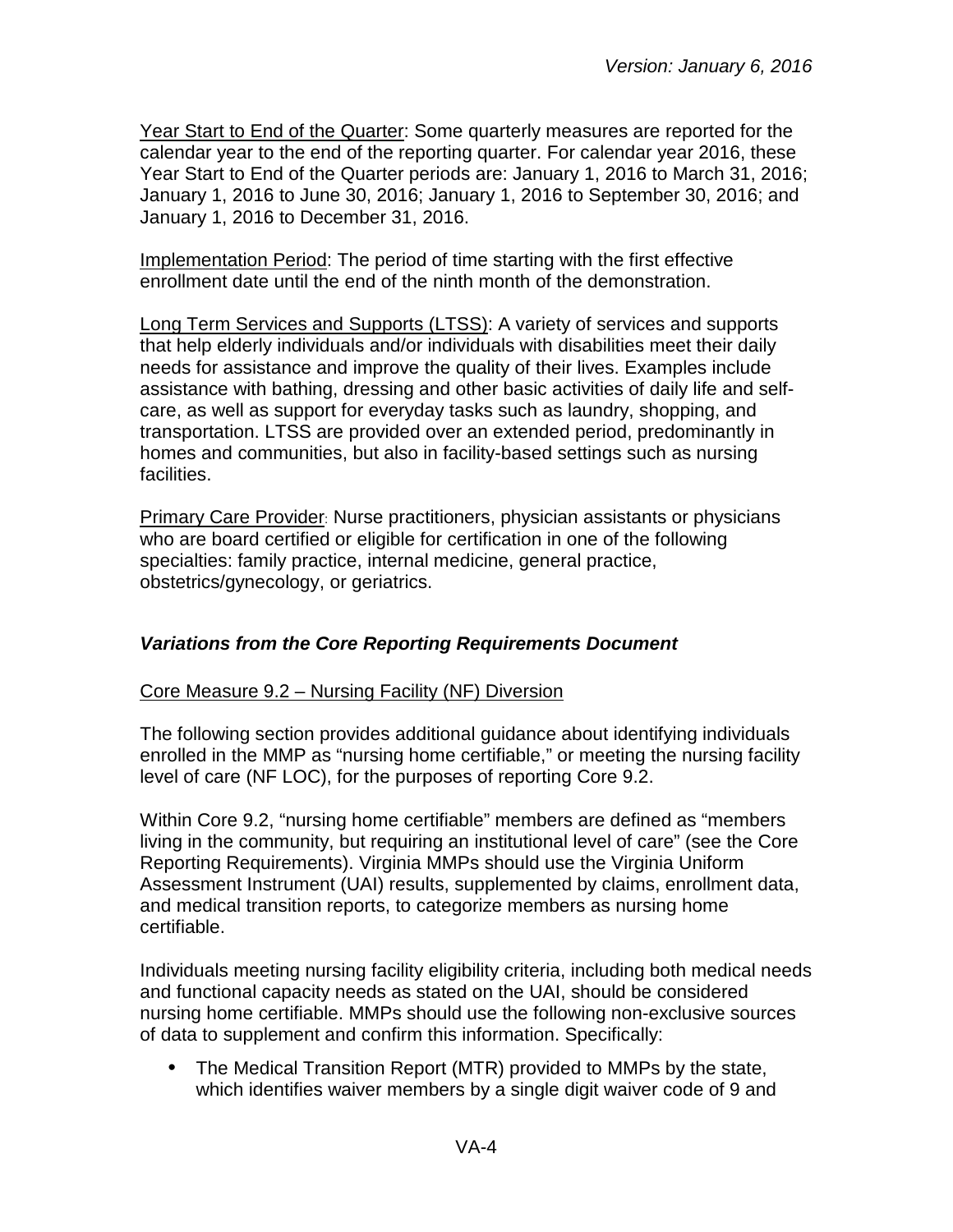Year Start to End of the Quarter: Some quarterly measures are reported for the calendar year to the end of the reporting quarter. For calendar year 2016, these Year Start to End of the Quarter periods are: January 1, 2016 to March 31, 2016; January 1, 2016 to June 30, 2016; January 1, 2016 to September 30, 2016; and January 1, 2016 to December 31, 2016.

Implementation Period: The period of time starting with the first effective enrollment date until the end of the ninth month of the demonstration.

Long Term Services and Supports (LTSS): A variety of services and supports that help elderly individuals and/or individuals with disabilities meet their daily needs for assistance and improve the quality of their lives. Examples include assistance with bathing, dressing and other basic activities of daily life and selfcare, as well as support for everyday tasks such as laundry, shopping, and transportation. LTSS are provided over an extended period, predominantly in homes and communities, but also in facility-based settings such as nursing facilities.

**Primary Care Provider: Nurse practitioners, physician assistants or physicians** who are board certified or eligible for certification in one of the following specialties: family practice, internal medicine, general practice, obstetrics/gynecology, or geriatrics.

## <span id="page-3-0"></span>*Variations from the Core Reporting Requirements Document*

#### Core Measure 9.2 – Nursing Facility (NF) Diversion

The following section provides additional guidance about identifying individuals enrolled in the MMP as "nursing home certifiable," or meeting the nursing facility level of care (NF LOC), for the purposes of reporting Core 9.2.

Within Core 9.2, "nursing home certifiable" members are defined as "members living in the community, but requiring an institutional level of care" (see the Core Reporting Requirements). Virginia MMPs should use the Virginia Uniform Assessment Instrument (UAI) results, supplemented by claims, enrollment data, and medical transition reports, to categorize members as nursing home certifiable.

Individuals meeting nursing facility eligibility criteria, including both medical needs and functional capacity needs as stated on the UAI, should be considered nursing home certifiable. MMPs should use the following non-exclusive sources of data to supplement and confirm this information. Specifically:

• The Medical Transition Report (MTR) provided to MMPs by the state, which identifies waiver members by a single digit waiver code of 9 and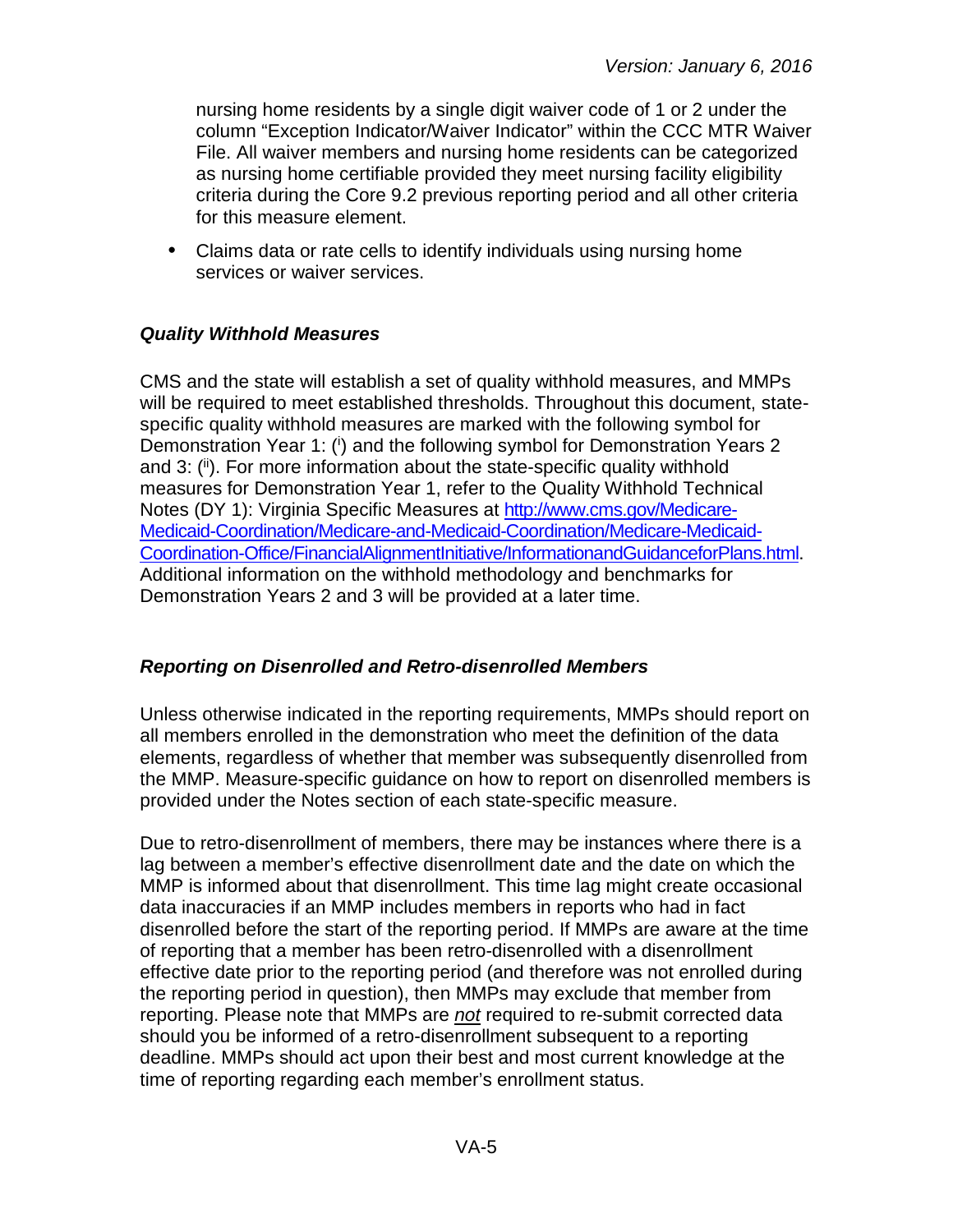nursing home residents by a single digit waiver code of 1 or 2 under the column "Exception Indicator/Waiver Indicator" within the CCC MTR Waiver File. All waiver members and nursing home residents can be categorized as nursing home certifiable provided they meet nursing facility eligibility criteria during the Core 9.2 previous reporting period and all other criteria for this measure element.

• Claims data or rate cells to identify individuals using nursing home services or waiver services.

## <span id="page-4-0"></span>*Quality Withhold Measures*

CMS and the state will establish a set of quality withhold measures, and MMPs will be required to meet established thresholds. Throughout this document, statespecific quality withhold measures are marked with the following symbol for Demonstration Year 1: (i) and the following symbol for Demonstration Years 2 and 3: (ii). For more information about the state-specific quality withhold measures for Demonstration Year 1, refer to the Quality Withhold Technical Notes (DY 1): Virginia Specific Measures at [http://www.cms.gov/Medicare-](http://www.cms.gov/Medicare-Medicaid-Coordination/Medicare-and-Medicaid-Coordination/Medicare-Medicaid-Coordination-Office/FinancialAlignmentInitiative/InformationandGuidanceforPlans.html)[Medicaid-Coordination/Medicare-and-Medicaid-Coordination/Medicare-Medicaid-](http://www.cms.gov/Medicare-Medicaid-Coordination/Medicare-and-Medicaid-Coordination/Medicare-Medicaid-Coordination-Office/FinancialAlignmentInitiative/InformationandGuidanceforPlans.html)[Coordination-Office/FinancialAlignmentInitiative/InformationandGuidanceforPlans.html.](http://www.cms.gov/Medicare-Medicaid-Coordination/Medicare-and-Medicaid-Coordination/Medicare-Medicaid-Coordination-Office/FinancialAlignmentInitiative/InformationandGuidanceforPlans.html) Additional information on the withhold methodology and benchmarks for Demonstration Years 2 and 3 will be provided at a later time.

## <span id="page-4-1"></span>*Reporting on Disenrolled and Retro-disenrolled Members*

Unless otherwise indicated in the reporting requirements, MMPs should report on all members enrolled in the demonstration who meet the definition of the data elements, regardless of whether that member was subsequently disenrolled from the MMP. Measure-specific guidance on how to report on disenrolled members is provided under the Notes section of each state-specific measure.

Due to retro-disenrollment of members, there may be instances where there is a lag between a member's effective disenrollment date and the date on which the MMP is informed about that disenrollment. This time lag might create occasional data inaccuracies if an MMP includes members in reports who had in fact disenrolled before the start of the reporting period. If MMPs are aware at the time of reporting that a member has been retro-disenrolled with a disenrollment effective date prior to the reporting period (and therefore was not enrolled during the reporting period in question), then MMPs may exclude that member from reporting. Please note that MMPs are *not* required to re-submit corrected data should you be informed of a retro-disenrollment subsequent to a reporting deadline. MMPs should act upon their best and most current knowledge at the time of reporting regarding each member's enrollment status.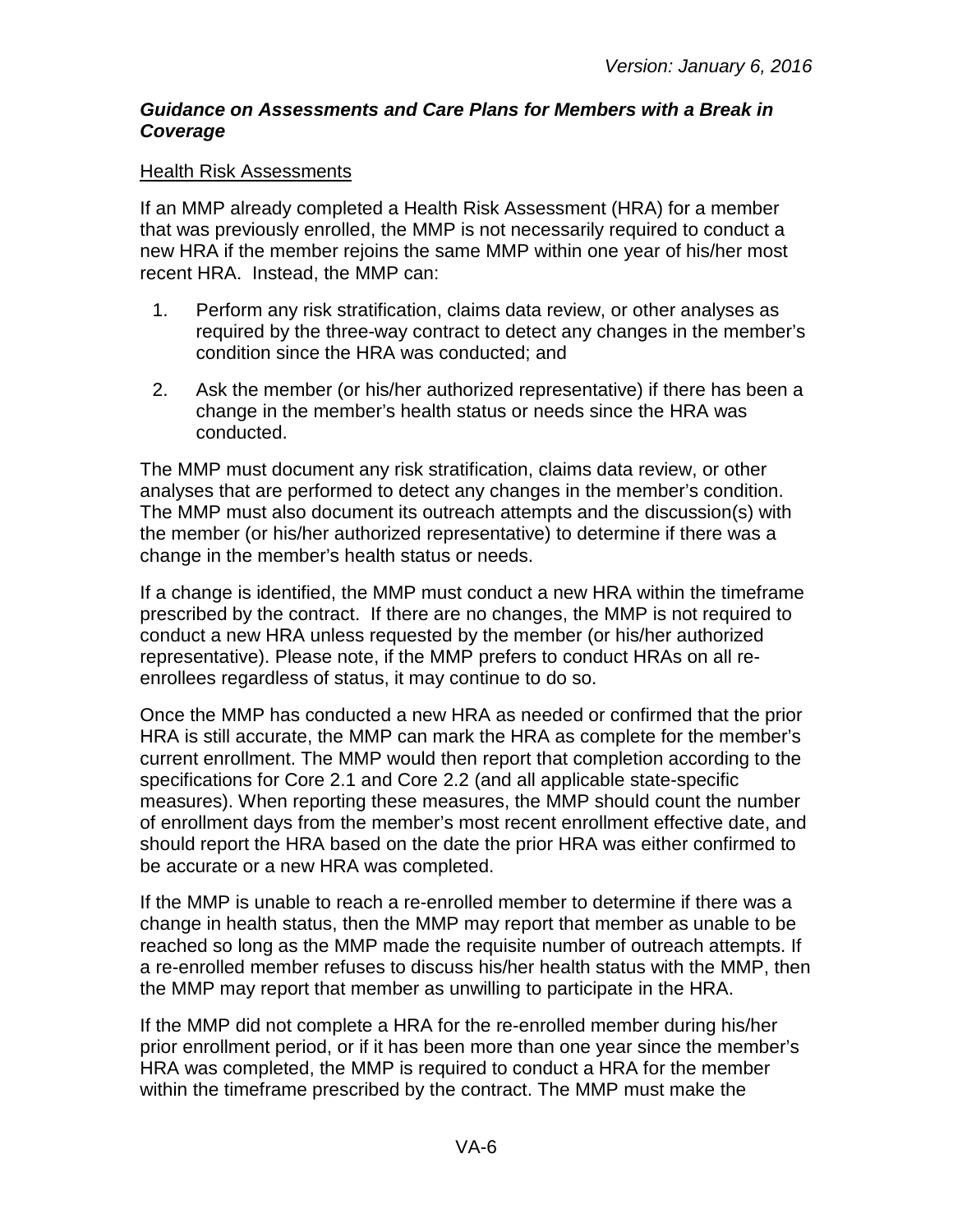#### <span id="page-5-0"></span>*Guidance on Assessments and Care Plans for Members with a Break in Coverage*

#### Health Risk Assessments

If an MMP already completed a Health Risk Assessment (HRA) for a member that was previously enrolled, the MMP is not necessarily required to conduct a new HRA if the member rejoins the same MMP within one year of his/her most recent HRA. Instead, the MMP can:

- 1. Perform any risk stratification, claims data review, or other analyses as required by the three-way contract to detect any changes in the member's condition since the HRA was conducted; and
- 2. Ask the member (or his/her authorized representative) if there has been a change in the member's health status or needs since the HRA was conducted.

The MMP must document any risk stratification, claims data review, or other analyses that are performed to detect any changes in the member's condition. The MMP must also document its outreach attempts and the discussion(s) with the member (or his/her authorized representative) to determine if there was a change in the member's health status or needs.

If a change is identified, the MMP must conduct a new HRA within the timeframe prescribed by the contract. If there are no changes, the MMP is not required to conduct a new HRA unless requested by the member (or his/her authorized representative). Please note, if the MMP prefers to conduct HRAs on all reenrollees regardless of status, it may continue to do so.

Once the MMP has conducted a new HRA as needed or confirmed that the prior HRA is still accurate, the MMP can mark the HRA as complete for the member's current enrollment. The MMP would then report that completion according to the specifications for Core 2.1 and Core 2.2 (and all applicable state-specific measures). When reporting these measures, the MMP should count the number of enrollment days from the member's most recent enrollment effective date, and should report the HRA based on the date the prior HRA was either confirmed to be accurate or a new HRA was completed.

If the MMP is unable to reach a re-enrolled member to determine if there was a change in health status, then the MMP may report that member as unable to be reached so long as the MMP made the requisite number of outreach attempts. If a re-enrolled member refuses to discuss his/her health status with the MMP, then the MMP may report that member as unwilling to participate in the HRA.

If the MMP did not complete a HRA for the re-enrolled member during his/her prior enrollment period, or if it has been more than one year since the member's HRA was completed, the MMP is required to conduct a HRA for the member within the timeframe prescribed by the contract. The MMP must make the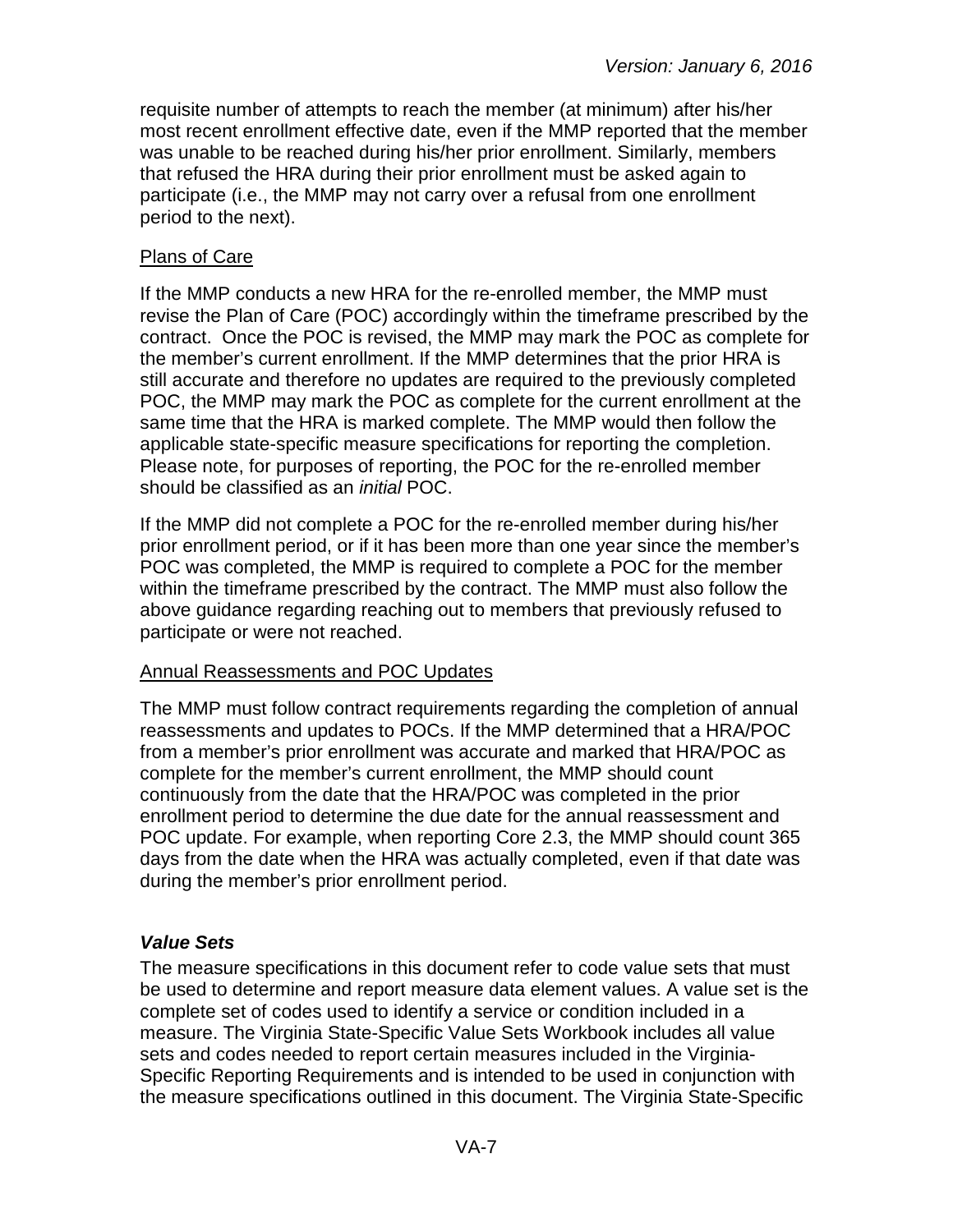requisite number of attempts to reach the member (at minimum) after his/her most recent enrollment effective date, even if the MMP reported that the member was unable to be reached during his/her prior enrollment. Similarly, members that refused the HRA during their prior enrollment must be asked again to participate (i.e., the MMP may not carry over a refusal from one enrollment period to the next).

#### Plans of Care

If the MMP conducts a new HRA for the re-enrolled member, the MMP must revise the Plan of Care (POC) accordingly within the timeframe prescribed by the contract. Once the POC is revised, the MMP may mark the POC as complete for the member's current enrollment. If the MMP determines that the prior HRA is still accurate and therefore no updates are required to the previously completed POC, the MMP may mark the POC as complete for the current enrollment at the same time that the HRA is marked complete. The MMP would then follow the applicable state-specific measure specifications for reporting the completion. Please note, for purposes of reporting, the POC for the re-enrolled member should be classified as an *initial* POC.

If the MMP did not complete a POC for the re-enrolled member during his/her prior enrollment period, or if it has been more than one year since the member's POC was completed, the MMP is required to complete a POC for the member within the timeframe prescribed by the contract. The MMP must also follow the above guidance regarding reaching out to members that previously refused to participate or were not reached.

#### Annual Reassessments and POC Updates

The MMP must follow contract requirements regarding the completion of annual reassessments and updates to POCs. If the MMP determined that a HRA/POC from a member's prior enrollment was accurate and marked that HRA/POC as complete for the member's current enrollment, the MMP should count continuously from the date that the HRA/POC was completed in the prior enrollment period to determine the due date for the annual reassessment and POC update. For example, when reporting Core 2.3, the MMP should count 365 days from the date when the HRA was actually completed, even if that date was during the member's prior enrollment period.

## <span id="page-6-0"></span>*Value Sets*

The measure specifications in this document refer to code value sets that must be used to determine and report measure data element values. A value set is the complete set of codes used to identify a service or condition included in a measure. The Virginia State-Specific Value Sets Workbook includes all value sets and codes needed to report certain measures included in the Virginia-Specific Reporting Requirements and is intended to be used in conjunction with the measure specifications outlined in this document. The Virginia State-Specific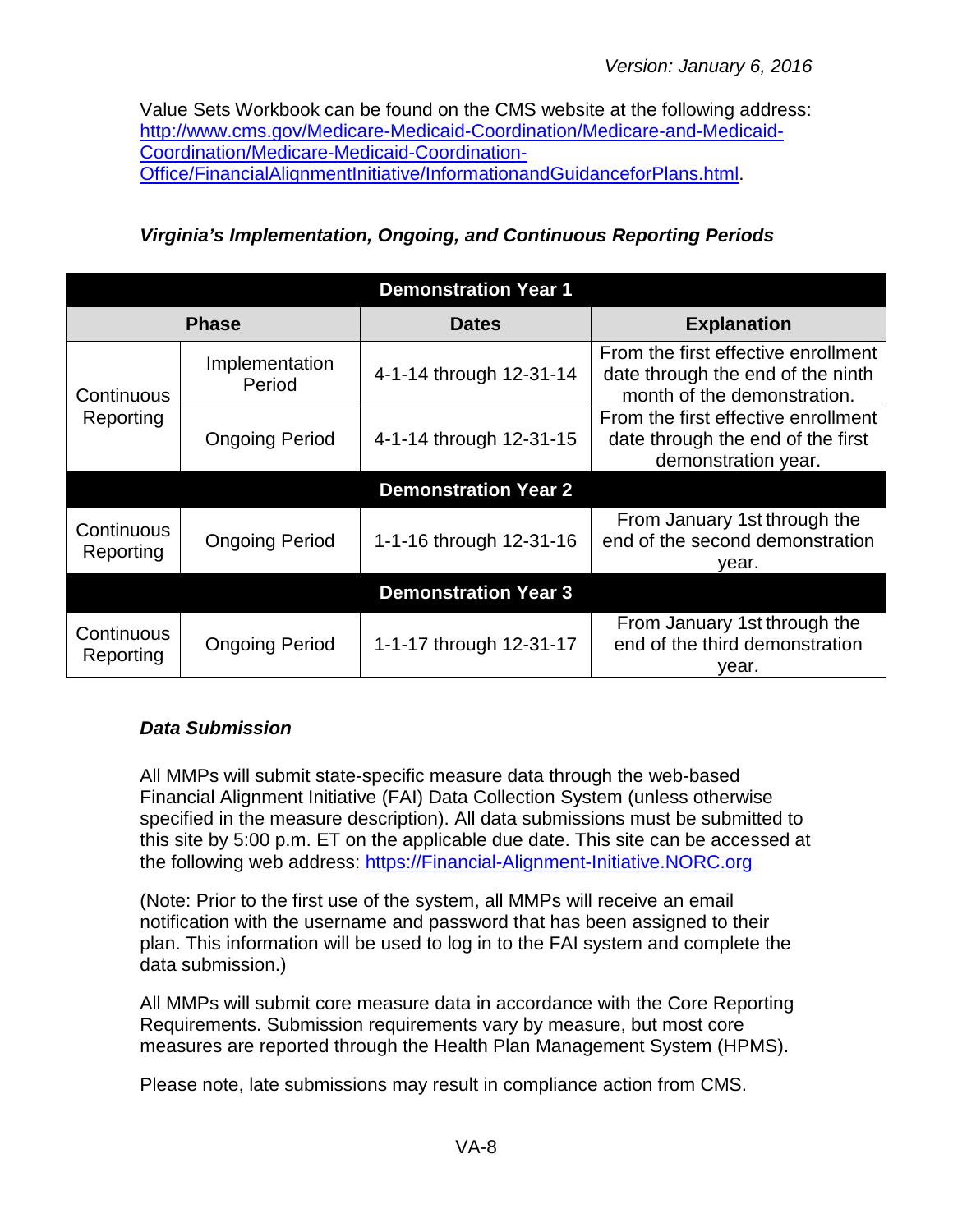Value Sets Workbook can be found on the CMS website at the following address: [http://www.cms.gov/Medicare-Medicaid-Coordination/Medicare-and-Medicaid-](http://www.cms.gov/Medicare-Medicaid-Coordination/Medicare-and-Medicaid-Coordination/Medicare-Medicaid-Coordination-Office/FinancialAlignmentInitiative/InformationandGuidanceforPlans.html)[Coordination/Medicare-Medicaid-Coordination-](http://www.cms.gov/Medicare-Medicaid-Coordination/Medicare-and-Medicaid-Coordination/Medicare-Medicaid-Coordination-Office/FinancialAlignmentInitiative/InformationandGuidanceforPlans.html)[Office/FinancialAlignmentInitiative/InformationandGuidanceforPlans.html.](http://www.cms.gov/Medicare-Medicaid-Coordination/Medicare-and-Medicaid-Coordination/Medicare-Medicaid-Coordination-Office/FinancialAlignmentInitiative/InformationandGuidanceforPlans.html)

<span id="page-7-0"></span>*Virginia's Implementation, Ongoing, and Continuous Reporting Periods*

| <b>Demonstration Year 1</b> |                          |                             |                                                                                                         |
|-----------------------------|--------------------------|-----------------------------|---------------------------------------------------------------------------------------------------------|
|                             | <b>Phase</b>             | <b>Dates</b>                | <b>Explanation</b>                                                                                      |
| Continuous                  | Implementation<br>Period | 4-1-14 through 12-31-14     | From the first effective enrollment<br>date through the end of the ninth<br>month of the demonstration. |
| Reporting                   | <b>Ongoing Period</b>    | 4-1-14 through 12-31-15     | From the first effective enrollment<br>date through the end of the first<br>demonstration year.         |
|                             |                          | <b>Demonstration Year 2</b> |                                                                                                         |
| Continuous<br>Reporting     | <b>Ongoing Period</b>    | 1-1-16 through 12-31-16     | From January 1st through the<br>end of the second demonstration<br>year.                                |
| <b>Demonstration Year 3</b> |                          |                             |                                                                                                         |
| Continuous<br>Reporting     | <b>Ongoing Period</b>    | 1-1-17 through 12-31-17     | From January 1st through the<br>end of the third demonstration<br>vear.                                 |

## <span id="page-7-1"></span>*Data Submission*

All MMPs will submit state-specific measure data through the web-based Financial Alignment Initiative (FAI) Data Collection System (unless otherwise specified in the measure description). All data submissions must be submitted to this site by 5:00 p.m. ET on the applicable due date. This site can be accessed at the following web address: [https://Financial-Alignment-Initiative.NORC.org](https://financial-alignment-initiative.norc.org/)

(Note: Prior to the first use of the system, all MMPs will receive an email notification with the username and password that has been assigned to their plan. This information will be used to log in to the FAI system and complete the data submission.)

All MMPs will submit core measure data in accordance with the Core Reporting Requirements. Submission requirements vary by measure, but most core measures are reported through the Health Plan Management System (HPMS).

Please note, late submissions may result in compliance action from CMS.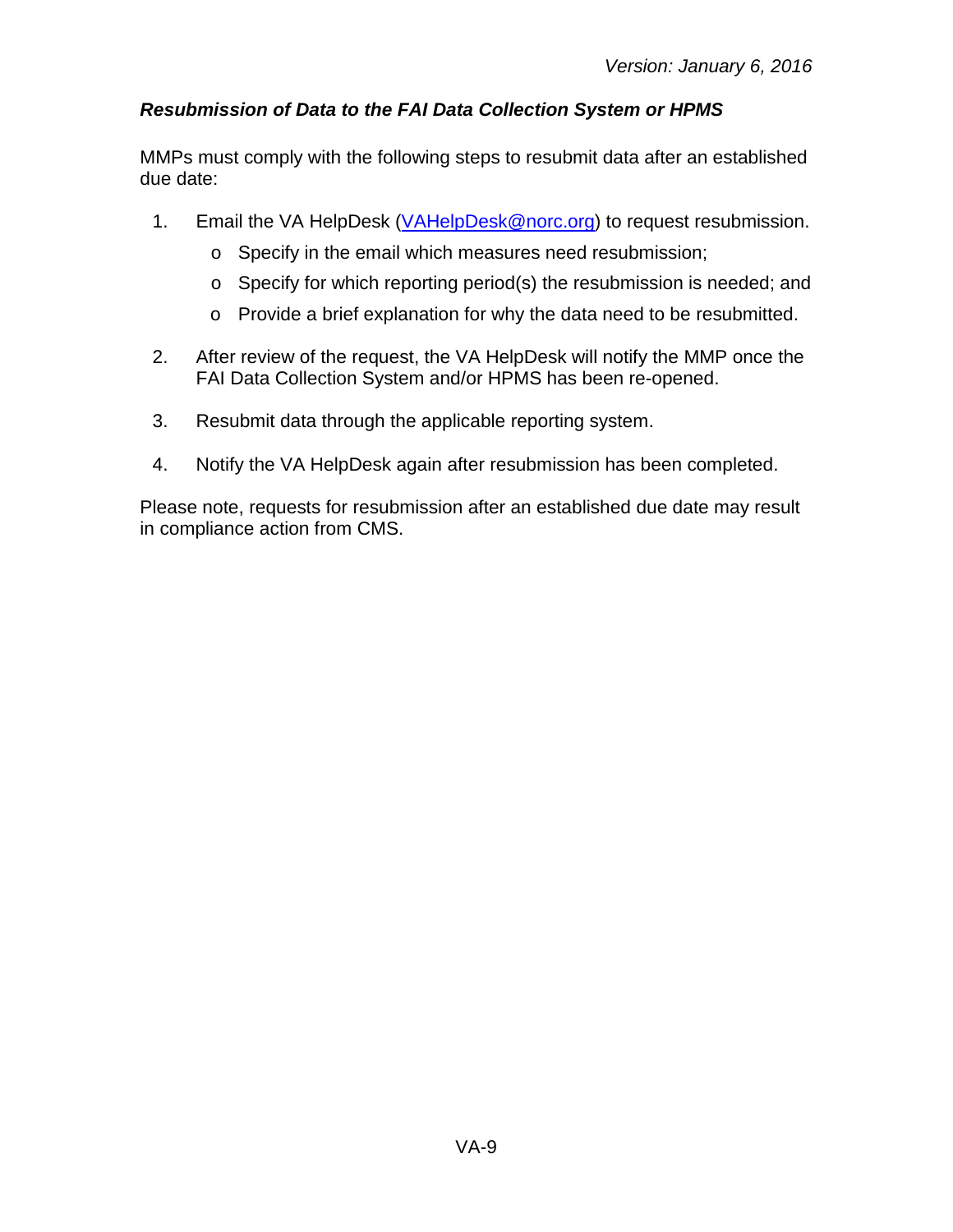## <span id="page-8-0"></span>*Resubmission of Data to the FAI Data Collection System or HPMS*

MMPs must comply with the following steps to resubmit data after an established due date:

- 1. Email the VA HelpDesk [\(VAHelpDesk@norc.org\)](mailto:VAHelpDesk@norc.org) to request resubmission.
	- o Specify in the email which measures need resubmission;
	- o Specify for which reporting period(s) the resubmission is needed; and
	- o Provide a brief explanation for why the data need to be resubmitted.
- 2. After review of the request, the VA HelpDesk will notify the MMP once the FAI Data Collection System and/or HPMS has been re-opened.
- 3. Resubmit data through the applicable reporting system.
- 4. Notify the VA HelpDesk again after resubmission has been completed.

Please note, requests for resubmission after an established due date may result in compliance action from CMS.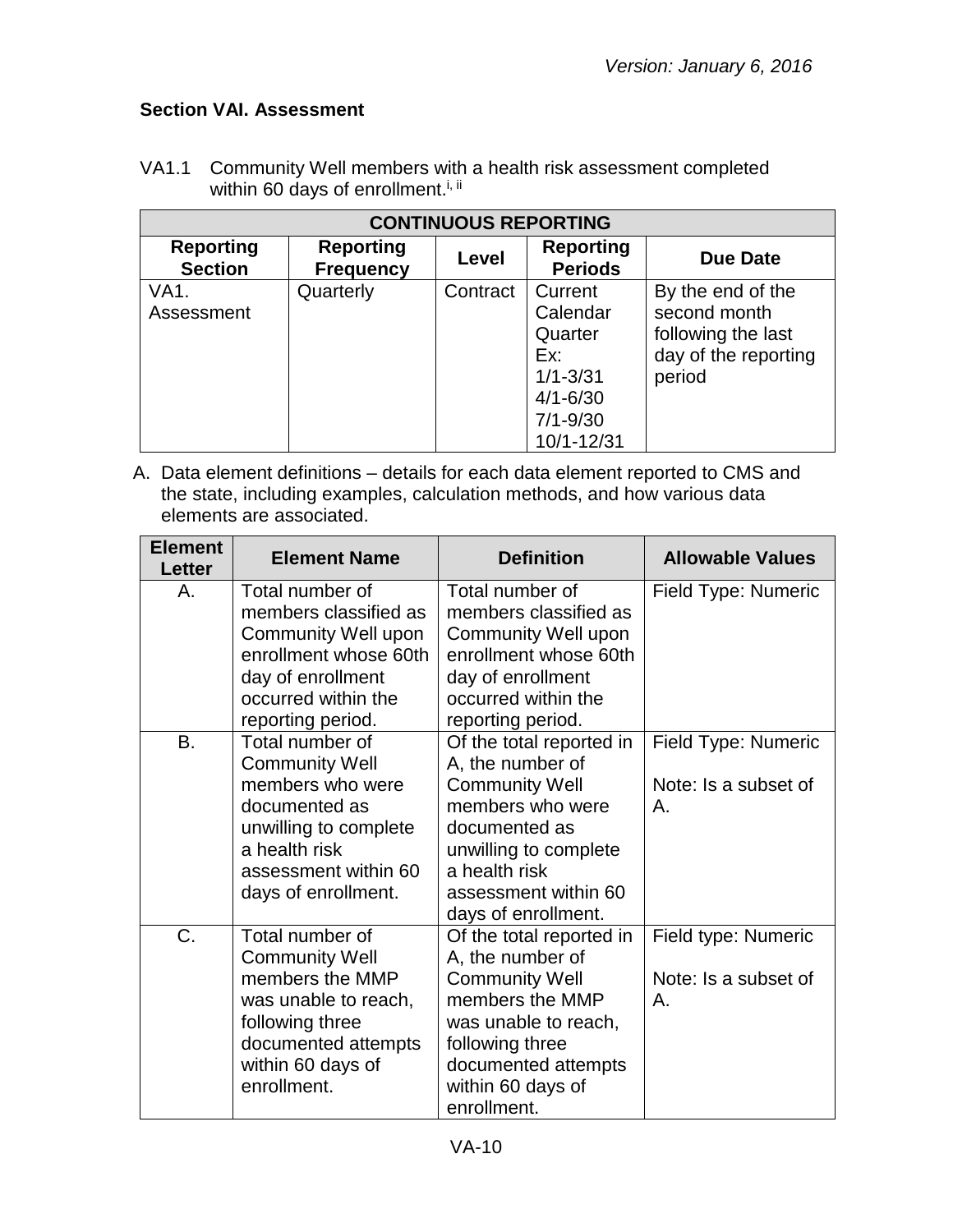## <span id="page-9-0"></span>**Section VAI. Assessment**

| <b>CONTINUOUS REPORTING</b>        |                                      |          |                                                                                                     |                                                                                           |
|------------------------------------|--------------------------------------|----------|-----------------------------------------------------------------------------------------------------|-------------------------------------------------------------------------------------------|
| <b>Reporting</b><br><b>Section</b> | <b>Reporting</b><br><b>Frequency</b> | Level    | <b>Reporting</b><br><b>Periods</b>                                                                  | Due Date                                                                                  |
| VA1.<br>Assessment                 | Quarterly                            | Contract | Current<br>Calendar<br>Quarter<br>Ex:<br>$1/1 - 3/31$<br>$4/1 - 6/30$<br>$7/1 - 9/30$<br>10/1-12/31 | By the end of the<br>second month<br>following the last<br>day of the reporting<br>period |

VA1.1 Community Well members with a health risk assessment completed within 60 days of enrollment.<sup>i, ii</sup>

A. Data element definitions – details for each data element reported to CMS and the state, including examples, calculation methods, and how various data elements are associated.

| <b>Element</b><br><b>Letter</b> | <b>Element Name</b>                                                                                                                                                    | <b>Definition</b>                                                                                                                                                                                   | <b>Allowable Values</b>                           |
|---------------------------------|------------------------------------------------------------------------------------------------------------------------------------------------------------------------|-----------------------------------------------------------------------------------------------------------------------------------------------------------------------------------------------------|---------------------------------------------------|
| А.                              | Total number of<br>members classified as<br>Community Well upon<br>enrollment whose 60th<br>day of enrollment<br>occurred within the<br>reporting period.              | Total number of<br>members classified as<br><b>Community Well upon</b><br>enrollment whose 60th<br>day of enrollment<br>occurred within the<br>reporting period.                                    | Field Type: Numeric                               |
| <b>B.</b>                       | Total number of<br><b>Community Well</b><br>members who were<br>documented as<br>unwilling to complete<br>a health risk<br>assessment within 60<br>days of enrollment. | Of the total reported in<br>A, the number of<br><b>Community Well</b><br>members who were<br>documented as<br>unwilling to complete<br>a health risk<br>assessment within 60<br>days of enrollment. | Field Type: Numeric<br>Note: Is a subset of<br>А. |
| C.                              | Total number of<br><b>Community Well</b><br>members the MMP<br>was unable to reach,<br>following three<br>documented attempts<br>within 60 days of<br>enrollment.      | Of the total reported in<br>A, the number of<br><b>Community Well</b><br>members the MMP<br>was unable to reach,<br>following three<br>documented attempts<br>within 60 days of<br>enrollment.      | Field type: Numeric<br>Note: Is a subset of<br>Α. |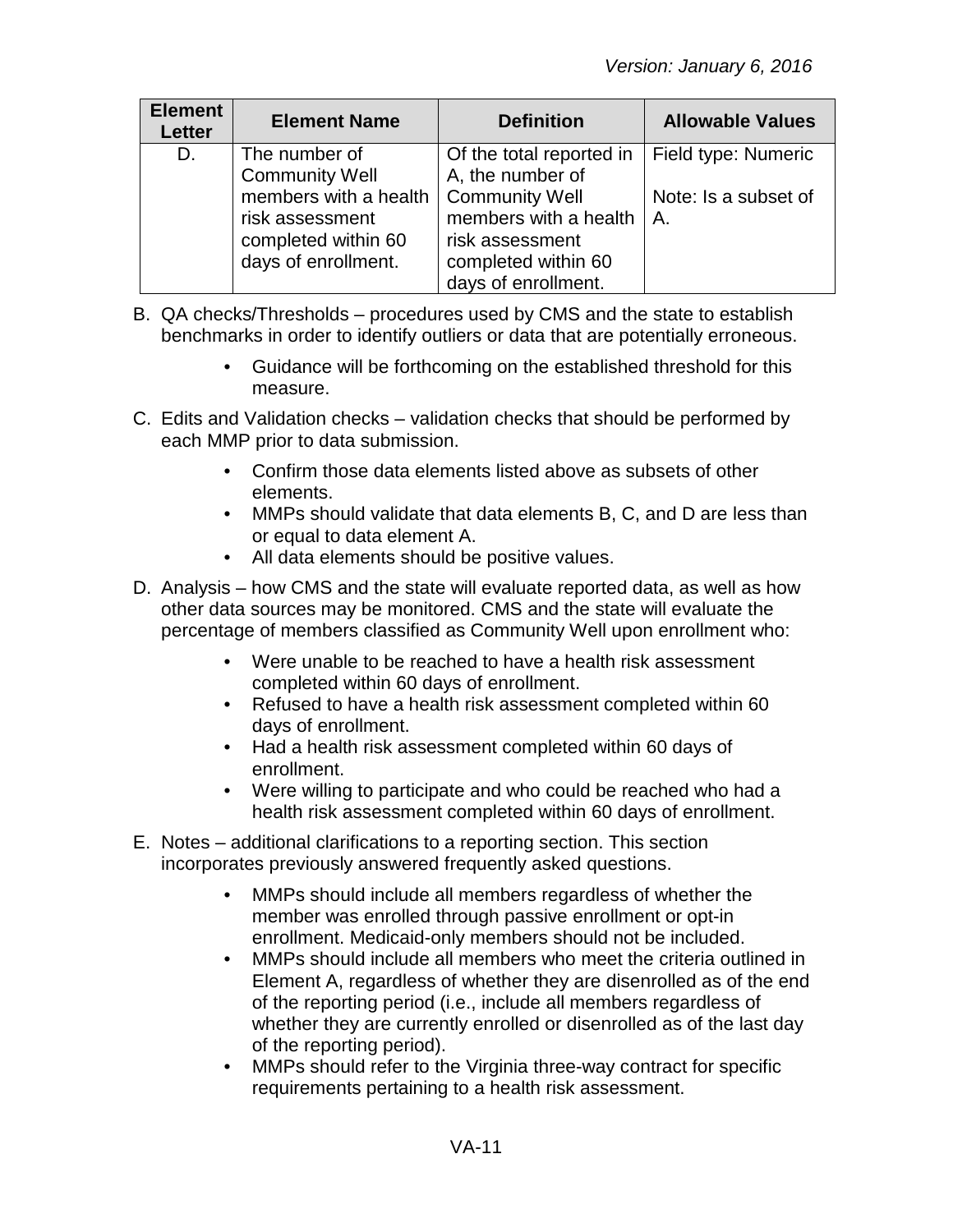| <b>Element</b><br><b>Letter</b> | <b>Element Name</b>   | <b>Definition</b>        | <b>Allowable Values</b> |
|---------------------------------|-----------------------|--------------------------|-------------------------|
| D.                              | The number of         | Of the total reported in | Field type: Numeric     |
|                                 | <b>Community Well</b> | A, the number of         |                         |
|                                 | members with a health | <b>Community Well</b>    | Note: Is a subset of    |
|                                 | risk assessment       | members with a health    | Α.                      |
|                                 | completed within 60   | risk assessment          |                         |
|                                 | days of enrollment.   | completed within 60      |                         |
|                                 |                       | days of enrollment.      |                         |

- B. QA checks/Thresholds procedures used by CMS and the state to establish benchmarks in order to identify outliers or data that are potentially erroneous.
	- Guidance will be forthcoming on the established threshold for this measure.
- C. Edits and Validation checks validation checks that should be performed by each MMP prior to data submission.
	- Confirm those data elements listed above as subsets of other elements.
	- MMPs should validate that data elements B, C, and D are less than or equal to data element A.
	- All data elements should be positive values.
- D. Analysis how CMS and the state will evaluate reported data, as well as how other data sources may be monitored. CMS and the state will evaluate the percentage of members classified as Community Well upon enrollment who:
	- Were unable to be reached to have a health risk assessment completed within 60 days of enrollment.
	- Refused to have a health risk assessment completed within 60 days of enrollment.
	- Had a health risk assessment completed within 60 days of enrollment.
	- Were willing to participate and who could be reached who had a health risk assessment completed within 60 days of enrollment.
- E. Notes additional clarifications to a reporting section. This section incorporates previously answered frequently asked questions.
	- MMPs should include all members regardless of whether the member was enrolled through passive enrollment or opt-in enrollment. Medicaid-only members should not be included.
	- MMPs should include all members who meet the criteria outlined in Element A, regardless of whether they are disenrolled as of the end of the reporting period (i.e., include all members regardless of whether they are currently enrolled or disenrolled as of the last day of the reporting period).
	- MMPs should refer to the Virginia three-way contract for specific requirements pertaining to a health risk assessment.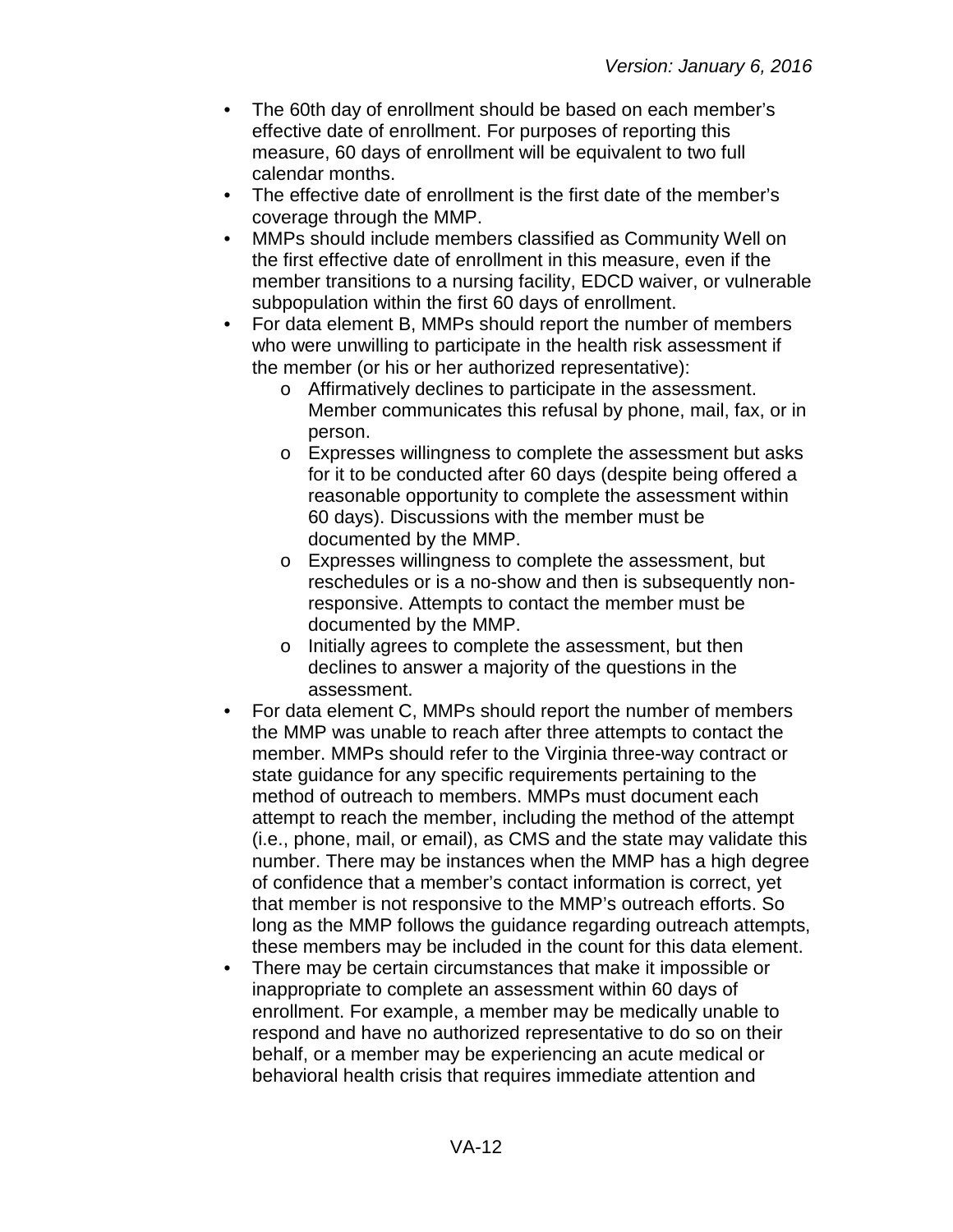- The 60th day of enrollment should be based on each member's effective date of enrollment. For purposes of reporting this measure, 60 days of enrollment will be equivalent to two full calendar months.
- The effective date of enrollment is the first date of the member's coverage through the MMP.
- MMPs should include members classified as Community Well on the first effective date of enrollment in this measure, even if the member transitions to a nursing facility, EDCD waiver, or vulnerable subpopulation within the first 60 days of enrollment.
- For data element B, MMPs should report the number of members who were unwilling to participate in the health risk assessment if the member (or his or her authorized representative):
	- o Affirmatively declines to participate in the assessment. Member communicates this refusal by phone, mail, fax, or in person.
	- o Expresses willingness to complete the assessment but asks for it to be conducted after 60 days (despite being offered a reasonable opportunity to complete the assessment within 60 days). Discussions with the member must be documented by the MMP.
	- o Expresses willingness to complete the assessment, but reschedules or is a no-show and then is subsequently nonresponsive. Attempts to contact the member must be documented by the MMP.
	- o Initially agrees to complete the assessment, but then declines to answer a majority of the questions in the assessment.
- For data element C, MMPs should report the number of members the MMP was unable to reach after three attempts to contact the member. MMPs should refer to the Virginia three-way contract or state guidance for any specific requirements pertaining to the method of outreach to members. MMPs must document each attempt to reach the member, including the method of the attempt (i.e., phone, mail, or email), as CMS and the state may validate this number. There may be instances when the MMP has a high degree of confidence that a member's contact information is correct, yet that member is not responsive to the MMP's outreach efforts. So long as the MMP follows the guidance regarding outreach attempts, these members may be included in the count for this data element.
- There may be certain circumstances that make it impossible or inappropriate to complete an assessment within 60 days of enrollment. For example, a member may be medically unable to respond and have no authorized representative to do so on their behalf, or a member may be experiencing an acute medical or behavioral health crisis that requires immediate attention and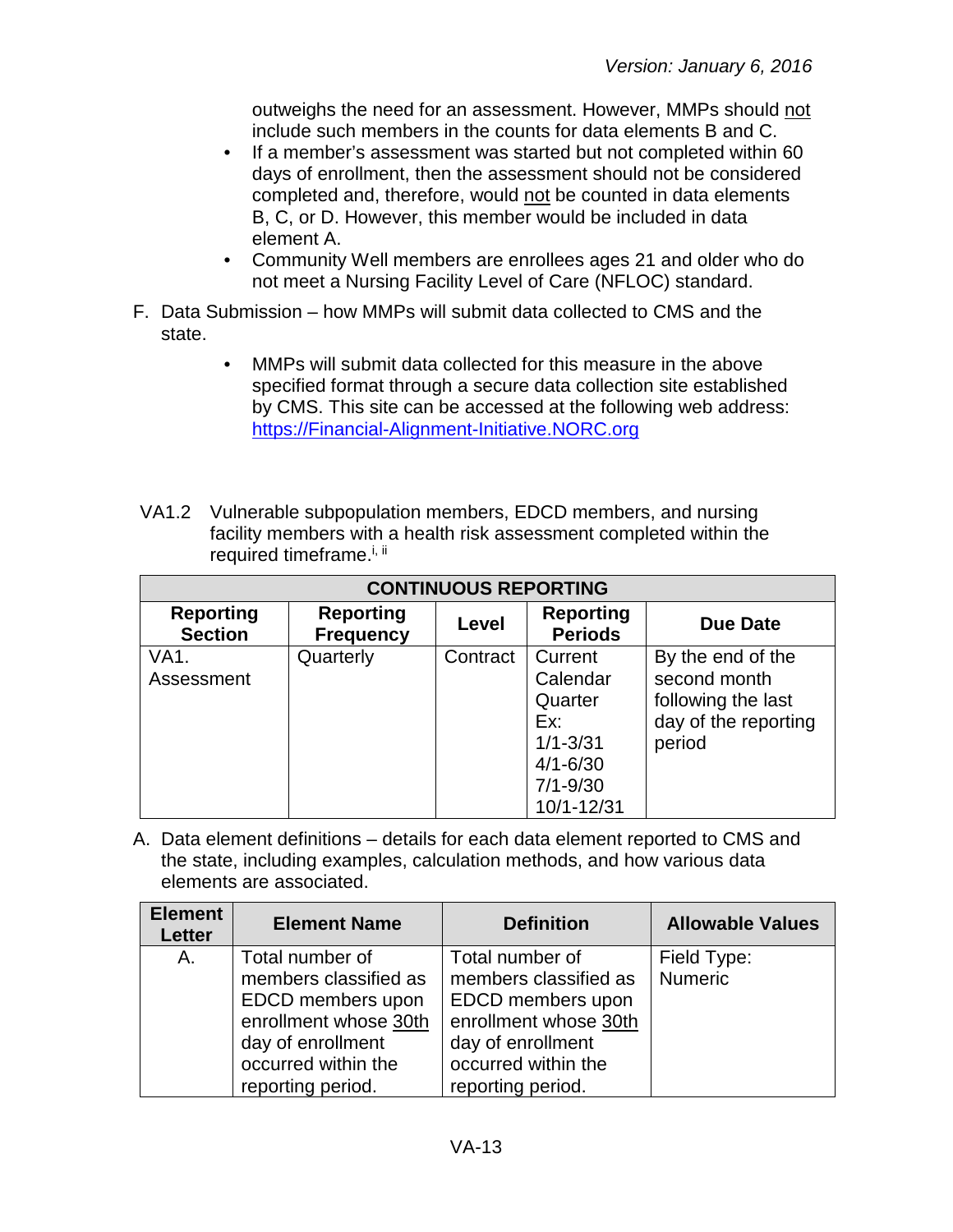outweighs the need for an assessment. However, MMPs should not include such members in the counts for data elements B and C.

- If a member's assessment was started but not completed within 60 days of enrollment, then the assessment should not be considered completed and, therefore, would not be counted in data elements B, C, or D. However, this member would be included in data element A.
- Community Well members are enrollees ages 21 and older who do not meet a Nursing Facility Level of Care (NFLOC) standard.
- F. Data Submission how MMPs will submit data collected to CMS and the state.
	- MMPs will submit data collected for this measure in the above specified format through a secure data collection site established by CMS. This site can be accessed at the following web address: [https://Financial-Alignment-Initiative.NORC.org](https://financial-alignment-initiative.norc.org/)
- VA1.2 Vulnerable subpopulation members, EDCD members, and nursing facility members with a health risk assessment completed within the required timeframe.<sup>i, ii</sup>

| <b>CONTINUOUS REPORTING</b>        |                                      |          |                                                                                                     |                                                                                           |
|------------------------------------|--------------------------------------|----------|-----------------------------------------------------------------------------------------------------|-------------------------------------------------------------------------------------------|
| <b>Reporting</b><br><b>Section</b> | <b>Reporting</b><br><b>Frequency</b> | Level    | <b>Reporting</b><br><b>Periods</b>                                                                  | <b>Due Date</b>                                                                           |
| VA1.<br>Assessment                 | Quarterly                            | Contract | Current<br>Calendar<br>Quarter<br>Ex:<br>$1/1 - 3/31$<br>$4/1 - 6/30$<br>$7/1 - 9/30$<br>10/1-12/31 | By the end of the<br>second month<br>following the last<br>day of the reporting<br>period |

A. Data element definitions – details for each data element reported to CMS and the state, including examples, calculation methods, and how various data elements are associated.

| <b>Element</b><br>Letter | <b>Element Name</b>   | <b>Definition</b>     | <b>Allowable Values</b> |
|--------------------------|-----------------------|-----------------------|-------------------------|
| A.                       | Total number of       | Total number of       | Field Type:             |
|                          | members classified as | members classified as | Numeric                 |
|                          | EDCD members upon     | EDCD members upon     |                         |
|                          | enrollment whose 30th | enrollment whose 30th |                         |
|                          | day of enrollment     | day of enrollment     |                         |
|                          | occurred within the   | occurred within the   |                         |
|                          | reporting period.     | reporting period.     |                         |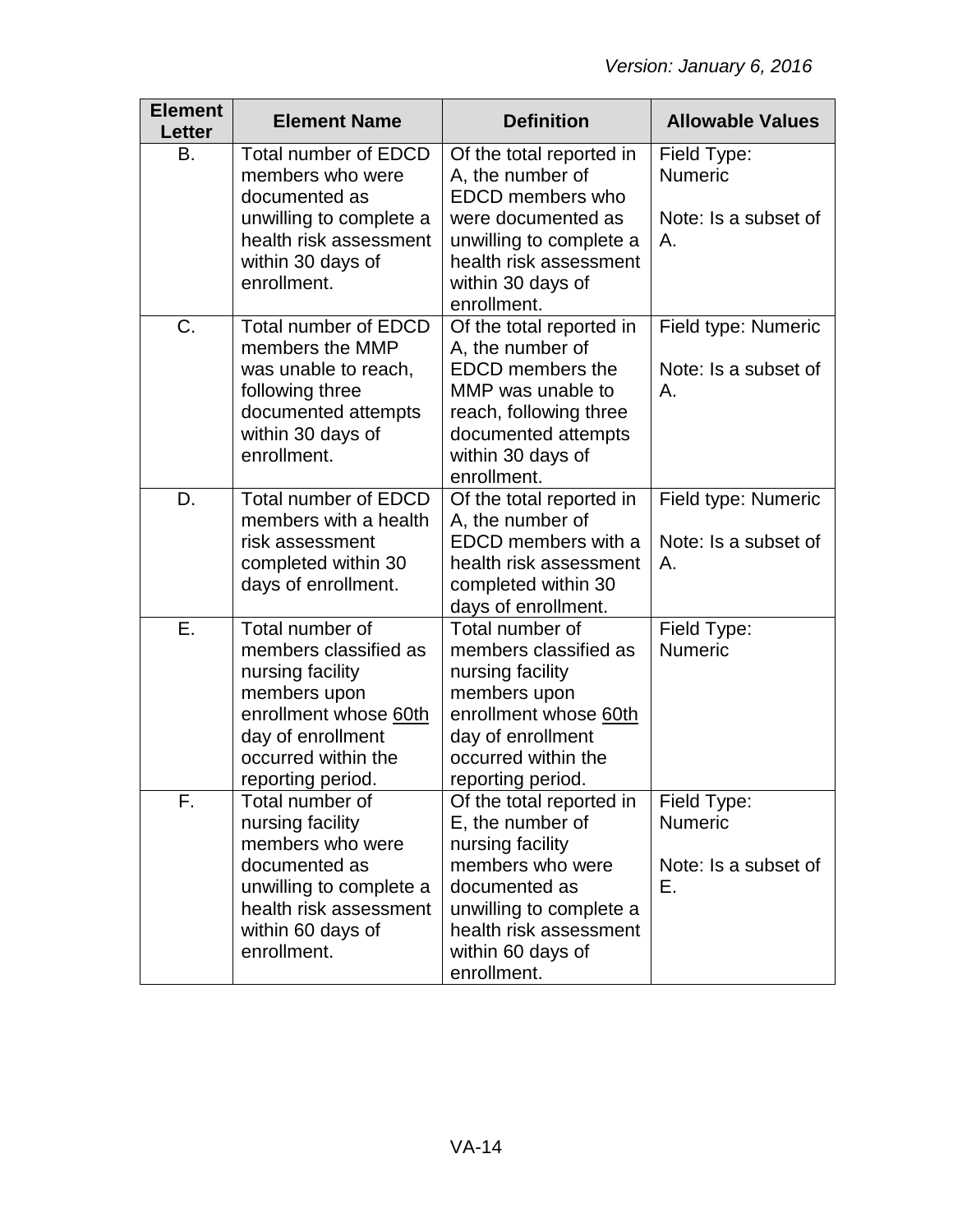| <b>Element</b><br>Letter | <b>Element Name</b>                                                                                                                                                    | <b>Definition</b>                                                                                                                                                                              | <b>Allowable Values</b>                                     |
|--------------------------|------------------------------------------------------------------------------------------------------------------------------------------------------------------------|------------------------------------------------------------------------------------------------------------------------------------------------------------------------------------------------|-------------------------------------------------------------|
| Β.                       | Total number of EDCD<br>members who were<br>documented as<br>unwilling to complete a<br>health risk assessment<br>within 30 days of<br>enrollment.                     | Of the total reported in<br>A, the number of<br><b>EDCD</b> members who<br>were documented as<br>unwilling to complete a<br>health risk assessment<br>within 30 days of<br>enrollment.         | Field Type:<br><b>Numeric</b><br>Note: Is a subset of<br>Α. |
| C.                       | <b>Total number of EDCD</b><br>members the MMP<br>was unable to reach,<br>following three<br>documented attempts<br>within 30 days of<br>enrollment.                   | Of the total reported in<br>A, the number of<br><b>EDCD</b> members the<br>MMP was unable to<br>reach, following three<br>documented attempts<br>within 30 days of<br>enrollment.              | Field type: Numeric<br>Note: Is a subset of<br>Α.           |
| D.                       | Total number of EDCD<br>members with a health<br>risk assessment<br>completed within 30<br>days of enrollment.                                                         | Of the total reported in<br>A, the number of<br>EDCD members with a<br>health risk assessment<br>completed within 30<br>days of enrollment.                                                    | Field type: Numeric<br>Note: Is a subset of<br>Α.           |
| Ε.                       | Total number of<br>members classified as<br>nursing facility<br>members upon<br>enrollment whose 60th<br>day of enrollment<br>occurred within the<br>reporting period. | Total number of<br>members classified as<br>nursing facility<br>members upon<br>enrollment whose 60th<br>day of enrollment<br>occurred within the<br>reporting period.                         | Field Type:<br><b>Numeric</b>                               |
| F.                       | Total number of<br>nursing facility<br>members who were<br>documented as<br>unwilling to complete a<br>health risk assessment<br>within 60 days of<br>enrollment.      | Of the total reported in<br>E, the number of<br>nursing facility<br>members who were<br>documented as<br>unwilling to complete a<br>health risk assessment<br>within 60 days of<br>enrollment. | Field Type:<br>Numeric<br>Note: Is a subset of<br>Е.        |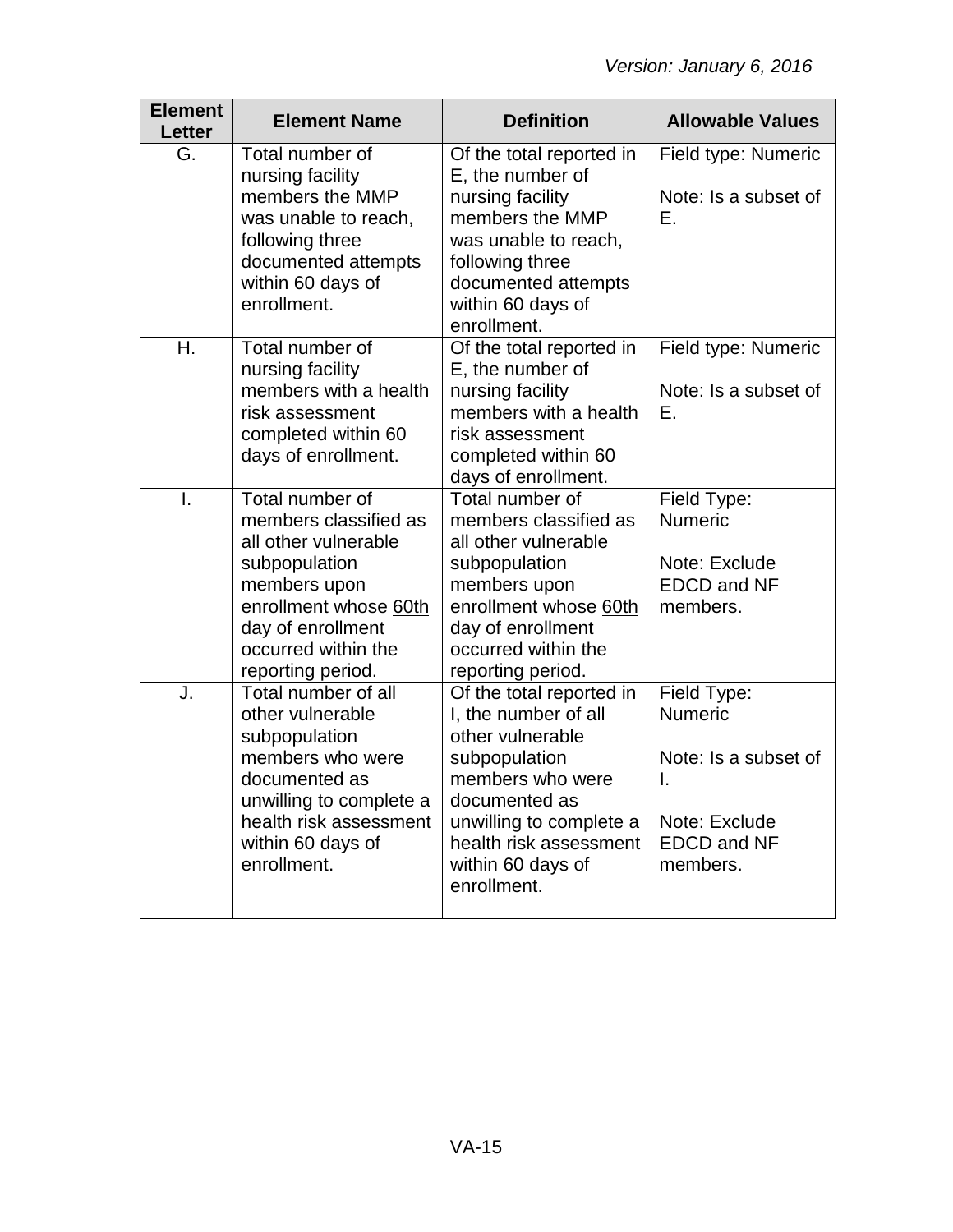| <b>Element</b><br><b>Letter</b> | <b>Element Name</b>                                                                                                                                                                         | <b>Definition</b>                                                                                                                                                                                                   | <b>Allowable Values</b>                                                                                        |
|---------------------------------|---------------------------------------------------------------------------------------------------------------------------------------------------------------------------------------------|---------------------------------------------------------------------------------------------------------------------------------------------------------------------------------------------------------------------|----------------------------------------------------------------------------------------------------------------|
| G.                              | Total number of<br>nursing facility<br>members the MMP<br>was unable to reach,<br>following three<br>documented attempts<br>within 60 days of<br>enrollment.                                | Of the total reported in<br>E, the number of<br>nursing facility<br>members the MMP<br>was unable to reach,<br>following three<br>documented attempts<br>within 60 days of<br>enrollment.                           | Field type: Numeric<br>Note: Is a subset of<br>Ε.                                                              |
| Η.                              | Total number of<br>nursing facility<br>members with a health<br>risk assessment<br>completed within 60<br>days of enrollment.                                                               | Of the total reported in<br>E, the number of<br>nursing facility<br>members with a health<br>risk assessment<br>completed within 60<br>days of enrollment.                                                          | Field type: Numeric<br>Note: Is a subset of<br>Е.                                                              |
| $\mathbf{I}$ .                  | Total number of<br>members classified as<br>all other vulnerable<br>subpopulation<br>members upon<br>enrollment whose 60th<br>day of enrollment<br>occurred within the<br>reporting period. | Total number of<br>members classified as<br>all other vulnerable<br>subpopulation<br>members upon<br>enrollment whose 60th<br>day of enrollment<br>occurred within the<br>reporting period.                         | Field Type:<br><b>Numeric</b><br>Note: Exclude<br><b>EDCD and NF</b><br>members.                               |
| J.                              | Total number of all<br>other vulnerable<br>subpopulation<br>members who were<br>documented as<br>unwilling to complete a<br>health risk assessment<br>within 60 days of<br>enrollment.      | Of the total reported in<br>I, the number of all<br>other vulnerable<br>subpopulation<br>members who were<br>documented as<br>unwilling to complete a<br>health risk assessment<br>within 60 days of<br>enrollment. | Field Type:<br><b>Numeric</b><br>Note: Is a subset of<br>I.<br>Note: Exclude<br><b>EDCD and NF</b><br>members. |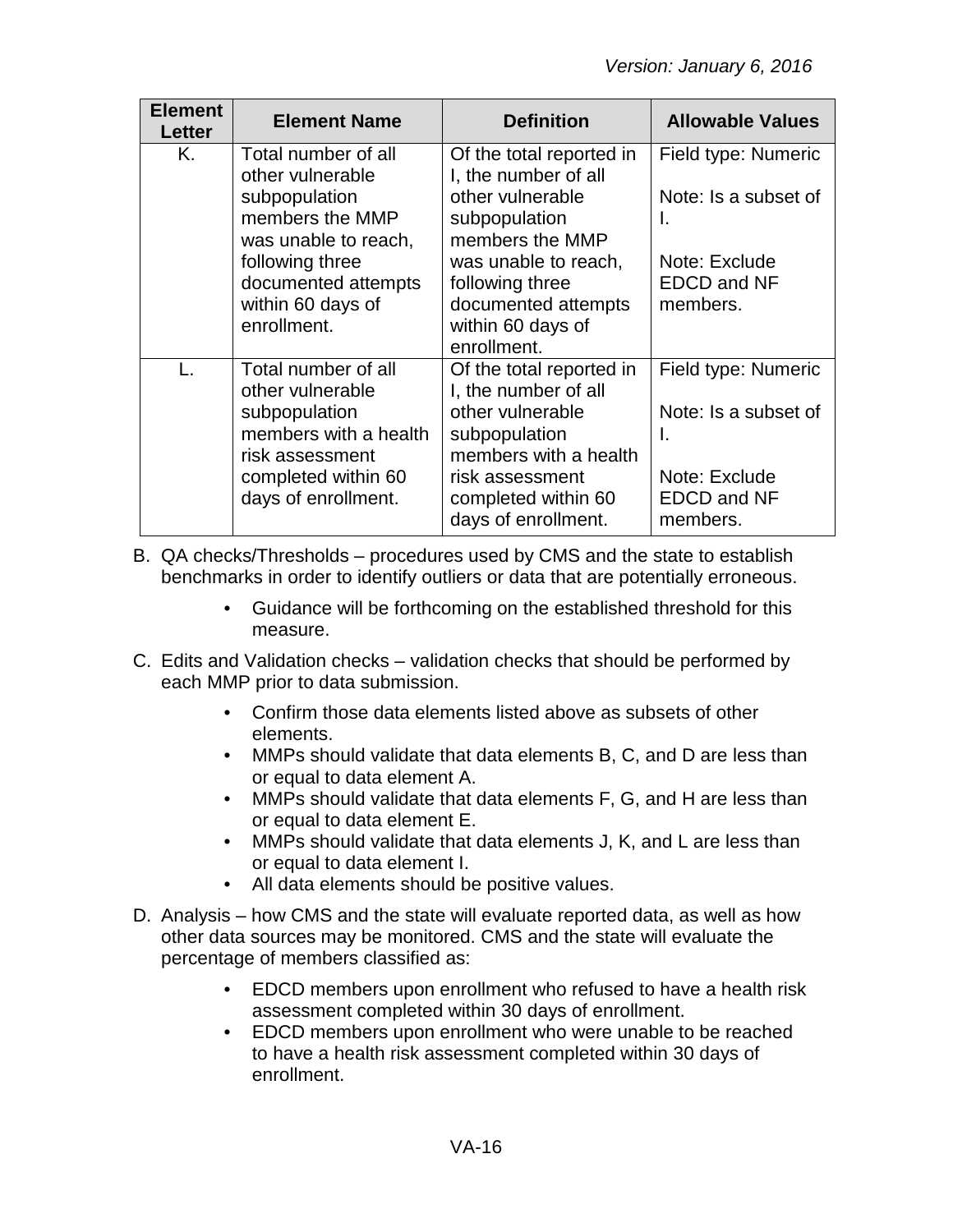| <b>Element</b><br><b>Letter</b> | <b>Element Name</b>                                                                                                                                                               | <b>Definition</b>                                                                                                                                                                                              | <b>Allowable Values</b>                                                                              |
|---------------------------------|-----------------------------------------------------------------------------------------------------------------------------------------------------------------------------------|----------------------------------------------------------------------------------------------------------------------------------------------------------------------------------------------------------------|------------------------------------------------------------------------------------------------------|
| Κ.                              | Total number of all<br>other vulnerable<br>subpopulation<br>members the MMP<br>was unable to reach,<br>following three<br>documented attempts<br>within 60 days of<br>enrollment. | Of the total reported in<br>I, the number of all<br>other vulnerable<br>subpopulation<br>members the MMP<br>was unable to reach,<br>following three<br>documented attempts<br>within 60 days of<br>enrollment. | Field type: Numeric<br>Note: Is a subset of<br>I.<br>Note: Exclude<br><b>EDCD and NF</b><br>members. |
|                                 | Total number of all<br>other vulnerable<br>subpopulation<br>members with a health<br>risk assessment<br>completed within 60<br>days of enrollment.                                | Of the total reported in<br>I, the number of all<br>other vulnerable<br>subpopulation<br>members with a health<br>risk assessment<br>completed within 60<br>days of enrollment.                                | Field type: Numeric<br>Note: Is a subset of<br>Ι.<br>Note: Exclude<br><b>EDCD and NF</b><br>members. |

B. QA checks/Thresholds – procedures used by CMS and the state to establish benchmarks in order to identify outliers or data that are potentially erroneous.

- Guidance will be forthcoming on the established threshold for this measure.
- C. Edits and Validation checks validation checks that should be performed by each MMP prior to data submission.
	- Confirm those data elements listed above as subsets of other elements.
	- MMPs should validate that data elements B, C, and D are less than or equal to data element A.
	- MMPs should validate that data elements F, G, and H are less than or equal to data element E.
	- MMPs should validate that data elements J, K, and L are less than or equal to data element I.
	- All data elements should be positive values.
- D. Analysis how CMS and the state will evaluate reported data, as well as how other data sources may be monitored. CMS and the state will evaluate the percentage of members classified as:
	- EDCD members upon enrollment who refused to have a health risk assessment completed within 30 days of enrollment.
	- EDCD members upon enrollment who were unable to be reached to have a health risk assessment completed within 30 days of enrollment.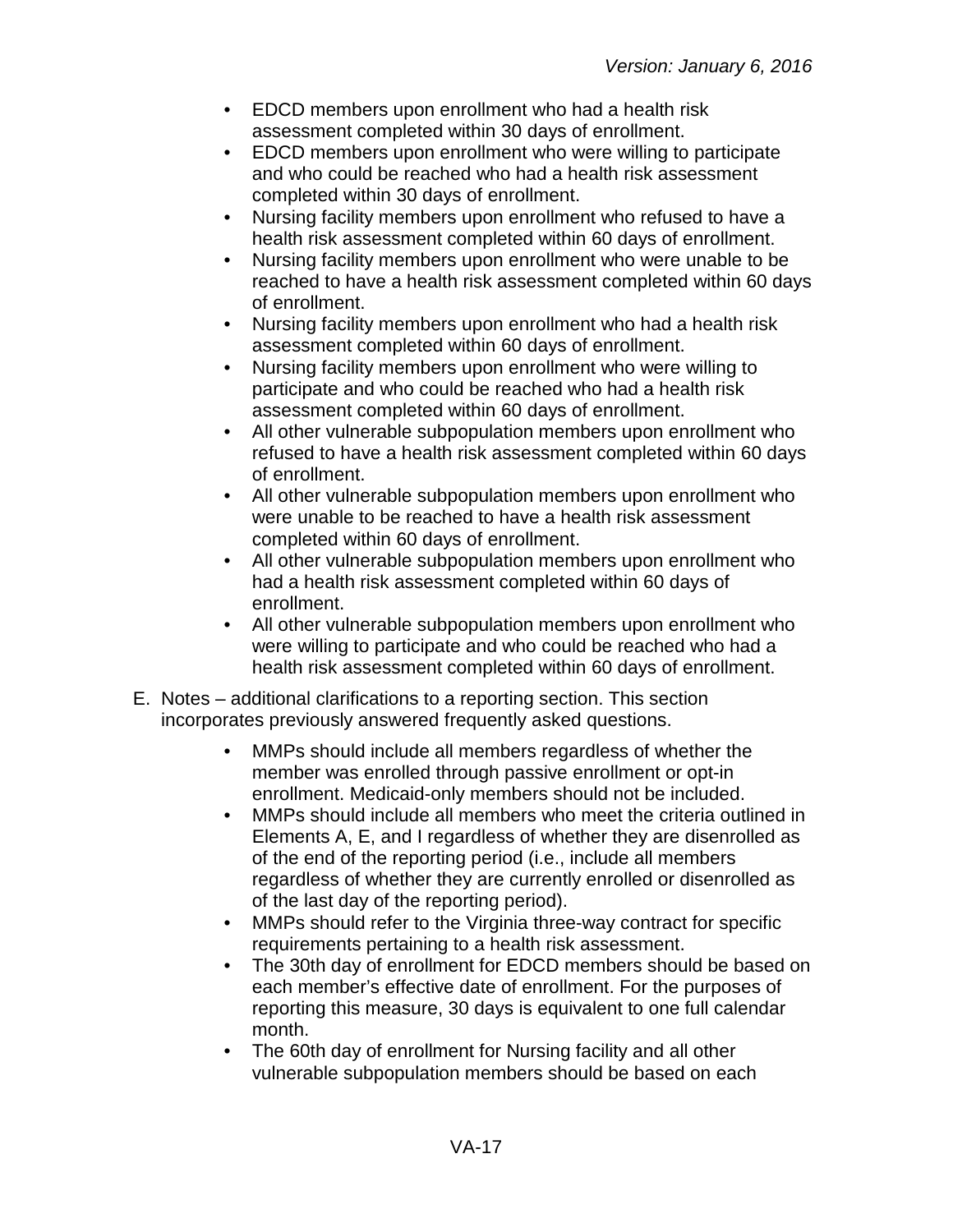- EDCD members upon enrollment who had a health risk assessment completed within 30 days of enrollment.
- EDCD members upon enrollment who were willing to participate and who could be reached who had a health risk assessment completed within 30 days of enrollment.
- Nursing facility members upon enrollment who refused to have a health risk assessment completed within 60 days of enrollment.
- Nursing facility members upon enrollment who were unable to be reached to have a health risk assessment completed within 60 days of enrollment.
- Nursing facility members upon enrollment who had a health risk assessment completed within 60 days of enrollment.
- Nursing facility members upon enrollment who were willing to participate and who could be reached who had a health risk assessment completed within 60 days of enrollment.
- All other vulnerable subpopulation members upon enrollment who refused to have a health risk assessment completed within 60 days of enrollment.
- All other vulnerable subpopulation members upon enrollment who were unable to be reached to have a health risk assessment completed within 60 days of enrollment.
- All other vulnerable subpopulation members upon enrollment who had a health risk assessment completed within 60 days of enrollment.
- All other vulnerable subpopulation members upon enrollment who were willing to participate and who could be reached who had a health risk assessment completed within 60 days of enrollment.
- E. Notes additional clarifications to a reporting section. This section incorporates previously answered frequently asked questions.
	- MMPs should include all members regardless of whether the member was enrolled through passive enrollment or opt-in enrollment. Medicaid-only members should not be included.
	- MMPs should include all members who meet the criteria outlined in Elements A, E, and I regardless of whether they are disenrolled as of the end of the reporting period (i.e., include all members regardless of whether they are currently enrolled or disenrolled as of the last day of the reporting period).
	- MMPs should refer to the Virginia three-way contract for specific requirements pertaining to a health risk assessment.
	- The 30th day of enrollment for EDCD members should be based on each member's effective date of enrollment. For the purposes of reporting this measure, 30 days is equivalent to one full calendar month.
	- The 60th day of enrollment for Nursing facility and all other vulnerable subpopulation members should be based on each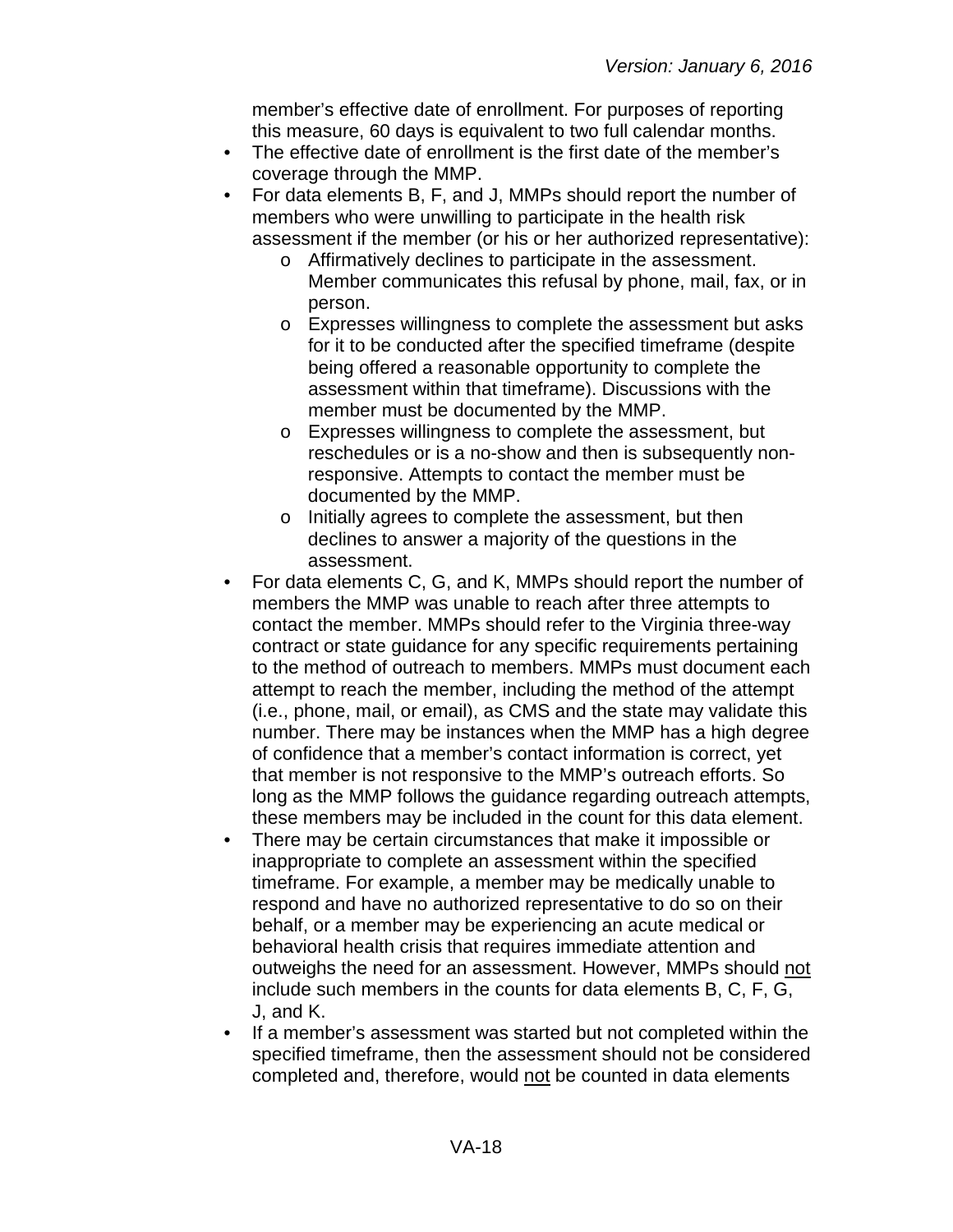member's effective date of enrollment. For purposes of reporting this measure, 60 days is equivalent to two full calendar months.

- The effective date of enrollment is the first date of the member's coverage through the MMP.
- For data elements B, F, and J, MMPs should report the number of members who were unwilling to participate in the health risk assessment if the member (or his or her authorized representative):
	- o Affirmatively declines to participate in the assessment. Member communicates this refusal by phone, mail, fax, or in person.
	- o Expresses willingness to complete the assessment but asks for it to be conducted after the specified timeframe (despite being offered a reasonable opportunity to complete the assessment within that timeframe). Discussions with the member must be documented by the MMP.
	- o Expresses willingness to complete the assessment, but reschedules or is a no-show and then is subsequently nonresponsive. Attempts to contact the member must be documented by the MMP.
	- o Initially agrees to complete the assessment, but then declines to answer a majority of the questions in the assessment.
- For data elements C, G, and K, MMPs should report the number of members the MMP was unable to reach after three attempts to contact the member. MMPs should refer to the Virginia three-way contract or state guidance for any specific requirements pertaining to the method of outreach to members. MMPs must document each attempt to reach the member, including the method of the attempt (i.e., phone, mail, or email), as CMS and the state may validate this number. There may be instances when the MMP has a high degree of confidence that a member's contact information is correct, yet that member is not responsive to the MMP's outreach efforts. So long as the MMP follows the guidance regarding outreach attempts, these members may be included in the count for this data element.
- There may be certain circumstances that make it impossible or inappropriate to complete an assessment within the specified timeframe. For example, a member may be medically unable to respond and have no authorized representative to do so on their behalf, or a member may be experiencing an acute medical or behavioral health crisis that requires immediate attention and outweighs the need for an assessment. However, MMPs should not include such members in the counts for data elements B, C, F, G, J, and K.
- If a member's assessment was started but not completed within the specified timeframe, then the assessment should not be considered completed and, therefore, would not be counted in data elements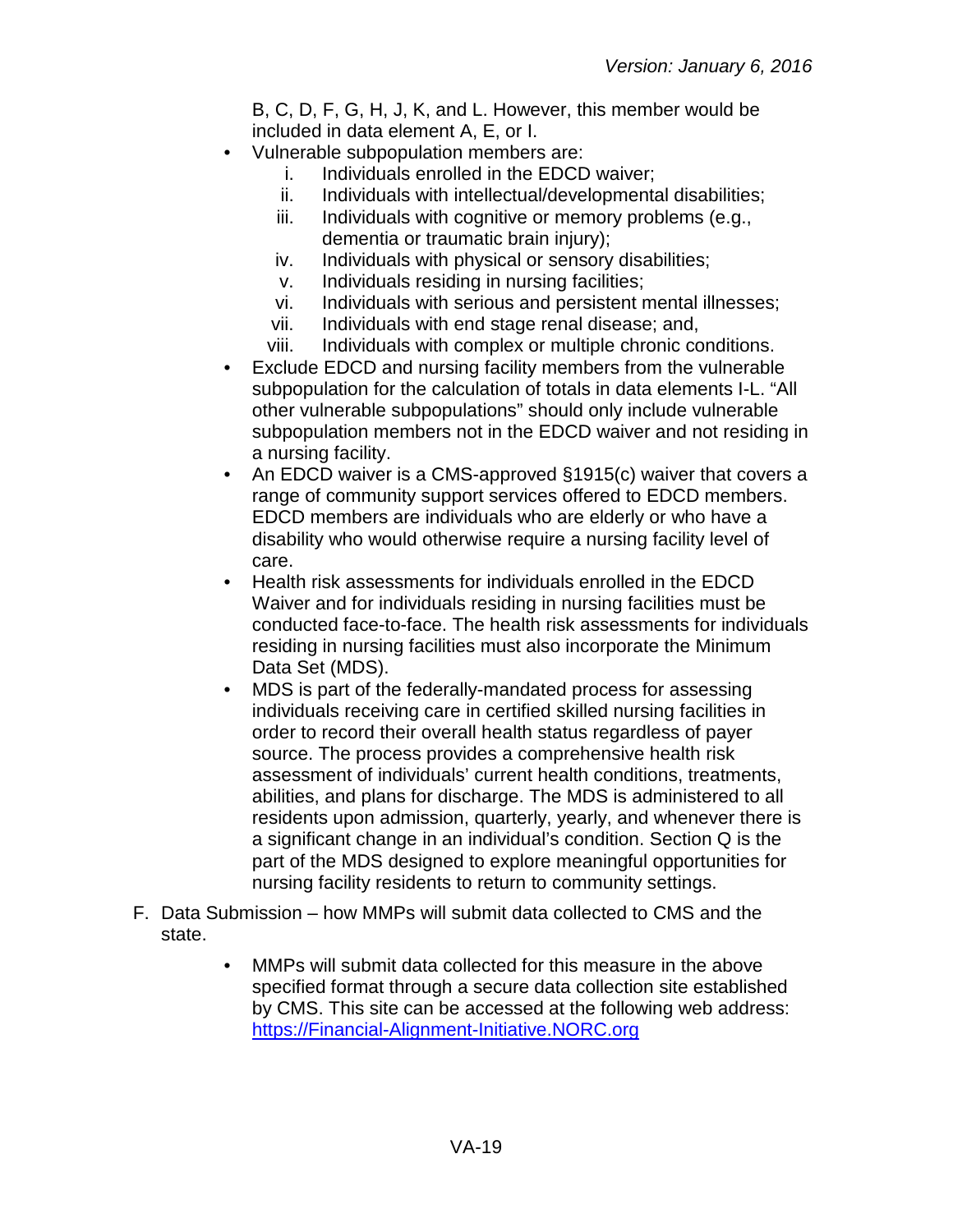B, C, D, F, G, H, J, K, and L. However, this member would be included in data element A, E, or I.

- Vulnerable subpopulation members are:
	- i. Individuals enrolled in the EDCD waiver;
	- ii. Individuals with intellectual/developmental disabilities;
	- iii. Individuals with cognitive or memory problems (e.g., dementia or traumatic brain injury);
	- iv. Individuals with physical or sensory disabilities;
	- v. Individuals residing in nursing facilities;
	- vi. Individuals with serious and persistent mental illnesses;
	- vii. Individuals with end stage renal disease; and,
	- viii. Individuals with complex or multiple chronic conditions.
- Exclude EDCD and nursing facility members from the vulnerable subpopulation for the calculation of totals in data elements I-L. "All other vulnerable subpopulations" should only include vulnerable subpopulation members not in the EDCD waiver and not residing in a nursing facility.
- An EDCD waiver is a CMS-approved §1915(c) waiver that covers a range of community support services offered to EDCD members. EDCD members are individuals who are elderly or who have a disability who would otherwise require a nursing facility level of care.
- Health risk assessments for individuals enrolled in the EDCD Waiver and for individuals residing in nursing facilities must be conducted face-to-face. The health risk assessments for individuals residing in nursing facilities must also incorporate the Minimum Data Set (MDS).
- MDS is part of the federally-mandated process for assessing individuals receiving care in certified skilled nursing facilities in order to record their overall health status regardless of payer source. The process provides a comprehensive health risk assessment of individuals' current health conditions, treatments, abilities, and plans for discharge. The MDS is administered to all residents upon admission, quarterly, yearly, and whenever there is a significant change in an individual's condition. Section Q is the part of the MDS designed to explore meaningful opportunities for nursing facility residents to return to community settings.
- F. Data Submission how MMPs will submit data collected to CMS and the state.
	- MMPs will submit data collected for this measure in the above specified format through a secure data collection site established by CMS. This site can be accessed at the following web address: [https://Financial-Alignment-Initiative.NORC.org](https://financial-alignment-initiative.norc.org/)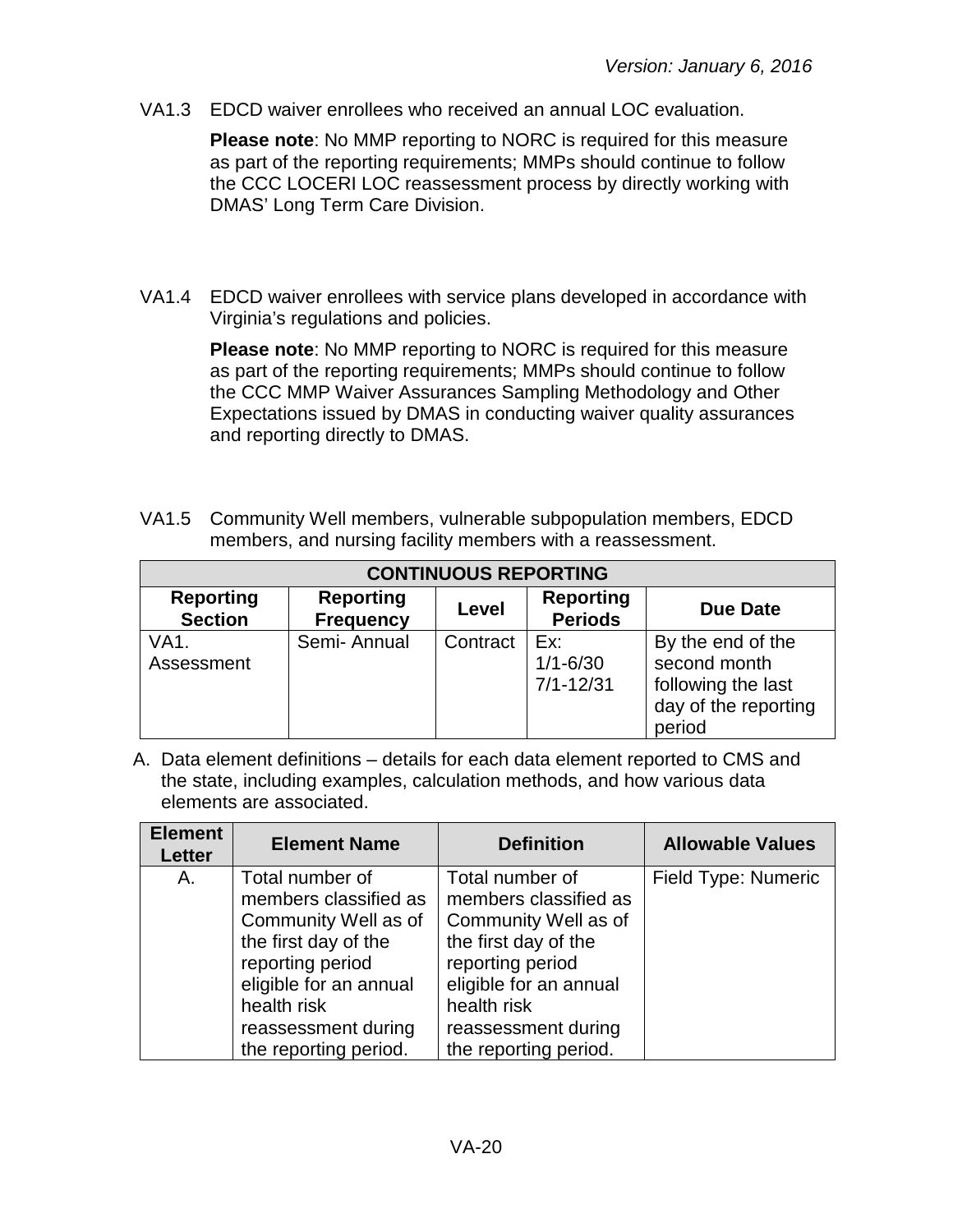VA1.3 EDCD waiver enrollees who received an annual LOC evaluation.

**Please note**: No MMP reporting to NORC is required for this measure as part of the reporting requirements; MMPs should continue to follow the CCC LOCERI LOC reassessment process by directly working with DMAS' Long Term Care Division.

VA1.4 EDCD waiver enrollees with service plans developed in accordance with Virginia's regulations and policies.

> **Please note**: No MMP reporting to NORC is required for this measure as part of the reporting requirements; MMPs should continue to follow the CCC MMP Waiver Assurances Sampling Methodology and Other Expectations issued by DMAS in conducting waiver quality assurances and reporting directly to DMAS.

VA1.5 Community Well members, vulnerable subpopulation members, EDCD members, and nursing facility members with a reassessment.

| <b>CONTINUOUS REPORTING</b>        |                                      |          |                                      |                                                                                           |
|------------------------------------|--------------------------------------|----------|--------------------------------------|-------------------------------------------------------------------------------------------|
| <b>Reporting</b><br><b>Section</b> | <b>Reporting</b><br><b>Frequency</b> | Level    | <b>Reporting</b><br><b>Periods</b>   | <b>Due Date</b>                                                                           |
| VA <sub>1</sub><br>Assessment      | Semi-Annual                          | Contract | Ex:<br>$1/1 - 6/30$<br>$7/1 - 12/31$ | By the end of the<br>second month<br>following the last<br>day of the reporting<br>period |

A. Data element definitions – details for each data element reported to CMS and the state, including examples, calculation methods, and how various data elements are associated.

| <b>Element</b><br>Letter | <b>Element Name</b>                                                                                                                                                                                   | <b>Definition</b>                                                                                                                                                                                     | <b>Allowable Values</b> |
|--------------------------|-------------------------------------------------------------------------------------------------------------------------------------------------------------------------------------------------------|-------------------------------------------------------------------------------------------------------------------------------------------------------------------------------------------------------|-------------------------|
| Α.                       | Total number of<br>members classified as<br>Community Well as of<br>the first day of the<br>reporting period<br>eligible for an annual<br>health risk<br>reassessment during<br>the reporting period. | Total number of<br>members classified as<br>Community Well as of<br>the first day of the<br>reporting period<br>eligible for an annual<br>health risk<br>reassessment during<br>the reporting period. | Field Type: Numeric     |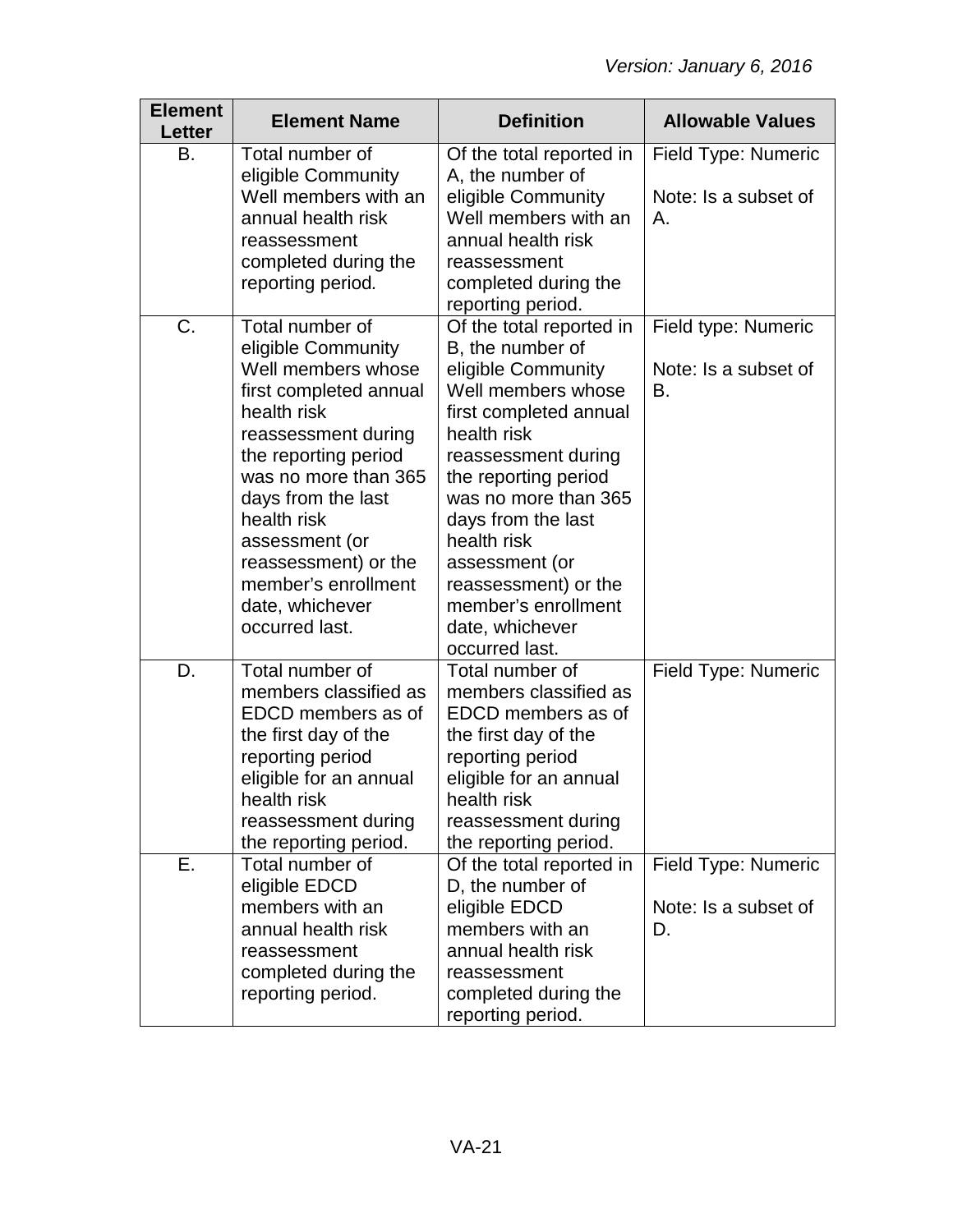| <b>Element</b><br>Letter | <b>Element Name</b>                                                                                                                                                                                                                                                                                                    | <b>Definition</b>                                                                                                                                                                                                                                                                                                                                   | <b>Allowable Values</b>                           |
|--------------------------|------------------------------------------------------------------------------------------------------------------------------------------------------------------------------------------------------------------------------------------------------------------------------------------------------------------------|-----------------------------------------------------------------------------------------------------------------------------------------------------------------------------------------------------------------------------------------------------------------------------------------------------------------------------------------------------|---------------------------------------------------|
| В.                       | Total number of<br>eligible Community<br>Well members with an<br>annual health risk<br>reassessment<br>completed during the<br>reporting period.                                                                                                                                                                       | Of the total reported in<br>A, the number of<br>eligible Community<br>Well members with an<br>annual health risk<br>reassessment<br>completed during the<br>reporting period.                                                                                                                                                                       | Field Type: Numeric<br>Note: Is a subset of<br>Α. |
| C.                       | Total number of<br>eligible Community<br>Well members whose<br>first completed annual<br>health risk<br>reassessment during<br>the reporting period<br>was no more than 365<br>days from the last<br>health risk<br>assessment (or<br>reassessment) or the<br>member's enrollment<br>date, whichever<br>occurred last. | Of the total reported in<br>B, the number of<br>eligible Community<br>Well members whose<br>first completed annual<br>health risk<br>reassessment during<br>the reporting period<br>was no more than 365<br>days from the last<br>health risk<br>assessment (or<br>reassessment) or the<br>member's enrollment<br>date, whichever<br>occurred last. | Field type: Numeric<br>Note: Is a subset of<br>В. |
| D.                       | Total number of<br>members classified as<br>EDCD members as of<br>the first day of the<br>reporting period<br>eligible for an annual<br>health risk<br>reassessment during<br>the reporting period.                                                                                                                    | Total number of<br>members classified as<br>EDCD members as of<br>the first day of the<br>reporting period<br>eligible for an annual<br>health risk<br>reassessment during<br>the reporting period.                                                                                                                                                 | Field Type: Numeric                               |
| Е.                       | Total number of<br>eligible EDCD<br>members with an<br>annual health risk<br>reassessment<br>completed during the<br>reporting period.                                                                                                                                                                                 | Of the total reported in<br>D, the number of<br>eligible EDCD<br>members with an<br>annual health risk<br>reassessment<br>completed during the<br>reporting period.                                                                                                                                                                                 | Field Type: Numeric<br>Note: Is a subset of<br>D. |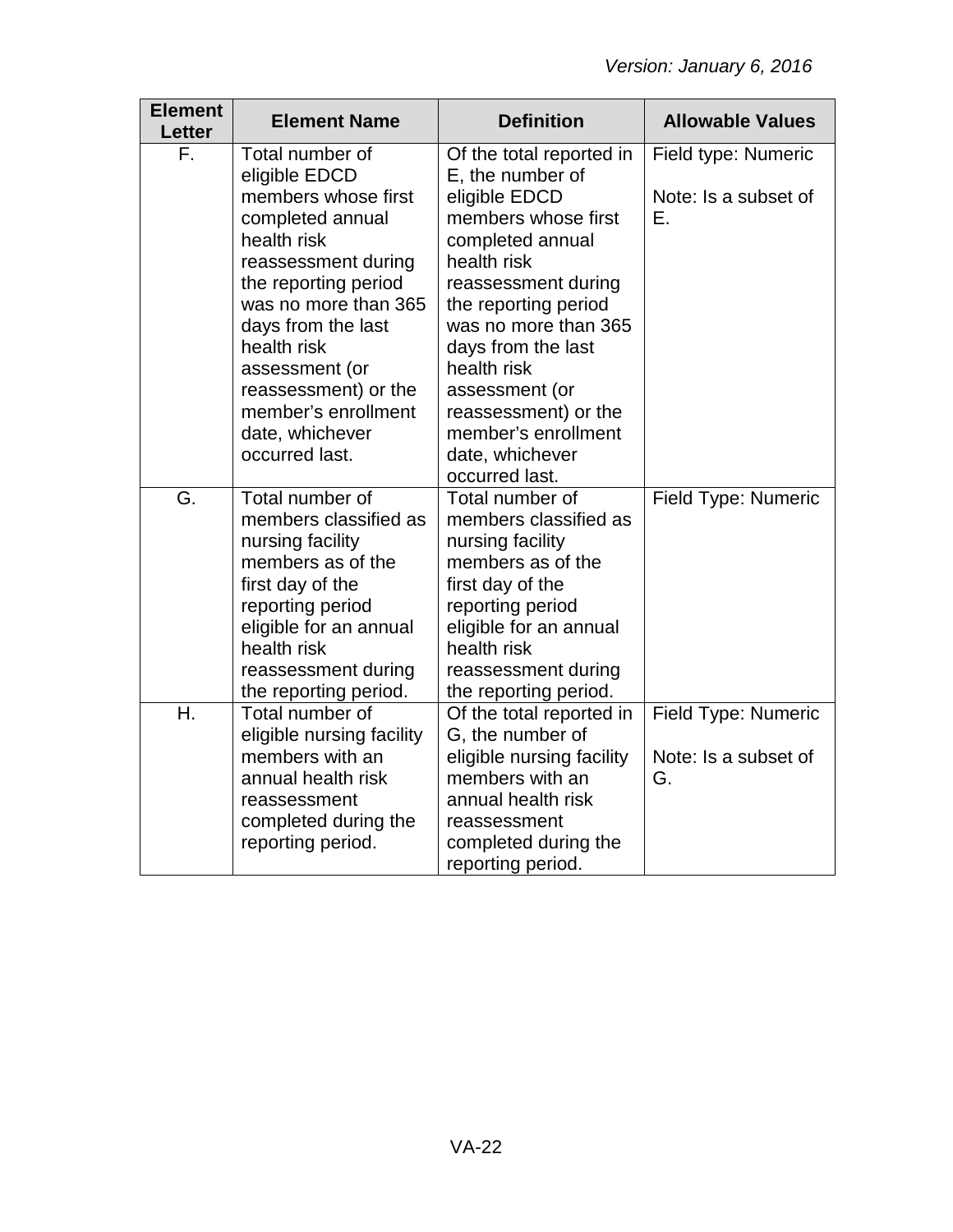| <b>Element</b><br>Letter | <b>Element Name</b>                                                                                                                                                                                                                                                      | <b>Definition</b>                                                                                                                                                                                                                                                                         | <b>Allowable Values</b>                           |
|--------------------------|--------------------------------------------------------------------------------------------------------------------------------------------------------------------------------------------------------------------------------------------------------------------------|-------------------------------------------------------------------------------------------------------------------------------------------------------------------------------------------------------------------------------------------------------------------------------------------|---------------------------------------------------|
| F.                       | Total number of<br>eligible EDCD                                                                                                                                                                                                                                         | Of the total reported in<br>E, the number of                                                                                                                                                                                                                                              | Field type: Numeric                               |
|                          | members whose first<br>completed annual<br>health risk<br>reassessment during<br>the reporting period<br>was no more than 365<br>days from the last<br>health risk<br>assessment (or<br>reassessment) or the<br>member's enrollment<br>date, whichever<br>occurred last. | eligible EDCD<br>members whose first<br>completed annual<br>health risk<br>reassessment during<br>the reporting period<br>was no more than 365<br>days from the last<br>health risk<br>assessment (or<br>reassessment) or the<br>member's enrollment<br>date, whichever<br>occurred last. | Note: Is a subset of<br>Е.                        |
| G.                       | Total number of<br>members classified as<br>nursing facility<br>members as of the<br>first day of the<br>reporting period<br>eligible for an annual<br>health risk<br>reassessment during<br>the reporting period.                                                       | Total number of<br>members classified as<br>nursing facility<br>members as of the<br>first day of the<br>reporting period<br>eligible for an annual<br>health risk<br>reassessment during<br>the reporting period.                                                                        | Field Type: Numeric                               |
| Η.                       | Total number of<br>eligible nursing facility<br>members with an<br>annual health risk<br>reassessment<br>completed during the<br>reporting period.                                                                                                                       | Of the total reported in<br>G, the number of<br>eligible nursing facility<br>members with an<br>annual health risk<br>reassessment<br>completed during the<br>reporting period.                                                                                                           | Field Type: Numeric<br>Note: Is a subset of<br>G. |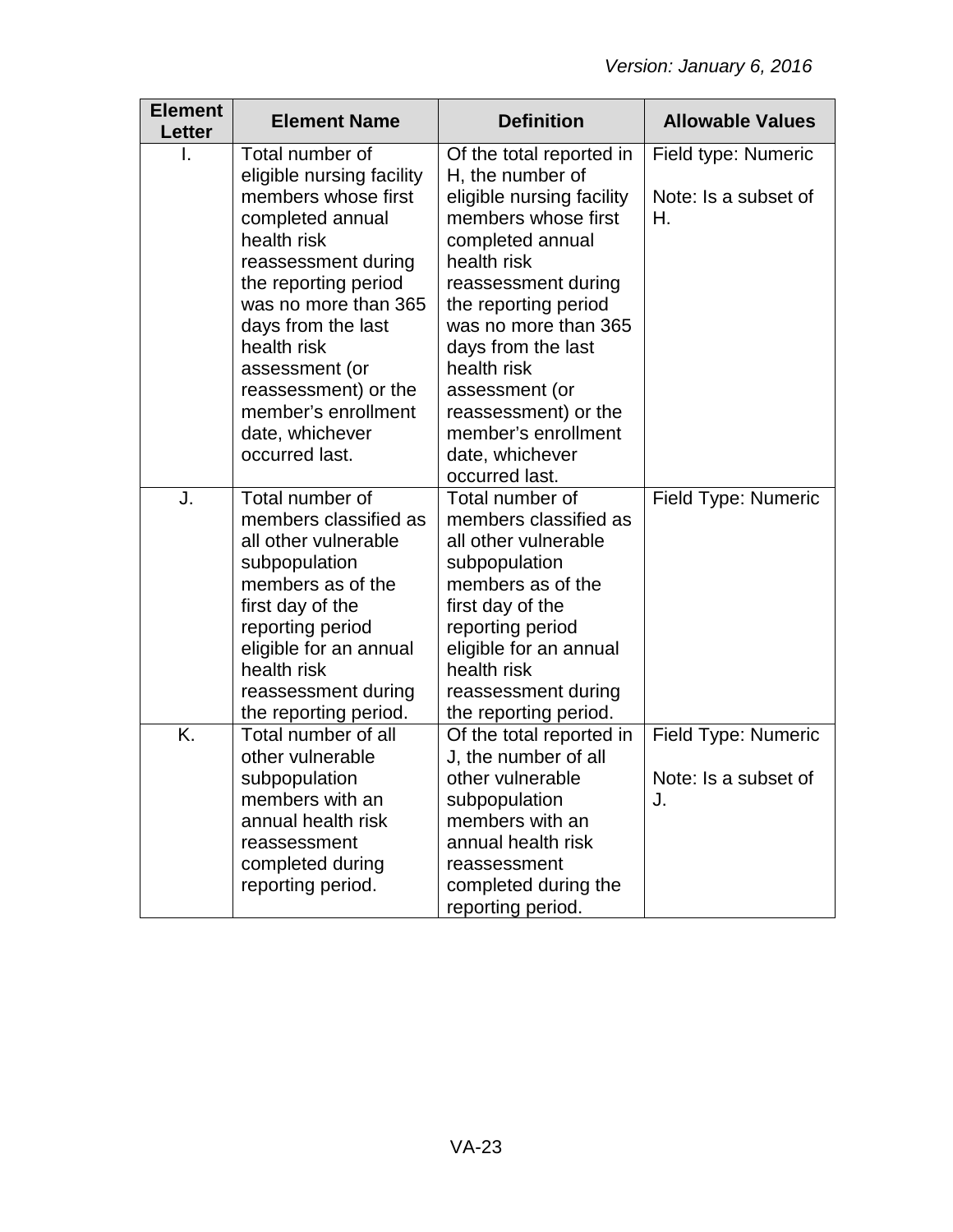| <b>Element</b><br><b>Letter</b> | <b>Element Name</b>                              | <b>Definition</b>                             | <b>Allowable Values</b>    |
|---------------------------------|--------------------------------------------------|-----------------------------------------------|----------------------------|
|                                 | Total number of                                  | Of the total reported in                      | Field type: Numeric        |
|                                 | eligible nursing facility<br>members whose first | H, the number of<br>eligible nursing facility | Note: Is a subset of       |
|                                 | completed annual                                 | members whose first                           | Η.                         |
|                                 | health risk                                      | completed annual                              |                            |
|                                 | reassessment during                              | health risk                                   |                            |
|                                 | the reporting period                             | reassessment during                           |                            |
|                                 | was no more than 365                             | the reporting period                          |                            |
|                                 | days from the last                               | was no more than 365                          |                            |
|                                 | health risk                                      | days from the last                            |                            |
|                                 | assessment (or<br>reassessment) or the           | health risk<br>assessment (or                 |                            |
|                                 | member's enrollment                              | reassessment) or the                          |                            |
|                                 | date, whichever                                  | member's enrollment                           |                            |
|                                 | occurred last.                                   | date, whichever                               |                            |
|                                 |                                                  | occurred last.                                |                            |
| J.                              | Total number of                                  | Total number of                               | <b>Field Type: Numeric</b> |
|                                 | members classified as                            | members classified as                         |                            |
|                                 | all other vulnerable                             | all other vulnerable                          |                            |
|                                 | subpopulation                                    | subpopulation                                 |                            |
|                                 | members as of the<br>first day of the            | members as of the<br>first day of the         |                            |
|                                 | reporting period                                 | reporting period                              |                            |
|                                 | eligible for an annual                           | eligible for an annual                        |                            |
|                                 | health risk                                      | health risk                                   |                            |
|                                 | reassessment during                              | reassessment during                           |                            |
|                                 | the reporting period.                            | the reporting period.                         |                            |
| K.                              | Total number of all                              | Of the total reported in                      | Field Type: Numeric        |
|                                 | other vulnerable                                 | J, the number of all                          |                            |
|                                 | subpopulation                                    | other vulnerable                              | Note: Is a subset of       |
|                                 | members with an<br>annual health risk            | subpopulation<br>members with an              | J.                         |
|                                 | reassessment                                     | annual health risk                            |                            |
|                                 | completed during                                 | reassessment                                  |                            |
|                                 | reporting period.                                | completed during the                          |                            |
|                                 |                                                  | reporting period.                             |                            |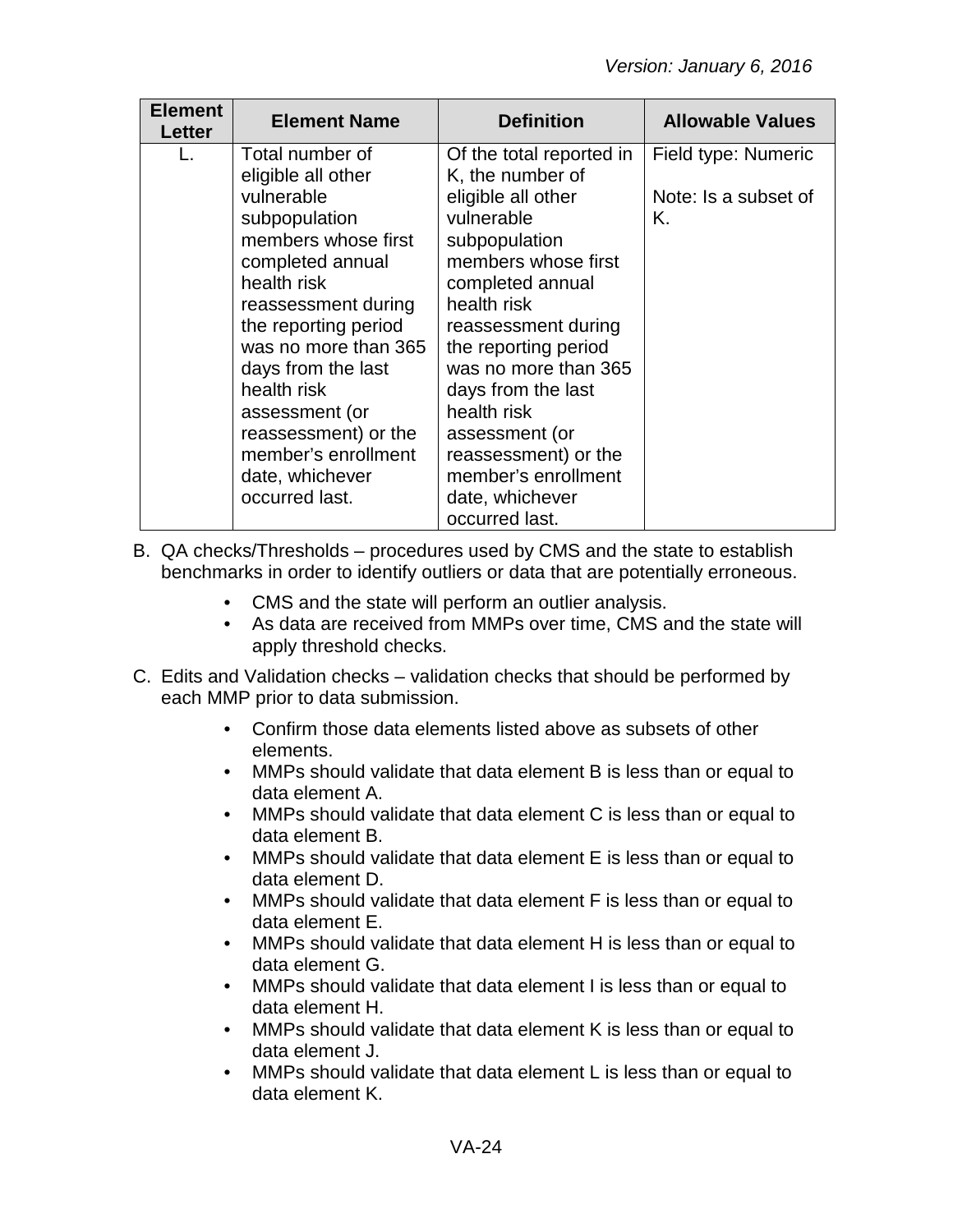| <b>Element</b><br>Letter | <b>Element Name</b>                                                                                                                                                                                                                                                                                                                              | <b>Definition</b>                                                                                                                                                                                                                                                                                                                                                             | <b>Allowable Values</b>                           |
|--------------------------|--------------------------------------------------------------------------------------------------------------------------------------------------------------------------------------------------------------------------------------------------------------------------------------------------------------------------------------------------|-------------------------------------------------------------------------------------------------------------------------------------------------------------------------------------------------------------------------------------------------------------------------------------------------------------------------------------------------------------------------------|---------------------------------------------------|
|                          | Total number of<br>eligible all other<br>vulnerable<br>subpopulation<br>members whose first<br>completed annual<br>health risk<br>reassessment during<br>the reporting period<br>was no more than 365<br>days from the last<br>health risk<br>assessment (or<br>reassessment) or the<br>member's enrollment<br>date, whichever<br>occurred last. | Of the total reported in<br>K, the number of<br>eligible all other<br>vulnerable<br>subpopulation<br>members whose first<br>completed annual<br>health risk<br>reassessment during<br>the reporting period<br>was no more than 365<br>days from the last<br>health risk<br>assessment (or<br>reassessment) or the<br>member's enrollment<br>date, whichever<br>occurred last. | Field type: Numeric<br>Note: Is a subset of<br>Κ. |

B. QA checks/Thresholds – procedures used by CMS and the state to establish benchmarks in order to identify outliers or data that are potentially erroneous.

- CMS and the state will perform an outlier analysis.
- As data are received from MMPs over time, CMS and the state will apply threshold checks.
- C. Edits and Validation checks validation checks that should be performed by each MMP prior to data submission.
	- Confirm those data elements listed above as subsets of other elements.
	- MMPs should validate that data element B is less than or equal to data element A.
	- MMPs should validate that data element C is less than or equal to data element B.
	- MMPs should validate that data element E is less than or equal to data element D.
	- MMPs should validate that data element F is less than or equal to data element E.
	- MMPs should validate that data element H is less than or equal to data element G.
	- MMPs should validate that data element I is less than or equal to data element H.
	- MMPs should validate that data element K is less than or equal to data element J.
	- MMPs should validate that data element L is less than or equal to data element K.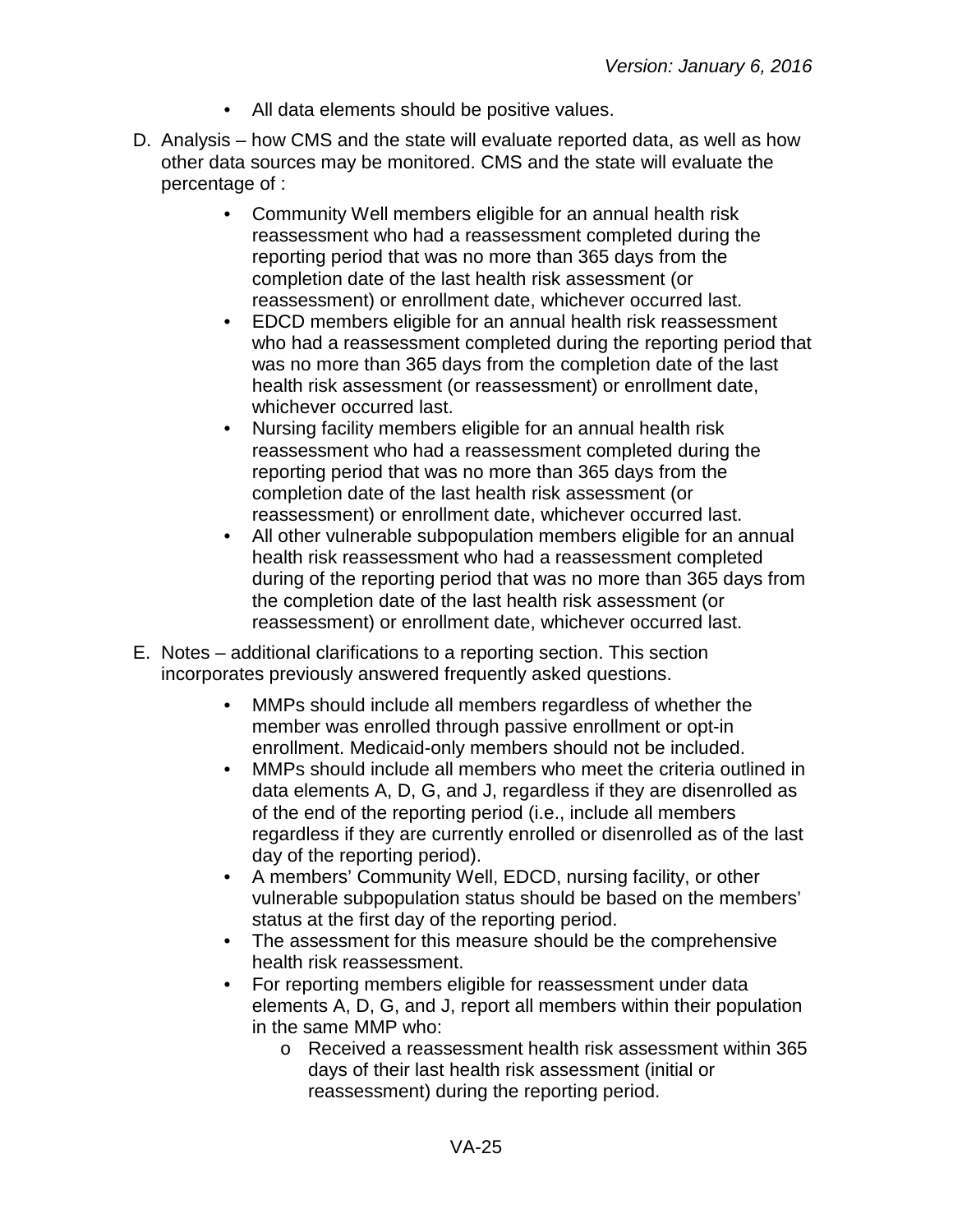- All data elements should be positive values.
- D. Analysis how CMS and the state will evaluate reported data, as well as how other data sources may be monitored. CMS and the state will evaluate the percentage of :
	- Community Well members eligible for an annual health risk reassessment who had a reassessment completed during the reporting period that was no more than 365 days from the completion date of the last health risk assessment (or reassessment) or enrollment date, whichever occurred last.
	- EDCD members eligible for an annual health risk reassessment who had a reassessment completed during the reporting period that was no more than 365 days from the completion date of the last health risk assessment (or reassessment) or enrollment date, whichever occurred last.
	- Nursing facility members eligible for an annual health risk reassessment who had a reassessment completed during the reporting period that was no more than 365 days from the completion date of the last health risk assessment (or reassessment) or enrollment date, whichever occurred last.
	- All other vulnerable subpopulation members eligible for an annual health risk reassessment who had a reassessment completed during of the reporting period that was no more than 365 days from the completion date of the last health risk assessment (or reassessment) or enrollment date, whichever occurred last.
- E. Notes additional clarifications to a reporting section. This section incorporates previously answered frequently asked questions.
	- MMPs should include all members regardless of whether the member was enrolled through passive enrollment or opt-in enrollment. Medicaid-only members should not be included.
	- MMPs should include all members who meet the criteria outlined in data elements A, D, G, and J, regardless if they are disenrolled as of the end of the reporting period (i.e., include all members regardless if they are currently enrolled or disenrolled as of the last day of the reporting period).
	- A members' Community Well, EDCD, nursing facility, or other vulnerable subpopulation status should be based on the members' status at the first day of the reporting period.
	- The assessment for this measure should be the comprehensive health risk reassessment.
	- For reporting members eligible for reassessment under data elements A, D, G, and J, report all members within their population in the same MMP who:
		- o Received a reassessment health risk assessment within 365 days of their last health risk assessment (initial or reassessment) during the reporting period.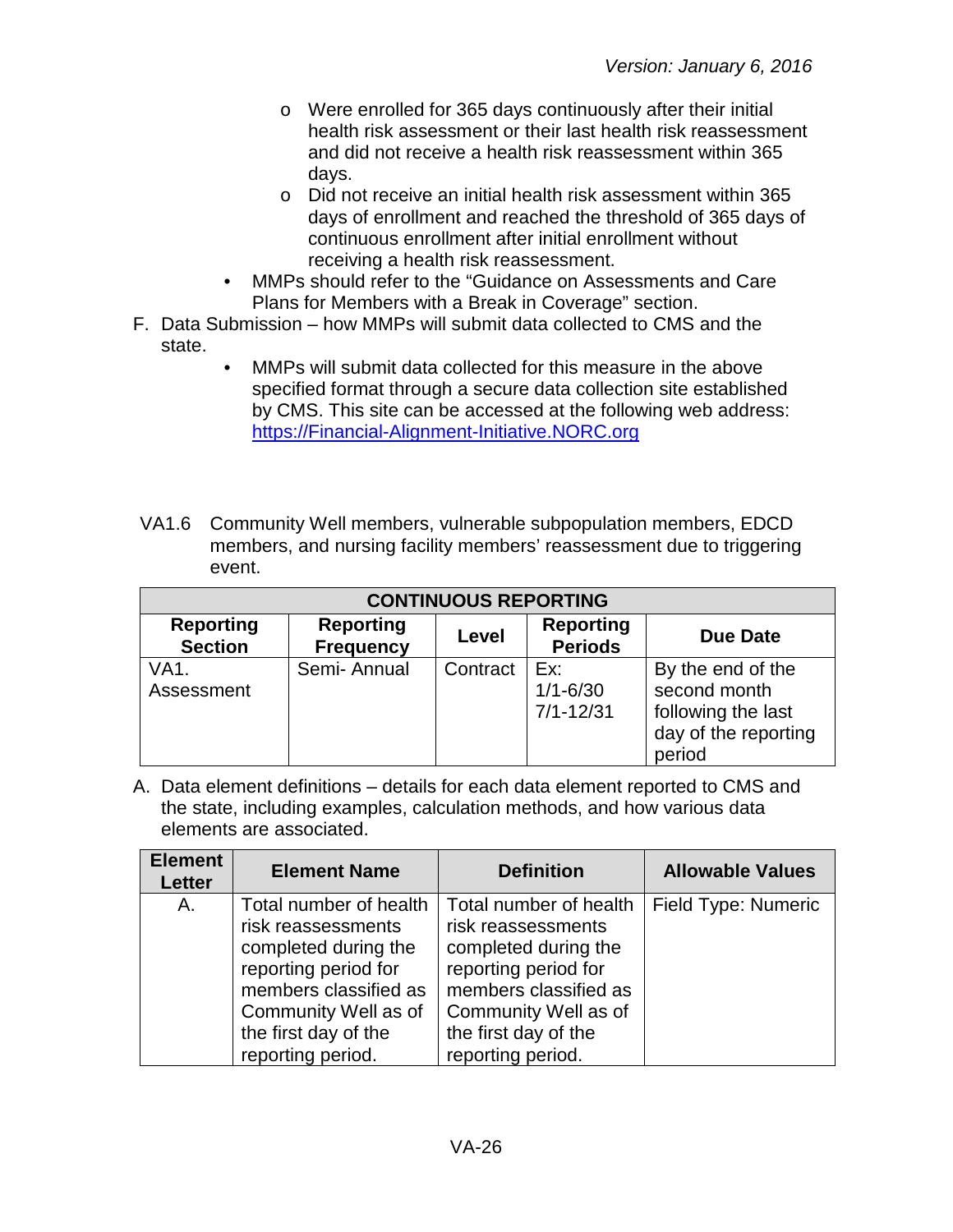- o Were enrolled for 365 days continuously after their initial health risk assessment or their last health risk reassessment and did not receive a health risk reassessment within 365 days.
- o Did not receive an initial health risk assessment within 365 days of enrollment and reached the threshold of 365 days of continuous enrollment after initial enrollment without receiving a health risk reassessment.
- MMPs should refer to the "Guidance on Assessments and Care Plans for Members with a Break in Coverage" section.
- F. Data Submission how MMPs will submit data collected to CMS and the state.
	- MMPs will submit data collected for this measure in the above specified format through a secure data collection site established by CMS. This site can be accessed at the following web address: [https://Financial-Alignment-Initiative.NORC.org](https://financial-alignment-initiative.norc.org/)
- VA1.6 Community Well members, vulnerable subpopulation members, EDCD members, and nursing facility members' reassessment due to triggering event.

| <b>CONTINUOUS REPORTING</b>        |                                      |          |                                      |                                                                                           |
|------------------------------------|--------------------------------------|----------|--------------------------------------|-------------------------------------------------------------------------------------------|
| <b>Reporting</b><br><b>Section</b> | <b>Reporting</b><br><b>Frequency</b> | Level    | <b>Reporting</b><br><b>Periods</b>   | <b>Due Date</b>                                                                           |
| VA1.<br>Assessment                 | Semi-Annual                          | Contract | Ex:<br>$1/1 - 6/30$<br>$7/1 - 12/31$ | By the end of the<br>second month<br>following the last<br>day of the reporting<br>period |

A. Data element definitions – details for each data element reported to CMS and the state, including examples, calculation methods, and how various data elements are associated.

| <b>Element</b><br><b>Letter</b> | <b>Element Name</b>                                                                                                                                                                        | <b>Definition</b>                                                                                                                                                                          | <b>Allowable Values</b> |
|---------------------------------|--------------------------------------------------------------------------------------------------------------------------------------------------------------------------------------------|--------------------------------------------------------------------------------------------------------------------------------------------------------------------------------------------|-------------------------|
| Α.                              | Total number of health<br>risk reassessments<br>completed during the<br>reporting period for<br>members classified as<br>Community Well as of<br>the first day of the<br>reporting period. | Total number of health<br>risk reassessments<br>completed during the<br>reporting period for<br>members classified as<br>Community Well as of<br>the first day of the<br>reporting period. | Field Type: Numeric     |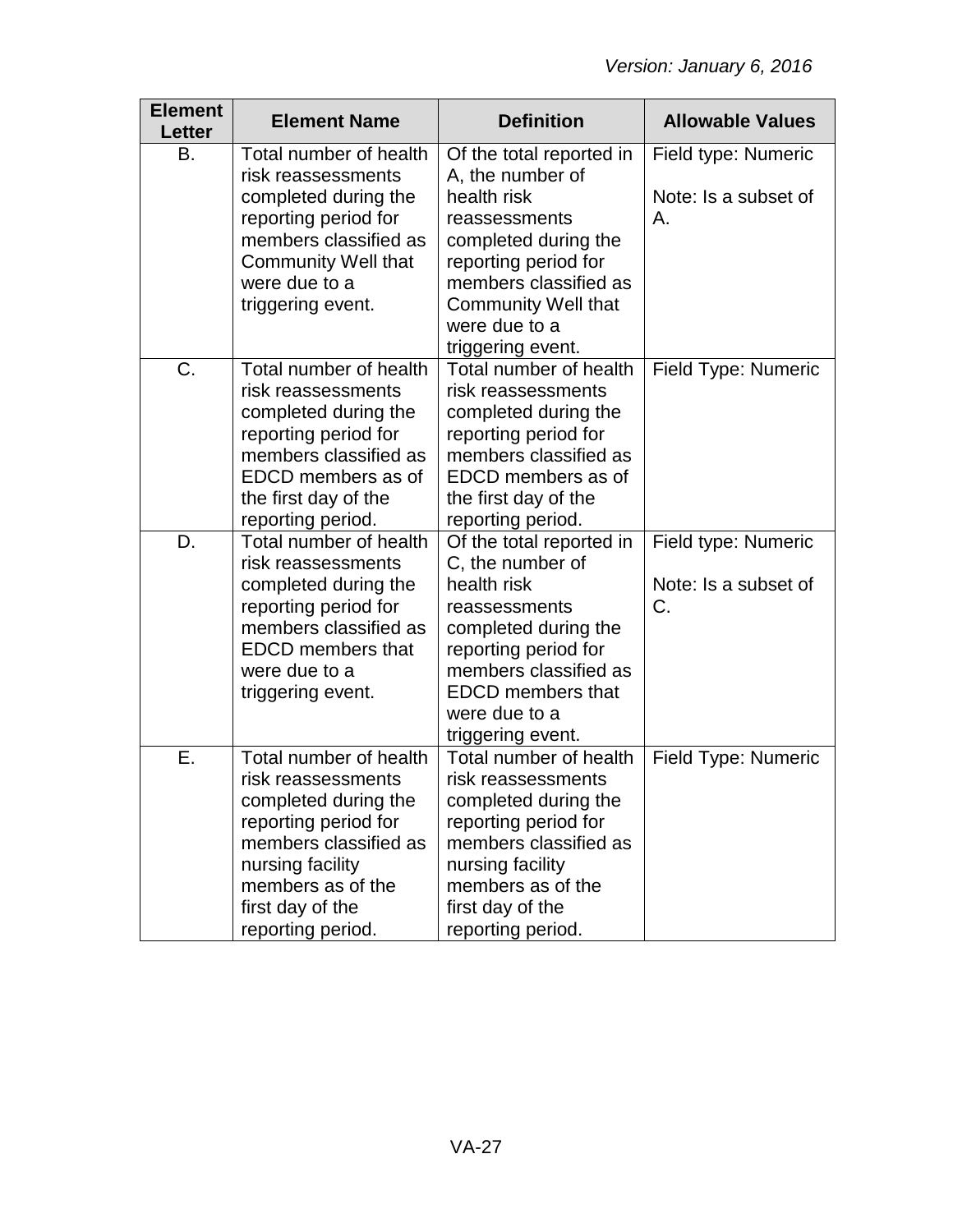| <b>Element</b><br>Letter | <b>Element Name</b>                           | <b>Definition</b>                             | <b>Allowable Values</b> |
|--------------------------|-----------------------------------------------|-----------------------------------------------|-------------------------|
| B.                       | Total number of health<br>risk reassessments  | Of the total reported in<br>A, the number of  | Field type: Numeric     |
|                          | completed during the                          | health risk                                   | Note: Is a subset of    |
|                          | reporting period for<br>members classified as | reassessments<br>completed during the         | Α.                      |
|                          | <b>Community Well that</b>                    | reporting period for                          |                         |
|                          | were due to a                                 | members classified as                         |                         |
|                          | triggering event.                             | <b>Community Well that</b><br>were due to a   |                         |
|                          |                                               | triggering event.                             |                         |
| C.                       | Total number of health<br>risk reassessments  | Total number of health<br>risk reassessments  | Field Type: Numeric     |
|                          | completed during the                          | completed during the                          |                         |
|                          | reporting period for                          | reporting period for                          |                         |
|                          | members classified as<br>EDCD members as of   | members classified as<br>EDCD members as of   |                         |
|                          | the first day of the                          | the first day of the                          |                         |
|                          | reporting period.                             | reporting period.                             |                         |
| D.                       | Total number of health                        | Of the total reported in                      | Field type: Numeric     |
|                          | risk reassessments<br>completed during the    | C, the number of<br>health risk               | Note: Is a subset of    |
|                          | reporting period for                          | reassessments                                 | C.                      |
|                          | members classified as                         | completed during the                          |                         |
|                          | <b>EDCD</b> members that<br>were due to a     | reporting period for<br>members classified as |                         |
|                          | triggering event.                             | <b>EDCD</b> members that                      |                         |
|                          |                                               | were due to a                                 |                         |
| Е.                       | Total number of health                        | triggering event.<br>Total number of health   | Field Type: Numeric     |
|                          | risk reassessments                            | risk reassessments                            |                         |
|                          | completed during the                          | completed during the                          |                         |
|                          | reporting period for<br>members classified as | reporting period for<br>members classified as |                         |
|                          | nursing facility                              | nursing facility                              |                         |
|                          | members as of the                             | members as of the                             |                         |
|                          | first day of the<br>reporting period.         | first day of the<br>reporting period.         |                         |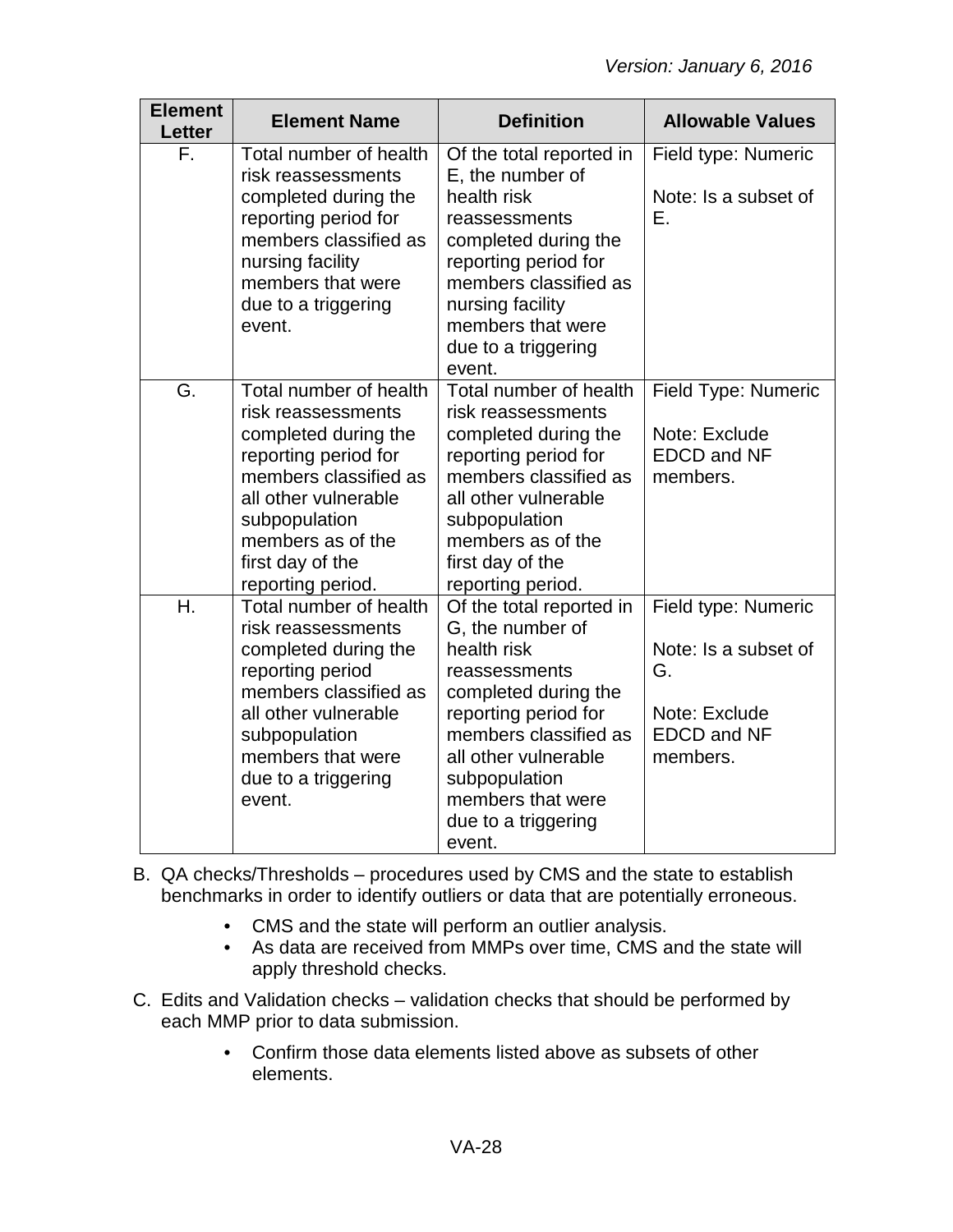| <b>Element</b><br><b>Letter</b> | <b>Element Name</b>                                                                                                                                                                                                          | <b>Definition</b>                                                                                                                                                                                                                                    | <b>Allowable Values</b>                                                                              |
|---------------------------------|------------------------------------------------------------------------------------------------------------------------------------------------------------------------------------------------------------------------------|------------------------------------------------------------------------------------------------------------------------------------------------------------------------------------------------------------------------------------------------------|------------------------------------------------------------------------------------------------------|
| F.                              | Total number of health<br>risk reassessments<br>completed during the<br>reporting period for<br>members classified as<br>nursing facility<br>members that were<br>due to a triggering<br>event.                              | Of the total reported in<br>E, the number of<br>health risk<br>reassessments<br>completed during the<br>reporting period for<br>members classified as<br>nursing facility<br>members that were<br>due to a triggering<br>event.                      | Field type: Numeric<br>Note: Is a subset of<br>Е.                                                    |
| G.                              | Total number of health<br>risk reassessments<br>completed during the<br>reporting period for<br>members classified as<br>all other vulnerable<br>subpopulation<br>members as of the<br>first day of the<br>reporting period. | Total number of health<br>risk reassessments<br>completed during the<br>reporting period for<br>members classified as<br>all other vulnerable<br>subpopulation<br>members as of the<br>first day of the<br>reporting period.                         | Field Type: Numeric<br>Note: Exclude<br><b>EDCD and NF</b><br>members.                               |
| H.                              | Total number of health<br>risk reassessments<br>completed during the<br>reporting period<br>members classified as<br>all other vulnerable<br>subpopulation<br>members that were<br>due to a triggering<br>event.             | Of the total reported in<br>G, the number of<br>health risk<br>reassessments<br>completed during the<br>reporting period for<br>members classified as<br>all other vulnerable<br>subpopulation<br>members that were<br>due to a triggering<br>event. | Field type: Numeric<br>Note: Is a subset of<br>G.<br>Note: Exclude<br><b>EDCD and NF</b><br>members. |

- B. QA checks/Thresholds procedures used by CMS and the state to establish benchmarks in order to identify outliers or data that are potentially erroneous.
	- CMS and the state will perform an outlier analysis.
	- As data are received from MMPs over time, CMS and the state will apply threshold checks.
- C. Edits and Validation checks validation checks that should be performed by each MMP prior to data submission.
	- Confirm those data elements listed above as subsets of other elements.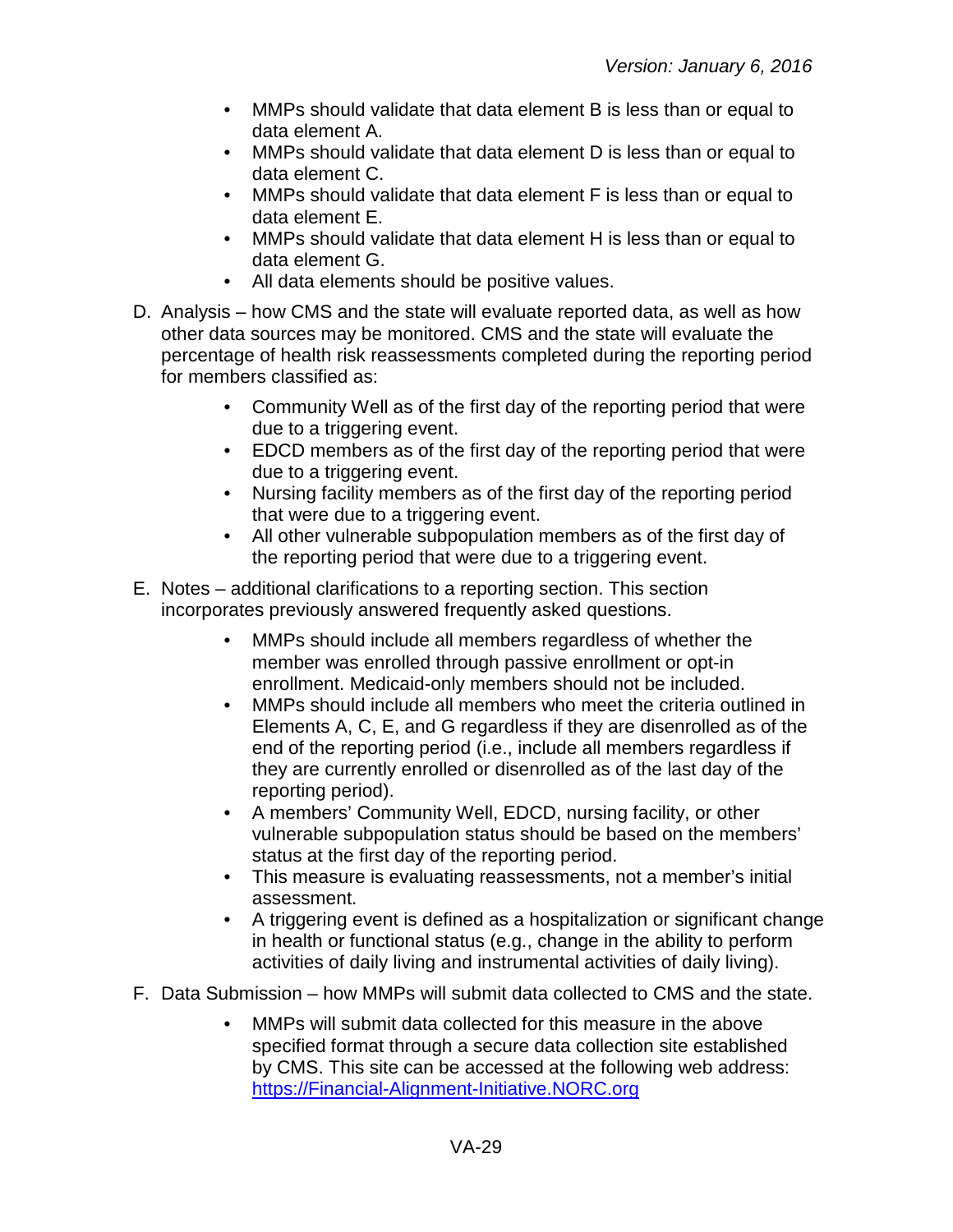- MMPs should validate that data element B is less than or equal to data element A.
- MMPs should validate that data element D is less than or equal to data element C.
- MMPs should validate that data element F is less than or equal to data element E.
- MMPs should validate that data element H is less than or equal to data element G.
- All data elements should be positive values.
- D. Analysis how CMS and the state will evaluate reported data, as well as how other data sources may be monitored. CMS and the state will evaluate the percentage of health risk reassessments completed during the reporting period for members classified as:
	- Community Well as of the first day of the reporting period that were due to a triggering event.
	- EDCD members as of the first day of the reporting period that were due to a triggering event.
	- Nursing facility members as of the first day of the reporting period that were due to a triggering event.
	- All other vulnerable subpopulation members as of the first day of the reporting period that were due to a triggering event.
- E. Notes additional clarifications to a reporting section. This section incorporates previously answered frequently asked questions.
	- MMPs should include all members regardless of whether the member was enrolled through passive enrollment or opt-in enrollment. Medicaid-only members should not be included.
	- MMPs should include all members who meet the criteria outlined in Elements A, C, E, and G regardless if they are disenrolled as of the end of the reporting period (i.e., include all members regardless if they are currently enrolled or disenrolled as of the last day of the reporting period).
	- A members' Community Well, EDCD, nursing facility, or other vulnerable subpopulation status should be based on the members' status at the first day of the reporting period.
	- This measure is evaluating reassessments, not a member's initial assessment.
	- A triggering event is defined as a hospitalization or significant change in health or functional status (e.g., change in the ability to perform activities of daily living and instrumental activities of daily living).
- F. Data Submission how MMPs will submit data collected to CMS and the state.
	- MMPs will submit data collected for this measure in the above specified format through a secure data collection site established by CMS. This site can be accessed at the following web address: [https://Financial-Alignment-Initiative.NORC.org](https://financial-alignment-initiative.norc.org/)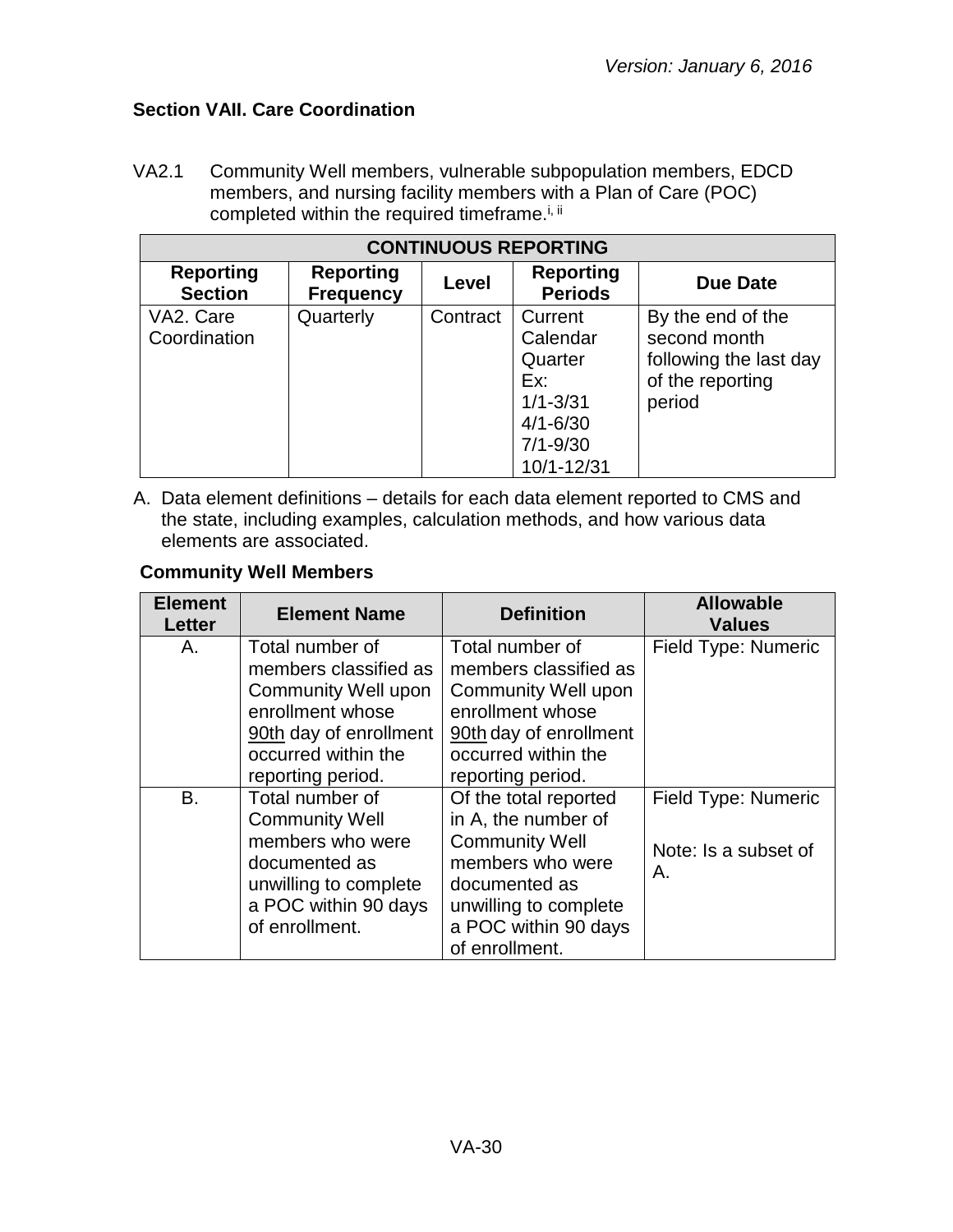## <span id="page-29-0"></span>**Section VAII. Care Coordination**

VA2.1 Community Well members, vulnerable subpopulation members, EDCD members, and nursing facility members with a Plan of Care (POC) completed within the required timeframe.<sup>i, ii</sup>

| <b>CONTINUOUS REPORTING</b>        |                                      |          |                                                                                                     |                                                                                           |  |
|------------------------------------|--------------------------------------|----------|-----------------------------------------------------------------------------------------------------|-------------------------------------------------------------------------------------------|--|
| <b>Reporting</b><br><b>Section</b> | <b>Reporting</b><br><b>Frequency</b> | Level    | <b>Reporting</b><br><b>Periods</b>                                                                  | <b>Due Date</b>                                                                           |  |
| VA2. Care<br>Coordination          | Quarterly                            | Contract | Current<br>Calendar<br>Quarter<br>Ex:<br>$1/1 - 3/31$<br>$4/1 - 6/30$<br>$7/1 - 9/30$<br>10/1-12/31 | By the end of the<br>second month<br>following the last day<br>of the reporting<br>period |  |

A. Data element definitions – details for each data element reported to CMS and the state, including examples, calculation methods, and how various data elements are associated.

#### **Community Well Members**

| <b>Element</b><br><b>Letter</b> | <b>Element Name</b>                                                                                                                                              | <b>Definition</b>                                                                                                                                                             | <b>Allowable</b><br><b>Values</b>                 |
|---------------------------------|------------------------------------------------------------------------------------------------------------------------------------------------------------------|-------------------------------------------------------------------------------------------------------------------------------------------------------------------------------|---------------------------------------------------|
| Α.                              | Total number of<br>members classified as<br><b>Community Well upon</b><br>enrollment whose<br>90th day of enrollment<br>occurred within the<br>reporting period. | Total number of<br>members classified as<br><b>Community Well upon</b><br>enrollment whose<br>90th day of enrollment<br>occurred within the<br>reporting period.              | Field Type: Numeric                               |
| B.                              | Total number of<br><b>Community Well</b><br>members who were<br>documented as<br>unwilling to complete<br>a POC within 90 days<br>of enrollment.                 | Of the total reported<br>in A, the number of<br><b>Community Well</b><br>members who were<br>documented as<br>unwilling to complete<br>a POC within 90 days<br>of enrollment. | Field Type: Numeric<br>Note: Is a subset of<br>Α. |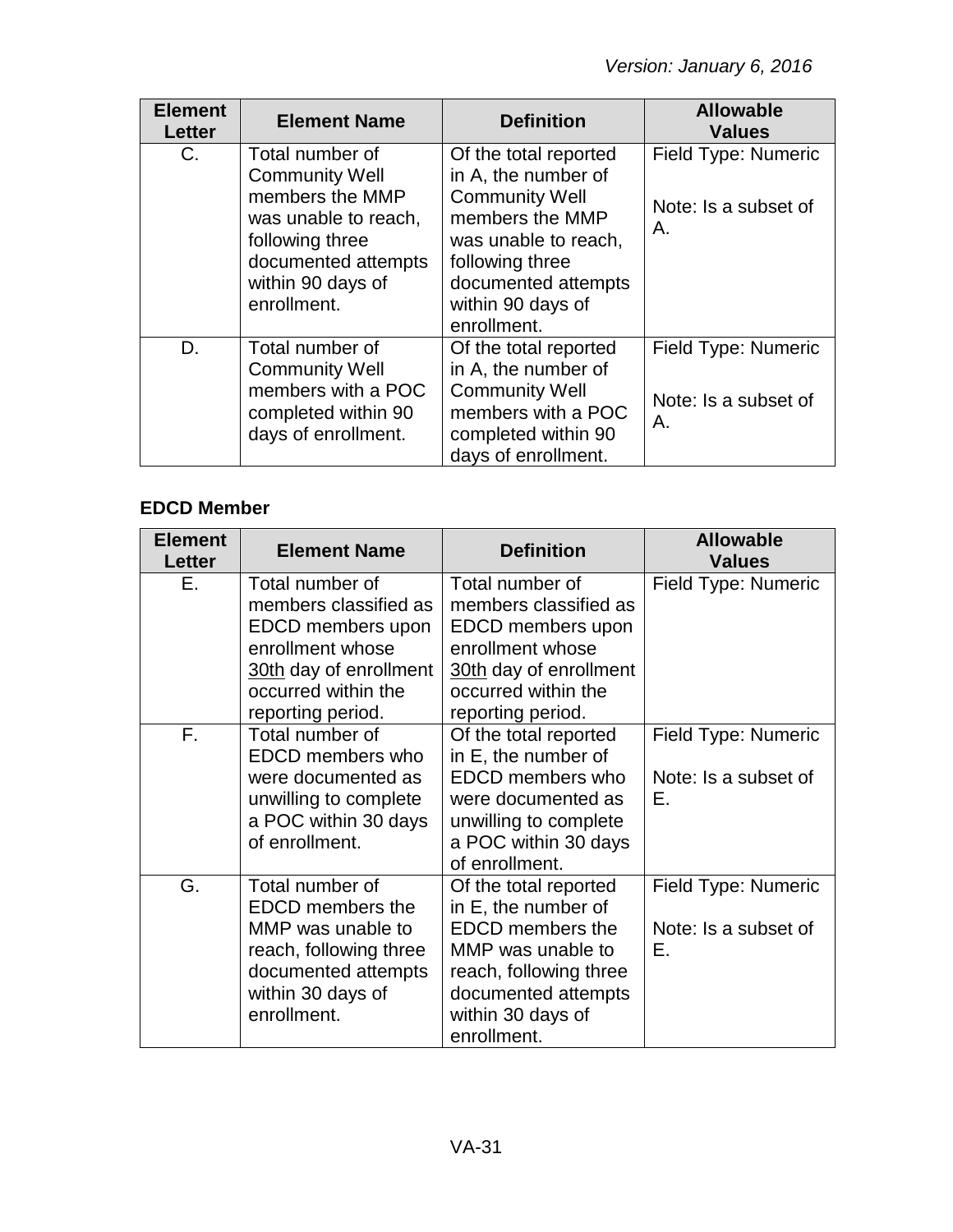| <b>Element</b><br><b>Letter</b> | <b>Element Name</b>                                                                                                                                               | <b>Definition</b>                                                                                                                                                                              | <b>Allowable</b><br><b>Values</b>                 |
|---------------------------------|-------------------------------------------------------------------------------------------------------------------------------------------------------------------|------------------------------------------------------------------------------------------------------------------------------------------------------------------------------------------------|---------------------------------------------------|
| $C_{1}$                         | Total number of<br><b>Community Well</b><br>members the MMP<br>was unable to reach,<br>following three<br>documented attempts<br>within 90 days of<br>enrollment. | Of the total reported<br>in A, the number of<br><b>Community Well</b><br>members the MMP<br>was unable to reach,<br>following three<br>documented attempts<br>within 90 days of<br>enrollment. | Field Type: Numeric<br>Note: Is a subset of<br>Α. |
| D.                              | Total number of<br><b>Community Well</b><br>members with a POC<br>completed within 90<br>days of enrollment.                                                      | Of the total reported<br>in A, the number of<br><b>Community Well</b><br>members with a POC<br>completed within 90<br>days of enrollment.                                                      | Field Type: Numeric<br>Note: Is a subset of<br>Α. |

## **EDCD Member**

| <b>Element</b><br><b>Letter</b> | <b>Element Name</b>                                                                                                                                     | <b>Definition</b>                                                                                                                                                                 | <b>Allowable</b><br><b>Values</b>                 |
|---------------------------------|---------------------------------------------------------------------------------------------------------------------------------------------------------|-----------------------------------------------------------------------------------------------------------------------------------------------------------------------------------|---------------------------------------------------|
| E.                              | Total number of<br>members classified as<br>EDCD members upon<br>enrollment whose<br>30th day of enrollment<br>occurred within the<br>reporting period. | Total number of<br>members classified as<br>EDCD members upon<br>enrollment whose<br>30th day of enrollment<br>occurred within the<br>reporting period.                           | Field Type: Numeric                               |
| F.                              | Total number of<br>EDCD members who<br>were documented as<br>unwilling to complete<br>a POC within 30 days<br>of enrollment.                            | Of the total reported<br>in E, the number of<br>EDCD members who<br>were documented as<br>unwilling to complete<br>a POC within 30 days<br>of enrollment.                         | Field Type: Numeric<br>Note: Is a subset of<br>Е. |
| G.                              | Total number of<br><b>EDCD</b> members the<br>MMP was unable to<br>reach, following three<br>documented attempts<br>within 30 days of<br>enrollment.    | Of the total reported<br>in E, the number of<br><b>EDCD</b> members the<br>MMP was unable to<br>reach, following three<br>documented attempts<br>within 30 days of<br>enrollment. | Field Type: Numeric<br>Note: Is a subset of<br>E. |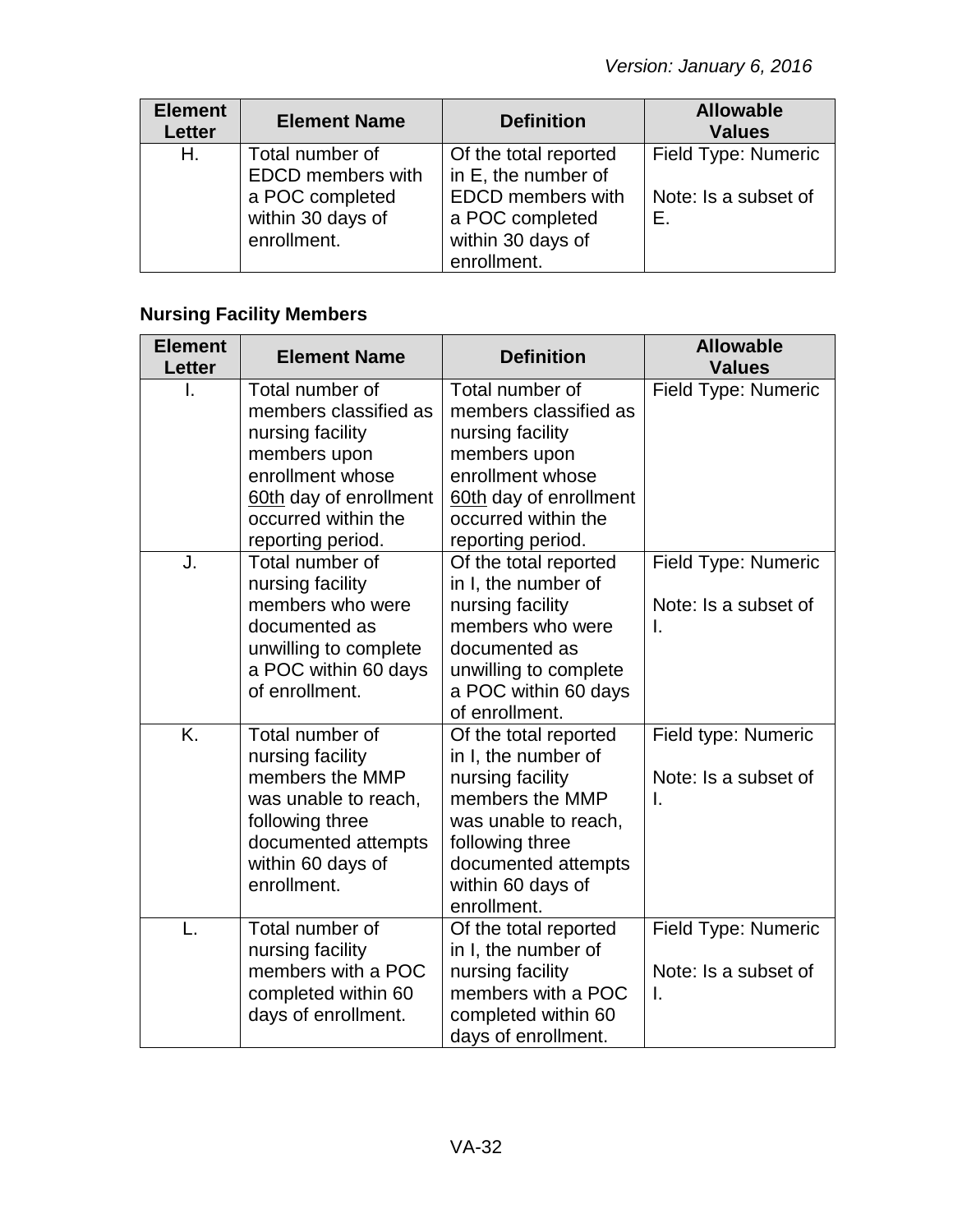| <b>Element</b><br><b>Letter</b> | <b>Element Name</b>                                                                                | <b>Definition</b>                                                                                                               | <b>Allowable</b><br><b>Values</b>                 |
|---------------------------------|----------------------------------------------------------------------------------------------------|---------------------------------------------------------------------------------------------------------------------------------|---------------------------------------------------|
| Н.                              | Total number of<br><b>EDCD</b> members with<br>a POC completed<br>within 30 days of<br>enrollment. | Of the total reported<br>in E, the number of<br><b>EDCD</b> members with<br>a POC completed<br>within 30 days of<br>enrollment. | Field Type: Numeric<br>Note: Is a subset of<br>Е. |

# **Nursing Facility Members**

| <b>Element</b><br>Letter | <b>Element Name</b>                                                                                                                                                    | <b>Definition</b>                                                                                                                                                                         | <b>Allowable</b><br><b>Values</b>                 |
|--------------------------|------------------------------------------------------------------------------------------------------------------------------------------------------------------------|-------------------------------------------------------------------------------------------------------------------------------------------------------------------------------------------|---------------------------------------------------|
|                          | Total number of<br>members classified as<br>nursing facility<br>members upon<br>enrollment whose<br>60th day of enrollment<br>occurred within the<br>reporting period. | Total number of<br>members classified as<br>nursing facility<br>members upon<br>enrollment whose<br>60th day of enrollment<br>occurred within the<br>reporting period.                    | Field Type: Numeric                               |
| J.                       | Total number of<br>nursing facility<br>members who were<br>documented as<br>unwilling to complete<br>a POC within 60 days<br>of enrollment.                            | Of the total reported<br>in I, the number of<br>nursing facility<br>members who were<br>documented as<br>unwilling to complete<br>a POC within 60 days<br>of enrollment.                  | Field Type: Numeric<br>Note: Is a subset of<br>I. |
| $\overline{K}$           | Total number of<br>nursing facility<br>members the MMP<br>was unable to reach,<br>following three<br>documented attempts<br>within 60 days of<br>enrollment.           | Of the total reported<br>in I, the number of<br>nursing facility<br>members the MMP<br>was unable to reach,<br>following three<br>documented attempts<br>within 60 days of<br>enrollment. | Field type: Numeric<br>Note: Is a subset of<br>I. |
| L.                       | Total number of<br>nursing facility<br>members with a POC<br>completed within 60<br>days of enrollment.                                                                | Of the total reported<br>in I, the number of<br>nursing facility<br>members with a POC<br>completed within 60<br>days of enrollment.                                                      | Field Type: Numeric<br>Note: Is a subset of<br>I. |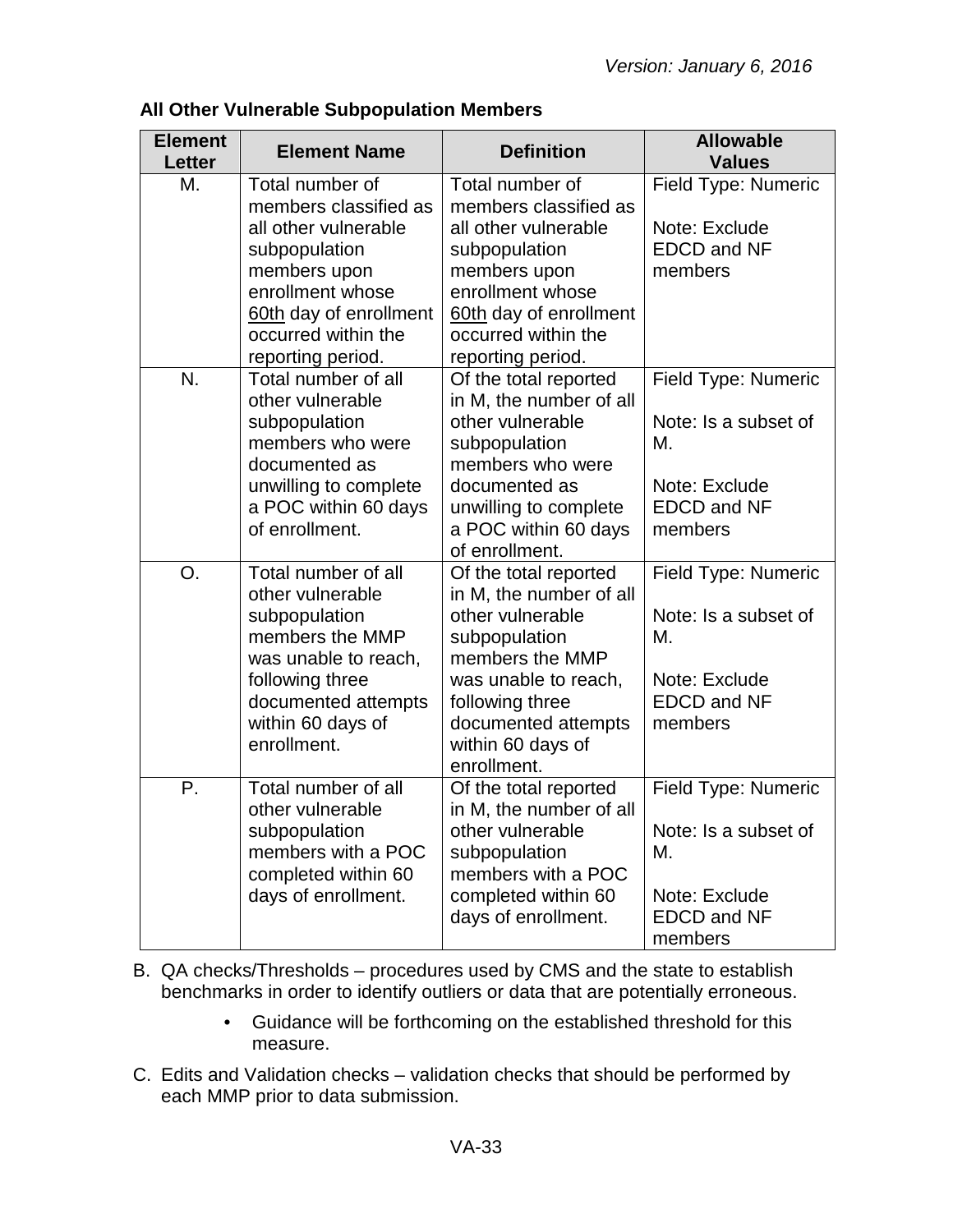| <b>Element</b><br><b>Letter</b> | <b>Element Name</b>                                         | <b>Definition</b>                                               | <b>Allowable</b><br><b>Values</b>              |
|---------------------------------|-------------------------------------------------------------|-----------------------------------------------------------------|------------------------------------------------|
| М.                              | Total number of<br>members classified as                    | Total number of<br>members classified as                        | Field Type: Numeric                            |
|                                 | all other vulnerable<br>subpopulation                       | all other vulnerable<br>subpopulation                           | Note: Exclude<br><b>EDCD and NF</b>            |
|                                 | members upon                                                | members upon                                                    | members                                        |
|                                 | enrollment whose<br>60th day of enrollment                  | enrollment whose<br>60th day of enrollment                      |                                                |
|                                 | occurred within the<br>reporting period.                    | occurred within the<br>reporting period.                        |                                                |
| N.                              | Total number of all<br>other vulnerable                     | Of the total reported<br>in M, the number of all                | Field Type: Numeric                            |
|                                 | subpopulation<br>members who were<br>documented as          | other vulnerable<br>subpopulation<br>members who were           | Note: Is a subset of<br>М.                     |
|                                 | unwilling to complete                                       | documented as                                                   | Note: Exclude                                  |
|                                 | a POC within 60 days<br>of enrollment.                      | unwilling to complete<br>a POC within 60 days<br>of enrollment. | <b>EDCD and NF</b><br>members                  |
| O <sub>1</sub>                  | Total number of all<br>other vulnerable                     | Of the total reported<br>in M, the number of all                | Field Type: Numeric                            |
|                                 | subpopulation<br>members the MMP<br>was unable to reach,    | other vulnerable<br>subpopulation<br>members the MMP            | Note: Is a subset of<br>М.                     |
|                                 | following three<br>documented attempts<br>within 60 days of | was unable to reach,<br>following three<br>documented attempts  | Note: Exclude<br><b>EDCD and NF</b><br>members |
|                                 | enrollment.                                                 | within 60 days of<br>enrollment.                                |                                                |
| Р.                              | Total number of all<br>other vulnerable                     | Of the total reported<br>in M, the number of all                | Field Type: Numeric                            |
|                                 | subpopulation<br>members with a POC<br>completed within 60  | other vulnerable<br>subpopulation<br>members with a POC         | Note: Is a subset of<br>М.                     |
|                                 | days of enrollment.                                         | completed within 60<br>days of enrollment.                      | Note: Exclude<br><b>EDCD and NF</b><br>members |

## **All Other Vulnerable Subpopulation Members**

- B. QA checks/Thresholds procedures used by CMS and the state to establish benchmarks in order to identify outliers or data that are potentially erroneous.
	- Guidance will be forthcoming on the established threshold for this measure.
- C. Edits and Validation checks validation checks that should be performed by each MMP prior to data submission.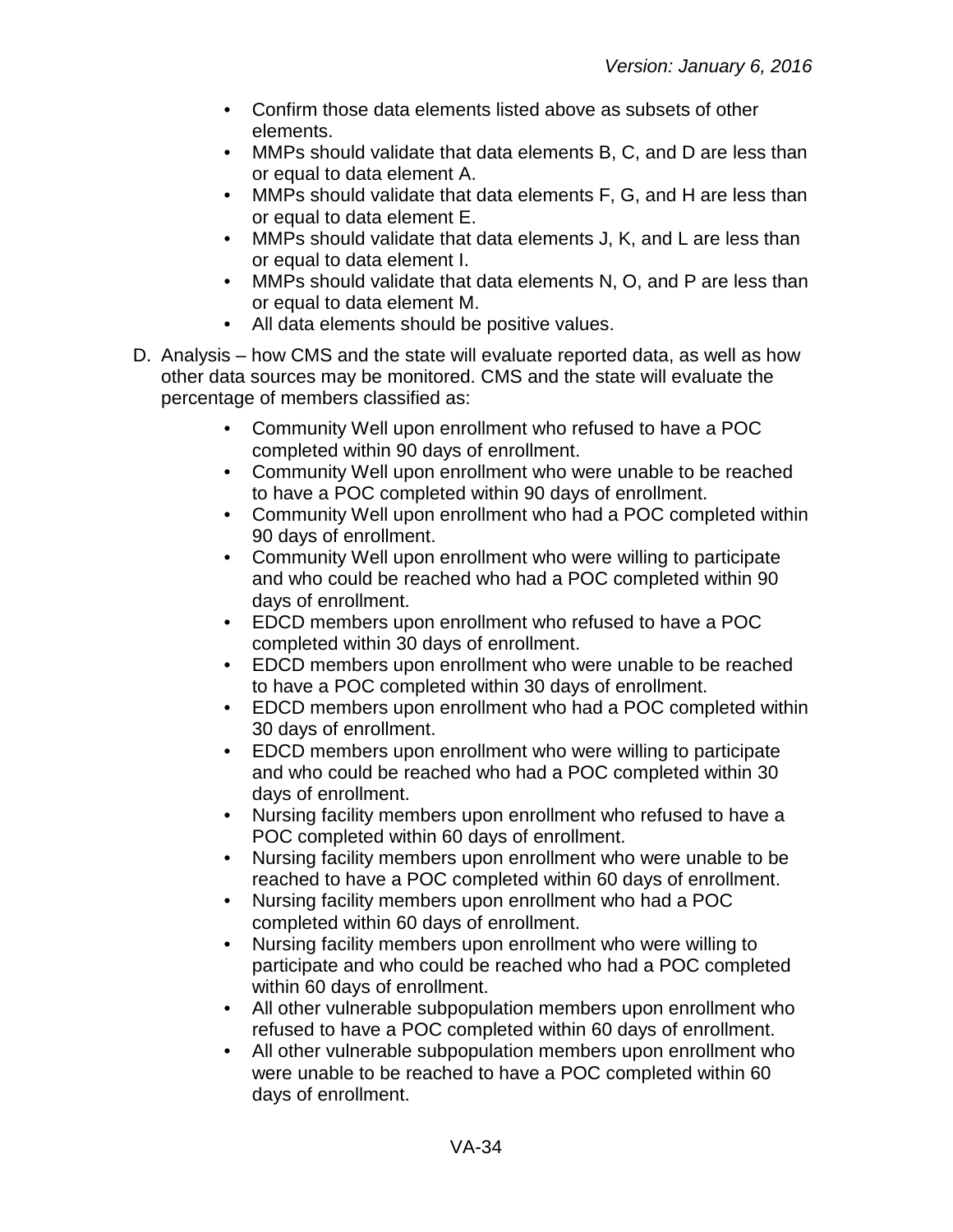- Confirm those data elements listed above as subsets of other elements.
- MMPs should validate that data elements B, C, and D are less than or equal to data element A.
- MMPs should validate that data elements F, G, and H are less than or equal to data element E.
- MMPs should validate that data elements J, K, and L are less than or equal to data element I.
- MMPs should validate that data elements N, O, and P are less than or equal to data element M.
- All data elements should be positive values.
- D. Analysis how CMS and the state will evaluate reported data, as well as how other data sources may be monitored. CMS and the state will evaluate the percentage of members classified as:
	- Community Well upon enrollment who refused to have a POC completed within 90 days of enrollment.
	- Community Well upon enrollment who were unable to be reached to have a POC completed within 90 days of enrollment.
	- Community Well upon enrollment who had a POC completed within 90 days of enrollment.
	- Community Well upon enrollment who were willing to participate and who could be reached who had a POC completed within 90 days of enrollment.
	- EDCD members upon enrollment who refused to have a POC completed within 30 days of enrollment.
	- EDCD members upon enrollment who were unable to be reached to have a POC completed within 30 days of enrollment.
	- EDCD members upon enrollment who had a POC completed within 30 days of enrollment.
	- EDCD members upon enrollment who were willing to participate and who could be reached who had a POC completed within 30 days of enrollment.
	- Nursing facility members upon enrollment who refused to have a POC completed within 60 days of enrollment.
	- Nursing facility members upon enrollment who were unable to be reached to have a POC completed within 60 days of enrollment.
	- Nursing facility members upon enrollment who had a POC completed within 60 days of enrollment.
	- Nursing facility members upon enrollment who were willing to participate and who could be reached who had a POC completed within 60 days of enrollment.
	- All other vulnerable subpopulation members upon enrollment who refused to have a POC completed within 60 days of enrollment.
	- All other vulnerable subpopulation members upon enrollment who were unable to be reached to have a POC completed within 60 days of enrollment.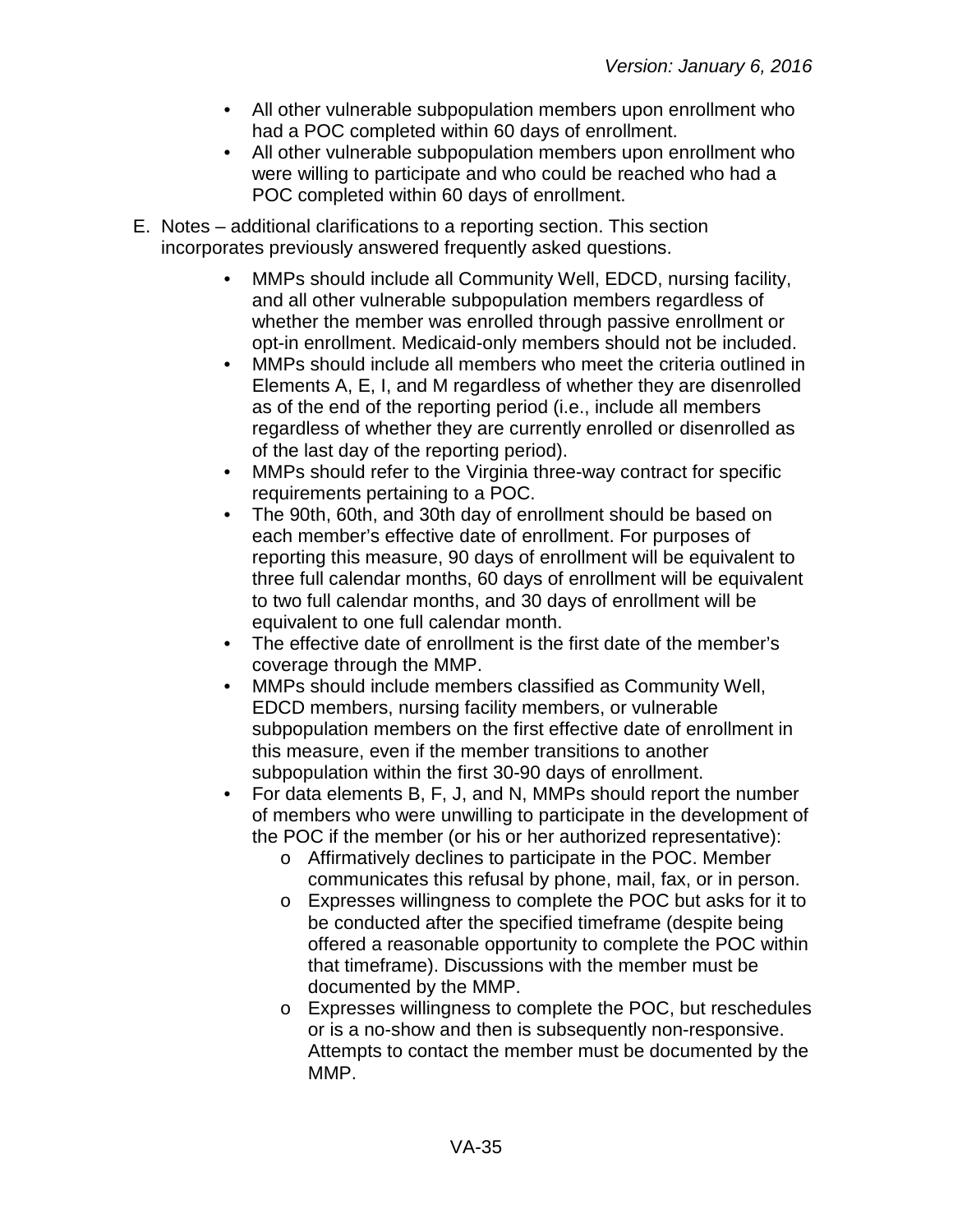- All other vulnerable subpopulation members upon enrollment who had a POC completed within 60 days of enrollment.
- All other vulnerable subpopulation members upon enrollment who were willing to participate and who could be reached who had a POC completed within 60 days of enrollment.
- E. Notes additional clarifications to a reporting section. This section incorporates previously answered frequently asked questions.
	- MMPs should include all Community Well, EDCD, nursing facility, and all other vulnerable subpopulation members regardless of whether the member was enrolled through passive enrollment or opt-in enrollment. Medicaid-only members should not be included.
	- MMPs should include all members who meet the criteria outlined in Elements A, E, I, and M regardless of whether they are disenrolled as of the end of the reporting period (i.e., include all members regardless of whether they are currently enrolled or disenrolled as of the last day of the reporting period).
	- MMPs should refer to the Virginia three-way contract for specific requirements pertaining to a POC.
	- The 90th, 60th, and 30th day of enrollment should be based on each member's effective date of enrollment. For purposes of reporting this measure, 90 days of enrollment will be equivalent to three full calendar months, 60 days of enrollment will be equivalent to two full calendar months, and 30 days of enrollment will be equivalent to one full calendar month.
	- The effective date of enrollment is the first date of the member's coverage through the MMP.
	- MMPs should include members classified as Community Well, EDCD members, nursing facility members, or vulnerable subpopulation members on the first effective date of enrollment in this measure, even if the member transitions to another subpopulation within the first 30-90 days of enrollment.
	- For data elements B, F, J, and N, MMPs should report the number of members who were unwilling to participate in the development of the POC if the member (or his or her authorized representative):
		- o Affirmatively declines to participate in the POC. Member communicates this refusal by phone, mail, fax, or in person.
		- o Expresses willingness to complete the POC but asks for it to be conducted after the specified timeframe (despite being offered a reasonable opportunity to complete the POC within that timeframe). Discussions with the member must be documented by the MMP.
		- o Expresses willingness to complete the POC, but reschedules or is a no-show and then is subsequently non-responsive. Attempts to contact the member must be documented by the MMP.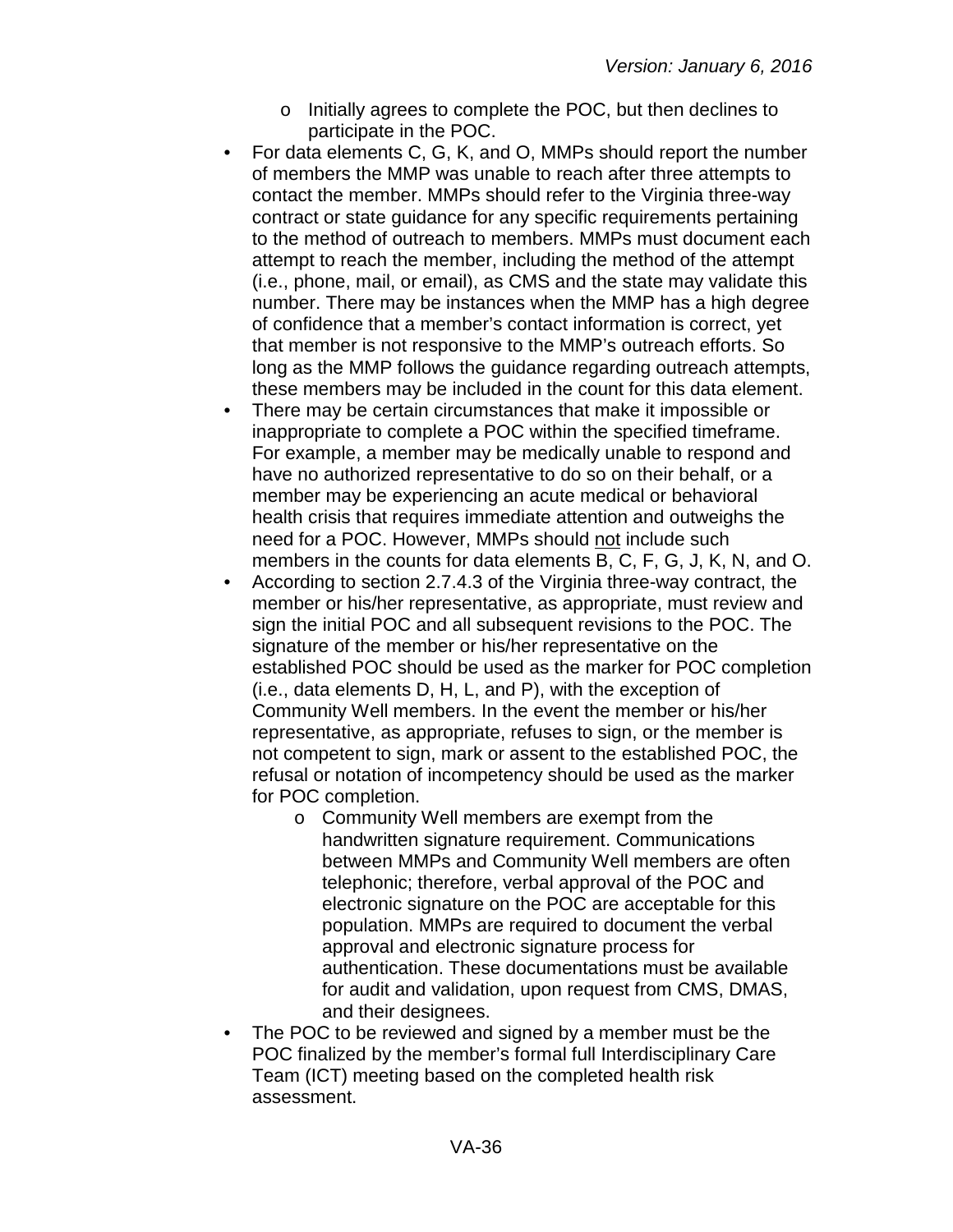- o Initially agrees to complete the POC, but then declines to participate in the POC.
- For data elements C, G, K, and O, MMPs should report the number of members the MMP was unable to reach after three attempts to contact the member. MMPs should refer to the Virginia three-way contract or state guidance for any specific requirements pertaining to the method of outreach to members. MMPs must document each attempt to reach the member, including the method of the attempt (i.e., phone, mail, or email), as CMS and the state may validate this number. There may be instances when the MMP has a high degree of confidence that a member's contact information is correct, yet that member is not responsive to the MMP's outreach efforts. So long as the MMP follows the guidance regarding outreach attempts, these members may be included in the count for this data element.
- There may be certain circumstances that make it impossible or inappropriate to complete a POC within the specified timeframe. For example, a member may be medically unable to respond and have no authorized representative to do so on their behalf, or a member may be experiencing an acute medical or behavioral health crisis that requires immediate attention and outweighs the need for a POC. However, MMPs should not include such members in the counts for data elements B, C, F, G, J, K, N, and O.
- According to section 2.7.4.3 of the Virginia three-way contract, the member or his/her representative, as appropriate, must review and sign the initial POC and all subsequent revisions to the POC. The signature of the member or his/her representative on the established POC should be used as the marker for POC completion (i.e., data elements D, H, L, and P), with the exception of Community Well members. In the event the member or his/her representative, as appropriate, refuses to sign, or the member is not competent to sign, mark or assent to the established POC, the refusal or notation of incompetency should be used as the marker for POC completion.
	- o Community Well members are exempt from the handwritten signature requirement. Communications between MMPs and Community Well members are often telephonic; therefore, verbal approval of the POC and electronic signature on the POC are acceptable for this population. MMPs are required to document the verbal approval and electronic signature process for authentication. These documentations must be available for audit and validation, upon request from CMS, DMAS, and their designees.
- The POC to be reviewed and signed by a member must be the POC finalized by the member's formal full Interdisciplinary Care Team (ICT) meeting based on the completed health risk assessment.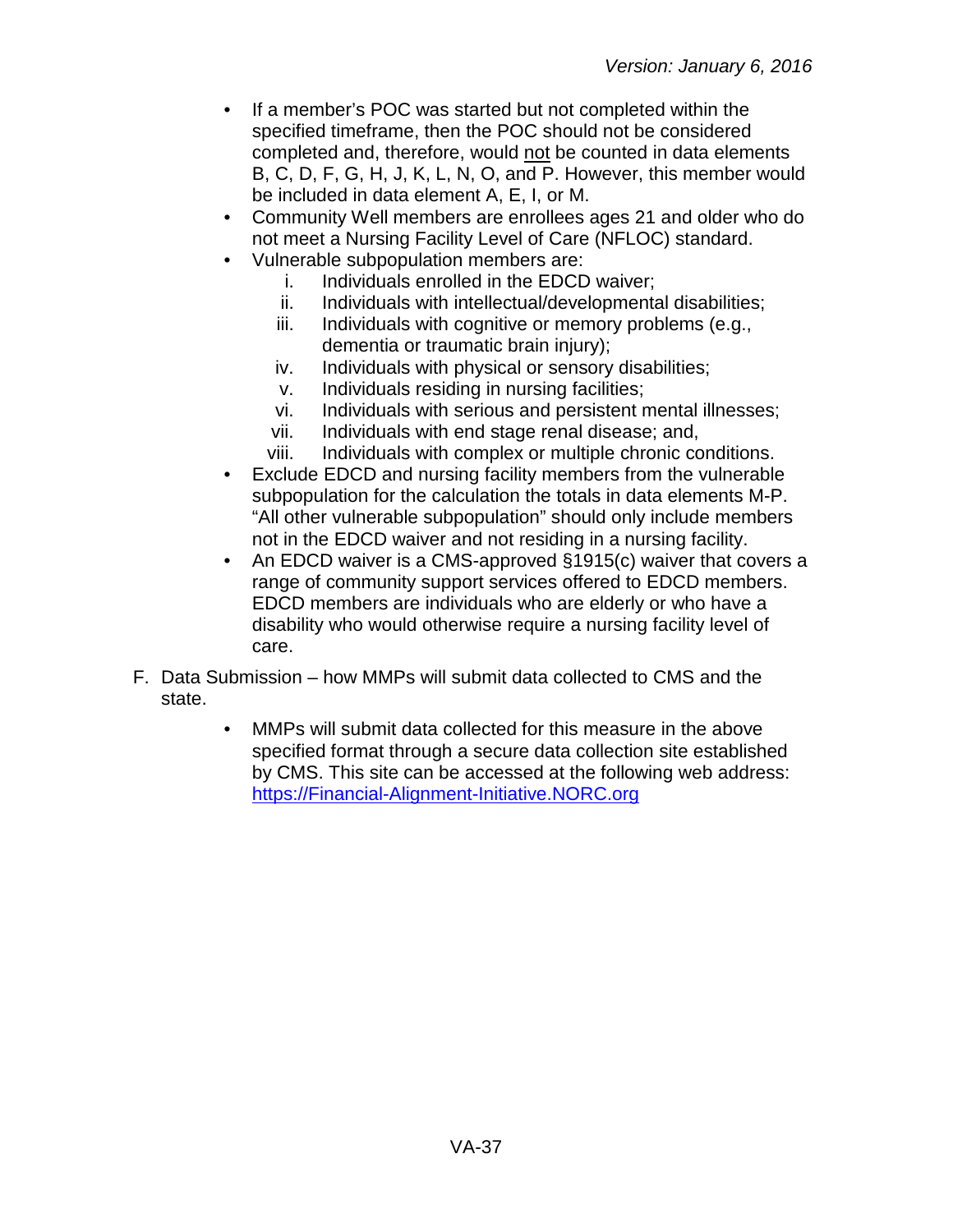- If a member's POC was started but not completed within the specified timeframe, then the POC should not be considered completed and, therefore, would not be counted in data elements B, C, D, F, G, H, J, K, L, N, O, and P. However, this member would be included in data element A, E, I, or M.
- Community Well members are enrollees ages 21 and older who do not meet a Nursing Facility Level of Care (NFLOC) standard.
- Vulnerable subpopulation members are:
	- i. Individuals enrolled in the EDCD waiver;
	- ii. Individuals with intellectual/developmental disabilities;
	- iii. Individuals with cognitive or memory problems (e.g., dementia or traumatic brain injury);
	- iv. Individuals with physical or sensory disabilities;
	- v. Individuals residing in nursing facilities;
	- vi. Individuals with serious and persistent mental illnesses;
	- vii. Individuals with end stage renal disease; and,
	- viii. Individuals with complex or multiple chronic conditions.
- Exclude EDCD and nursing facility members from the vulnerable subpopulation for the calculation the totals in data elements M-P. "All other vulnerable subpopulation" should only include members not in the EDCD waiver and not residing in a nursing facility.
- An EDCD waiver is a CMS-approved §1915(c) waiver that covers a range of community support services offered to EDCD members. EDCD members are individuals who are elderly or who have a disability who would otherwise require a nursing facility level of care.
- F. Data Submission how MMPs will submit data collected to CMS and the state.
	- MMPs will submit data collected for this measure in the above specified format through a secure data collection site established by CMS. This site can be accessed at the following web address: [https://Financial-Alignment-Initiative.NORC.org](https://financial-alignment-initiative.norc.org/)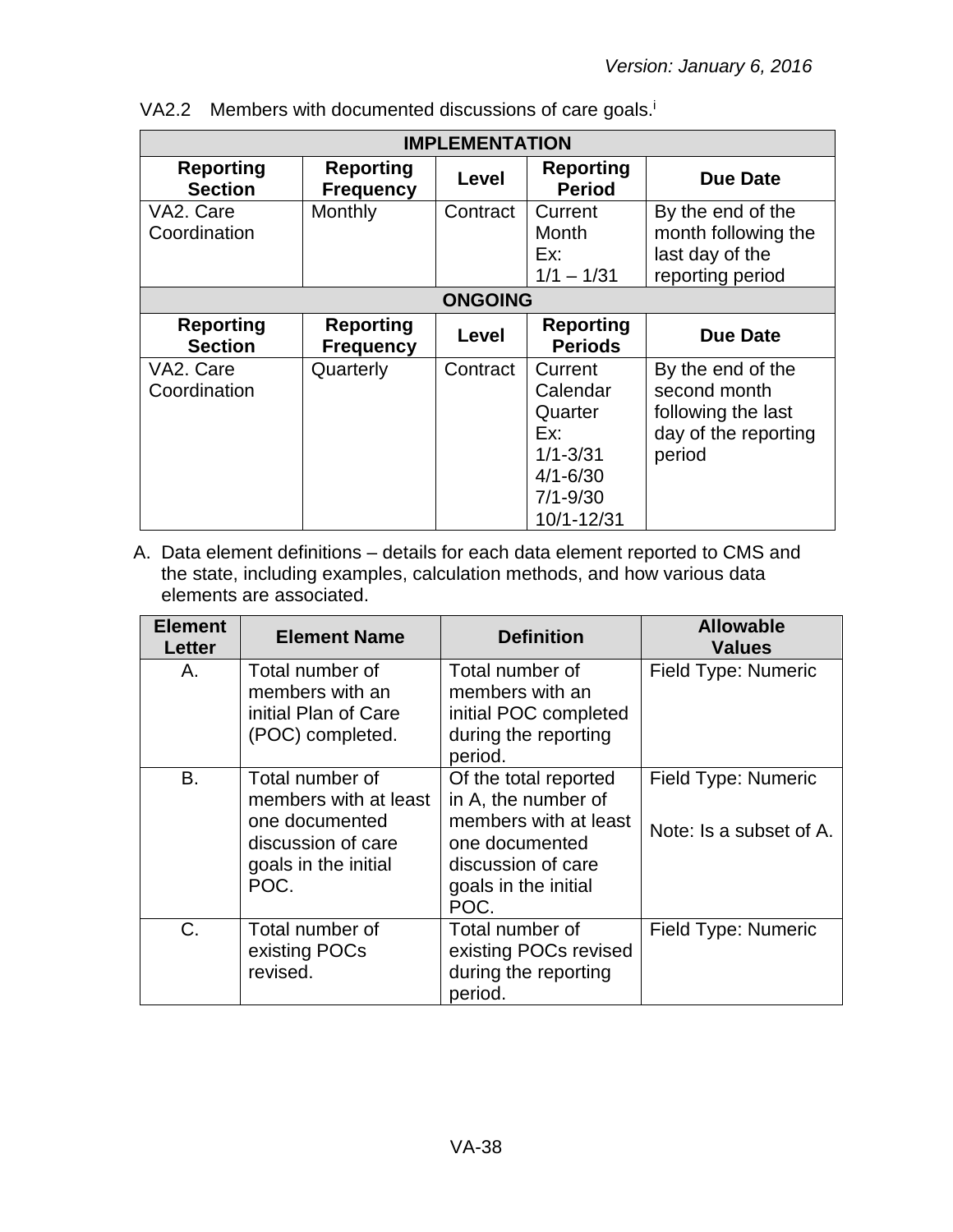| <b>IMPLEMENTATION</b>              |                                      |              |                                                                                                     |                                                                                           |
|------------------------------------|--------------------------------------|--------------|-----------------------------------------------------------------------------------------------------|-------------------------------------------------------------------------------------------|
| <b>Reporting</b><br><b>Section</b> | <b>Reporting</b><br><b>Frequency</b> | Level        | <b>Reporting</b><br><b>Period</b>                                                                   | <b>Due Date</b>                                                                           |
| VA2. Care<br>Coordination          | Monthly                              | Contract     | Current<br>Month<br>Ex:<br>$1/1 - 1/31$                                                             | By the end of the<br>month following the<br>last day of the<br>reporting period           |
|                                    | <b>ONGOING</b>                       |              |                                                                                                     |                                                                                           |
| <b>Reporting</b><br><b>Section</b> | <b>Reporting</b><br><b>Frequency</b> | <b>Level</b> | <b>Reporting</b><br><b>Periods</b>                                                                  | Due Date                                                                                  |
| VA2. Care<br>Coordination          | Quarterly                            | Contract     | Current<br>Calendar<br>Quarter<br>Ex:<br>$1/1 - 3/31$<br>$4/1 - 6/30$<br>$7/1 - 9/30$<br>10/1-12/31 | By the end of the<br>second month<br>following the last<br>day of the reporting<br>period |

VA2.2 Members with documented discussions of care goals.<sup>i</sup>

| <b>Element</b><br>Letter | <b>Element Name</b>                                                                                              | <b>Definition</b>                                                                                                                             | <b>Allowable</b><br><b>Values</b>              |
|--------------------------|------------------------------------------------------------------------------------------------------------------|-----------------------------------------------------------------------------------------------------------------------------------------------|------------------------------------------------|
| А.                       | Total number of<br>members with an<br>initial Plan of Care<br>(POC) completed.                                   | Total number of<br>members with an<br>initial POC completed<br>during the reporting<br>period.                                                | Field Type: Numeric                            |
| B.                       | Total number of<br>members with at least<br>one documented<br>discussion of care<br>goals in the initial<br>POC. | Of the total reported<br>in A, the number of<br>members with at least<br>one documented<br>discussion of care<br>goals in the initial<br>POC. | Field Type: Numeric<br>Note: Is a subset of A. |
| C.                       | Total number of<br>existing POCs<br>revised.                                                                     | Total number of<br>existing POCs revised<br>during the reporting<br>period.                                                                   | Field Type: Numeric                            |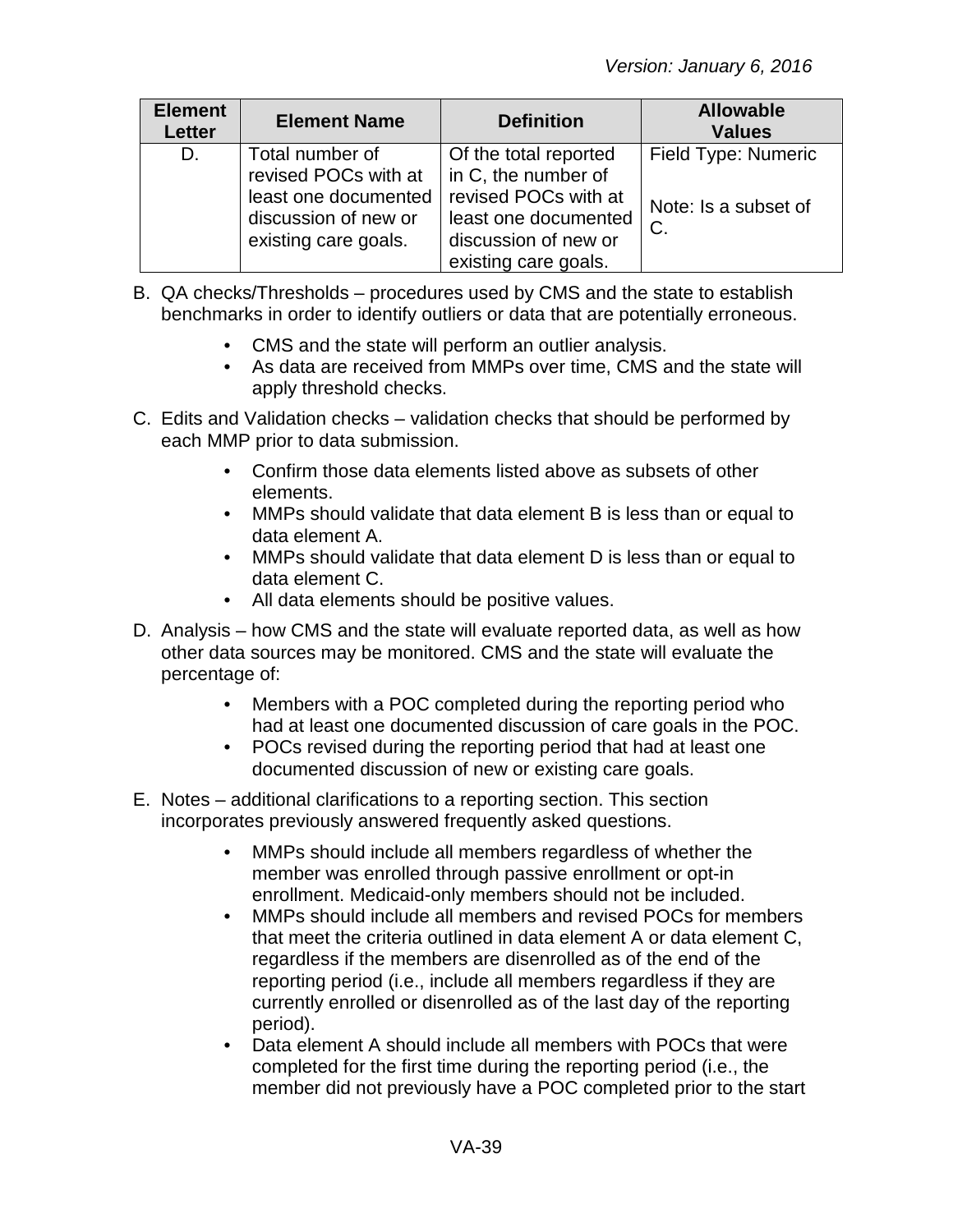| <b>Element</b><br><b>Letter</b> | <b>Element Name</b>                                                                                             | <b>Definition</b>                                                                                                                            | <b>Allowable</b><br><b>Values</b>                    |
|---------------------------------|-----------------------------------------------------------------------------------------------------------------|----------------------------------------------------------------------------------------------------------------------------------------------|------------------------------------------------------|
| D.                              | Total number of<br>revised POCs with at<br>least one documented<br>discussion of new or<br>existing care goals. | Of the total reported<br>in C, the number of<br>revised POCs with at<br>least one documented<br>discussion of new or<br>existing care goals. | Field Type: Numeric<br>Note: Is a subset of<br>$C$ . |

- B. QA checks/Thresholds procedures used by CMS and the state to establish benchmarks in order to identify outliers or data that are potentially erroneous.
	- CMS and the state will perform an outlier analysis.
	- As data are received from MMPs over time, CMS and the state will apply threshold checks.
- C. Edits and Validation checks validation checks that should be performed by each MMP prior to data submission.
	- Confirm those data elements listed above as subsets of other elements.
	- MMPs should validate that data element B is less than or equal to data element A.
	- MMPs should validate that data element D is less than or equal to data element C.
	- All data elements should be positive values.
- D. Analysis how CMS and the state will evaluate reported data, as well as how other data sources may be monitored. CMS and the state will evaluate the percentage of:
	- Members with a POC completed during the reporting period who had at least one documented discussion of care goals in the POC.
	- POCs revised during the reporting period that had at least one documented discussion of new or existing care goals.
- E. Notes additional clarifications to a reporting section. This section incorporates previously answered frequently asked questions.
	- MMPs should include all members regardless of whether the member was enrolled through passive enrollment or opt-in enrollment. Medicaid-only members should not be included.
	- MMPs should include all members and revised POCs for members that meet the criteria outlined in data element A or data element C, regardless if the members are disenrolled as of the end of the reporting period (i.e., include all members regardless if they are currently enrolled or disenrolled as of the last day of the reporting period).
	- Data element A should include all members with POCs that were completed for the first time during the reporting period (i.e., the member did not previously have a POC completed prior to the start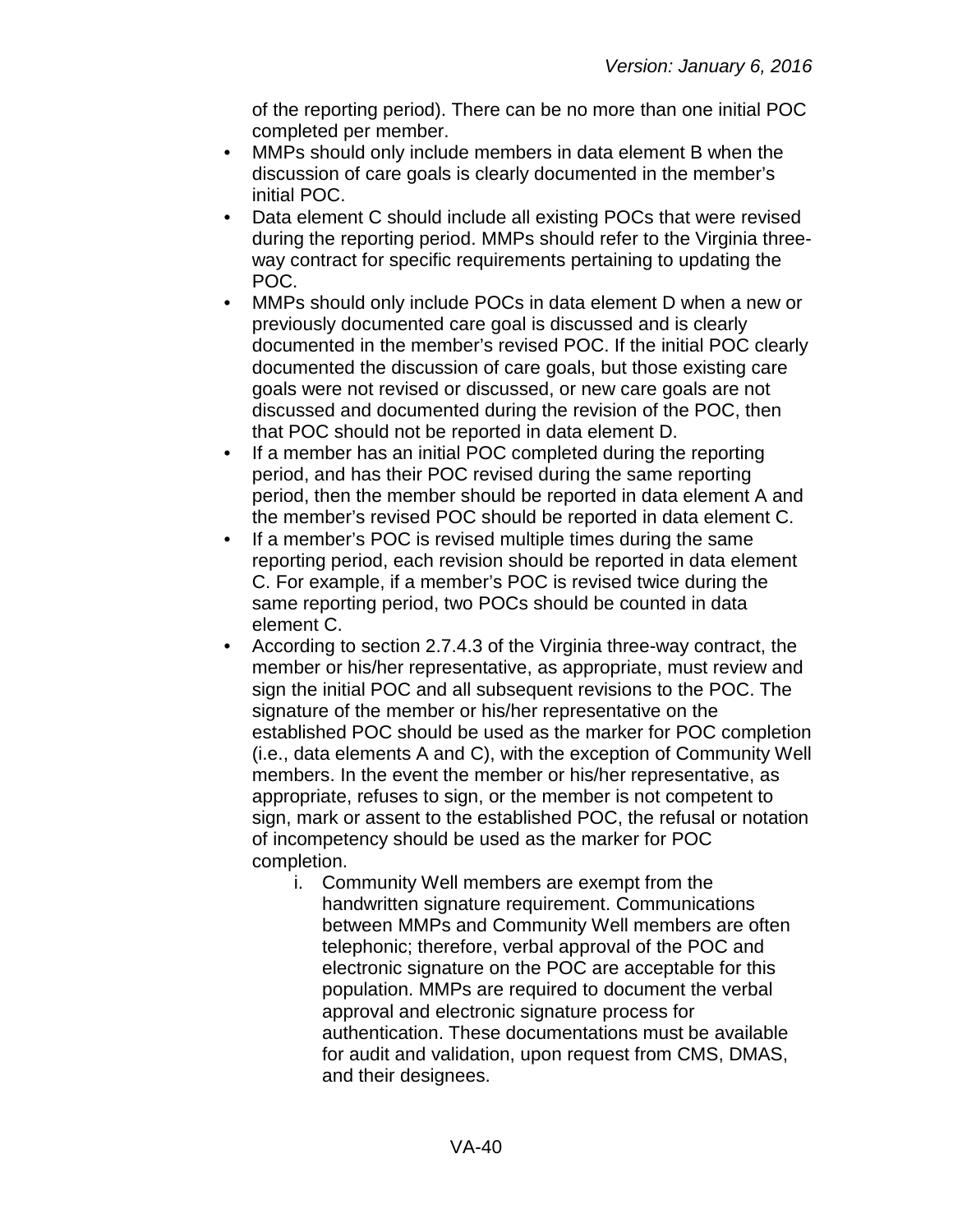of the reporting period). There can be no more than one initial POC completed per member.

- MMPs should only include members in data element B when the discussion of care goals is clearly documented in the member's initial POC.
- Data element C should include all existing POCs that were revised during the reporting period. MMPs should refer to the Virginia threeway contract for specific requirements pertaining to updating the POC.
- MMPs should only include POCs in data element D when a new or previously documented care goal is discussed and is clearly documented in the member's revised POC. If the initial POC clearly documented the discussion of care goals, but those existing care goals were not revised or discussed, or new care goals are not discussed and documented during the revision of the POC, then that POC should not be reported in data element D.
- If a member has an initial POC completed during the reporting period, and has their POC revised during the same reporting period, then the member should be reported in data element A and the member's revised POC should be reported in data element C.
- If a member's POC is revised multiple times during the same reporting period, each revision should be reported in data element C. For example, if a member's POC is revised twice during the same reporting period, two POCs should be counted in data element C.
- According to section 2.7.4.3 of the Virginia three-way contract, the member or his/her representative, as appropriate, must review and sign the initial POC and all subsequent revisions to the POC. The signature of the member or his/her representative on the established POC should be used as the marker for POC completion (i.e., data elements A and C), with the exception of Community Well members. In the event the member or his/her representative, as appropriate, refuses to sign, or the member is not competent to sign, mark or assent to the established POC, the refusal or notation of incompetency should be used as the marker for POC completion.
	- i. Community Well members are exempt from the handwritten signature requirement. Communications between MMPs and Community Well members are often telephonic; therefore, verbal approval of the POC and electronic signature on the POC are acceptable for this population. MMPs are required to document the verbal approval and electronic signature process for authentication. These documentations must be available for audit and validation, upon request from CMS, DMAS, and their designees.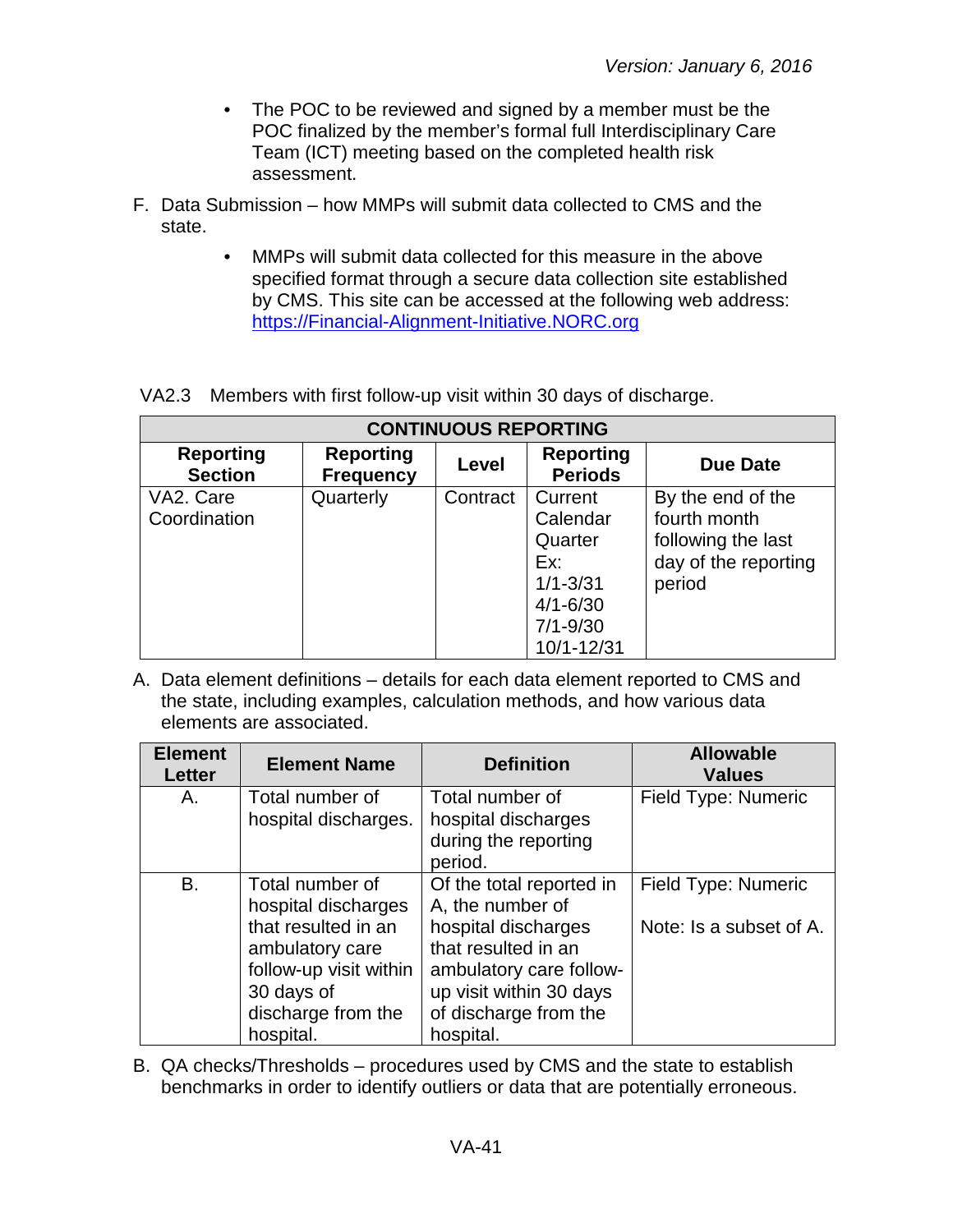- The POC to be reviewed and signed by a member must be the POC finalized by the member's formal full Interdisciplinary Care Team (ICT) meeting based on the completed health risk assessment.
- F. Data Submission how MMPs will submit data collected to CMS and the state.
	- MMPs will submit data collected for this measure in the above specified format through a secure data collection site established by CMS. This site can be accessed at the following web address: [https://Financial-Alignment-Initiative.NORC.org](https://financial-alignment-initiative.norc.org/)

|  |  | VA2.3 Members with first follow-up visit within 30 days of discharge. |
|--|--|-----------------------------------------------------------------------|
|  |  |                                                                       |

| <b>CONTINUOUS REPORTING</b>        |                                      |          |                                    |                      |  |
|------------------------------------|--------------------------------------|----------|------------------------------------|----------------------|--|
| <b>Reporting</b><br><b>Section</b> | <b>Reporting</b><br><b>Frequency</b> | Level    | <b>Reporting</b><br><b>Periods</b> | Due Date             |  |
| VA2. Care                          | Quarterly                            | Contract | Current                            | By the end of the    |  |
| Coordination                       |                                      |          | Calendar                           | fourth month         |  |
|                                    |                                      |          | Quarter                            | following the last   |  |
|                                    |                                      |          | Ex:                                | day of the reporting |  |
|                                    |                                      |          | $1/1 - 3/31$                       | period               |  |
|                                    |                                      |          | $4/1 - 6/30$                       |                      |  |
|                                    |                                      |          | $7/1 - 9/30$                       |                      |  |
|                                    |                                      |          | 10/1-12/31                         |                      |  |

A. Data element definitions – details for each data element reported to CMS and the state, including examples, calculation methods, and how various data elements are associated.

| <b>Element Name</b>                                                                                                                            | <b>Definition</b>                                                                                                                                                         | <b>Allowable</b><br><b>Values</b>              |
|------------------------------------------------------------------------------------------------------------------------------------------------|---------------------------------------------------------------------------------------------------------------------------------------------------------------------------|------------------------------------------------|
| Total number of<br>hospital discharges.                                                                                                        | Total number of<br>hospital discharges<br>during the reporting<br>period.                                                                                                 | Field Type: Numeric                            |
| Total number of<br>hospital discharges<br>that resulted in an<br>ambulatory care<br>follow-up visit within<br>30 days of<br>discharge from the | Of the total reported in<br>A, the number of<br>hospital discharges<br>that resulted in an<br>ambulatory care follow-<br>up visit within 30 days<br>of discharge from the | Field Type: Numeric<br>Note: Is a subset of A. |
|                                                                                                                                                | hospital.                                                                                                                                                                 | hospital.                                      |

B. QA checks/Thresholds – procedures used by CMS and the state to establish benchmarks in order to identify outliers or data that are potentially erroneous.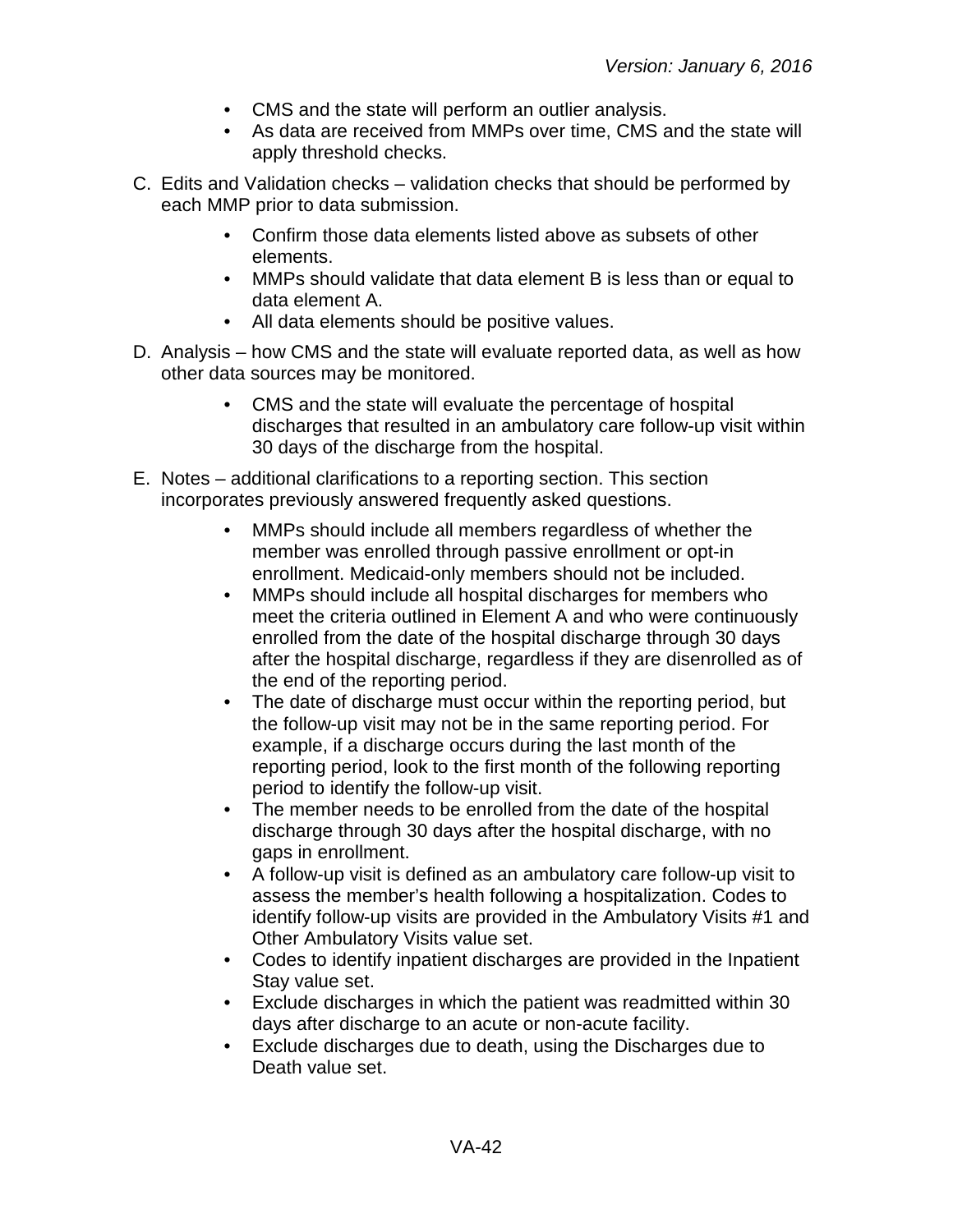- CMS and the state will perform an outlier analysis.
- As data are received from MMPs over time, CMS and the state will apply threshold checks.
- C. Edits and Validation checks validation checks that should be performed by each MMP prior to data submission.
	- Confirm those data elements listed above as subsets of other elements.
	- MMPs should validate that data element B is less than or equal to data element A.
	- All data elements should be positive values.
- D. Analysis how CMS and the state will evaluate reported data, as well as how other data sources may be monitored.
	- CMS and the state will evaluate the percentage of hospital discharges that resulted in an ambulatory care follow-up visit within 30 days of the discharge from the hospital.
- E. Notes additional clarifications to a reporting section. This section incorporates previously answered frequently asked questions.
	- MMPs should include all members regardless of whether the member was enrolled through passive enrollment or opt-in enrollment. Medicaid-only members should not be included.
	- MMPs should include all hospital discharges for members who meet the criteria outlined in Element A and who were continuously enrolled from the date of the hospital discharge through 30 days after the hospital discharge, regardless if they are disenrolled as of the end of the reporting period.
	- The date of discharge must occur within the reporting period, but the follow-up visit may not be in the same reporting period. For example, if a discharge occurs during the last month of the reporting period, look to the first month of the following reporting period to identify the follow-up visit.
	- The member needs to be enrolled from the date of the hospital discharge through 30 days after the hospital discharge, with no gaps in enrollment.
	- A follow-up visit is defined as an ambulatory care follow-up visit to assess the member's health following a hospitalization. Codes to identify follow-up visits are provided in the Ambulatory Visits #1 and Other Ambulatory Visits value set.
	- Codes to identify inpatient discharges are provided in the Inpatient Stay value set.
	- Exclude discharges in which the patient was readmitted within 30 days after discharge to an acute or non-acute facility.
	- Exclude discharges due to death, using the Discharges due to Death value set.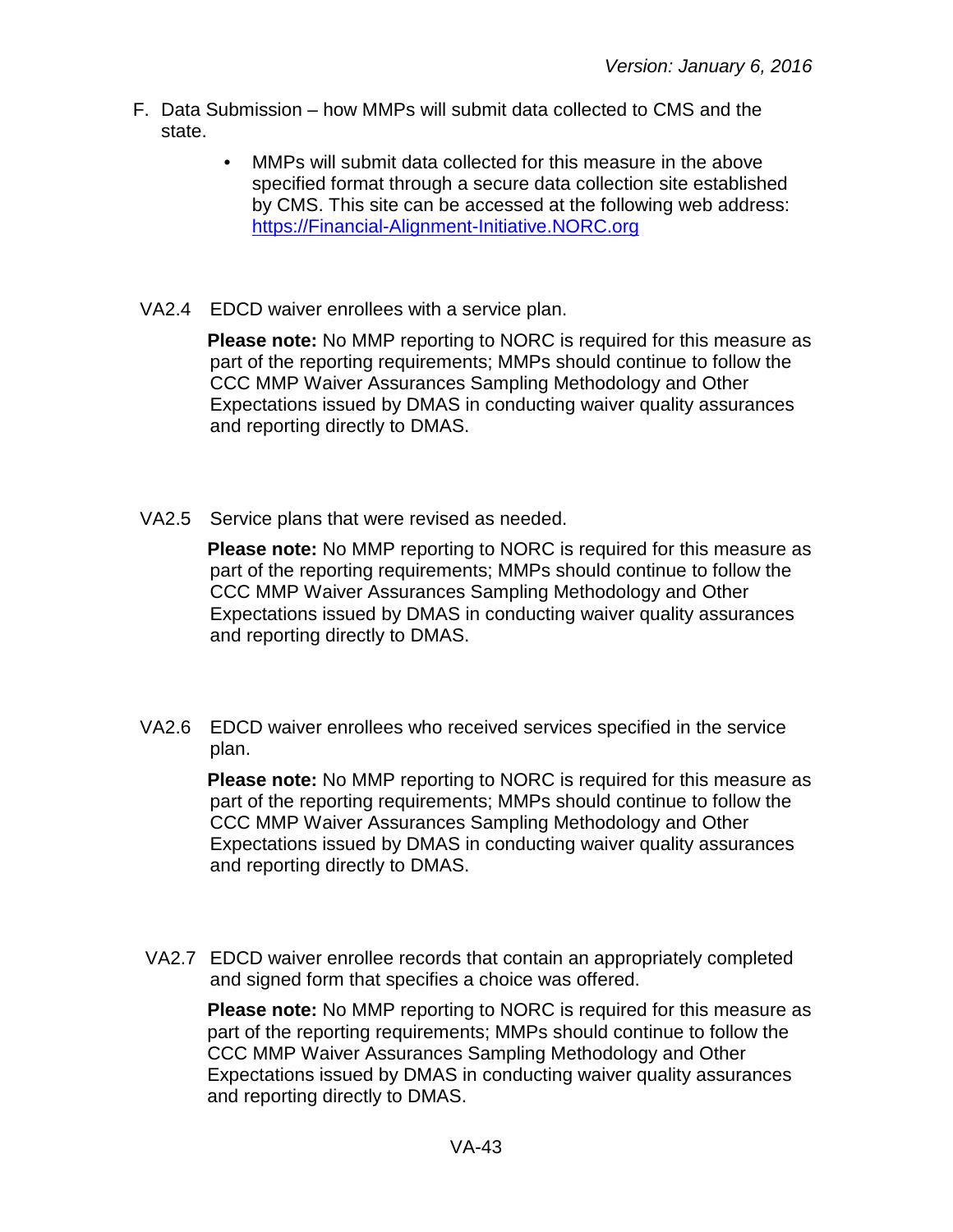- F. Data Submission how MMPs will submit data collected to CMS and the state.
	- MMPs will submit data collected for this measure in the above specified format through a secure data collection site established by CMS. This site can be accessed at the following web address: [https://Financial-Alignment-Initiative.NORC.org](https://financial-alignment-initiative.norc.org/)
- VA2.4 EDCD waiver enrollees with a service plan.

**Please note:** No MMP reporting to NORC is required for this measure as part of the reporting requirements; MMPs should continue to follow the CCC MMP Waiver Assurances Sampling Methodology and Other Expectations issued by DMAS in conducting waiver quality assurances and reporting directly to DMAS.

VA2.5 Service plans that were revised as needed.

**Please note:** No MMP reporting to NORC is required for this measure as part of the reporting requirements; MMPs should continue to follow the CCC MMP Waiver Assurances Sampling Methodology and Other Expectations issued by DMAS in conducting waiver quality assurances and reporting directly to DMAS.

VA2.6 EDCD waiver enrollees who received services specified in the service plan.

> **Please note:** No MMP reporting to NORC is required for this measure as part of the reporting requirements; MMPs should continue to follow the CCC MMP Waiver Assurances Sampling Methodology and Other Expectations issued by DMAS in conducting waiver quality assurances and reporting directly to DMAS.

VA2.7 EDCD waiver enrollee records that contain an appropriately completed and signed form that specifies a choice was offered.

**Please note:** No MMP reporting to NORC is required for this measure as part of the reporting requirements; MMPs should continue to follow the CCC MMP Waiver Assurances Sampling Methodology and Other Expectations issued by DMAS in conducting waiver quality assurances and reporting directly to DMAS.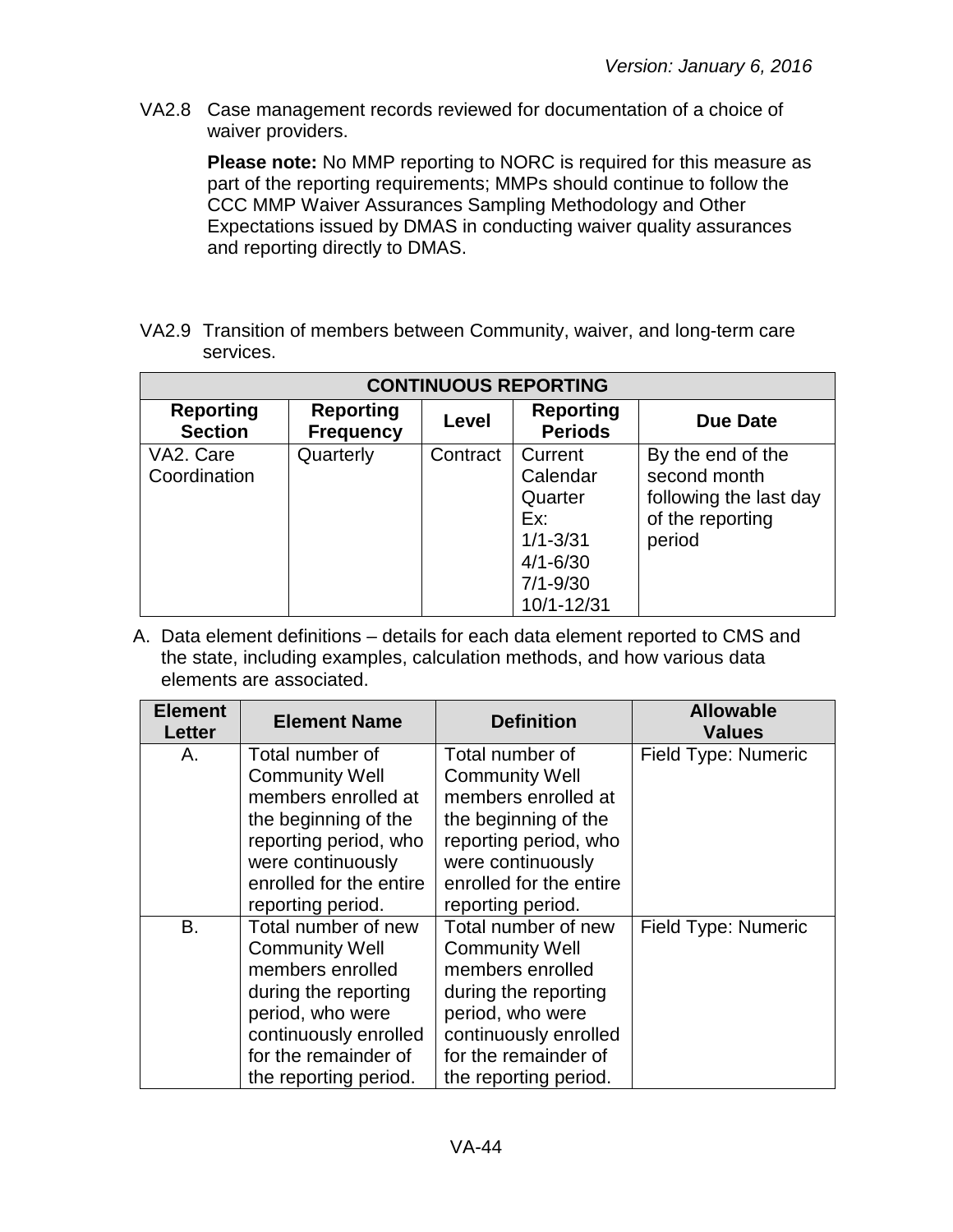VA2.8 Case management records reviewed for documentation of a choice of waiver providers.

**Please note:** No MMP reporting to NORC is required for this measure as part of the reporting requirements; MMPs should continue to follow the CCC MMP Waiver Assurances Sampling Methodology and Other Expectations issued by DMAS in conducting waiver quality assurances and reporting directly to DMAS.

VA2.9 Transition of members between Community, waiver, and long-term care services.

| <b>CONTINUOUS REPORTING</b>        |                                      |          |                                                                                                     |                                                                                           |  |
|------------------------------------|--------------------------------------|----------|-----------------------------------------------------------------------------------------------------|-------------------------------------------------------------------------------------------|--|
| <b>Reporting</b><br><b>Section</b> | <b>Reporting</b><br><b>Frequency</b> | Level    | <b>Reporting</b><br><b>Periods</b>                                                                  | Due Date                                                                                  |  |
| VA2. Care<br>Coordination          | Quarterly                            | Contract | Current<br>Calendar<br>Quarter<br>Ex:<br>$1/1 - 3/31$<br>$4/1 - 6/30$<br>$7/1 - 9/30$<br>10/1-12/31 | By the end of the<br>second month<br>following the last day<br>of the reporting<br>period |  |

| <b>Element</b><br>Letter | <b>Element Name</b>                                                                                                                                                                    | <b>Definition</b>                                                                                                                                                                      | <b>Allowable</b><br><b>Values</b> |
|--------------------------|----------------------------------------------------------------------------------------------------------------------------------------------------------------------------------------|----------------------------------------------------------------------------------------------------------------------------------------------------------------------------------------|-----------------------------------|
| А.                       | Total number of<br><b>Community Well</b><br>members enrolled at<br>the beginning of the<br>reporting period, who<br>were continuously<br>enrolled for the entire<br>reporting period.  | Total number of<br><b>Community Well</b><br>members enrolled at<br>the beginning of the<br>reporting period, who<br>were continuously<br>enrolled for the entire<br>reporting period.  | <b>Field Type: Numeric</b>        |
| B.                       | Total number of new<br><b>Community Well</b><br>members enrolled<br>during the reporting<br>period, who were<br>continuously enrolled<br>for the remainder of<br>the reporting period. | Total number of new<br><b>Community Well</b><br>members enrolled<br>during the reporting<br>period, who were<br>continuously enrolled<br>for the remainder of<br>the reporting period. | Field Type: Numeric               |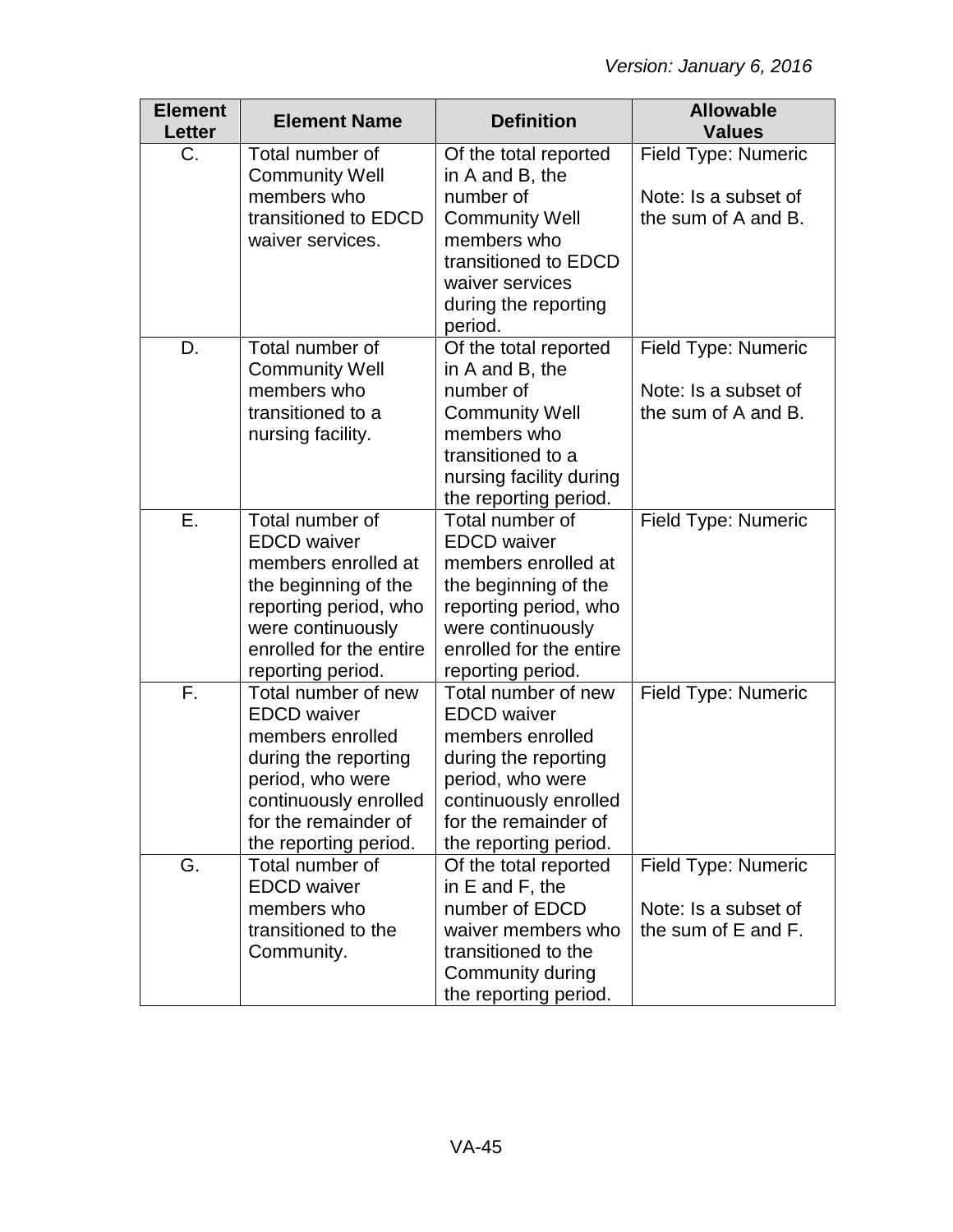| <b>Element</b><br><b>Letter</b> | <b>Element Name</b>                   | <b>Definition</b>                        | <b>Allowable</b><br><b>Values</b> |
|---------------------------------|---------------------------------------|------------------------------------------|-----------------------------------|
| C.                              | Total number of                       | Of the total reported                    | Field Type: Numeric               |
|                                 | <b>Community Well</b>                 | in A and B, the                          |                                   |
|                                 | members who                           | number of                                | Note: Is a subset of              |
|                                 | transitioned to EDCD                  | <b>Community Well</b><br>members who     | the sum of A and B.               |
|                                 | waiver services.                      | transitioned to EDCD                     |                                   |
|                                 |                                       | waiver services                          |                                   |
|                                 |                                       | during the reporting                     |                                   |
|                                 |                                       | period.                                  |                                   |
| D.                              | Total number of                       | Of the total reported                    | Field Type: Numeric               |
|                                 | <b>Community Well</b>                 | in A and B, the                          |                                   |
|                                 | members who                           | number of                                | Note: Is a subset of              |
|                                 | transitioned to a                     | <b>Community Well</b>                    | the sum of A and B.               |
|                                 | nursing facility.                     | members who                              |                                   |
|                                 |                                       | transitioned to a                        |                                   |
|                                 |                                       | nursing facility during                  |                                   |
| Ε.                              | Total number of                       | the reporting period.<br>Total number of | Field Type: Numeric               |
|                                 | <b>EDCD</b> waiver                    | <b>EDCD</b> waiver                       |                                   |
|                                 | members enrolled at                   | members enrolled at                      |                                   |
|                                 | the beginning of the                  | the beginning of the                     |                                   |
|                                 | reporting period, who                 | reporting period, who                    |                                   |
|                                 | were continuously                     | were continuously                        |                                   |
|                                 | enrolled for the entire               | enrolled for the entire                  |                                   |
|                                 | reporting period.                     | reporting period.                        |                                   |
| F.                              | Total number of new                   | Total number of new                      | Field Type: Numeric               |
|                                 | <b>EDCD</b> waiver                    | <b>EDCD</b> waiver                       |                                   |
|                                 | members enrolled                      | members enrolled                         |                                   |
|                                 | during the reporting                  | during the reporting                     |                                   |
|                                 | period, who were                      | period, who were                         |                                   |
|                                 | continuously enrolled                 | continuously enrolled                    |                                   |
|                                 | for the remainder of                  | for the remainder of                     |                                   |
|                                 | the reporting period.                 | the reporting period.                    |                                   |
| G.                              | Total number of<br><b>EDCD</b> waiver | Of the total reported<br>in E and F, the | Field Type: Numeric               |
|                                 | members who                           | number of EDCD                           | Note: Is a subset of              |
|                                 | transitioned to the                   | waiver members who                       | the sum of E and F.               |
|                                 | Community.                            | transitioned to the                      |                                   |
|                                 |                                       | Community during                         |                                   |
|                                 |                                       | the reporting period.                    |                                   |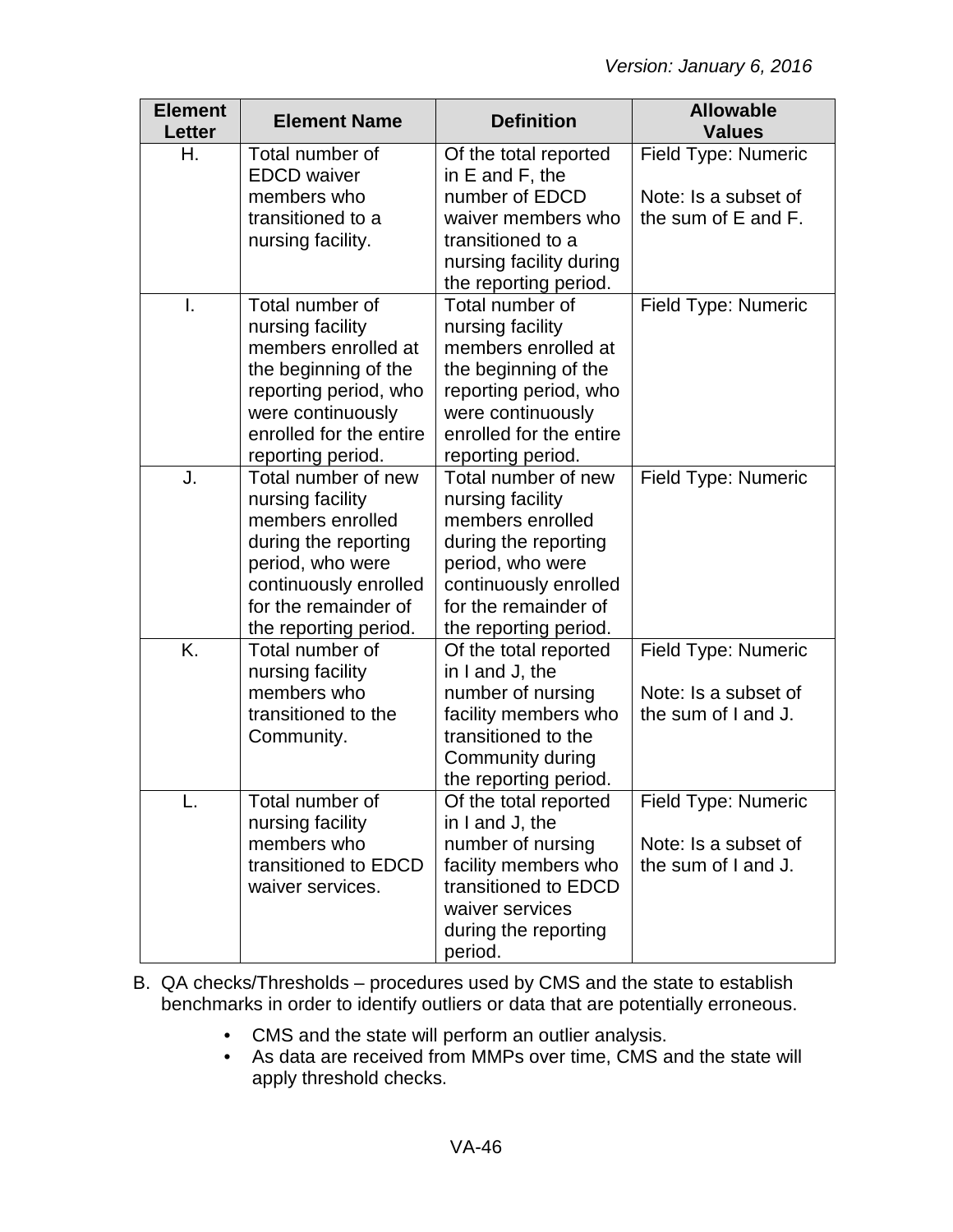| <b>Element</b><br>Letter | <b>Element Name</b>                      | <b>Definition</b>                        | <b>Allowable</b><br><b>Values</b> |
|--------------------------|------------------------------------------|------------------------------------------|-----------------------------------|
| Η.                       | Total number of                          | Of the total reported                    | Field Type: Numeric               |
|                          | <b>EDCD</b> waiver                       | in $E$ and $F$ , the                     |                                   |
|                          | members who                              | number of EDCD                           | Note: Is a subset of              |
|                          | transitioned to a                        | waiver members who                       | the sum of E and F.               |
|                          | nursing facility.                        | transitioned to a                        |                                   |
|                          |                                          | nursing facility during                  |                                   |
|                          |                                          | the reporting period.                    |                                   |
| I.                       | Total number of                          | Total number of                          | Field Type: Numeric               |
|                          | nursing facility                         | nursing facility                         |                                   |
|                          | members enrolled at                      | members enrolled at                      |                                   |
|                          | the beginning of the                     | the beginning of the                     |                                   |
|                          | reporting period, who                    | reporting period, who                    |                                   |
|                          | were continuously                        | were continuously                        |                                   |
|                          | enrolled for the entire                  | enrolled for the entire                  |                                   |
|                          | reporting period.                        | reporting period.<br>Total number of new |                                   |
| J.                       | Total number of new                      |                                          | <b>Field Type: Numeric</b>        |
|                          | nursing facility<br>members enrolled     | nursing facility<br>members enrolled     |                                   |
|                          |                                          |                                          |                                   |
|                          | during the reporting<br>period, who were | during the reporting<br>period, who were |                                   |
|                          | continuously enrolled                    | continuously enrolled                    |                                   |
|                          | for the remainder of                     | for the remainder of                     |                                   |
|                          | the reporting period.                    | the reporting period.                    |                                   |
| K.                       | Total number of                          | Of the total reported                    | Field Type: Numeric               |
|                          | nursing facility                         | in I and J, the                          |                                   |
|                          | members who                              | number of nursing                        | Note: Is a subset of              |
|                          | transitioned to the                      | facility members who                     | the sum of I and J.               |
|                          | Community.                               | transitioned to the                      |                                   |
|                          |                                          | Community during                         |                                   |
|                          |                                          | the reporting period.                    |                                   |
|                          | Total number of                          | Of the total reported                    | <b>Field Type: Numeric</b>        |
|                          | nursing facility                         | in I and J, the                          |                                   |
|                          | members who                              | number of nursing                        | Note: Is a subset of              |
|                          | transitioned to EDCD                     | facility members who                     | the sum of I and J.               |
|                          | waiver services.                         | transitioned to EDCD                     |                                   |
|                          |                                          | waiver services                          |                                   |
|                          |                                          | during the reporting                     |                                   |
|                          |                                          | period.                                  |                                   |

- B. QA checks/Thresholds procedures used by CMS and the state to establish benchmarks in order to identify outliers or data that are potentially erroneous.
	- CMS and the state will perform an outlier analysis.
	- As data are received from MMPs over time, CMS and the state will apply threshold checks.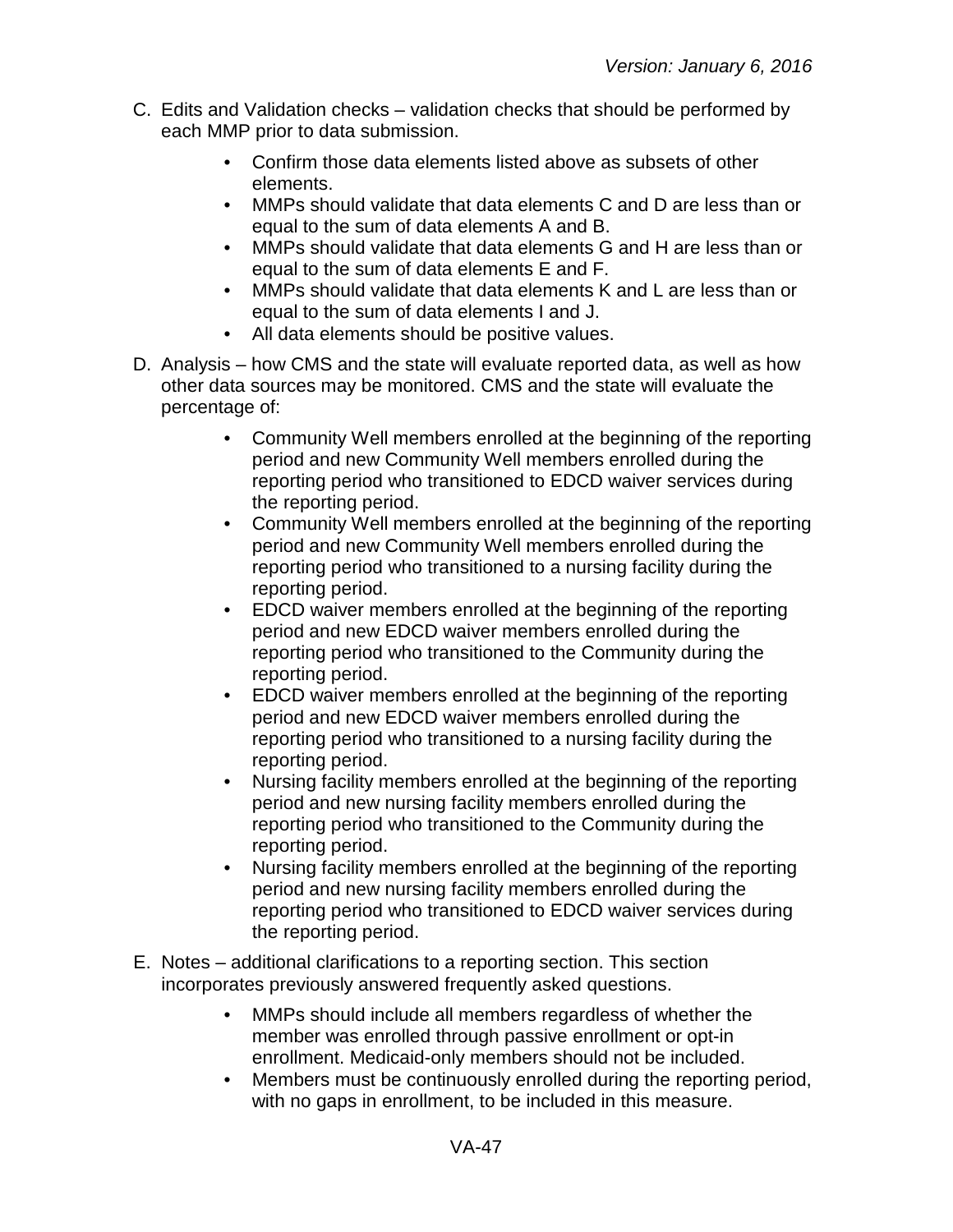- C. Edits and Validation checks validation checks that should be performed by each MMP prior to data submission.
	- Confirm those data elements listed above as subsets of other elements.
	- MMPs should validate that data elements C and D are less than or equal to the sum of data elements A and B.
	- MMPs should validate that data elements G and H are less than or equal to the sum of data elements E and F.
	- MMPs should validate that data elements K and L are less than or equal to the sum of data elements I and J.
	- All data elements should be positive values.
- D. Analysis how CMS and the state will evaluate reported data, as well as how other data sources may be monitored. CMS and the state will evaluate the percentage of:
	- Community Well members enrolled at the beginning of the reporting period and new Community Well members enrolled during the reporting period who transitioned to EDCD waiver services during the reporting period.
	- Community Well members enrolled at the beginning of the reporting period and new Community Well members enrolled during the reporting period who transitioned to a nursing facility during the reporting period.
	- EDCD waiver members enrolled at the beginning of the reporting period and new EDCD waiver members enrolled during the reporting period who transitioned to the Community during the reporting period.
	- EDCD waiver members enrolled at the beginning of the reporting period and new EDCD waiver members enrolled during the reporting period who transitioned to a nursing facility during the reporting period.
	- Nursing facility members enrolled at the beginning of the reporting period and new nursing facility members enrolled during the reporting period who transitioned to the Community during the reporting period.
	- Nursing facility members enrolled at the beginning of the reporting period and new nursing facility members enrolled during the reporting period who transitioned to EDCD waiver services during the reporting period.
- E. Notes additional clarifications to a reporting section. This section incorporates previously answered frequently asked questions.
	- MMPs should include all members regardless of whether the member was enrolled through passive enrollment or opt-in enrollment. Medicaid-only members should not be included.
	- Members must be continuously enrolled during the reporting period, with no gaps in enrollment, to be included in this measure.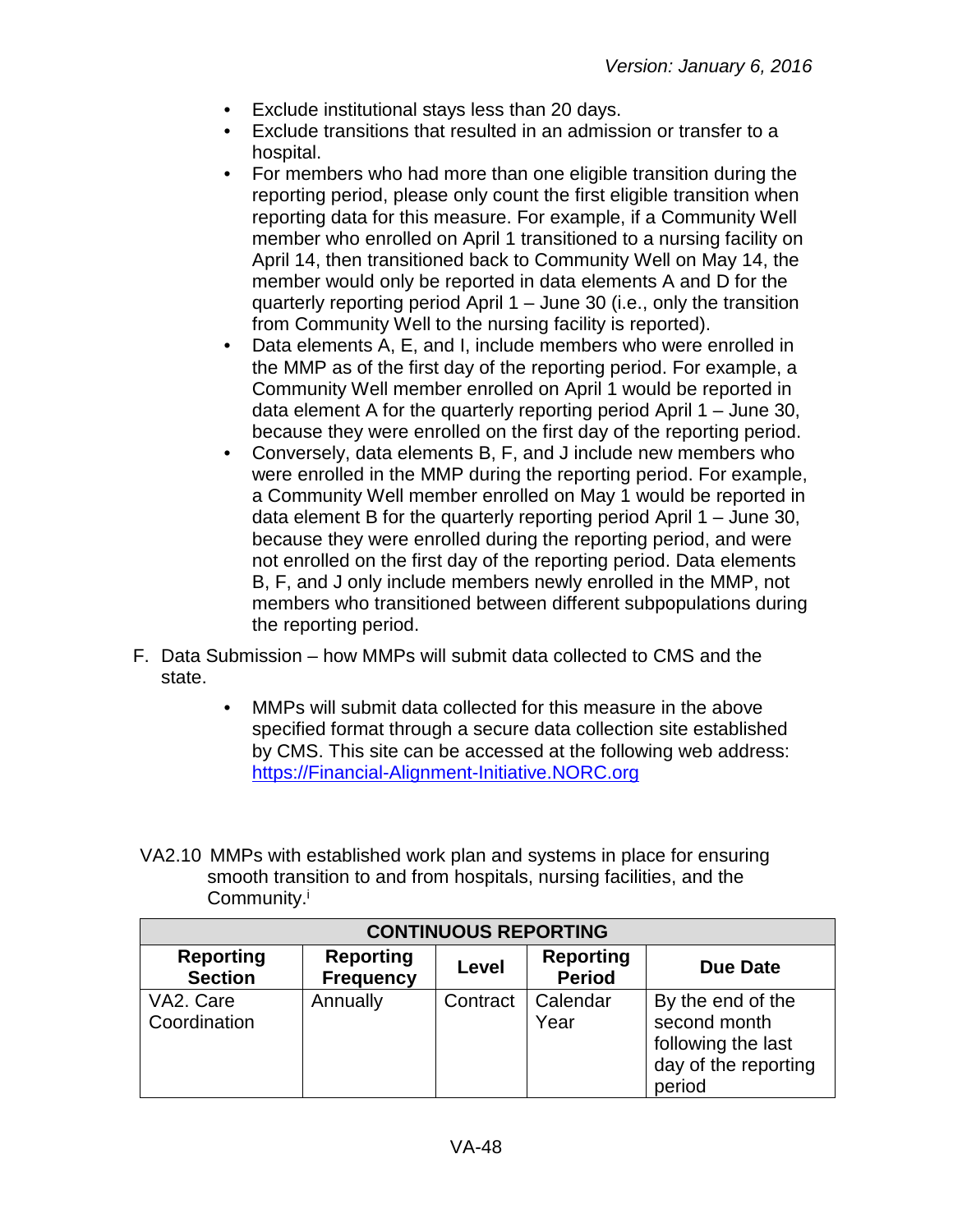- Exclude institutional stays less than 20 days.
- Exclude transitions that resulted in an admission or transfer to a hospital.
- For members who had more than one eligible transition during the reporting period, please only count the first eligible transition when reporting data for this measure. For example, if a Community Well member who enrolled on April 1 transitioned to a nursing facility on April 14, then transitioned back to Community Well on May 14, the member would only be reported in data elements A and D for the quarterly reporting period April 1 – June 30 (i.e., only the transition from Community Well to the nursing facility is reported).
- Data elements A, E, and I, include members who were enrolled in the MMP as of the first day of the reporting period. For example, a Community Well member enrolled on April 1 would be reported in data element A for the quarterly reporting period April 1 – June 30, because they were enrolled on the first day of the reporting period.
- Conversely, data elements B, F, and J include new members who were enrolled in the MMP during the reporting period. For example, a Community Well member enrolled on May 1 would be reported in data element B for the quarterly reporting period April 1 – June 30, because they were enrolled during the reporting period, and were not enrolled on the first day of the reporting period. Data elements B, F, and J only include members newly enrolled in the MMP, not members who transitioned between different subpopulations during the reporting period.
- F. Data Submission how MMPs will submit data collected to CMS and the state.
	- MMPs will submit data collected for this measure in the above specified format through a secure data collection site established by CMS. This site can be accessed at the following web address: [https://Financial-Alignment-Initiative.NORC.org](https://financial-alignment-initiative.norc.org/)
- VA2.10 MMPs with established work plan and systems in place for ensuring smooth transition to and from hospitals, nursing facilities, and the Community.<sup>i</sup>

| <b>CONTINUOUS REPORTING</b>        |                                      |          |                                   |                                                                                           |
|------------------------------------|--------------------------------------|----------|-----------------------------------|-------------------------------------------------------------------------------------------|
| <b>Reporting</b><br><b>Section</b> | <b>Reporting</b><br><b>Frequency</b> | Level    | <b>Reporting</b><br><b>Period</b> | <b>Due Date</b>                                                                           |
| VA2. Care<br>Coordination          | Annually                             | Contract | Calendar<br>Year                  | By the end of the<br>second month<br>following the last<br>day of the reporting<br>period |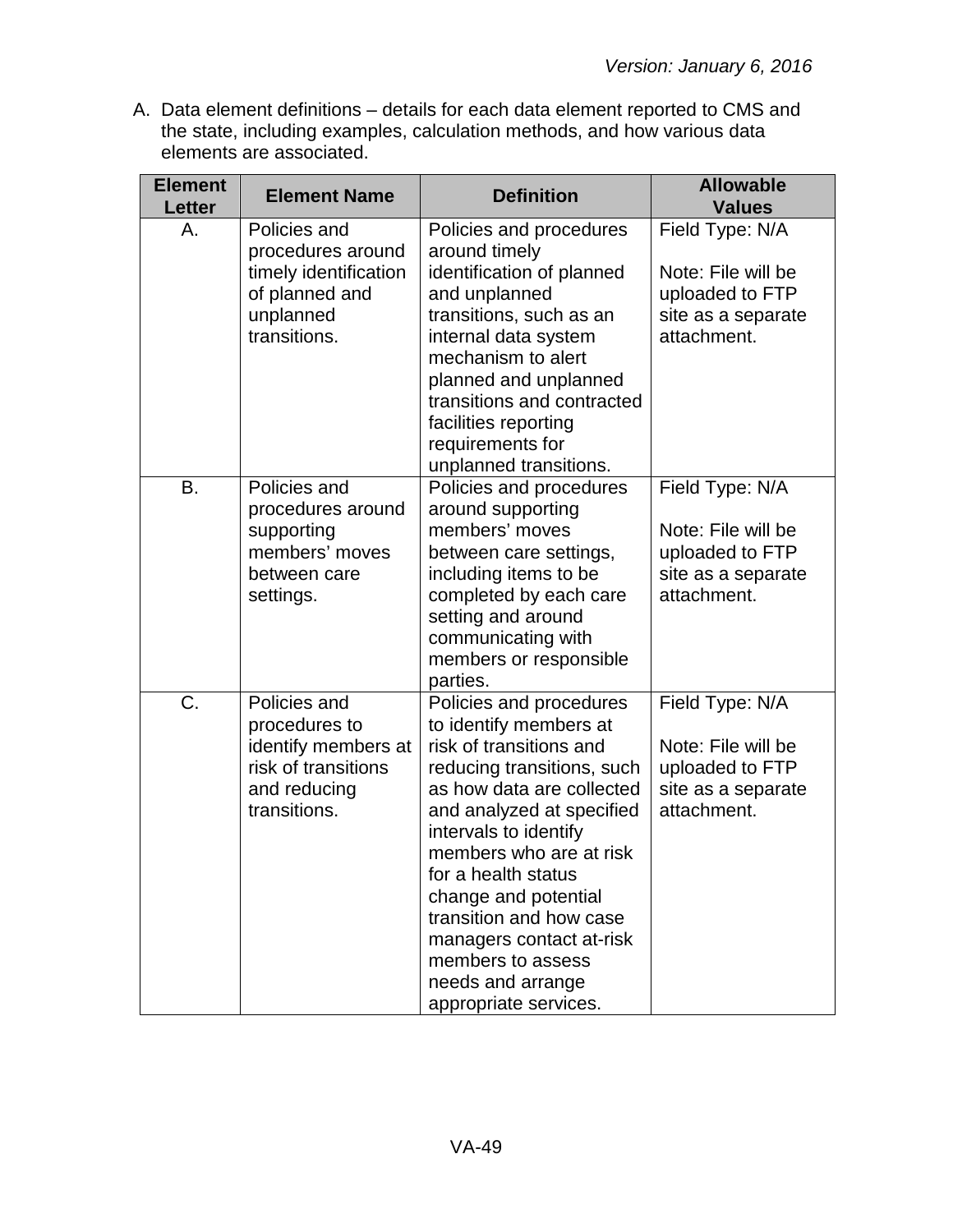| <b>Element</b><br><b>Letter</b> | <b>Element Name</b>                                                                                         | <b>Definition</b>                                                                                                                                                                                                                                                                                                                                                                                 | <b>Allowable</b><br><b>Values</b>                                                             |
|---------------------------------|-------------------------------------------------------------------------------------------------------------|---------------------------------------------------------------------------------------------------------------------------------------------------------------------------------------------------------------------------------------------------------------------------------------------------------------------------------------------------------------------------------------------------|-----------------------------------------------------------------------------------------------|
| Α.                              | Policies and<br>procedures around                                                                           | Policies and procedures<br>around timely                                                                                                                                                                                                                                                                                                                                                          | Field Type: N/A                                                                               |
|                                 | timely identification<br>of planned and<br>unplanned<br>transitions.                                        | identification of planned<br>and unplanned<br>transitions, such as an<br>internal data system<br>mechanism to alert<br>planned and unplanned<br>transitions and contracted                                                                                                                                                                                                                        | Note: File will be<br>uploaded to FTP<br>site as a separate<br>attachment.                    |
|                                 |                                                                                                             | facilities reporting<br>requirements for<br>unplanned transitions.                                                                                                                                                                                                                                                                                                                                |                                                                                               |
| <b>B.</b>                       | Policies and<br>procedures around                                                                           | Policies and procedures<br>around supporting                                                                                                                                                                                                                                                                                                                                                      | Field Type: N/A                                                                               |
|                                 | supporting<br>members' moves<br>between care                                                                | members' moves<br>between care settings,<br>including items to be                                                                                                                                                                                                                                                                                                                                 | Note: File will be<br>uploaded to FTP<br>site as a separate                                   |
|                                 | settings.                                                                                                   | completed by each care<br>setting and around<br>communicating with<br>members or responsible<br>parties.                                                                                                                                                                                                                                                                                          | attachment.                                                                                   |
| C.                              | Policies and<br>procedures to<br>identify members at<br>risk of transitions<br>and reducing<br>transitions. | Policies and procedures<br>to identify members at<br>risk of transitions and<br>reducing transitions, such<br>as how data are collected<br>and analyzed at specified<br>intervals to identify<br>members who are at risk<br>for a health status<br>change and potential<br>transition and how case<br>managers contact at-risk<br>members to assess<br>needs and arrange<br>appropriate services. | Field Type: N/A<br>Note: File will be<br>uploaded to FTP<br>site as a separate<br>attachment. |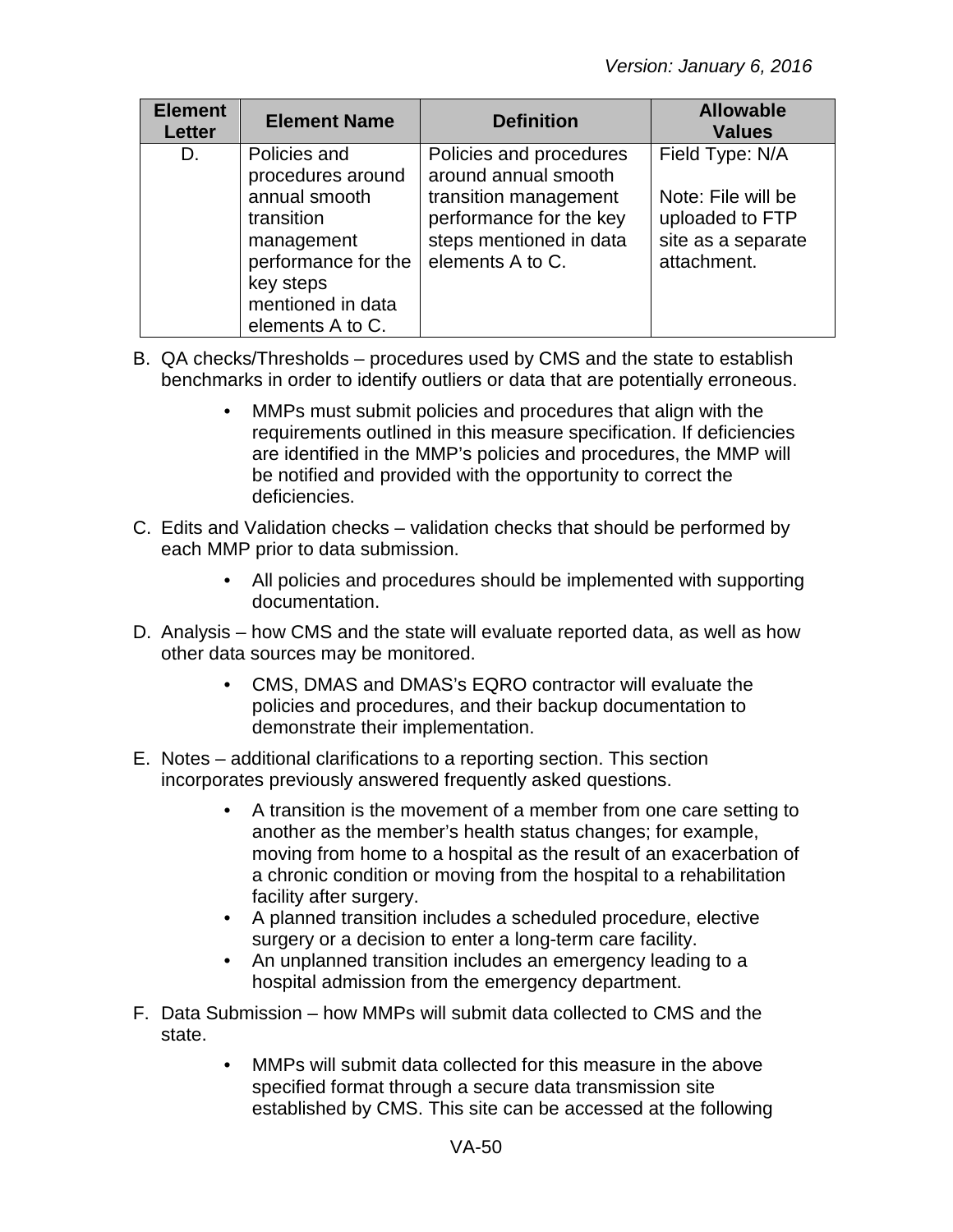| <b>Element</b><br><b>Letter</b> | <b>Element Name</b>                                                                                                                                         | <b>Definition</b>                                                                                                                                  | <b>Allowable</b><br><b>Values</b>                                                             |
|---------------------------------|-------------------------------------------------------------------------------------------------------------------------------------------------------------|----------------------------------------------------------------------------------------------------------------------------------------------------|-----------------------------------------------------------------------------------------------|
| D.                              | Policies and<br>procedures around<br>annual smooth<br>transition<br>management<br>performance for the<br>key steps<br>mentioned in data<br>elements A to C. | Policies and procedures<br>around annual smooth<br>transition management<br>performance for the key<br>steps mentioned in data<br>elements A to C. | Field Type: N/A<br>Note: File will be<br>uploaded to FTP<br>site as a separate<br>attachment. |

- B. QA checks/Thresholds procedures used by CMS and the state to establish benchmarks in order to identify outliers or data that are potentially erroneous.
	- MMPs must submit policies and procedures that align with the requirements outlined in this measure specification. If deficiencies are identified in the MMP's policies and procedures, the MMP will be notified and provided with the opportunity to correct the deficiencies.
- C. Edits and Validation checks validation checks that should be performed by each MMP prior to data submission.
	- All policies and procedures should be implemented with supporting documentation.
- D. Analysis how CMS and the state will evaluate reported data, as well as how other data sources may be monitored.
	- CMS, DMAS and DMAS's EQRO contractor will evaluate the policies and procedures, and their backup documentation to demonstrate their implementation.
- E. Notes additional clarifications to a reporting section. This section incorporates previously answered frequently asked questions.
	- A transition is the movement of a member from one care setting to another as the member's health status changes; for example, moving from home to a hospital as the result of an exacerbation of a chronic condition or moving from the hospital to a rehabilitation facility after surgery.
	- A planned transition includes a scheduled procedure, elective surgery or a decision to enter a long-term care facility.
	- An unplanned transition includes an emergency leading to a hospital admission from the emergency department.
- F. Data Submission how MMPs will submit data collected to CMS and the state.
	- MMPs will submit data collected for this measure in the above specified format through a secure data transmission site established by CMS. This site can be accessed at the following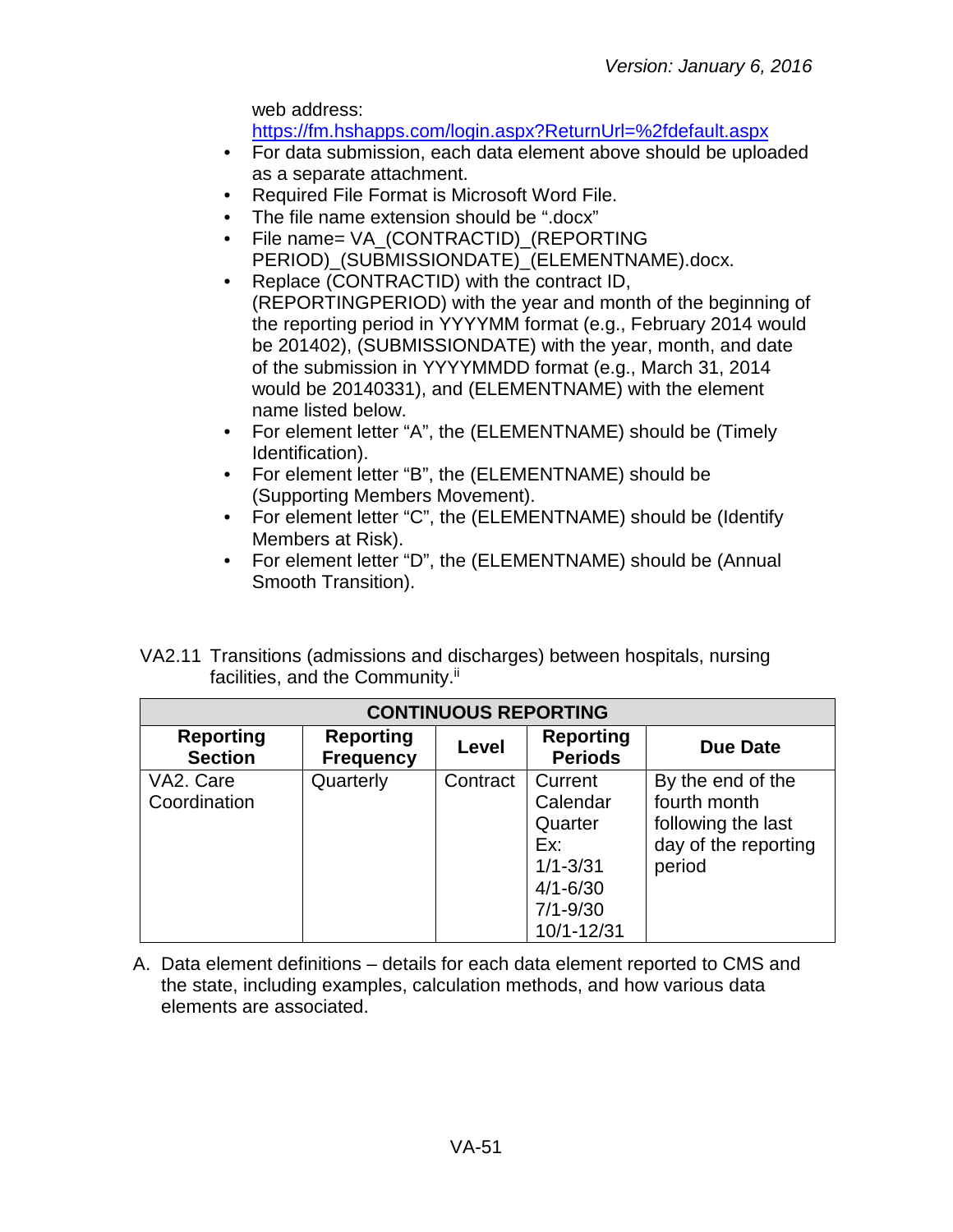web address:

<https://fm.hshapps.com/login.aspx?ReturnUrl=%2fdefault.aspx>

- For data submission, each data element above should be uploaded as a separate attachment.
- Required File Format is Microsoft Word File.
- The file name extension should be ".docx"
- File name= VA\_(CONTRACTID)\_(REPORTING PERIOD) (SUBMISSIONDATE) (ELEMENTNAME).docx.
- Replace (CONTRACTID) with the contract ID, (REPORTINGPERIOD) with the year and month of the beginning of the reporting period in YYYYMM format (e.g., February 2014 would be 201402), (SUBMISSIONDATE) with the year, month, and date of the submission in YYYYMMDD format (e.g., March 31, 2014 would be 20140331), and (ELEMENTNAME) with the element name listed below.
- For element letter "A", the (ELEMENTNAME) should be (Timely Identification).
- For element letter "B", the (ELEMENTNAME) should be (Supporting Members Movement).
- For element letter "C", the (ELEMENTNAME) should be (Identify Members at Risk).
- For element letter "D", the (ELEMENTNAME) should be (Annual Smooth Transition).
- VA2.11 Transitions (admissions and discharges) between hospitals, nursing facilities, and the Community.<sup>ii</sup>

| <b>CONTINUOUS REPORTING</b>        |                                      |          |                                    |                      |  |
|------------------------------------|--------------------------------------|----------|------------------------------------|----------------------|--|
| <b>Reporting</b><br><b>Section</b> | <b>Reporting</b><br><b>Frequency</b> | Level    | <b>Reporting</b><br><b>Periods</b> | Due Date             |  |
| VA2. Care                          | Quarterly                            | Contract | Current                            | By the end of the    |  |
| Coordination                       |                                      |          | Calendar                           | fourth month         |  |
|                                    |                                      |          | Quarter                            | following the last   |  |
|                                    |                                      |          | Ex:                                | day of the reporting |  |
|                                    |                                      |          | $1/1 - 3/31$                       | period               |  |
|                                    |                                      |          | $4/1 - 6/30$                       |                      |  |
|                                    |                                      |          | $7/1 - 9/30$                       |                      |  |
|                                    |                                      |          | 10/1-12/31                         |                      |  |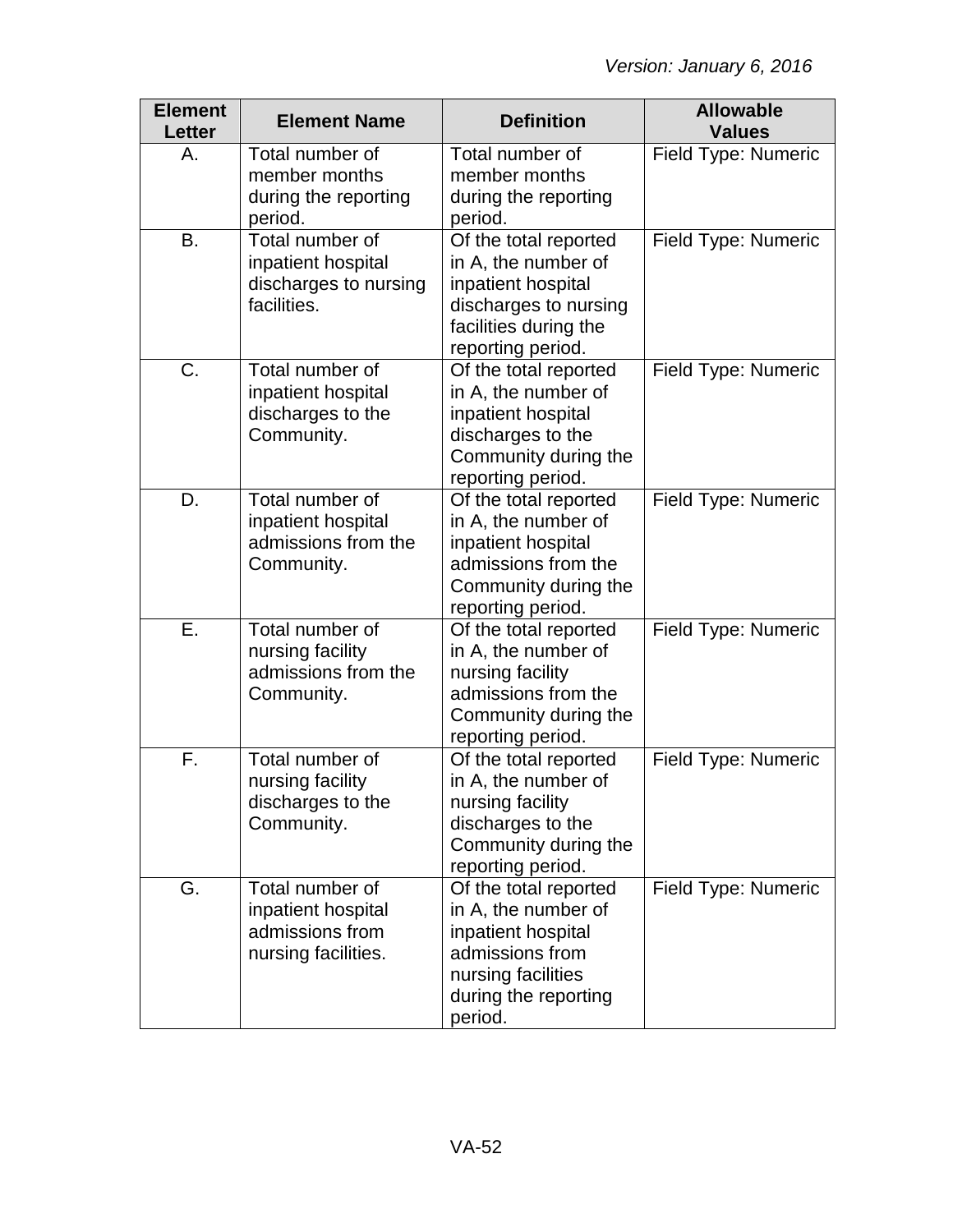| <b>Element</b><br><b>Letter</b> | <b>Element Name</b>                                                             | <b>Definition</b>                                                                                                                              | <b>Allowable</b><br><b>Values</b> |
|---------------------------------|---------------------------------------------------------------------------------|------------------------------------------------------------------------------------------------------------------------------------------------|-----------------------------------|
| А.                              | Total number of<br>member months<br>during the reporting<br>period.             | Total number of<br>member months<br>during the reporting<br>period.                                                                            | Field Type: Numeric               |
| <b>B.</b>                       | Total number of<br>inpatient hospital<br>discharges to nursing<br>facilities.   | Of the total reported<br>in A, the number of<br>inpatient hospital<br>discharges to nursing<br>facilities during the<br>reporting period.      | Field Type: Numeric               |
| C.                              | Total number of<br>inpatient hospital<br>discharges to the<br>Community.        | Of the total reported<br>in A, the number of<br>inpatient hospital<br>discharges to the<br>Community during the<br>reporting period.           | Field Type: Numeric               |
| D.                              | Total number of<br>inpatient hospital<br>admissions from the<br>Community.      | Of the total reported<br>in A, the number of<br>inpatient hospital<br>admissions from the<br>Community during the<br>reporting period.         | Field Type: Numeric               |
| Ε.                              | Total number of<br>nursing facility<br>admissions from the<br>Community.        | Of the total reported<br>in A, the number of<br>nursing facility<br>admissions from the<br>Community during the<br>reporting period.           | Field Type: Numeric               |
| F.                              | Total number of<br>nursing facility<br>discharges to the<br>Community.          | Of the total reported<br>in A, the number of<br>nursing facility<br>discharges to the<br>Community during the<br>reporting period.             | Field Type: Numeric               |
| G.                              | Total number of<br>inpatient hospital<br>admissions from<br>nursing facilities. | Of the total reported<br>in A, the number of<br>inpatient hospital<br>admissions from<br>nursing facilities<br>during the reporting<br>period. | Field Type: Numeric               |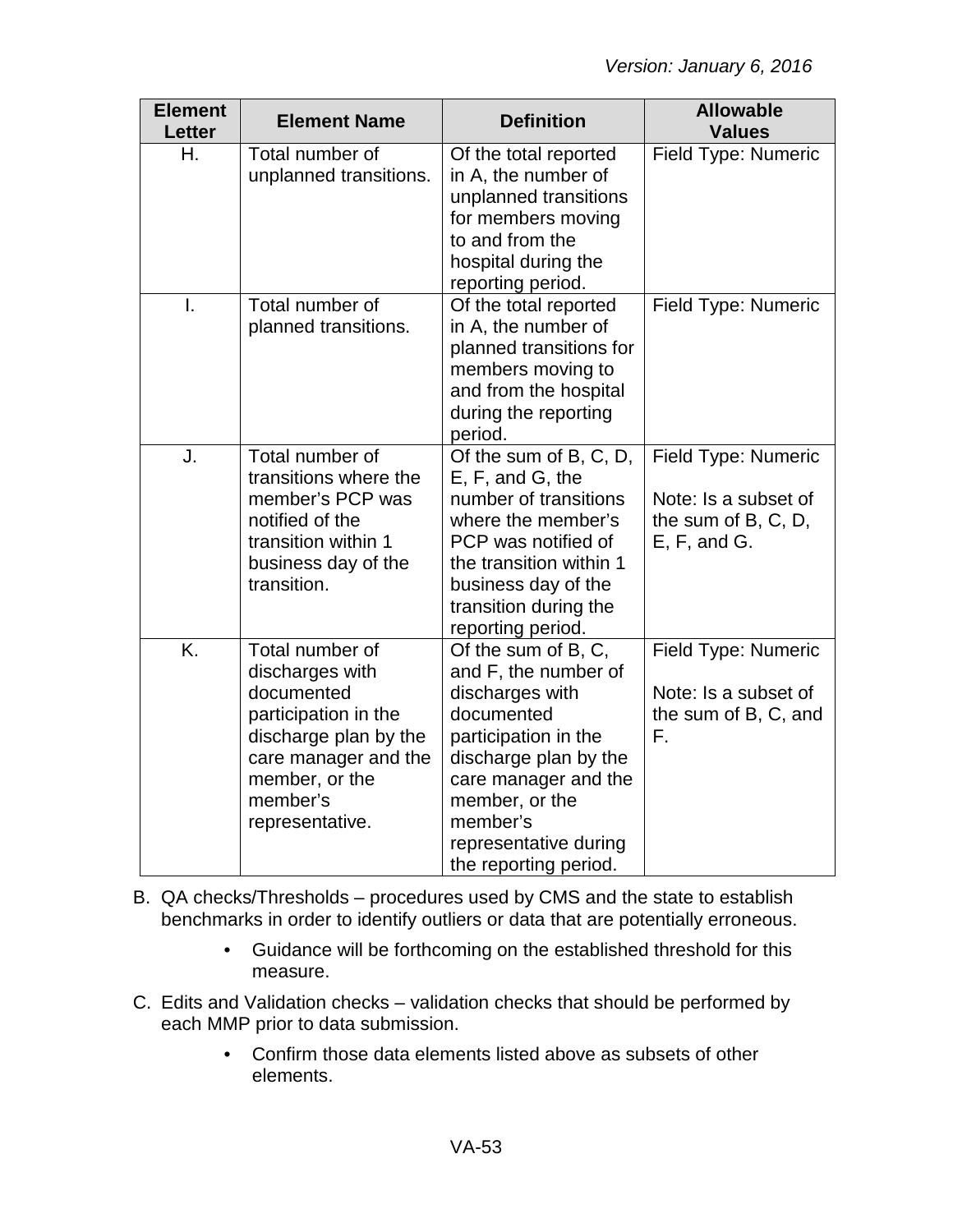| <b>Element</b><br>Letter | <b>Element Name</b>                                                                                                                                                        | <b>Definition</b>                                                                                                                                                                                                                     | <b>Allowable</b><br><b>Values</b>                                                  |
|--------------------------|----------------------------------------------------------------------------------------------------------------------------------------------------------------------------|---------------------------------------------------------------------------------------------------------------------------------------------------------------------------------------------------------------------------------------|------------------------------------------------------------------------------------|
| Η.                       | Total number of<br>unplanned transitions.                                                                                                                                  | Of the total reported<br>in A, the number of<br>unplanned transitions<br>for members moving<br>to and from the<br>hospital during the<br>reporting period.                                                                            | Field Type: Numeric                                                                |
| Ī.                       | Total number of<br>planned transitions.                                                                                                                                    | Of the total reported<br>in A, the number of<br>planned transitions for<br>members moving to<br>and from the hospital<br>during the reporting<br>period.                                                                              | Field Type: Numeric                                                                |
| J.                       | Total number of<br>transitions where the<br>member's PCP was<br>notified of the<br>transition within 1<br>business day of the<br>transition.                               | Of the sum of B, C, $D$ ,<br>E, F, and G, the<br>number of transitions<br>where the member's<br>PCP was notified of<br>the transition within 1<br>business day of the<br>transition during the<br>reporting period.                   | Field Type: Numeric<br>Note: Is a subset of<br>the sum of B, C, D,<br>E, F, and G. |
| K.                       | Total number of<br>discharges with<br>documented<br>participation in the<br>discharge plan by the<br>care manager and the<br>member, or the<br>member's<br>representative. | Of the sum of B, C,<br>and F, the number of<br>discharges with<br>documented<br>participation in the<br>discharge plan by the<br>care manager and the<br>member, or the<br>member's<br>representative during<br>the reporting period. | Field Type: Numeric<br>Note: Is a subset of<br>the sum of B, C, and<br>F.          |

- B. QA checks/Thresholds procedures used by CMS and the state to establish benchmarks in order to identify outliers or data that are potentially erroneous.
	- Guidance will be forthcoming on the established threshold for this measure.
- C. Edits and Validation checks validation checks that should be performed by each MMP prior to data submission.
	- Confirm those data elements listed above as subsets of other elements.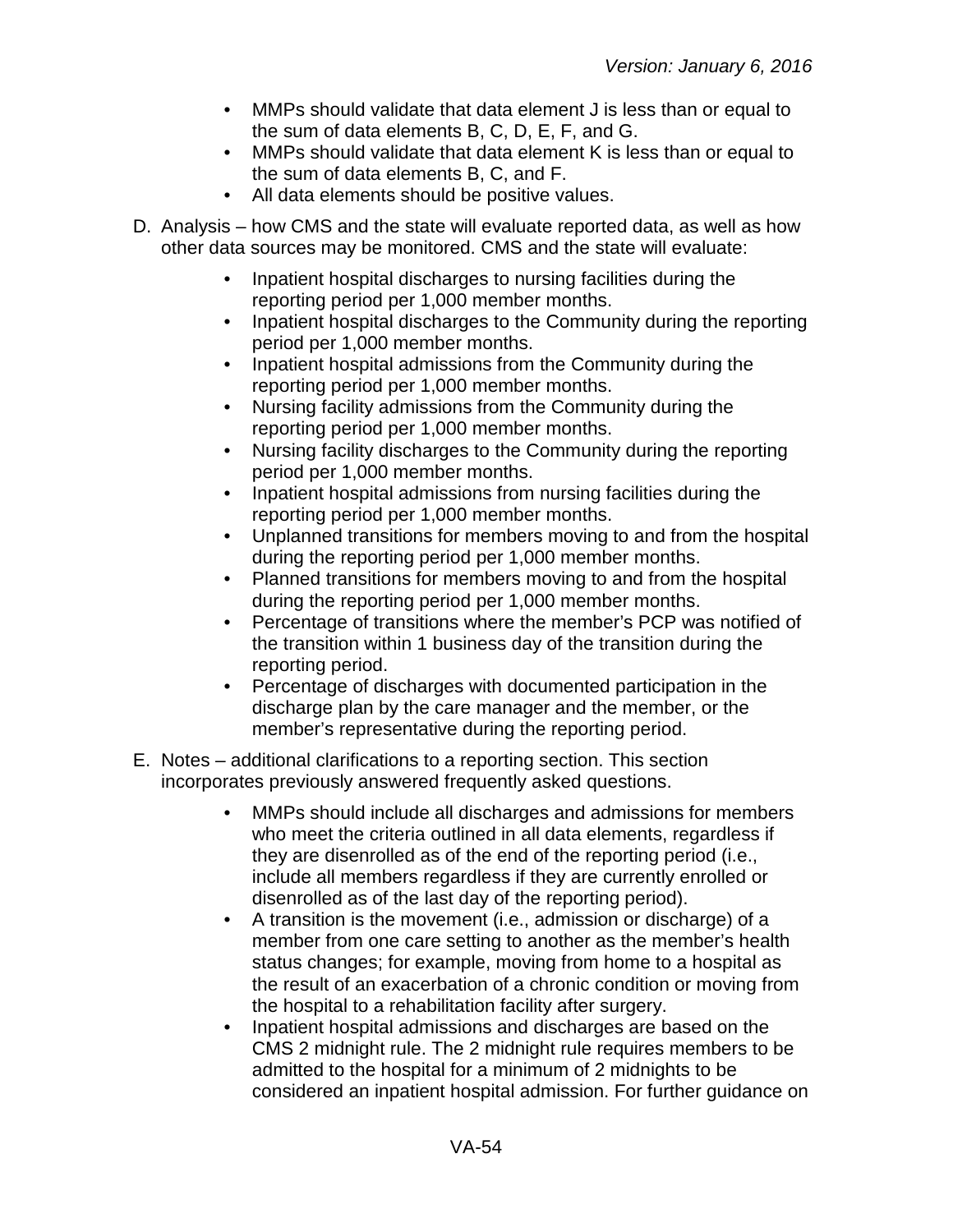- MMPs should validate that data element J is less than or equal to the sum of data elements B, C, D, E, F, and G.
- MMPs should validate that data element K is less than or equal to the sum of data elements B, C, and F.
- All data elements should be positive values.
- D. Analysis how CMS and the state will evaluate reported data, as well as how other data sources may be monitored. CMS and the state will evaluate:
	- Inpatient hospital discharges to nursing facilities during the reporting period per 1,000 member months.
	- Inpatient hospital discharges to the Community during the reporting period per 1,000 member months.
	- Inpatient hospital admissions from the Community during the reporting period per 1,000 member months.
	- Nursing facility admissions from the Community during the reporting period per 1,000 member months.
	- Nursing facility discharges to the Community during the reporting period per 1,000 member months.
	- Inpatient hospital admissions from nursing facilities during the reporting period per 1,000 member months.
	- Unplanned transitions for members moving to and from the hospital during the reporting period per 1,000 member months.
	- Planned transitions for members moving to and from the hospital during the reporting period per 1,000 member months.
	- Percentage of transitions where the member's PCP was notified of the transition within 1 business day of the transition during the reporting period.
	- Percentage of discharges with documented participation in the discharge plan by the care manager and the member, or the member's representative during the reporting period.
- E. Notes additional clarifications to a reporting section. This section incorporates previously answered frequently asked questions.
	- MMPs should include all discharges and admissions for members who meet the criteria outlined in all data elements, regardless if they are disenrolled as of the end of the reporting period (i.e., include all members regardless if they are currently enrolled or disenrolled as of the last day of the reporting period).
	- A transition is the movement (i.e., admission or discharge) of a member from one care setting to another as the member's health status changes; for example, moving from home to a hospital as the result of an exacerbation of a chronic condition or moving from the hospital to a rehabilitation facility after surgery.
	- Inpatient hospital admissions and discharges are based on the CMS 2 midnight rule. The 2 midnight rule requires members to be admitted to the hospital for a minimum of 2 midnights to be considered an inpatient hospital admission. For further guidance on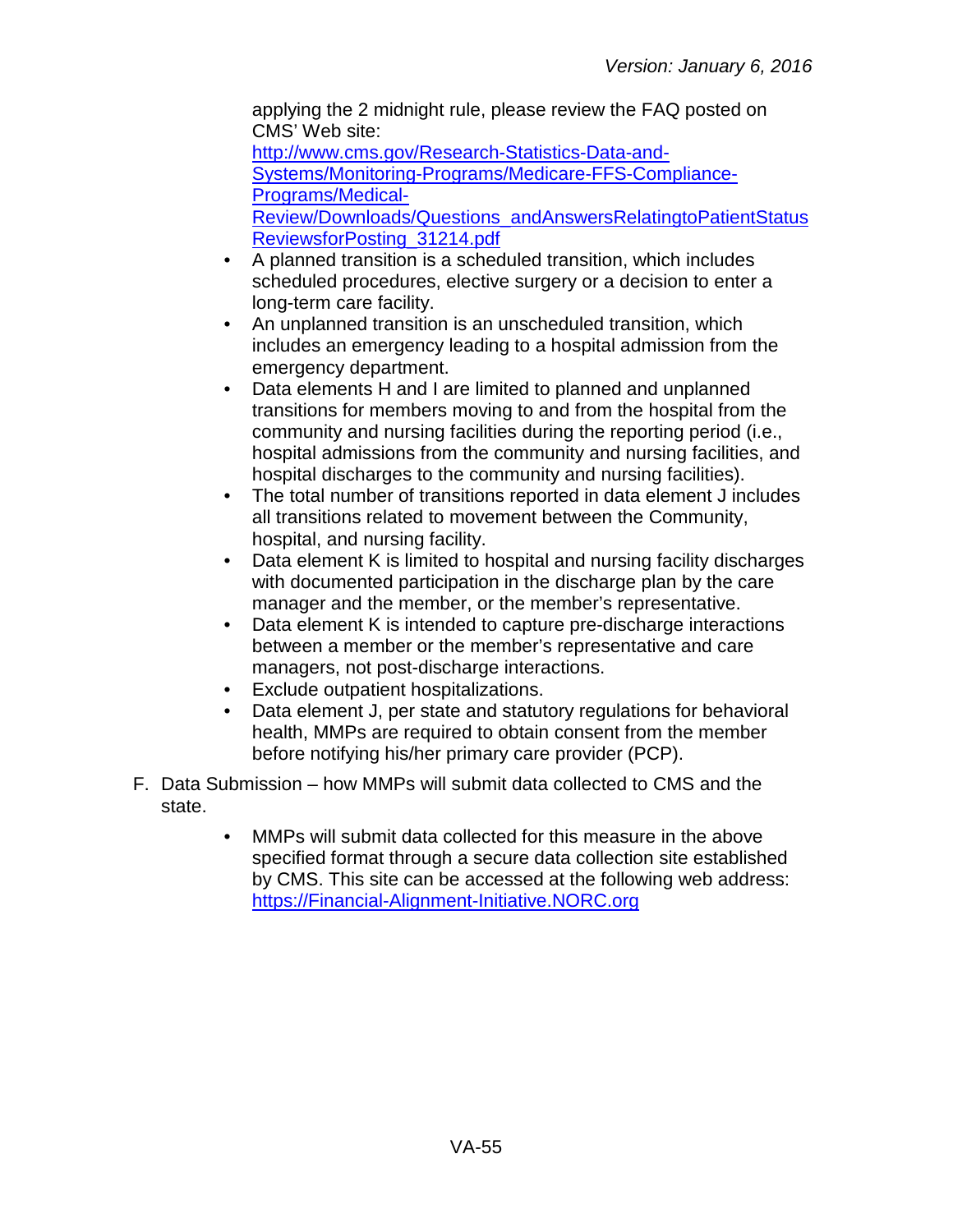applying the 2 midnight rule, please review the FAQ posted on CMS' Web site: [http://www.cms.gov/Research-Statistics-Data-and-](http://www.cms.gov/Research-Statistics-Data-and-Systems/Monitoring-Programs/Medicare-FFS-Compliance-Programs/Medical-Review/Downloads/Questions_andAnswersRelatingtoPatientStatusReviewsforPosting_31214.pdf)[Systems/Monitoring-Programs/Medicare-FFS-Compliance-](http://www.cms.gov/Research-Statistics-Data-and-Systems/Monitoring-Programs/Medicare-FFS-Compliance-Programs/Medical-Review/Downloads/Questions_andAnswersRelatingtoPatientStatusReviewsforPosting_31214.pdf)[Programs/Medical-](http://www.cms.gov/Research-Statistics-Data-and-Systems/Monitoring-Programs/Medicare-FFS-Compliance-Programs/Medical-Review/Downloads/Questions_andAnswersRelatingtoPatientStatusReviewsforPosting_31214.pdf)[Review/Downloads/Questions\\_andAnswersRelatingtoPatientStatus](http://www.cms.gov/Research-Statistics-Data-and-Systems/Monitoring-Programs/Medicare-FFS-Compliance-Programs/Medical-Review/Downloads/Questions_andAnswersRelatingtoPatientStatusReviewsforPosting_31214.pdf) [ReviewsforPosting\\_31214.pdf](http://www.cms.gov/Research-Statistics-Data-and-Systems/Monitoring-Programs/Medicare-FFS-Compliance-Programs/Medical-Review/Downloads/Questions_andAnswersRelatingtoPatientStatusReviewsforPosting_31214.pdf)

- A planned transition is a scheduled transition, which includes scheduled procedures, elective surgery or a decision to enter a long-term care facility.
- An unplanned transition is an unscheduled transition, which includes an emergency leading to a hospital admission from the emergency department.
- Data elements H and I are limited to planned and unplanned transitions for members moving to and from the hospital from the community and nursing facilities during the reporting period (i.e., hospital admissions from the community and nursing facilities, and hospital discharges to the community and nursing facilities).
- The total number of transitions reported in data element J includes all transitions related to movement between the Community, hospital, and nursing facility.
- Data element K is limited to hospital and nursing facility discharges with documented participation in the discharge plan by the care manager and the member, or the member's representative.
- Data element K is intended to capture pre-discharge interactions between a member or the member's representative and care managers, not post-discharge interactions.
- Exclude outpatient hospitalizations.
- Data element J, per state and statutory regulations for behavioral health, MMPs are required to obtain consent from the member before notifying his/her primary care provider (PCP).
- F. Data Submission how MMPs will submit data collected to CMS and the state.
	- MMPs will submit data collected for this measure in the above specified format through a secure data collection site established by CMS. This site can be accessed at the following web address: [https://Financial-Alignment-Initiative.NORC.org](https://financial-alignment-initiative.norc.org/)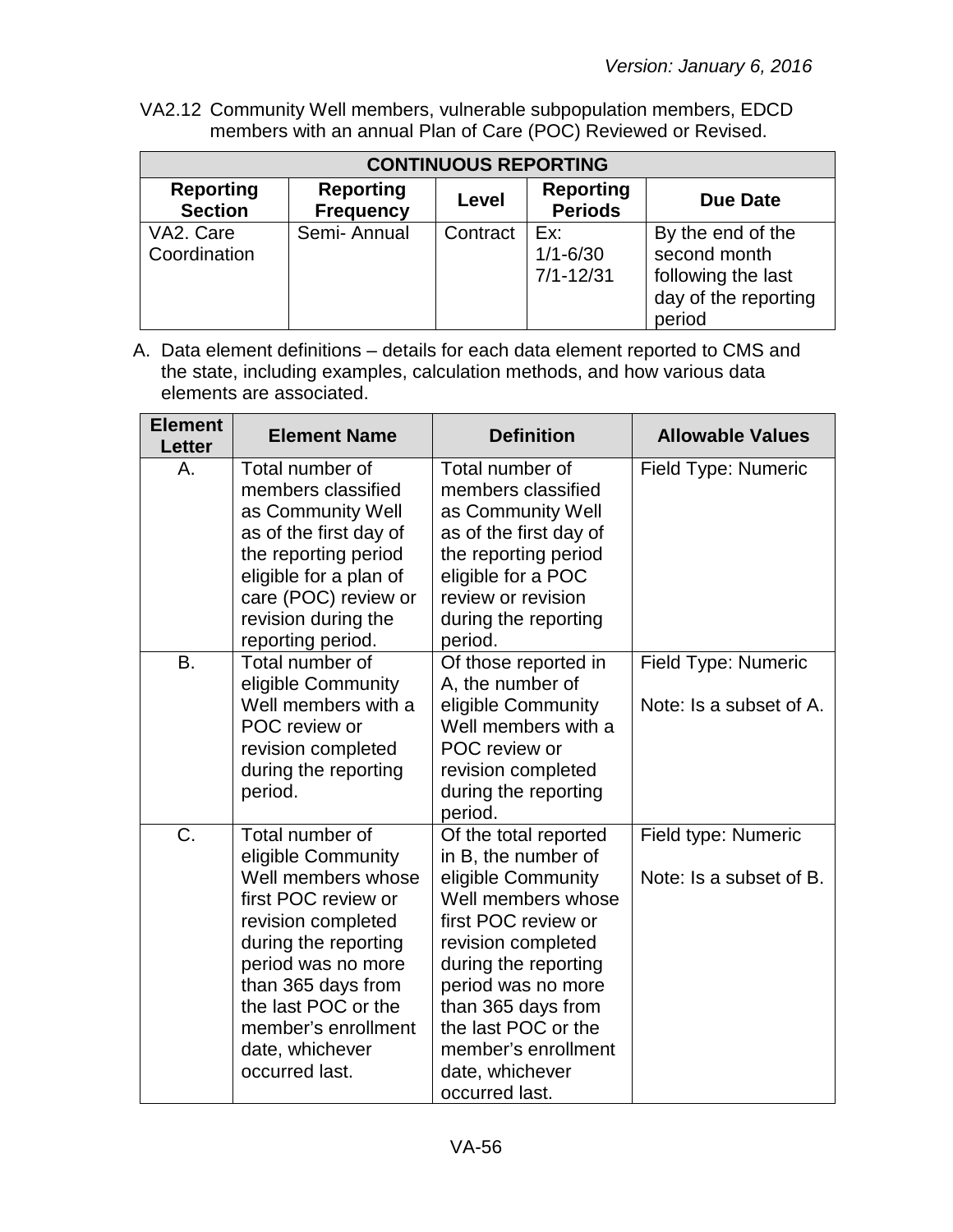VA2.12 Community Well members, vulnerable subpopulation members, EDCD members with an annual Plan of Care (POC) Reviewed or Revised.

| <b>CONTINUOUS REPORTING</b>        |                                      |          |                                      |                                                                                           |  |
|------------------------------------|--------------------------------------|----------|--------------------------------------|-------------------------------------------------------------------------------------------|--|
| <b>Reporting</b><br><b>Section</b> | <b>Reporting</b><br><b>Frequency</b> | Level    | <b>Reporting</b><br><b>Periods</b>   | Due Date                                                                                  |  |
| VA2. Care<br>Coordination          | Semi-Annual                          | Contract | Ex:<br>$1/1 - 6/30$<br>$7/1 - 12/31$ | By the end of the<br>second month<br>following the last<br>day of the reporting<br>period |  |

| <b>Element</b><br><b>Letter</b> | <b>Element Name</b>                                                                                                                                                                                                                                             | <b>Definition</b>                                                                                                                                                                                                                                                                            | <b>Allowable Values</b>                               |
|---------------------------------|-----------------------------------------------------------------------------------------------------------------------------------------------------------------------------------------------------------------------------------------------------------------|----------------------------------------------------------------------------------------------------------------------------------------------------------------------------------------------------------------------------------------------------------------------------------------------|-------------------------------------------------------|
| Α.                              | Total number of<br>members classified<br>as Community Well<br>as of the first day of<br>the reporting period<br>eligible for a plan of<br>care (POC) review or<br>revision during the<br>reporting period.                                                      | Total number of<br>members classified<br>as Community Well<br>as of the first day of<br>the reporting period<br>eligible for a POC<br>review or revision<br>during the reporting<br>period.                                                                                                  | Field Type: Numeric                                   |
| <b>B.</b>                       | Total number of<br>eligible Community<br>Well members with a<br>POC review or<br>revision completed<br>during the reporting<br>period.                                                                                                                          | Of those reported in<br>A, the number of<br>eligible Community<br>Well members with a<br>POC review or<br>revision completed<br>during the reporting<br>period.                                                                                                                              | <b>Field Type: Numeric</b><br>Note: Is a subset of A. |
| C.                              | Total number of<br>eligible Community<br>Well members whose<br>first POC review or<br>revision completed<br>during the reporting<br>period was no more<br>than 365 days from<br>the last POC or the<br>member's enrollment<br>date, whichever<br>occurred last. | Of the total reported<br>in B, the number of<br>eligible Community<br>Well members whose<br>first POC review or<br>revision completed<br>during the reporting<br>period was no more<br>than 365 days from<br>the last POC or the<br>member's enrollment<br>date, whichever<br>occurred last. | Field type: Numeric<br>Note: Is a subset of B.        |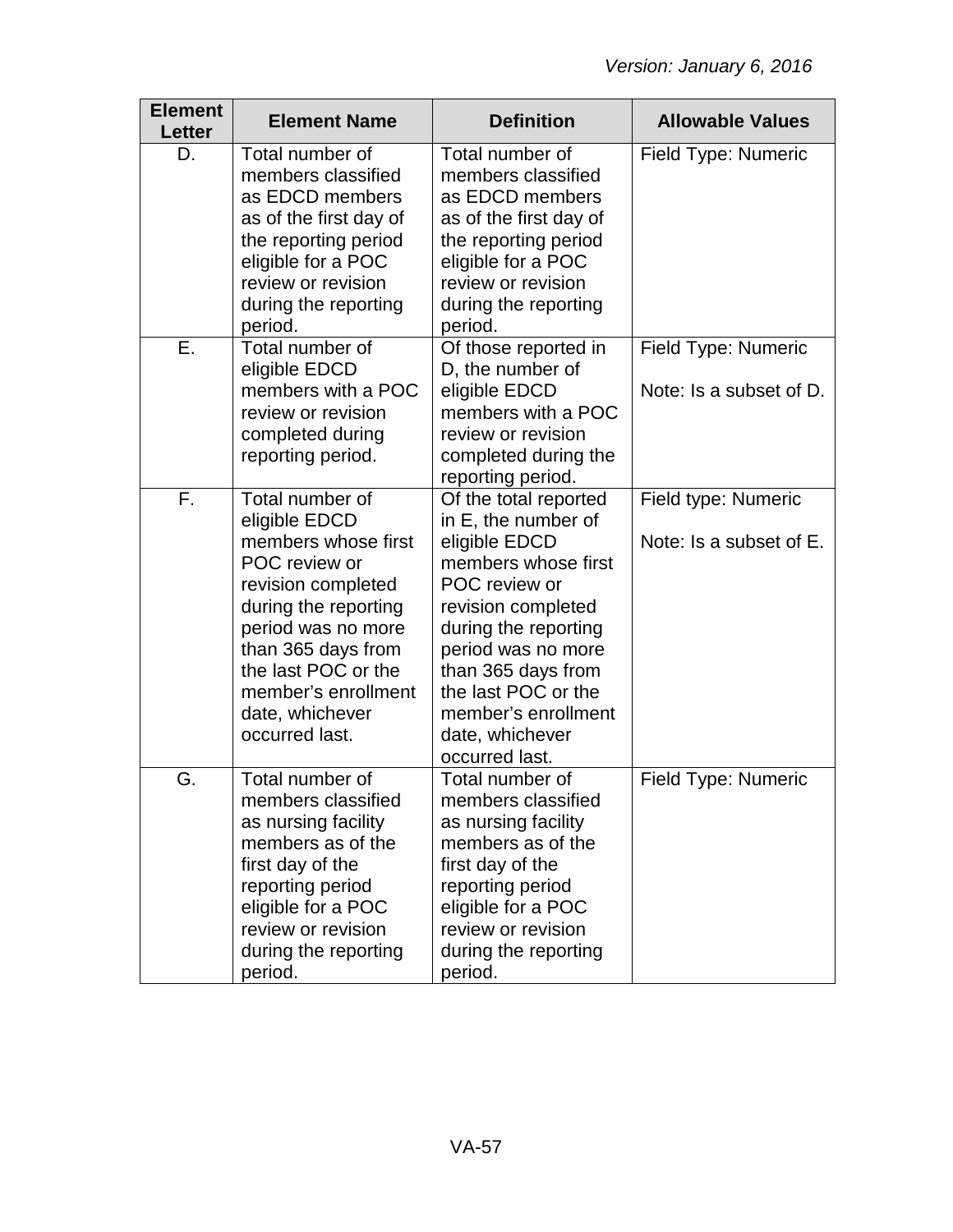| <b>Element</b><br>Letter | <b>Element Name</b>                                                                                                                                                                                                                                   | <b>Definition</b>                                                                                                                                                                                                                                                                  | <b>Allowable Values</b>                        |
|--------------------------|-------------------------------------------------------------------------------------------------------------------------------------------------------------------------------------------------------------------------------------------------------|------------------------------------------------------------------------------------------------------------------------------------------------------------------------------------------------------------------------------------------------------------------------------------|------------------------------------------------|
| D.                       | Total number of<br>members classified<br>as EDCD members<br>as of the first day of<br>the reporting period<br>eligible for a POC<br>review or revision<br>during the reporting<br>period.                                                             | Total number of<br>members classified<br>as EDCD members<br>as of the first day of<br>the reporting period<br>eligible for a POC<br>review or revision<br>during the reporting<br>period.                                                                                          | Field Type: Numeric                            |
| Е.                       | Total number of<br>eligible EDCD<br>members with a POC<br>review or revision<br>completed during<br>reporting period.                                                                                                                                 | Of those reported in<br>D, the number of<br>eligible EDCD<br>members with a POC<br>review or revision<br>completed during the<br>reporting period.                                                                                                                                 | Field Type: Numeric<br>Note: Is a subset of D. |
| F.                       | Total number of<br>eligible EDCD<br>members whose first<br>POC review or<br>revision completed<br>during the reporting<br>period was no more<br>than 365 days from<br>the last POC or the<br>member's enrollment<br>date, whichever<br>occurred last. | Of the total reported<br>in E, the number of<br>eligible EDCD<br>members whose first<br>POC review or<br>revision completed<br>during the reporting<br>period was no more<br>than 365 days from<br>the last POC or the<br>member's enrollment<br>date, whichever<br>occurred last. | Field type: Numeric<br>Note: Is a subset of E. |
| G.                       | Total number of<br>members classified<br>as nursing facility<br>members as of the<br>first day of the<br>reporting period<br>eligible for a POC<br>review or revision<br>during the reporting<br>period.                                              | Total number of<br>members classified<br>as nursing facility<br>members as of the<br>first day of the<br>reporting period<br>eligible for a POC<br>review or revision<br>during the reporting<br>period.                                                                           | Field Type: Numeric                            |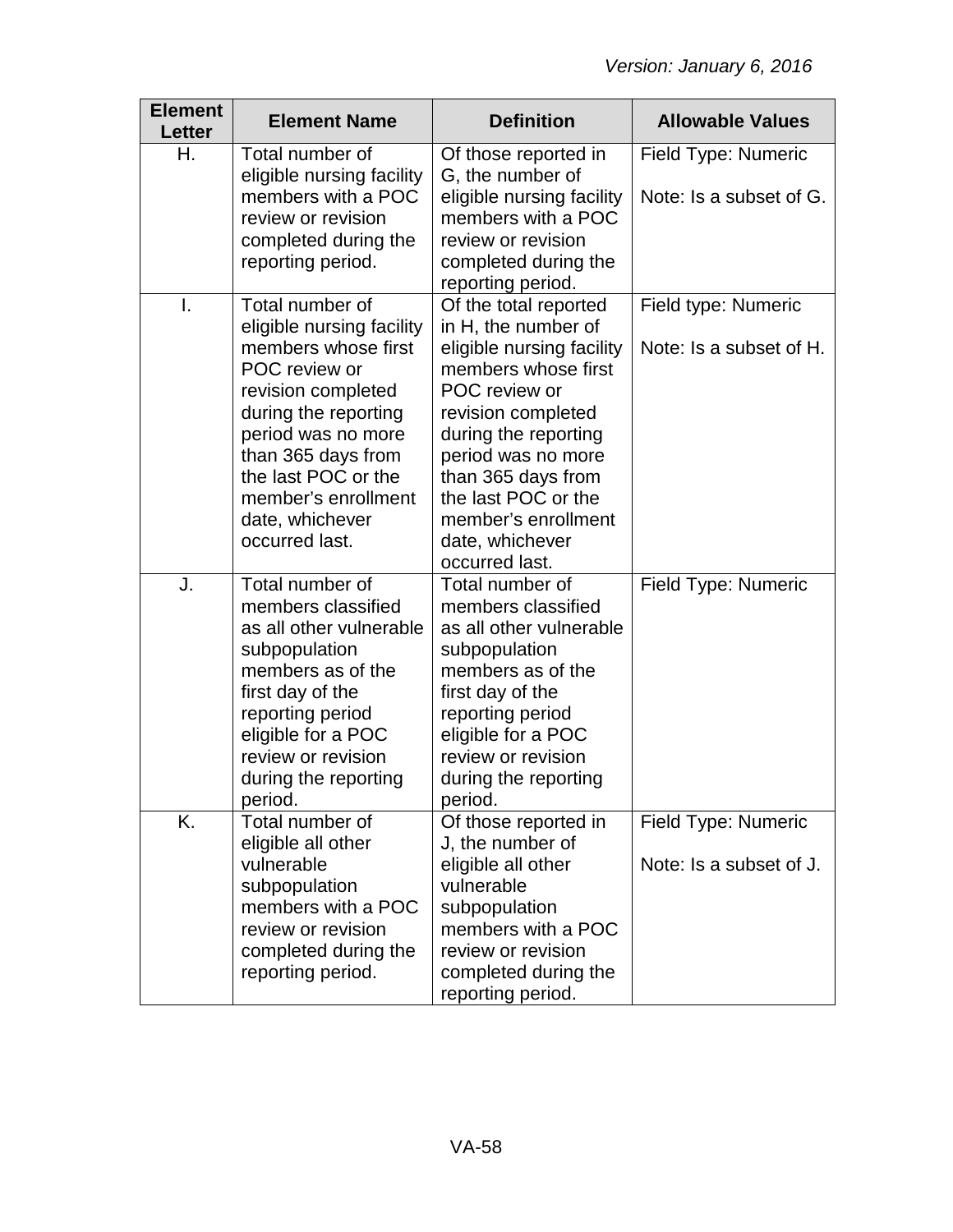| <b>Element</b><br>Letter | <b>Element Name</b>                                                                                                                                                                                                                                               | <b>Definition</b>                                                                                                                                                                                                                                                                              | <b>Allowable Values</b>                        |
|--------------------------|-------------------------------------------------------------------------------------------------------------------------------------------------------------------------------------------------------------------------------------------------------------------|------------------------------------------------------------------------------------------------------------------------------------------------------------------------------------------------------------------------------------------------------------------------------------------------|------------------------------------------------|
| Η.                       | Total number of<br>eligible nursing facility<br>members with a POC<br>review or revision<br>completed during the<br>reporting period.                                                                                                                             | Of those reported in<br>G, the number of<br>eligible nursing facility<br>members with a POC<br>review or revision<br>completed during the<br>reporting period.                                                                                                                                 | Field Type: Numeric<br>Note: Is a subset of G. |
| I.                       | Total number of<br>eligible nursing facility<br>members whose first<br>POC review or<br>revision completed<br>during the reporting<br>period was no more<br>than 365 days from<br>the last POC or the<br>member's enrollment<br>date, whichever<br>occurred last. | Of the total reported<br>in H, the number of<br>eligible nursing facility<br>members whose first<br>POC review or<br>revision completed<br>during the reporting<br>period was no more<br>than 365 days from<br>the last POC or the<br>member's enrollment<br>date, whichever<br>occurred last. | Field type: Numeric<br>Note: Is a subset of H. |
| J.                       | Total number of<br>members classified<br>as all other vulnerable<br>subpopulation<br>members as of the<br>first day of the<br>reporting period<br>eligible for a POC<br>review or revision<br>during the reporting<br>period.                                     | Total number of<br>members classified<br>as all other vulnerable<br>subpopulation<br>members as of the<br>first day of the<br>reporting period<br>eligible for a POC<br>review or revision<br>during the reporting<br>period.                                                                  | Field Type: Numeric                            |
| K.                       | Total number of<br>eligible all other<br>vulnerable<br>subpopulation<br>members with a POC<br>review or revision<br>completed during the<br>reporting period.                                                                                                     | Of those reported in<br>J, the number of<br>eligible all other<br>vulnerable<br>subpopulation<br>members with a POC<br>review or revision<br>completed during the<br>reporting period.                                                                                                         | Field Type: Numeric<br>Note: Is a subset of J. |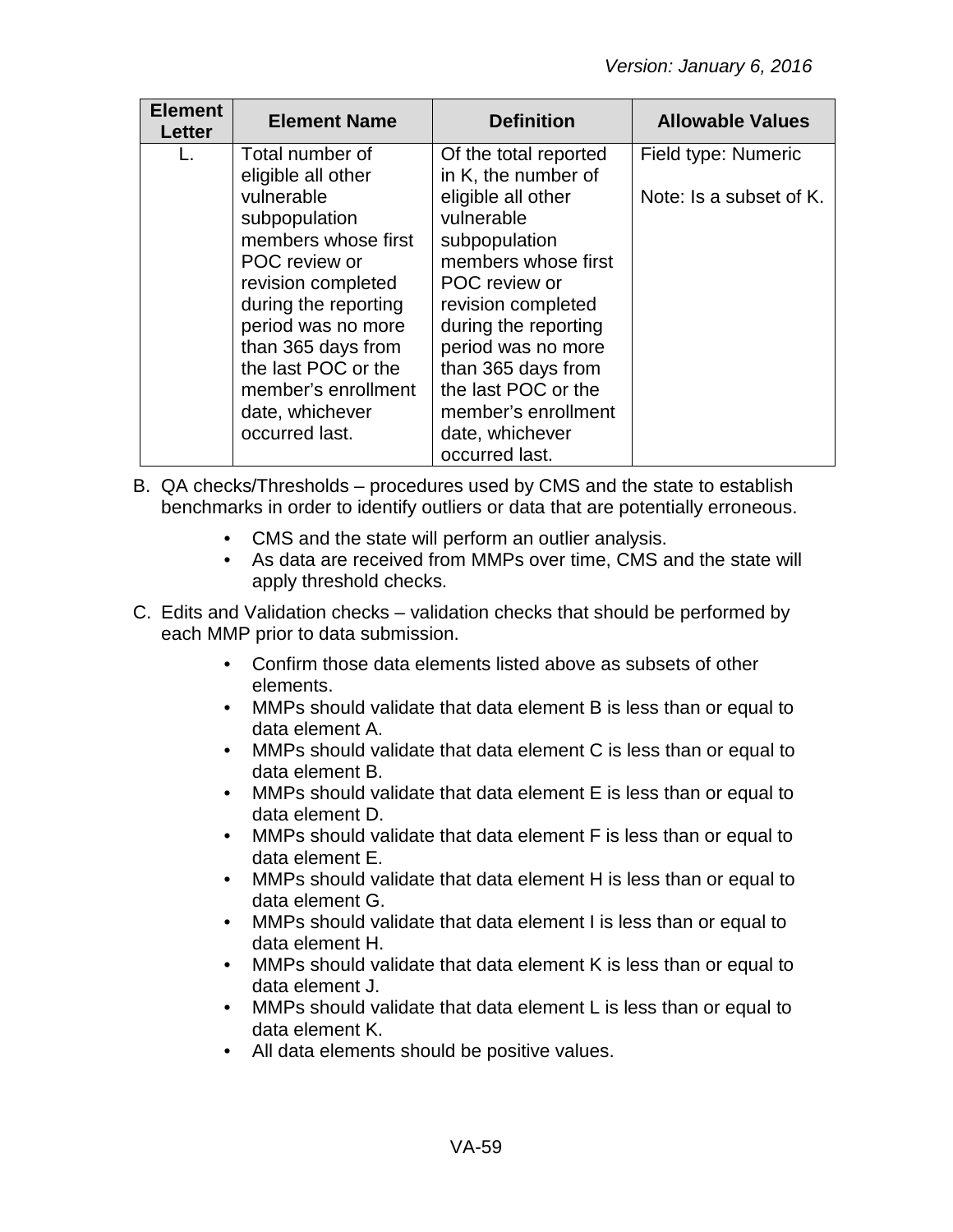| <b>Element</b><br>Letter | <b>Element Name</b>                                                                                                                                                                                                                              | <b>Definition</b>                                                                                                                                                                                                                                                      | <b>Allowable Values</b> |
|--------------------------|--------------------------------------------------------------------------------------------------------------------------------------------------------------------------------------------------------------------------------------------------|------------------------------------------------------------------------------------------------------------------------------------------------------------------------------------------------------------------------------------------------------------------------|-------------------------|
| L.                       | Total number of<br>eligible all other                                                                                                                                                                                                            | Of the total reported<br>in K, the number of                                                                                                                                                                                                                           | Field type: Numeric     |
|                          | vulnerable<br>subpopulation<br>members whose first<br>POC review or<br>revision completed<br>during the reporting<br>period was no more<br>than 365 days from<br>the last POC or the<br>member's enrollment<br>date, whichever<br>occurred last. | eligible all other<br>vulnerable<br>subpopulation<br>members whose first<br>POC review or<br>revision completed<br>during the reporting<br>period was no more<br>than 365 days from<br>the last POC or the<br>member's enrollment<br>date, whichever<br>occurred last. | Note: Is a subset of K. |

- B. QA checks/Thresholds procedures used by CMS and the state to establish benchmarks in order to identify outliers or data that are potentially erroneous.
	- CMS and the state will perform an outlier analysis.
	- As data are received from MMPs over time, CMS and the state will apply threshold checks.
- C. Edits and Validation checks validation checks that should be performed by each MMP prior to data submission.
	- Confirm those data elements listed above as subsets of other elements.
	- MMPs should validate that data element B is less than or equal to data element A.
	- MMPs should validate that data element C is less than or equal to data element B.
	- MMPs should validate that data element E is less than or equal to data element D.
	- MMPs should validate that data element F is less than or equal to data element E.
	- MMPs should validate that data element H is less than or equal to data element G.
	- MMPs should validate that data element I is less than or equal to data element H.
	- MMPs should validate that data element K is less than or equal to data element J.
	- MMPs should validate that data element L is less than or equal to data element K.
	- All data elements should be positive values.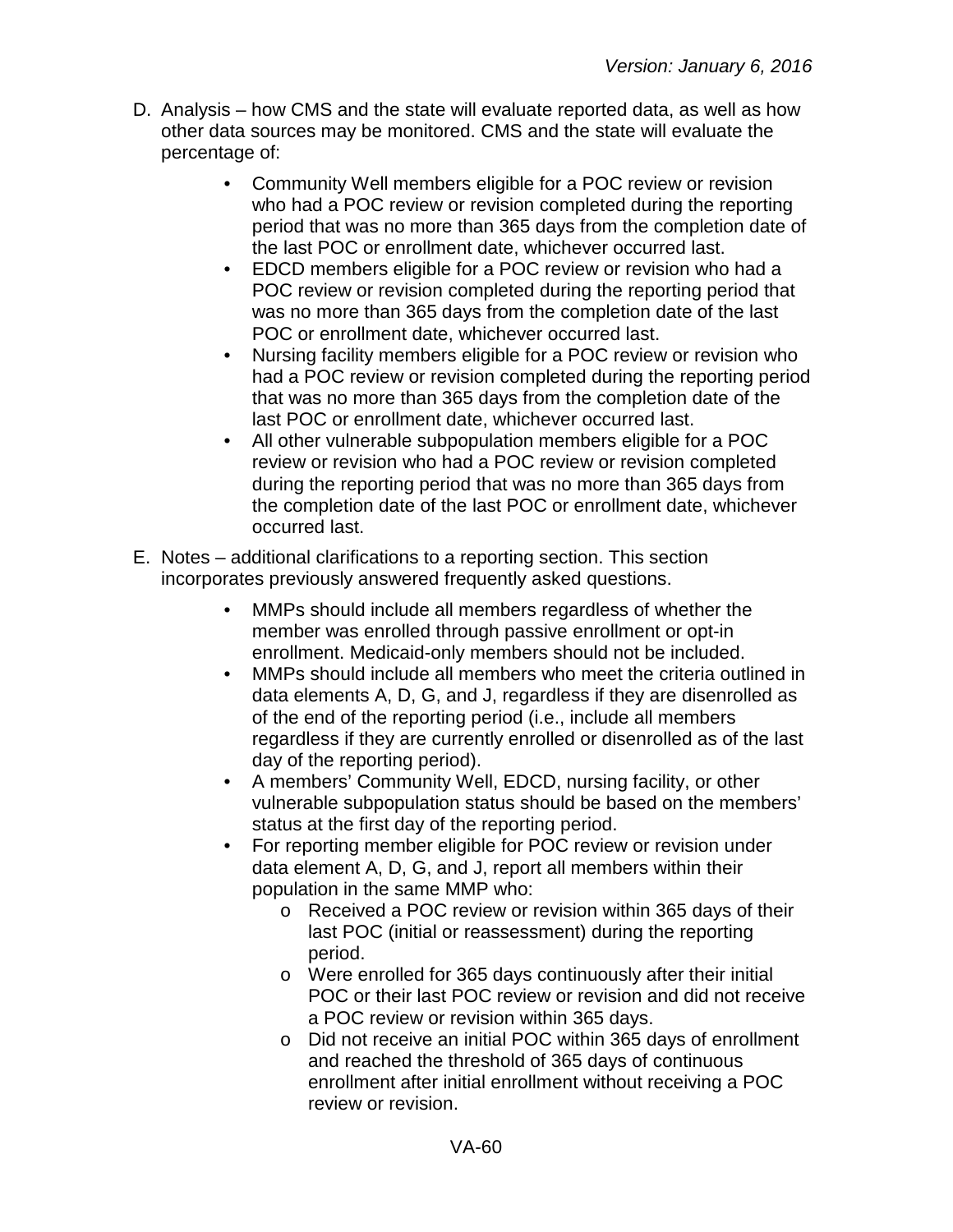- D. Analysis how CMS and the state will evaluate reported data, as well as how other data sources may be monitored. CMS and the state will evaluate the percentage of:
	- Community Well members eligible for a POC review or revision who had a POC review or revision completed during the reporting period that was no more than 365 days from the completion date of the last POC or enrollment date, whichever occurred last.
	- EDCD members eligible for a POC review or revision who had a POC review or revision completed during the reporting period that was no more than 365 days from the completion date of the last POC or enrollment date, whichever occurred last.
	- Nursing facility members eligible for a POC review or revision who had a POC review or revision completed during the reporting period that was no more than 365 days from the completion date of the last POC or enrollment date, whichever occurred last.
	- All other vulnerable subpopulation members eligible for a POC review or revision who had a POC review or revision completed during the reporting period that was no more than 365 days from the completion date of the last POC or enrollment date, whichever occurred last.
- E. Notes additional clarifications to a reporting section. This section incorporates previously answered frequently asked questions.
	- MMPs should include all members regardless of whether the member was enrolled through passive enrollment or opt-in enrollment. Medicaid-only members should not be included.
	- MMPs should include all members who meet the criteria outlined in data elements A, D, G, and J, regardless if they are disenrolled as of the end of the reporting period (i.e., include all members regardless if they are currently enrolled or disenrolled as of the last day of the reporting period).
	- A members' Community Well, EDCD, nursing facility, or other vulnerable subpopulation status should be based on the members' status at the first day of the reporting period.
	- For reporting member eligible for POC review or revision under data element A, D, G, and J, report all members within their population in the same MMP who:
		- o Received a POC review or revision within 365 days of their last POC (initial or reassessment) during the reporting period.
		- o Were enrolled for 365 days continuously after their initial POC or their last POC review or revision and did not receive a POC review or revision within 365 days.
		- o Did not receive an initial POC within 365 days of enrollment and reached the threshold of 365 days of continuous enrollment after initial enrollment without receiving a POC review or revision.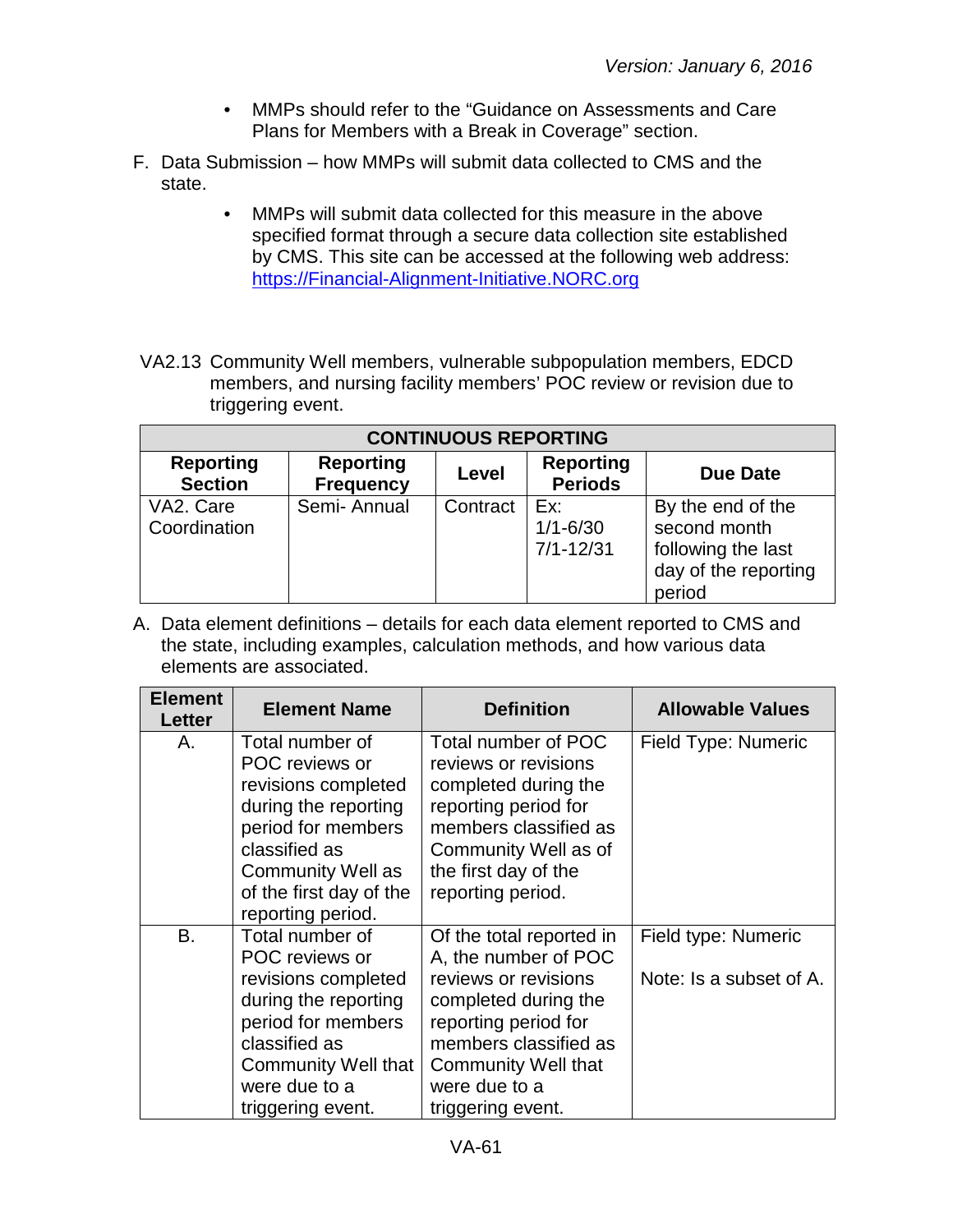- MMPs should refer to the "Guidance on Assessments and Care Plans for Members with a Break in Coverage" section.
- F. Data Submission how MMPs will submit data collected to CMS and the state.
	- MMPs will submit data collected for this measure in the above specified format through a secure data collection site established by CMS. This site can be accessed at the following web address: [https://Financial-Alignment-Initiative.NORC.org](https://financial-alignment-initiative.norc.org/)
- VA2.13 Community Well members, vulnerable subpopulation members, EDCD members, and nursing facility members' POC review or revision due to triggering event.

| <b>CONTINUOUS REPORTING</b>        |                                      |          |                                      |                                                                                           |  |
|------------------------------------|--------------------------------------|----------|--------------------------------------|-------------------------------------------------------------------------------------------|--|
| <b>Reporting</b><br><b>Section</b> | <b>Reporting</b><br><b>Frequency</b> | Level    | <b>Reporting</b><br><b>Periods</b>   | <b>Due Date</b>                                                                           |  |
| VA2. Care<br>Coordination          | Semi-Annual                          | Contract | Ex:<br>$1/1 - 6/30$<br>$7/1 - 12/31$ | By the end of the<br>second month<br>following the last<br>day of the reporting<br>period |  |

| <b>Element</b><br>Letter | <b>Element Name</b>                                                                                                                                                                          | <b>Definition</b>                                                                                                                                                                                                     | <b>Allowable Values</b>                        |
|--------------------------|----------------------------------------------------------------------------------------------------------------------------------------------------------------------------------------------|-----------------------------------------------------------------------------------------------------------------------------------------------------------------------------------------------------------------------|------------------------------------------------|
| Α.                       | Total number of<br>POC reviews or<br>revisions completed<br>during the reporting<br>period for members<br>classified as<br>Community Well as<br>of the first day of the<br>reporting period. | Total number of POC<br>reviews or revisions<br>completed during the<br>reporting period for<br>members classified as<br>Community Well as of<br>the first day of the<br>reporting period.                             | Field Type: Numeric                            |
| B.                       | Total number of<br>POC reviews or<br>revisions completed<br>during the reporting<br>period for members<br>classified as<br><b>Community Well that</b><br>were due to a<br>triggering event.  | Of the total reported in<br>A, the number of POC<br>reviews or revisions<br>completed during the<br>reporting period for<br>members classified as<br><b>Community Well that</b><br>were due to a<br>triggering event. | Field type: Numeric<br>Note: Is a subset of A. |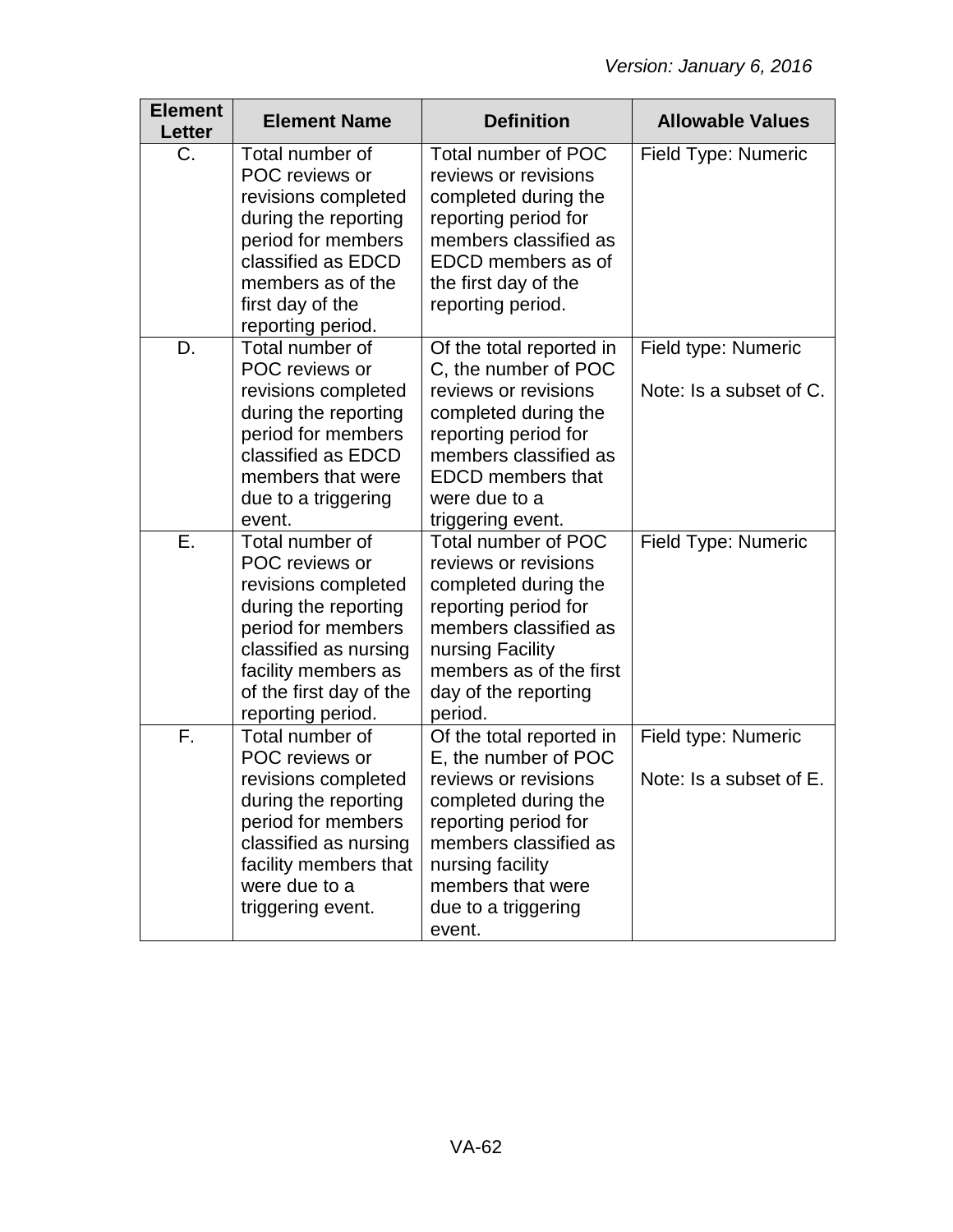| <b>Element</b><br><b>Letter</b> | <b>Element Name</b>                                                                                                                                                                                    | <b>Definition</b>                                                                                                                                                                                                           | <b>Allowable Values</b>                        |
|---------------------------------|--------------------------------------------------------------------------------------------------------------------------------------------------------------------------------------------------------|-----------------------------------------------------------------------------------------------------------------------------------------------------------------------------------------------------------------------------|------------------------------------------------|
| C.                              | Total number of<br>POC reviews or<br>revisions completed<br>during the reporting<br>period for members<br>classified as EDCD<br>members as of the<br>first day of the<br>reporting period.             | Total number of POC<br>reviews or revisions<br>completed during the<br>reporting period for<br>members classified as<br>EDCD members as of<br>the first day of the<br>reporting period.                                     | Field Type: Numeric                            |
| D.                              | Total number of<br>POC reviews or<br>revisions completed<br>during the reporting<br>period for members<br>classified as EDCD<br>members that were<br>due to a triggering<br>event.                     | Of the total reported in<br>C, the number of POC<br>reviews or revisions<br>completed during the<br>reporting period for<br>members classified as<br><b>EDCD</b> members that<br>were due to a<br>triggering event.         | Field type: Numeric<br>Note: Is a subset of C. |
| Ε.                              | Total number of<br>POC reviews or<br>revisions completed<br>during the reporting<br>period for members<br>classified as nursing<br>facility members as<br>of the first day of the<br>reporting period. | Total number of POC<br>reviews or revisions<br>completed during the<br>reporting period for<br>members classified as<br>nursing Facility<br>members as of the first<br>day of the reporting<br>period.                      | Field Type: Numeric                            |
| F.                              | Total number of<br>POC reviews or<br>revisions completed<br>during the reporting<br>period for members<br>classified as nursing<br>facility members that<br>were due to a<br>triggering event.         | Of the total reported in<br>E, the number of POC<br>reviews or revisions<br>completed during the<br>reporting period for<br>members classified as<br>nursing facility<br>members that were<br>due to a triggering<br>event. | Field type: Numeric<br>Note: Is a subset of E. |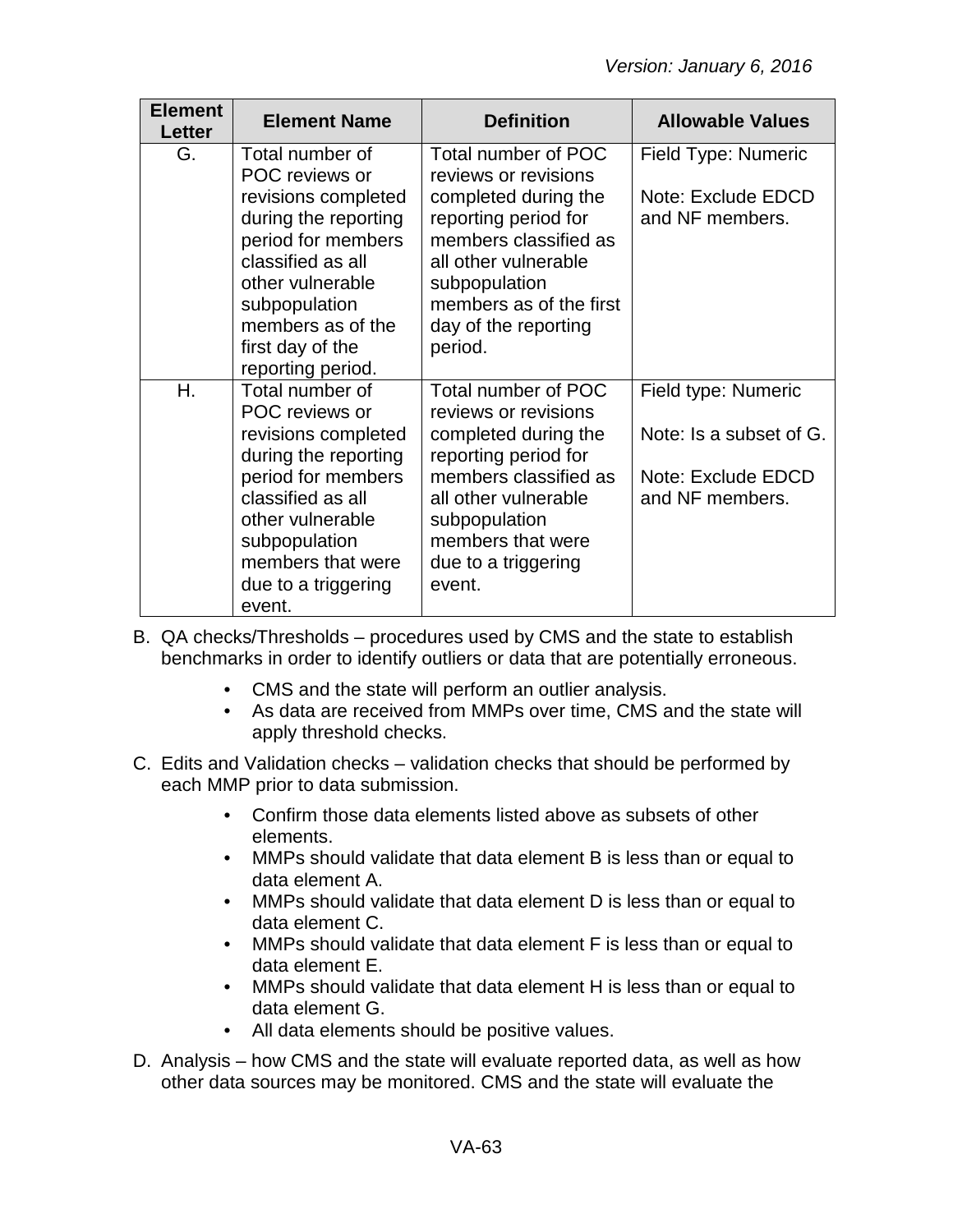| <b>Element</b><br><b>Letter</b> | <b>Element Name</b>                                                                                                                                                                                                            | <b>Definition</b>                                                                                                                                                                                                           | <b>Allowable Values</b>                                                                 |
|---------------------------------|--------------------------------------------------------------------------------------------------------------------------------------------------------------------------------------------------------------------------------|-----------------------------------------------------------------------------------------------------------------------------------------------------------------------------------------------------------------------------|-----------------------------------------------------------------------------------------|
| G.                              | Total number of<br>POC reviews or<br>revisions completed<br>during the reporting<br>period for members<br>classified as all<br>other vulnerable<br>subpopulation<br>members as of the<br>first day of the<br>reporting period. | Total number of POC<br>reviews or revisions<br>completed during the<br>reporting period for<br>members classified as<br>all other vulnerable<br>subpopulation<br>members as of the first<br>day of the reporting<br>period. | Field Type: Numeric<br>Note: Exclude EDCD<br>and NF members.                            |
| Η.                              | Total number of<br>POC reviews or<br>revisions completed<br>during the reporting<br>period for members<br>classified as all<br>other vulnerable<br>subpopulation<br>members that were<br>due to a triggering<br>event.         | Total number of POC<br>reviews or revisions<br>completed during the<br>reporting period for<br>members classified as<br>all other vulnerable<br>subpopulation<br>members that were<br>due to a triggering<br>event.         | Field type: Numeric<br>Note: Is a subset of G.<br>Note: Exclude EDCD<br>and NF members. |

- B. QA checks/Thresholds procedures used by CMS and the state to establish benchmarks in order to identify outliers or data that are potentially erroneous.
	- CMS and the state will perform an outlier analysis.
	- As data are received from MMPs over time, CMS and the state will apply threshold checks.
- C. Edits and Validation checks validation checks that should be performed by each MMP prior to data submission.
	- Confirm those data elements listed above as subsets of other elements.
	- MMPs should validate that data element B is less than or equal to data element A.
	- MMPs should validate that data element D is less than or equal to data element C.
	- MMPs should validate that data element F is less than or equal to data element E.
	- MMPs should validate that data element H is less than or equal to data element G.
	- All data elements should be positive values.
- D. Analysis how CMS and the state will evaluate reported data, as well as how other data sources may be monitored. CMS and the state will evaluate the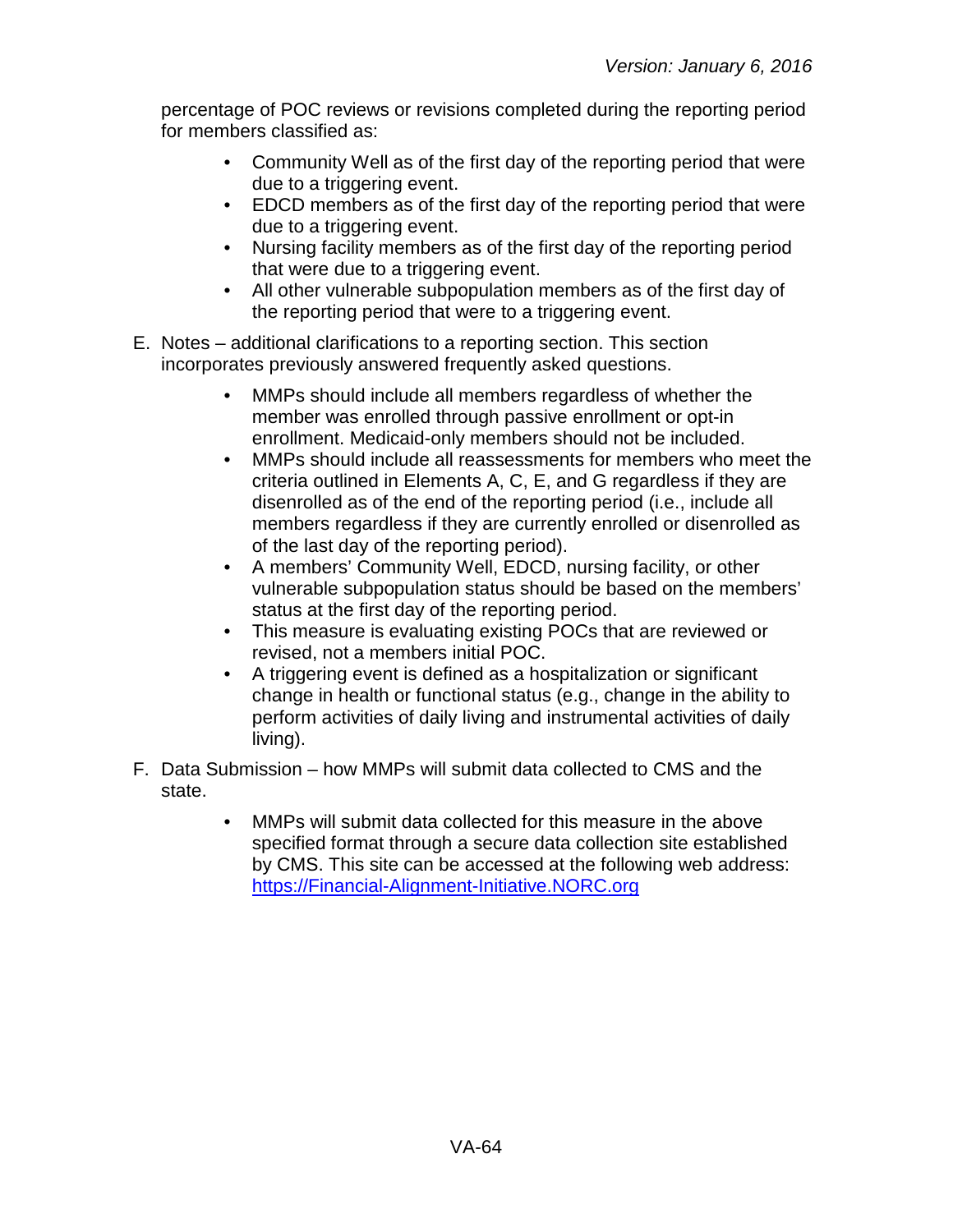percentage of POC reviews or revisions completed during the reporting period for members classified as:

- Community Well as of the first day of the reporting period that were due to a triggering event.
- EDCD members as of the first day of the reporting period that were due to a triggering event.
- Nursing facility members as of the first day of the reporting period that were due to a triggering event.
- All other vulnerable subpopulation members as of the first day of the reporting period that were to a triggering event.
- E. Notes additional clarifications to a reporting section. This section incorporates previously answered frequently asked questions.
	- MMPs should include all members regardless of whether the member was enrolled through passive enrollment or opt-in enrollment. Medicaid-only members should not be included.
	- MMPs should include all reassessments for members who meet the criteria outlined in Elements A, C, E, and G regardless if they are disenrolled as of the end of the reporting period (i.e., include all members regardless if they are currently enrolled or disenrolled as of the last day of the reporting period).
	- A members' Community Well, EDCD, nursing facility, or other vulnerable subpopulation status should be based on the members' status at the first day of the reporting period.
	- This measure is evaluating existing POCs that are reviewed or revised, not a members initial POC.
	- A triggering event is defined as a hospitalization or significant change in health or functional status (e.g., change in the ability to perform activities of daily living and instrumental activities of daily living).
- F. Data Submission how MMPs will submit data collected to CMS and the state.
	- MMPs will submit data collected for this measure in the above specified format through a secure data collection site established by CMS. This site can be accessed at the following web address: [https://Financial-Alignment-Initiative.NORC.org](https://financial-alignment-initiative.norc.org/)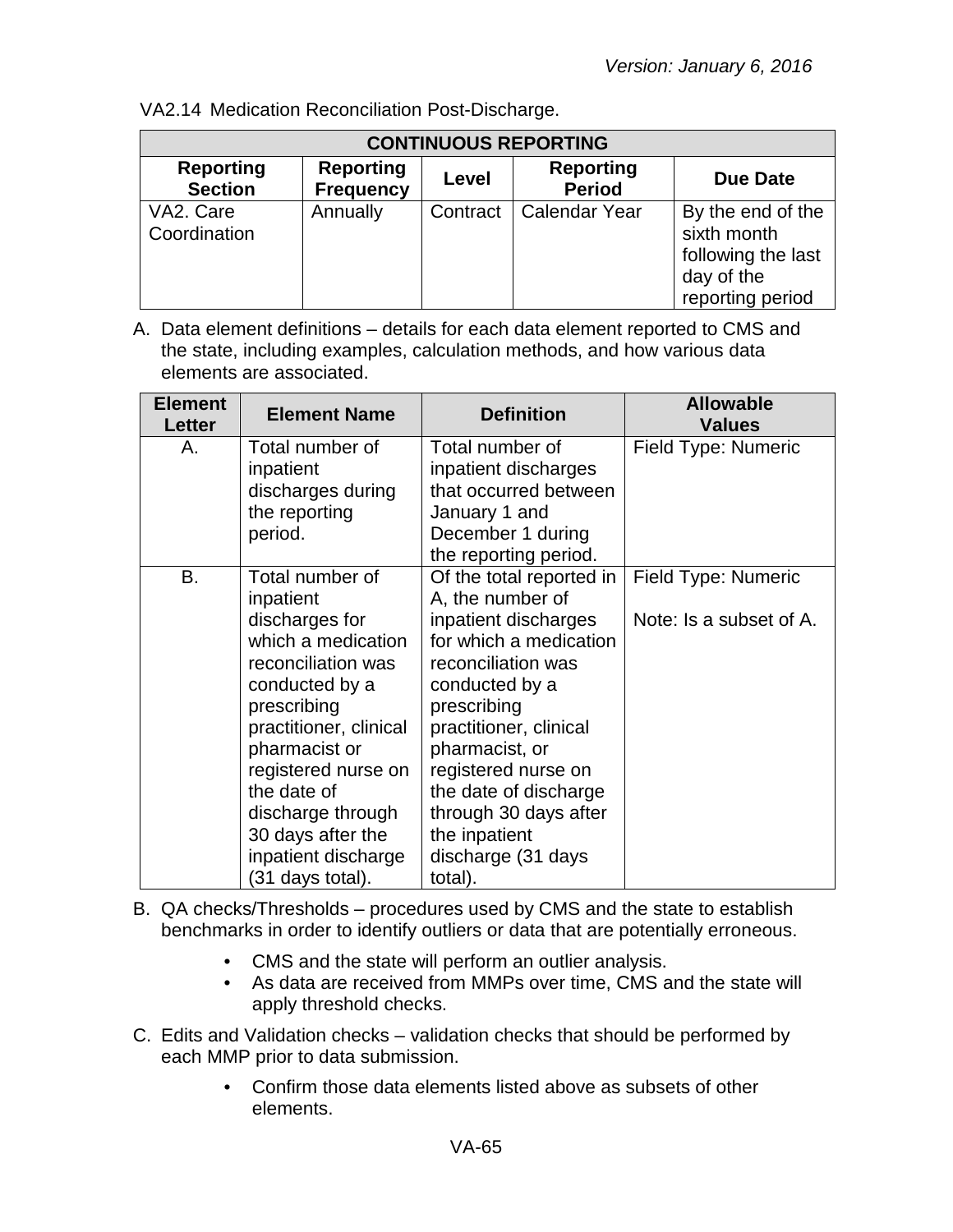| <b>CONTINUOUS REPORTING</b>        |                                      |          |                                   |                                                                                          |
|------------------------------------|--------------------------------------|----------|-----------------------------------|------------------------------------------------------------------------------------------|
| <b>Reporting</b><br><b>Section</b> | <b>Reporting</b><br><b>Frequency</b> | Level    | <b>Reporting</b><br><b>Period</b> | Due Date                                                                                 |
| VA2. Care<br>Coordination          | Annually                             | Contract | <b>Calendar Year</b>              | By the end of the<br>sixth month<br>following the last<br>day of the<br>reporting period |

VA2.14 Medication Reconciliation Post-Discharge.

| <b>Element</b><br>Letter | <b>Element Name</b>                                                                                                                                                                                                                                                                               | <b>Definition</b>                                                                                                                                                                                                                                                                                                            | <b>Allowable</b><br><b>Values</b>              |
|--------------------------|---------------------------------------------------------------------------------------------------------------------------------------------------------------------------------------------------------------------------------------------------------------------------------------------------|------------------------------------------------------------------------------------------------------------------------------------------------------------------------------------------------------------------------------------------------------------------------------------------------------------------------------|------------------------------------------------|
| А.                       | Total number of<br>inpatient<br>discharges during<br>the reporting<br>period.                                                                                                                                                                                                                     | Total number of<br>inpatient discharges<br>that occurred between<br>January 1 and<br>December 1 during<br>the reporting period.                                                                                                                                                                                              | Field Type: Numeric                            |
| В.                       | Total number of<br>inpatient<br>discharges for<br>which a medication<br>reconciliation was<br>conducted by a<br>prescribing<br>practitioner, clinical<br>pharmacist or<br>registered nurse on<br>the date of<br>discharge through<br>30 days after the<br>inpatient discharge<br>(31 days total). | Of the total reported in<br>A, the number of<br>inpatient discharges<br>for which a medication<br>reconciliation was<br>conducted by a<br>prescribing<br>practitioner, clinical<br>pharmacist, or<br>registered nurse on<br>the date of discharge<br>through 30 days after<br>the inpatient<br>discharge (31 days<br>total). | Field Type: Numeric<br>Note: Is a subset of A. |

- B. QA checks/Thresholds procedures used by CMS and the state to establish benchmarks in order to identify outliers or data that are potentially erroneous.
	- CMS and the state will perform an outlier analysis.
	- As data are received from MMPs over time, CMS and the state will apply threshold checks.
- C. Edits and Validation checks validation checks that should be performed by each MMP prior to data submission.
	- Confirm those data elements listed above as subsets of other elements.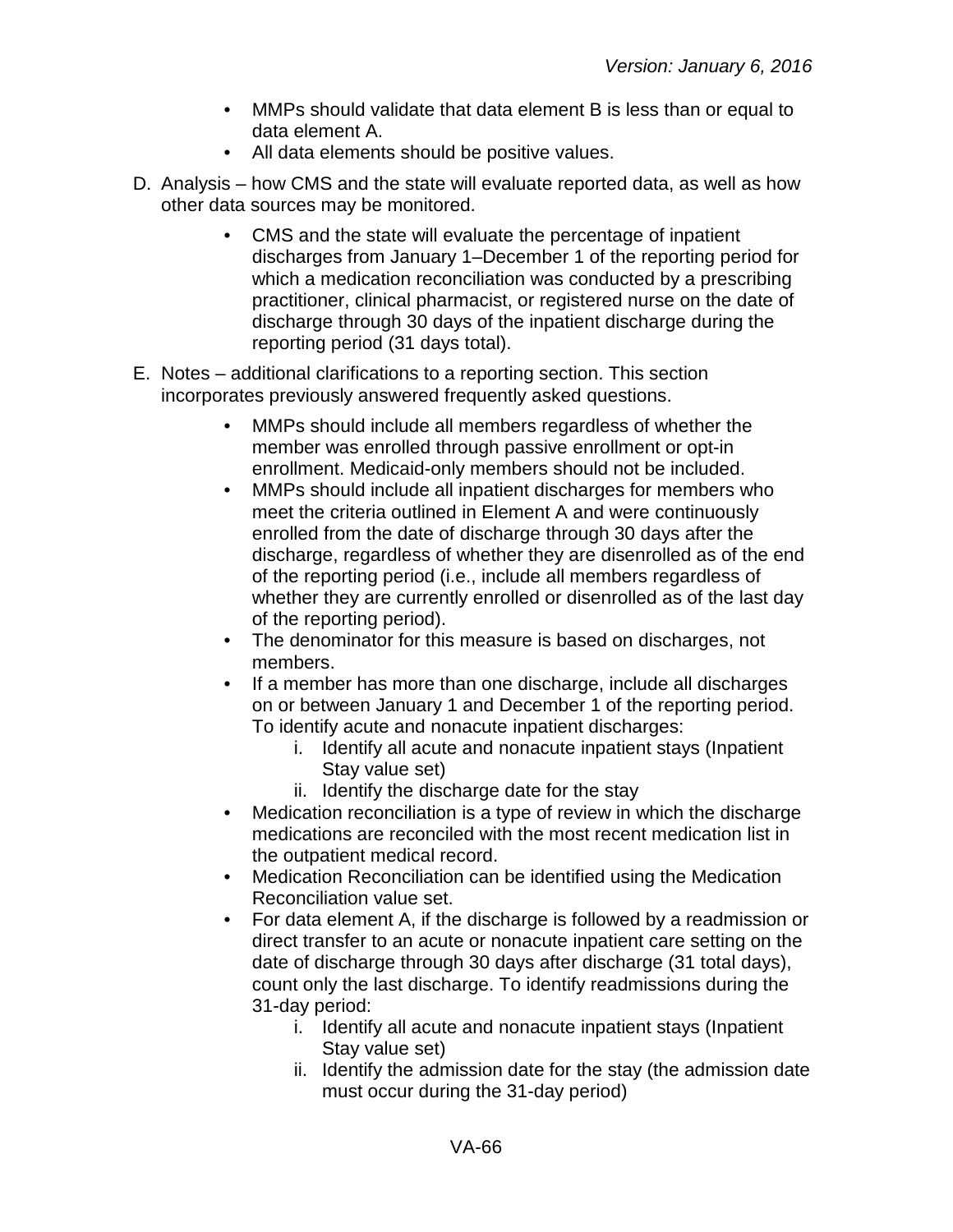- MMPs should validate that data element B is less than or equal to data element A.
- All data elements should be positive values.
- D. Analysis how CMS and the state will evaluate reported data, as well as how other data sources may be monitored.
	- CMS and the state will evaluate the percentage of inpatient discharges from January 1–December 1 of the reporting period for which a medication reconciliation was conducted by a prescribing practitioner, clinical pharmacist, or registered nurse on the date of discharge through 30 days of the inpatient discharge during the reporting period (31 days total).
- E. Notes additional clarifications to a reporting section. This section incorporates previously answered frequently asked questions.
	- MMPs should include all members regardless of whether the member was enrolled through passive enrollment or opt-in enrollment. Medicaid-only members should not be included.
	- MMPs should include all inpatient discharges for members who meet the criteria outlined in Element A and were continuously enrolled from the date of discharge through 30 days after the discharge, regardless of whether they are disenrolled as of the end of the reporting period (i.e., include all members regardless of whether they are currently enrolled or disenrolled as of the last day of the reporting period).
	- The denominator for this measure is based on discharges, not members.
	- If a member has more than one discharge, include all discharges on or between January 1 and December 1 of the reporting period. To identify acute and nonacute inpatient discharges:
		- i. Identify all acute and nonacute inpatient stays (Inpatient Stay value set)
		- ii. Identify the discharge date for the stay
	- Medication reconciliation is a type of review in which the discharge medications are reconciled with the most recent medication list in the outpatient medical record.
	- Medication Reconciliation can be identified using the Medication Reconciliation value set.
	- For data element A, if the discharge is followed by a readmission or direct transfer to an acute or nonacute inpatient care setting on the date of discharge through 30 days after discharge (31 total days), count only the last discharge. To identify readmissions during the 31-day period:
		- i. Identify all acute and nonacute inpatient stays (Inpatient Stay value set)
		- ii. Identify the admission date for the stay (the admission date must occur during the 31-day period)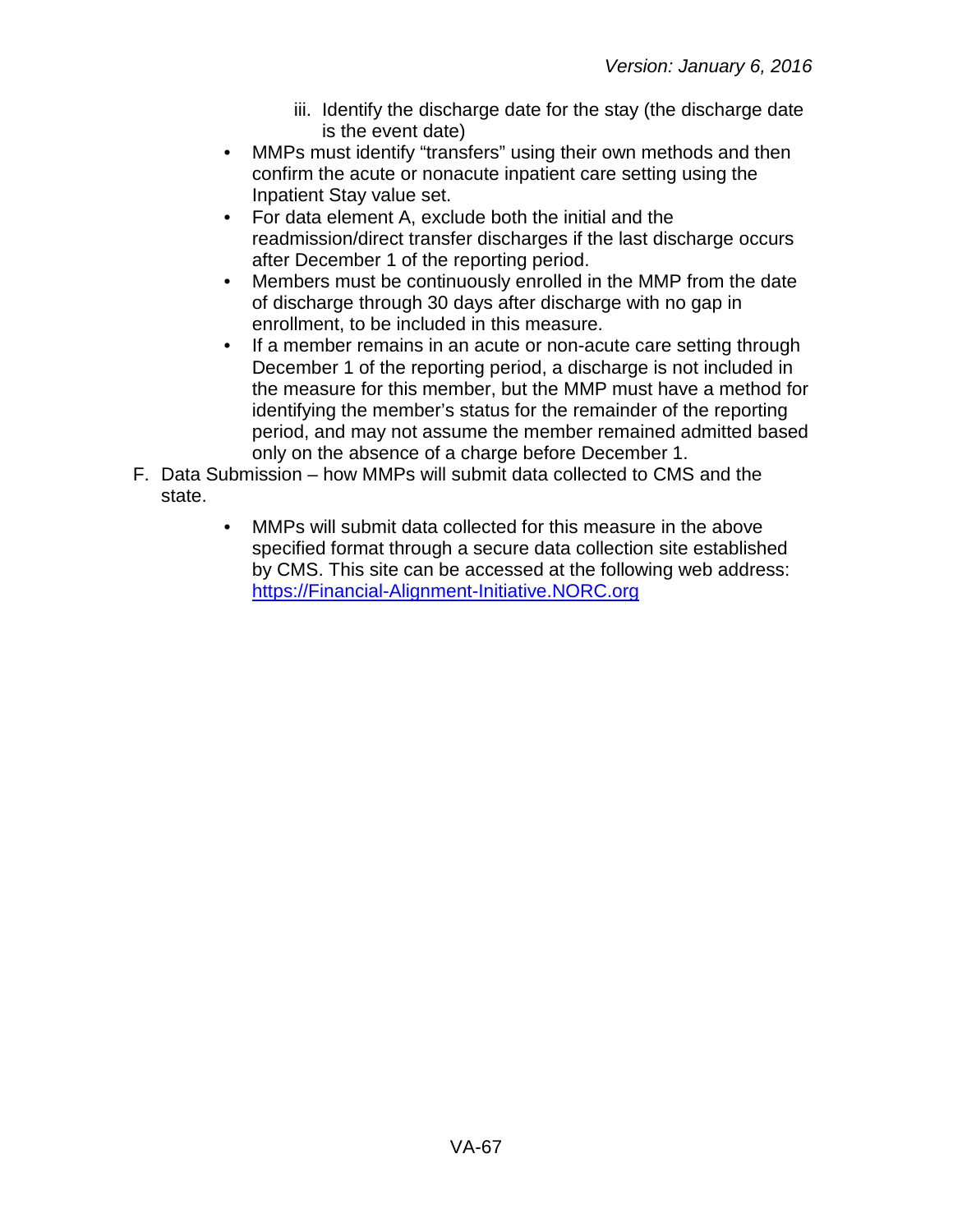- iii. Identify the discharge date for the stay (the discharge date is the event date)
- MMPs must identify "transfers" using their own methods and then confirm the acute or nonacute inpatient care setting using the Inpatient Stay value set.
- For data element A, exclude both the initial and the readmission/direct transfer discharges if the last discharge occurs after December 1 of the reporting period.
- Members must be continuously enrolled in the MMP from the date of discharge through 30 days after discharge with no gap in enrollment, to be included in this measure.
- If a member remains in an acute or non-acute care setting through December 1 of the reporting period, a discharge is not included in the measure for this member, but the MMP must have a method for identifying the member's status for the remainder of the reporting period, and may not assume the member remained admitted based only on the absence of a charge before December 1.
- F. Data Submission how MMPs will submit data collected to CMS and the state.
	- MMPs will submit data collected for this measure in the above specified format through a secure data collection site established by CMS. This site can be accessed at the following web address: [https://Financial-Alignment-Initiative.NORC.org](https://financial-alignment-initiative.norc.org/)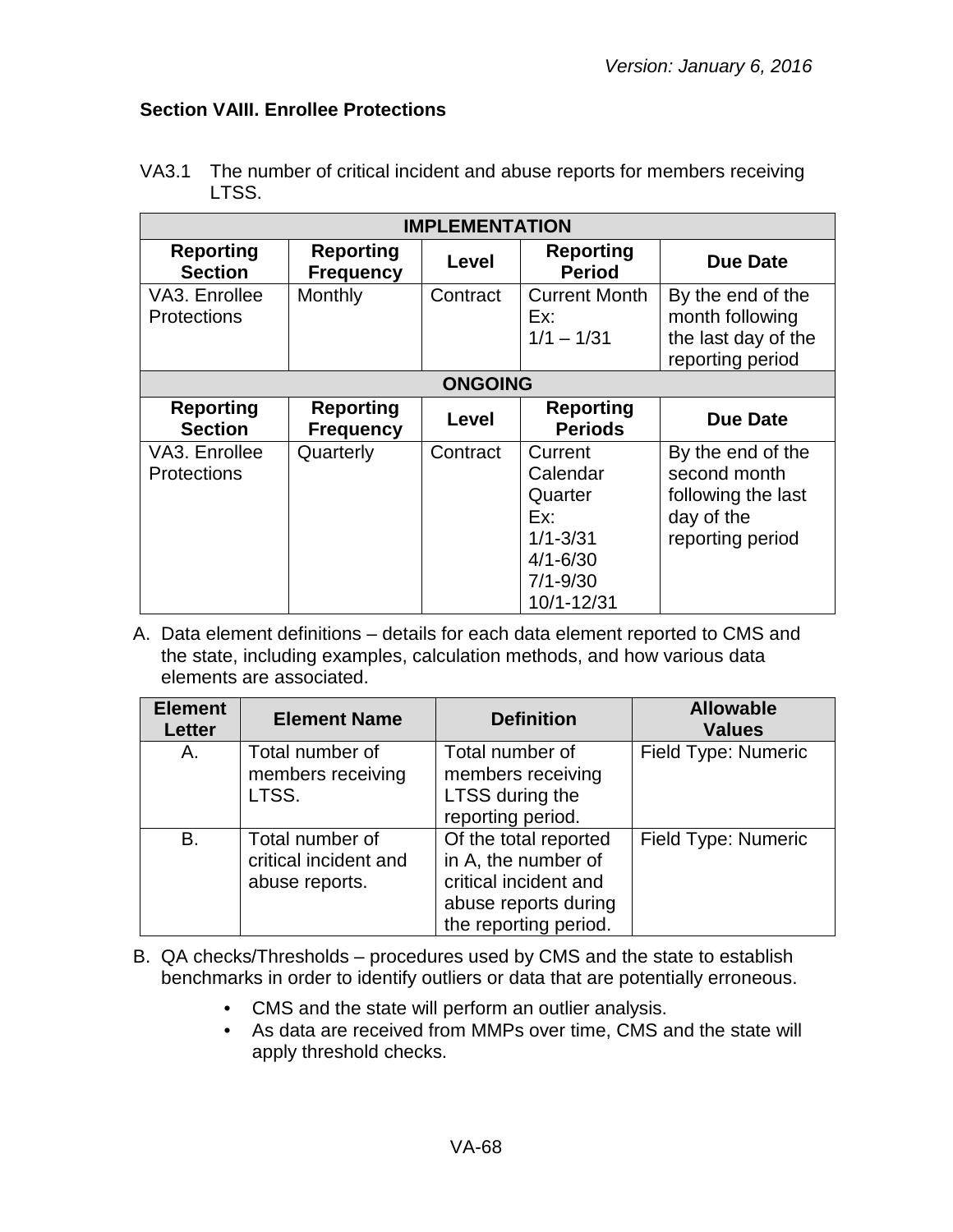## **Section VAIII. Enrollee Protections**

| <b>IMPLEMENTATION</b>               |                                      |          |                                                                                                     |                                                                                           |
|-------------------------------------|--------------------------------------|----------|-----------------------------------------------------------------------------------------------------|-------------------------------------------------------------------------------------------|
| <b>Reporting</b><br><b>Section</b>  | <b>Reporting</b><br><b>Frequency</b> | Level    | <b>Reporting</b><br><b>Period</b>                                                                   | <b>Due Date</b>                                                                           |
| VA3. Enrollee<br><b>Protections</b> | Monthly                              | Contract | <b>Current Month</b><br>Ex:<br>$1/1 - 1/31$                                                         | By the end of the<br>month following<br>the last day of the<br>reporting period           |
| <b>ONGOING</b>                      |                                      |          |                                                                                                     |                                                                                           |
| <b>Reporting</b><br><b>Section</b>  | <b>Reporting</b><br><b>Frequency</b> | Level    | <b>Reporting</b><br><b>Periods</b>                                                                  | <b>Due Date</b>                                                                           |
| VA3. Enrollee<br><b>Protections</b> | Quarterly                            | Contract | Current<br>Calendar<br>Quarter<br>Ex:<br>$1/1 - 3/31$<br>$4/1 - 6/30$<br>$7/1 - 9/30$<br>10/1-12/31 | By the end of the<br>second month<br>following the last<br>day of the<br>reporting period |

VA3.1 The number of critical incident and abuse reports for members receiving LTSS.

| <b>Element</b><br><b>Letter</b> | <b>Element Name</b>                                        | <b>Definition</b>                                                                                                      | <b>Allowable</b><br><b>Values</b> |
|---------------------------------|------------------------------------------------------------|------------------------------------------------------------------------------------------------------------------------|-----------------------------------|
| Α.                              | Total number of<br>members receiving<br>LTSS.              | Total number of<br>members receiving<br>LTSS during the<br>reporting period.                                           | Field Type: Numeric               |
| <b>B.</b>                       | Total number of<br>critical incident and<br>abuse reports. | Of the total reported<br>in A, the number of<br>critical incident and<br>abuse reports during<br>the reporting period. | <b>Field Type: Numeric</b>        |

- B. QA checks/Thresholds procedures used by CMS and the state to establish benchmarks in order to identify outliers or data that are potentially erroneous.
	- CMS and the state will perform an outlier analysis.
	- As data are received from MMPs over time, CMS and the state will apply threshold checks.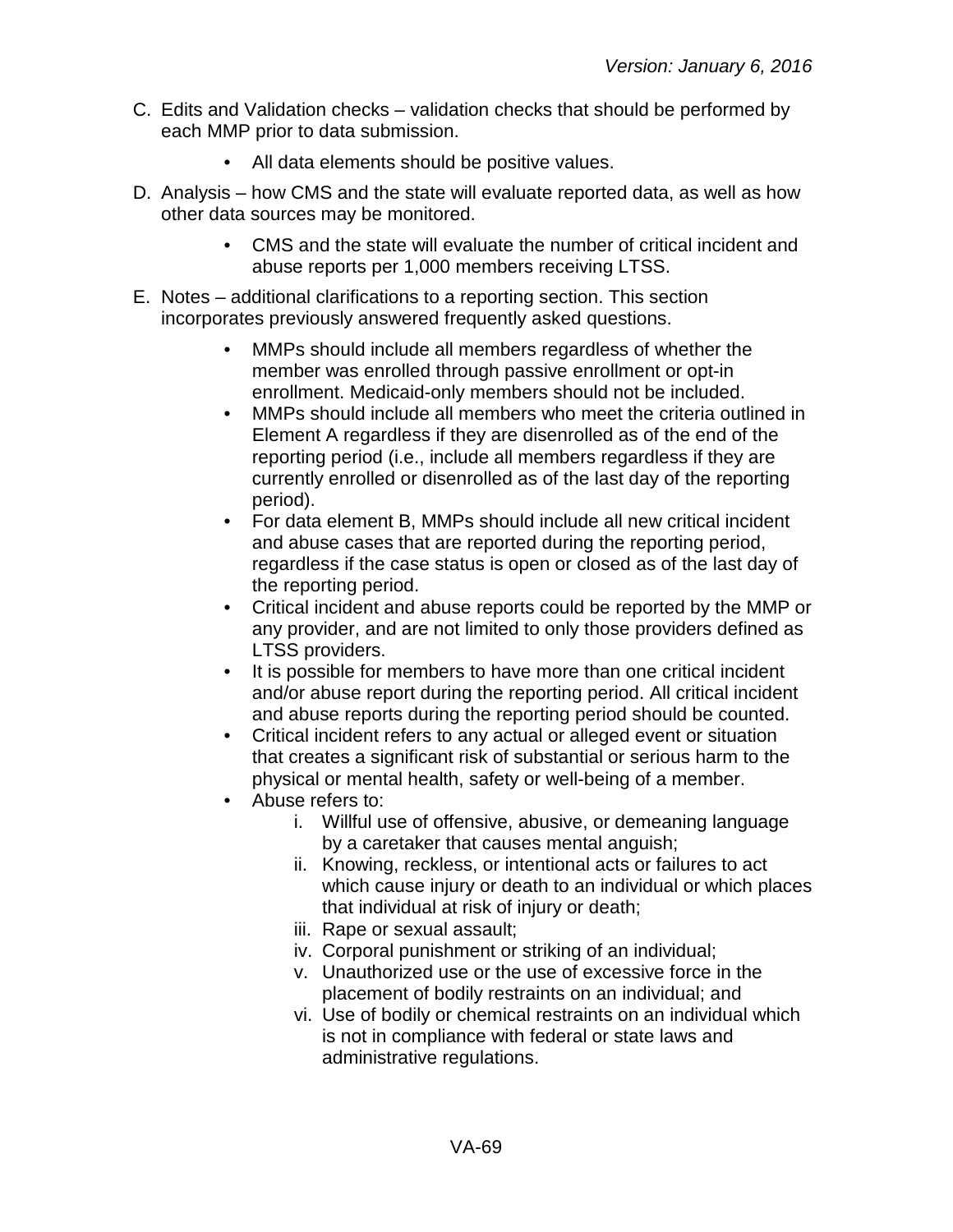- C. Edits and Validation checks validation checks that should be performed by each MMP prior to data submission.
	- All data elements should be positive values.
- D. Analysis how CMS and the state will evaluate reported data, as well as how other data sources may be monitored.
	- CMS and the state will evaluate the number of critical incident and abuse reports per 1,000 members receiving LTSS.
- E. Notes additional clarifications to a reporting section. This section incorporates previously answered frequently asked questions.
	- MMPs should include all members regardless of whether the member was enrolled through passive enrollment or opt-in enrollment. Medicaid-only members should not be included.
	- MMPs should include all members who meet the criteria outlined in Element A regardless if they are disenrolled as of the end of the reporting period (i.e., include all members regardless if they are currently enrolled or disenrolled as of the last day of the reporting period).
	- For data element B, MMPs should include all new critical incident and abuse cases that are reported during the reporting period, regardless if the case status is open or closed as of the last day of the reporting period.
	- Critical incident and abuse reports could be reported by the MMP or any provider, and are not limited to only those providers defined as LTSS providers.
	- It is possible for members to have more than one critical incident and/or abuse report during the reporting period. All critical incident and abuse reports during the reporting period should be counted.
	- Critical incident refers to any actual or alleged event or situation that creates a significant risk of substantial or serious harm to the physical or mental health, safety or well-being of a member.
	- Abuse refers to:
		- i. Willful use of offensive, abusive, or demeaning language by a caretaker that causes mental anguish;
		- ii. Knowing, reckless, or intentional acts or failures to act which cause injury or death to an individual or which places that individual at risk of injury or death;
		- iii. Rape or sexual assault;
		- iv. Corporal punishment or striking of an individual;
		- v. Unauthorized use or the use of excessive force in the placement of bodily restraints on an individual; and
		- vi. Use of bodily or chemical restraints on an individual which is not in compliance with federal or state laws and administrative regulations.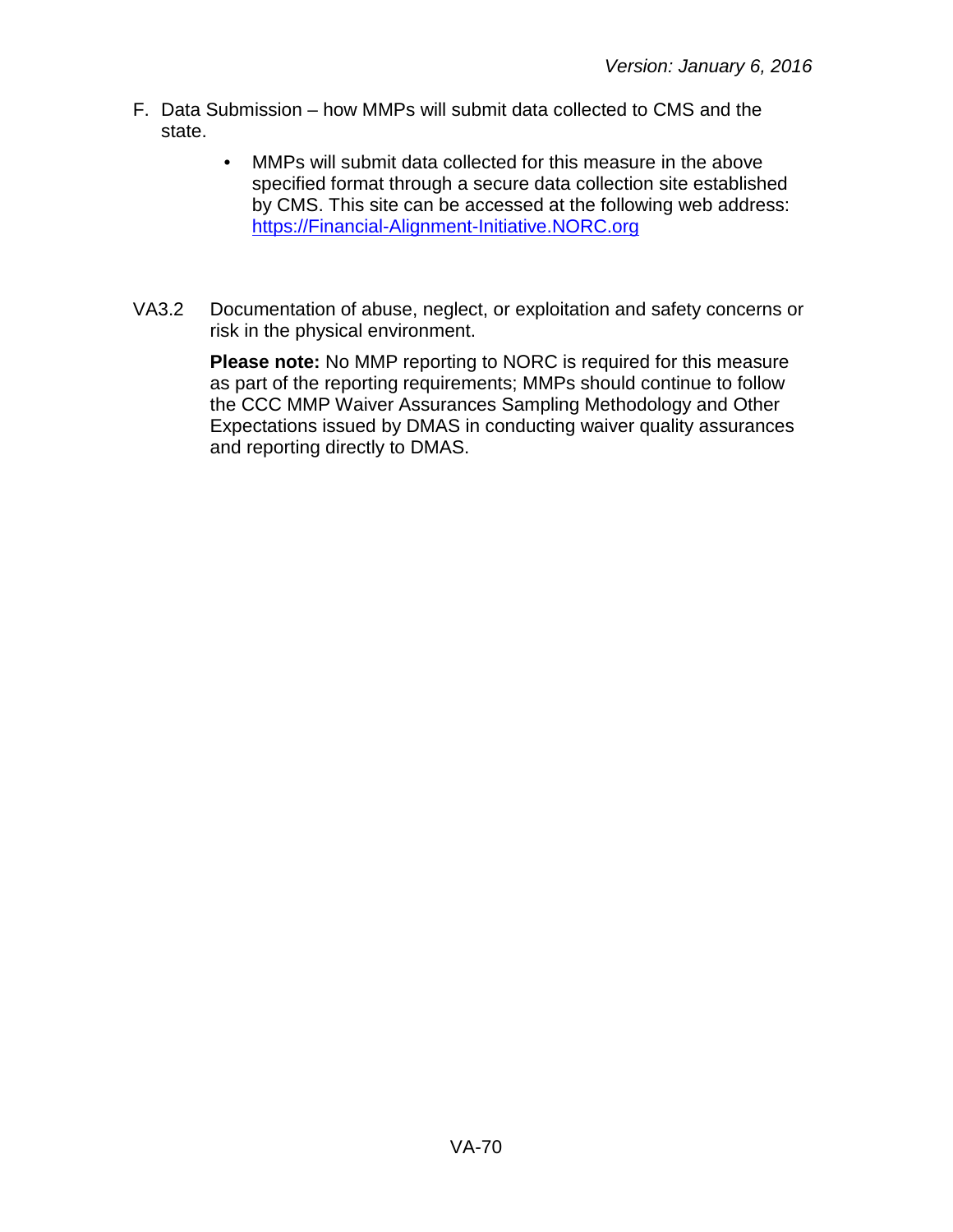- F. Data Submission how MMPs will submit data collected to CMS and the state.
	- MMPs will submit data collected for this measure in the above specified format through a secure data collection site established by CMS. This site can be accessed at the following web address: [https://Financial-Alignment-Initiative.NORC.org](https://financial-alignment-initiative.norc.org/)
- VA3.2 Documentation of abuse, neglect, or exploitation and safety concerns or risk in the physical environment.

**Please note:** No MMP reporting to NORC is required for this measure as part of the reporting requirements; MMPs should continue to follow the CCC MMP Waiver Assurances Sampling Methodology and Other Expectations issued by DMAS in conducting waiver quality assurances and reporting directly to DMAS.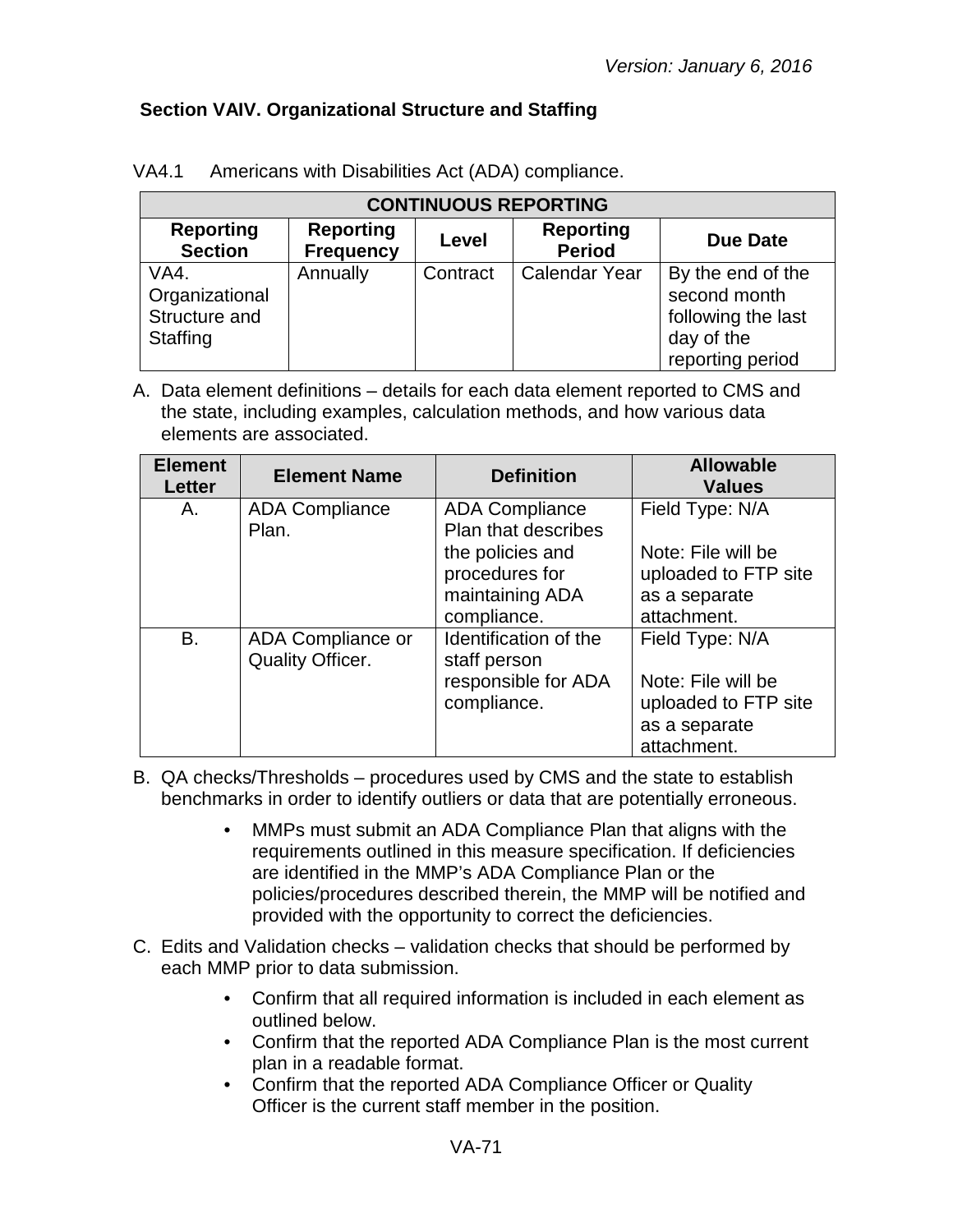## **Section VAIV. Organizational Structure and Staffing**

| <b>CONTINUOUS REPORTING</b>                         |                                      |          |                                   |                                                                                           |
|-----------------------------------------------------|--------------------------------------|----------|-----------------------------------|-------------------------------------------------------------------------------------------|
| <b>Reporting</b><br><b>Section</b>                  | <b>Reporting</b><br><b>Frequency</b> | Level    | <b>Reporting</b><br><b>Period</b> | <b>Due Date</b>                                                                           |
| VA4.<br>Organizational<br>Structure and<br>Staffing | Annually                             | Contract | Calendar Year                     | By the end of the<br>second month<br>following the last<br>day of the<br>reporting period |

VA4.1 Americans with Disabilities Act (ADA) compliance.

| <b>Element</b><br><b>Letter</b> | <b>Element Name</b>                          | <b>Definition</b>                                                                                                           | <b>Allowable</b><br><b>Values</b>                                                             |
|---------------------------------|----------------------------------------------|-----------------------------------------------------------------------------------------------------------------------------|-----------------------------------------------------------------------------------------------|
| A.                              | <b>ADA Compliance</b><br>Plan.               | <b>ADA Compliance</b><br><b>Plan that describes</b><br>the policies and<br>procedures for<br>maintaining ADA<br>compliance. | Field Type: N/A<br>Note: File will be<br>uploaded to FTP site<br>as a separate<br>attachment. |
| B.                              | ADA Compliance or<br><b>Quality Officer.</b> | Identification of the<br>staff person<br>responsible for ADA<br>compliance.                                                 | Field Type: N/A<br>Note: File will be<br>uploaded to FTP site<br>as a separate<br>attachment. |

- B. QA checks/Thresholds procedures used by CMS and the state to establish benchmarks in order to identify outliers or data that are potentially erroneous.
	- MMPs must submit an ADA Compliance Plan that aligns with the requirements outlined in this measure specification. If deficiencies are identified in the MMP's ADA Compliance Plan or the policies/procedures described therein, the MMP will be notified and provided with the opportunity to correct the deficiencies.
- C. Edits and Validation checks validation checks that should be performed by each MMP prior to data submission.
	- Confirm that all required information is included in each element as outlined below.
	- Confirm that the reported ADA Compliance Plan is the most current plan in a readable format.
	- Confirm that the reported ADA Compliance Officer or Quality Officer is the current staff member in the position.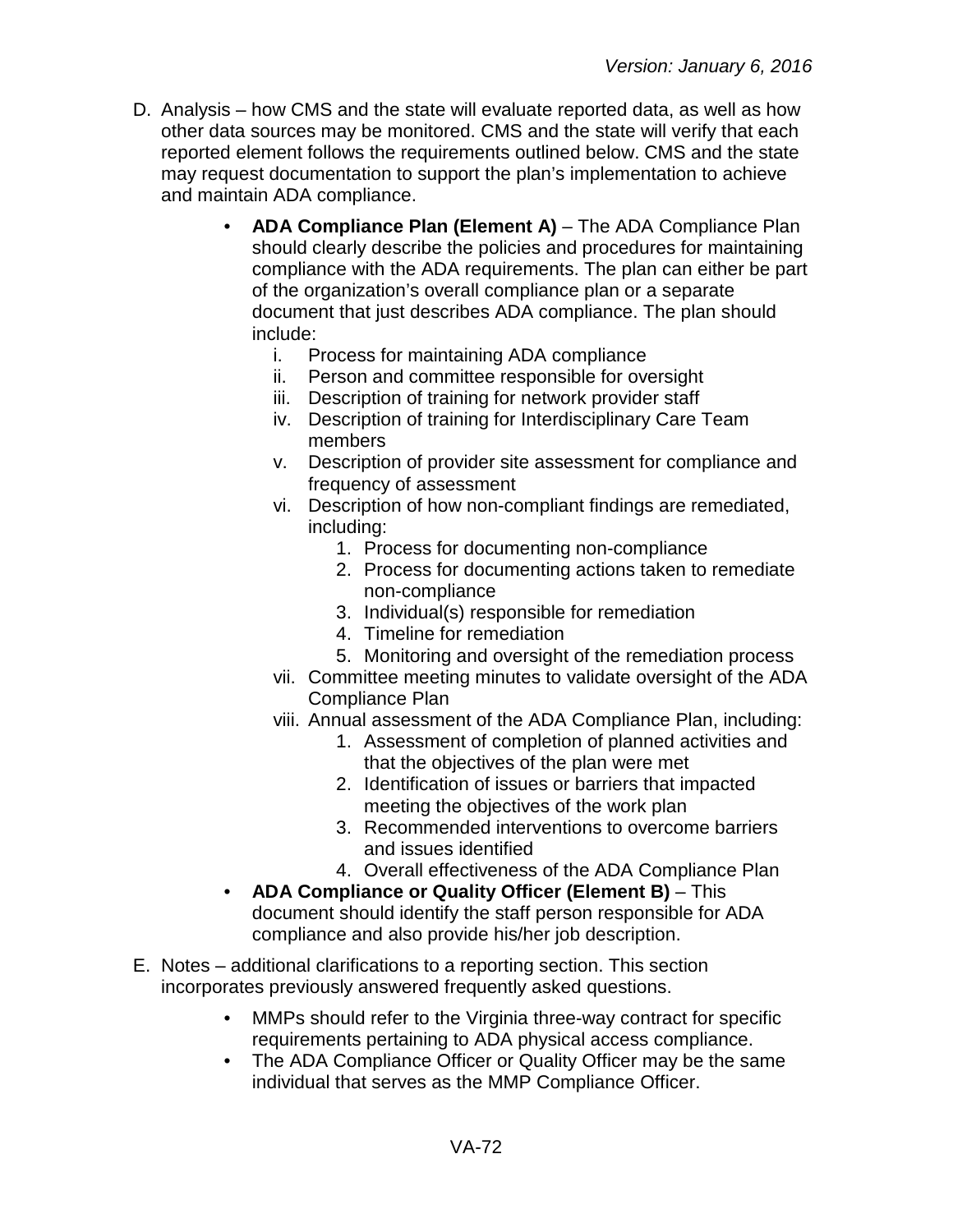- D. Analysis how CMS and the state will evaluate reported data, as well as how other data sources may be monitored. CMS and the state will verify that each reported element follows the requirements outlined below. CMS and the state may request documentation to support the plan's implementation to achieve and maintain ADA compliance.
	- **ADA Compliance Plan (Element A)** The ADA Compliance Plan should clearly describe the policies and procedures for maintaining compliance with the ADA requirements. The plan can either be part of the organization's overall compliance plan or a separate document that just describes ADA compliance. The plan should include:
		- i. Process for maintaining ADA compliance
		- ii. Person and committee responsible for oversight
		- iii. Description of training for network provider staff
		- iv. Description of training for Interdisciplinary Care Team members
		- v. Description of provider site assessment for compliance and frequency of assessment
		- vi. Description of how non-compliant findings are remediated, including:
			- 1. Process for documenting non-compliance
			- 2. Process for documenting actions taken to remediate non-compliance
			- 3. Individual(s) responsible for remediation
			- 4. Timeline for remediation
			- 5. Monitoring and oversight of the remediation process
		- vii. Committee meeting minutes to validate oversight of the ADA Compliance Plan
		- viii. Annual assessment of the ADA Compliance Plan, including:
			- 1. Assessment of completion of planned activities and that the objectives of the plan were met
			- 2. Identification of issues or barriers that impacted meeting the objectives of the work plan
			- 3. Recommended interventions to overcome barriers and issues identified
			- 4. Overall effectiveness of the ADA Compliance Plan
	- **ADA Compliance or Quality Officer (Element B)** This document should identify the staff person responsible for ADA compliance and also provide his/her job description.
- E. Notes additional clarifications to a reporting section. This section incorporates previously answered frequently asked questions.
	- MMPs should refer to the Virginia three-way contract for specific requirements pertaining to ADA physical access compliance.
	- The ADA Compliance Officer or Quality Officer may be the same individual that serves as the MMP Compliance Officer.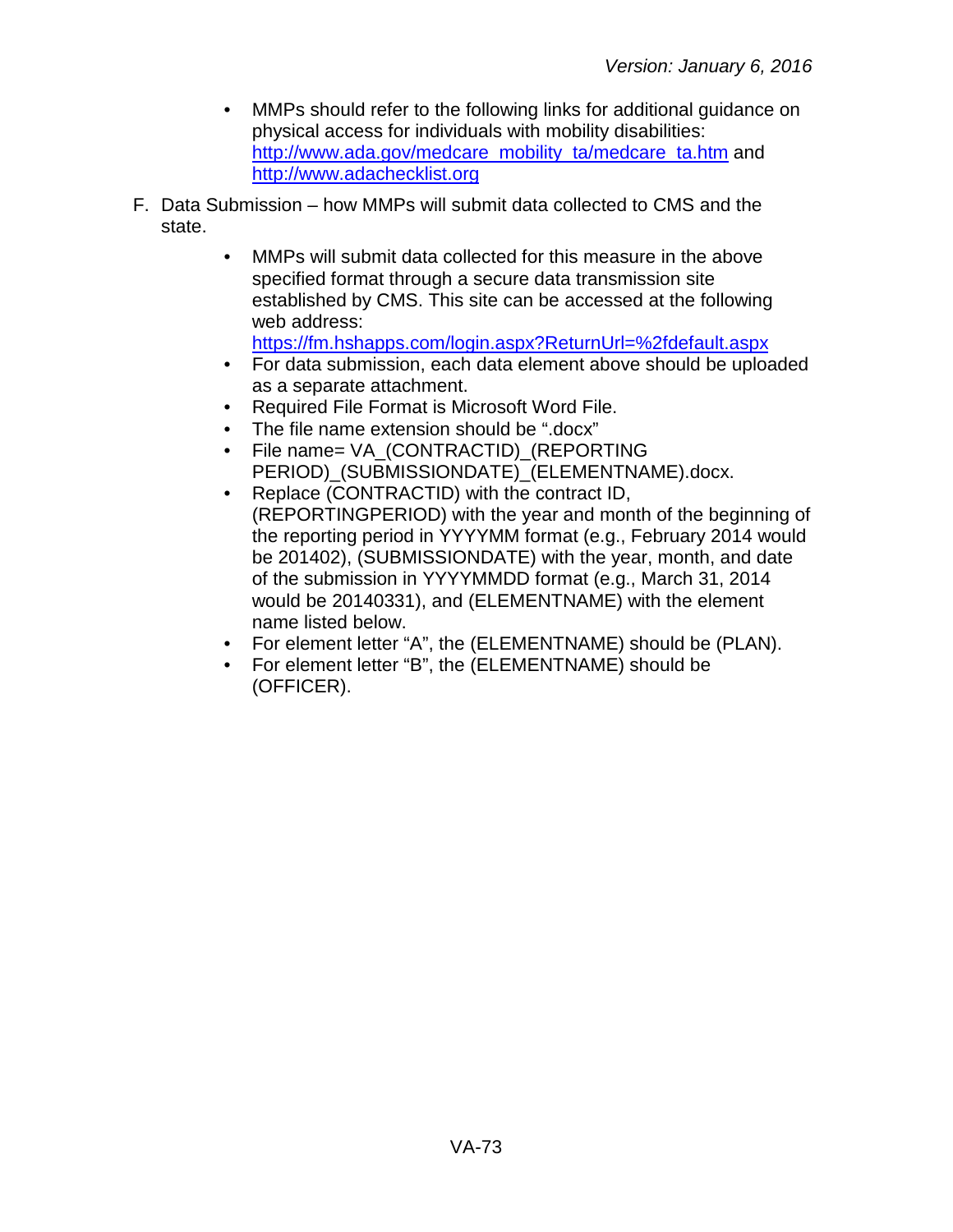- MMPs should refer to the following links for additional guidance on physical access for individuals with mobility disabilities: [http://www.ada.gov/medcare\\_mobility\\_ta/medcare\\_ta.htm](http://www.ada.gov/medcare_mobility_ta/medcare_ta.htm) and [http://www.adachecklist.org](http://www.adachecklist.org/)
- F. Data Submission how MMPs will submit data collected to CMS and the state.
	- MMPs will submit data collected for this measure in the above specified format through a secure data transmission site established by CMS. This site can be accessed at the following web address: <https://fm.hshapps.com/login.aspx?ReturnUrl=%2fdefault.aspx>
	- For data submission, each data element above should be uploaded as a separate attachment.
	- Required File Format is Microsoft Word File.
	- The file name extension should be ".docx"
	- File name= VA\_(CONTRACTID)\_(REPORTING PERIOD) (SUBMISSIONDATE) (ELEMENTNAME).docx.
	- Replace (CONTRACTID) with the contract ID, (REPORTINGPERIOD) with the year and month of the beginning of the reporting period in YYYYMM format (e.g., February 2014 would be 201402), (SUBMISSIONDATE) with the year, month, and date of the submission in YYYYMMDD format (e.g., March 31, 2014 would be 20140331), and (ELEMENTNAME) with the element name listed below.
	- For element letter "A", the (ELEMENTNAME) should be (PLAN).
	- For element letter "B", the (ELEMENTNAME) should be (OFFICER).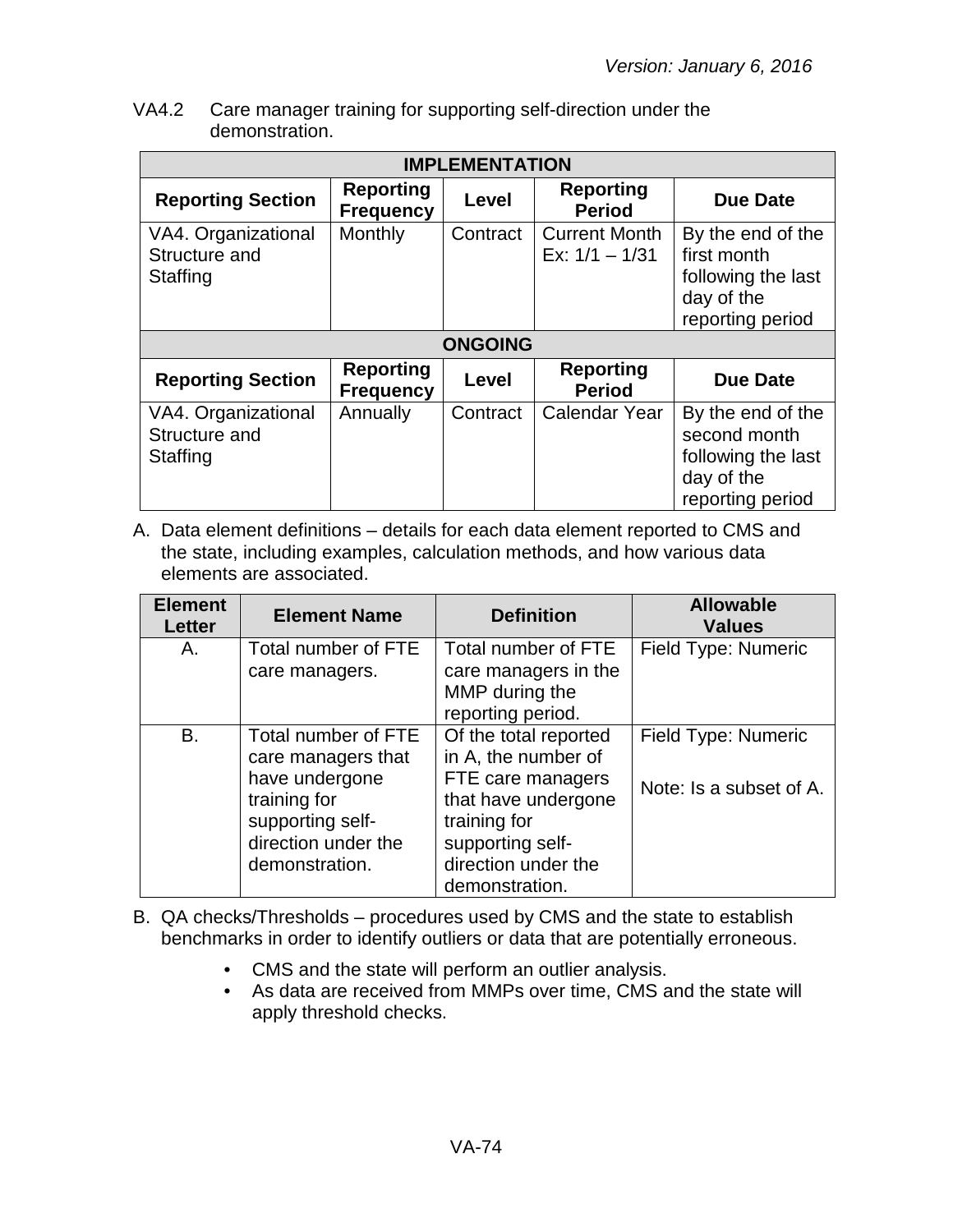VA4.2 Care manager training for supporting self-direction under the demonstration.

| <b>IMPLEMENTATION</b>                            |                                      |                |                                          |                                                                                           |  |
|--------------------------------------------------|--------------------------------------|----------------|------------------------------------------|-------------------------------------------------------------------------------------------|--|
| <b>Reporting Section</b>                         | <b>Reporting</b><br><b>Frequency</b> | Level          | <b>Reporting</b><br><b>Period</b>        | <b>Due Date</b>                                                                           |  |
| VA4. Organizational<br>Structure and<br>Staffing | Monthly                              | Contract       | <b>Current Month</b><br>Ex: $1/1 - 1/31$ | By the end of the<br>first month<br>following the last<br>day of the<br>reporting period  |  |
|                                                  |                                      | <b>ONGOING</b> |                                          |                                                                                           |  |
| <b>Reporting Section</b>                         | <b>Reporting</b><br><b>Frequency</b> | Level          | <b>Reporting</b><br><b>Period</b>        | <b>Due Date</b>                                                                           |  |
| VA4. Organizational<br>Structure and<br>Staffing | Annually                             | Contract       | Calendar Year                            | By the end of the<br>second month<br>following the last<br>day of the<br>reporting period |  |

| <b>Element</b><br><b>Letter</b> | <b>Element Name</b>                                                                                                                      | <b>Definition</b>                                                                                                                                                     | <b>Allowable</b><br><b>Values</b>              |
|---------------------------------|------------------------------------------------------------------------------------------------------------------------------------------|-----------------------------------------------------------------------------------------------------------------------------------------------------------------------|------------------------------------------------|
| A.                              | Total number of FTE<br>care managers.                                                                                                    | Total number of FTE<br>care managers in the<br>MMP during the<br>reporting period.                                                                                    | Field Type: Numeric                            |
| B.                              | Total number of FTE<br>care managers that<br>have undergone<br>training for<br>supporting self-<br>direction under the<br>demonstration. | Of the total reported<br>in A, the number of<br>FTE care managers<br>that have undergone<br>training for<br>supporting self-<br>direction under the<br>demonstration. | Field Type: Numeric<br>Note: Is a subset of A. |

- B. QA checks/Thresholds procedures used by CMS and the state to establish benchmarks in order to identify outliers or data that are potentially erroneous.
	- CMS and the state will perform an outlier analysis.
	- As data are received from MMPs over time, CMS and the state will apply threshold checks.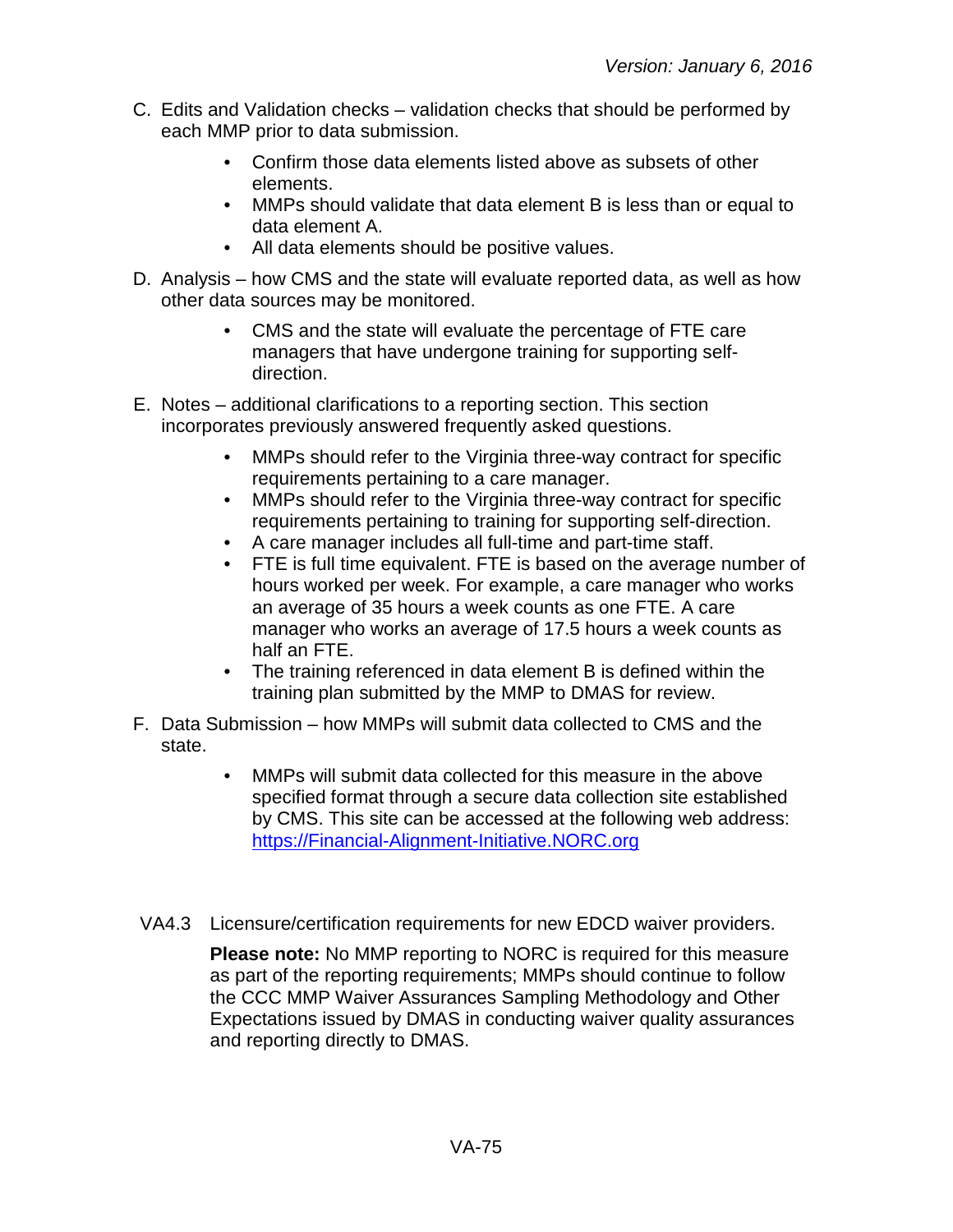- C. Edits and Validation checks validation checks that should be performed by each MMP prior to data submission.
	- Confirm those data elements listed above as subsets of other elements.
	- MMPs should validate that data element B is less than or equal to data element A.
	- All data elements should be positive values.
- D. Analysis how CMS and the state will evaluate reported data, as well as how other data sources may be monitored.
	- CMS and the state will evaluate the percentage of FTE care managers that have undergone training for supporting selfdirection.
- E. Notes additional clarifications to a reporting section. This section incorporates previously answered frequently asked questions.
	- MMPs should refer to the Virginia three-way contract for specific requirements pertaining to a care manager.
	- MMPs should refer to the Virginia three-way contract for specific requirements pertaining to training for supporting self-direction.
	- A care manager includes all full-time and part-time staff.
	- FTE is full time equivalent. FTE is based on the average number of hours worked per week. For example, a care manager who works an average of 35 hours a week counts as one FTE. A care manager who works an average of 17.5 hours a week counts as half an FTE.
	- The training referenced in data element B is defined within the training plan submitted by the MMP to DMAS for review.
- F. Data Submission how MMPs will submit data collected to CMS and the state.
	- MMPs will submit data collected for this measure in the above specified format through a secure data collection site established by CMS. This site can be accessed at the following web address: [https://Financial-Alignment-Initiative.NORC.org](https://financial-alignment-initiative.norc.org/)
- VA4.3 Licensure/certification requirements for new EDCD waiver providers.

**Please note:** No MMP reporting to NORC is required for this measure as part of the reporting requirements; MMPs should continue to follow the CCC MMP Waiver Assurances Sampling Methodology and Other Expectations issued by DMAS in conducting waiver quality assurances and reporting directly to DMAS.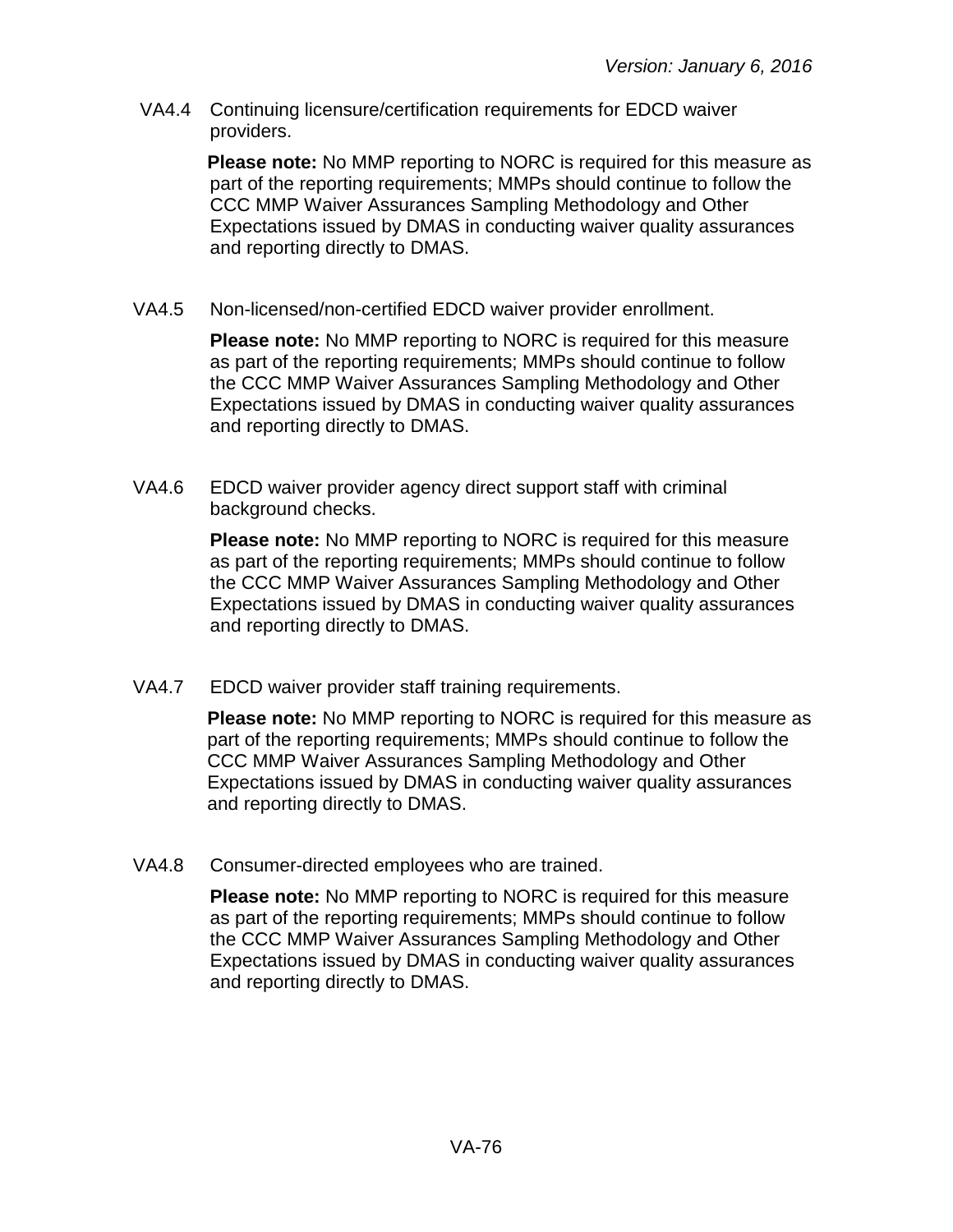VA4.4 Continuing licensure/certification requirements for EDCD waiver providers.

> **Please note:** No MMP reporting to NORC is required for this measure as part of the reporting requirements; MMPs should continue to follow the CCC MMP Waiver Assurances Sampling Methodology and Other Expectations issued by DMAS in conducting waiver quality assurances and reporting directly to DMAS.

VA4.5 Non-licensed/non-certified EDCD waiver provider enrollment.

**Please note:** No MMP reporting to NORC is required for this measure as part of the reporting requirements; MMPs should continue to follow the CCC MMP Waiver Assurances Sampling Methodology and Other Expectations issued by DMAS in conducting waiver quality assurances and reporting directly to DMAS.

VA4.6 EDCD waiver provider agency direct support staff with criminal background checks.

> **Please note:** No MMP reporting to NORC is required for this measure as part of the reporting requirements; MMPs should continue to follow the CCC MMP Waiver Assurances Sampling Methodology and Other Expectations issued by DMAS in conducting waiver quality assurances and reporting directly to DMAS.

VA4.7 EDCD waiver provider staff training requirements.

**Please note:** No MMP reporting to NORC is required for this measure as part of the reporting requirements; MMPs should continue to follow the CCC MMP Waiver Assurances Sampling Methodology and Other Expectations issued by DMAS in conducting waiver quality assurances and reporting directly to DMAS.

VA4.8 Consumer-directed employees who are trained.

**Please note:** No MMP reporting to NORC is required for this measure as part of the reporting requirements; MMPs should continue to follow the CCC MMP Waiver Assurances Sampling Methodology and Other Expectations issued by DMAS in conducting waiver quality assurances and reporting directly to DMAS.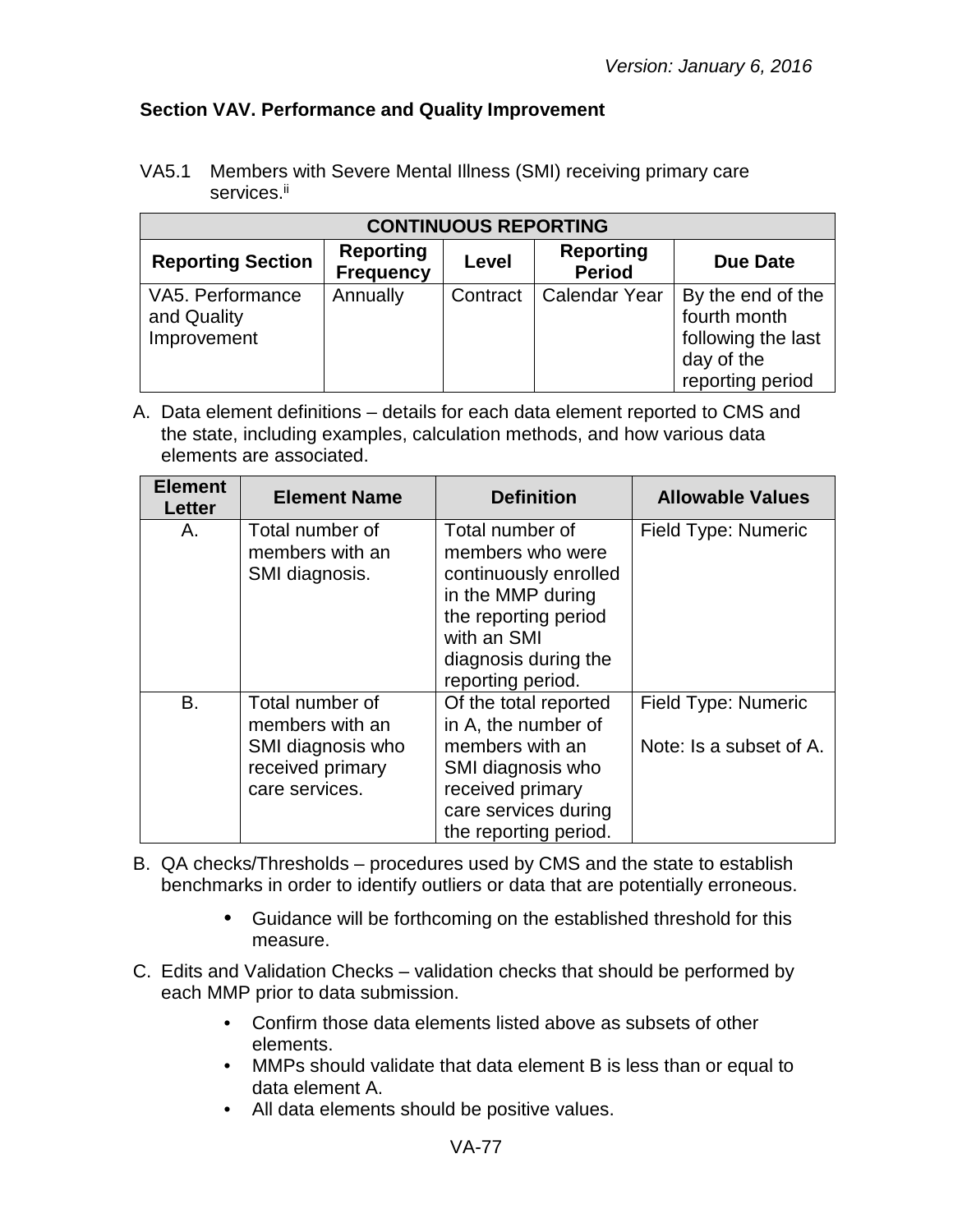### **Section VAV. Performance and Quality Improvement**

VA5.1 Members with Severe Mental Illness (SMI) receiving primary care services.<sup>ii</sup>

| <b>CONTINUOUS REPORTING</b>                    |                                      |          |                                   |                                                                                           |  |
|------------------------------------------------|--------------------------------------|----------|-----------------------------------|-------------------------------------------------------------------------------------------|--|
| <b>Reporting Section</b>                       | <b>Reporting</b><br><b>Frequency</b> | Level    | <b>Reporting</b><br><b>Period</b> | <b>Due Date</b>                                                                           |  |
| VA5. Performance<br>and Quality<br>Improvement | Annually                             | Contract | <b>Calendar Year</b>              | By the end of the<br>fourth month<br>following the last<br>day of the<br>reporting period |  |

| <b>Element</b><br>Letter | <b>Element Name</b>                                                                           | <b>Definition</b>                                                                                                                                                     | <b>Allowable Values</b>                        |
|--------------------------|-----------------------------------------------------------------------------------------------|-----------------------------------------------------------------------------------------------------------------------------------------------------------------------|------------------------------------------------|
| Α.                       | Total number of<br>members with an<br>SMI diagnosis.                                          | Total number of<br>members who were<br>continuously enrolled<br>in the MMP during<br>the reporting period<br>with an SMI<br>diagnosis during the<br>reporting period. | Field Type: Numeric                            |
| B.                       | Total number of<br>members with an<br>SMI diagnosis who<br>received primary<br>care services. | Of the total reported<br>in A, the number of<br>members with an<br>SMI diagnosis who<br>received primary<br>care services during<br>the reporting period.             | Field Type: Numeric<br>Note: Is a subset of A. |

- B. QA checks/Thresholds procedures used by CMS and the state to establish benchmarks in order to identify outliers or data that are potentially erroneous.
	- Guidance will be forthcoming on the established threshold for this measure.
- C. Edits and Validation Checks validation checks that should be performed by each MMP prior to data submission.
	- Confirm those data elements listed above as subsets of other elements.
	- MMPs should validate that data element B is less than or equal to data element A.
	- All data elements should be positive values.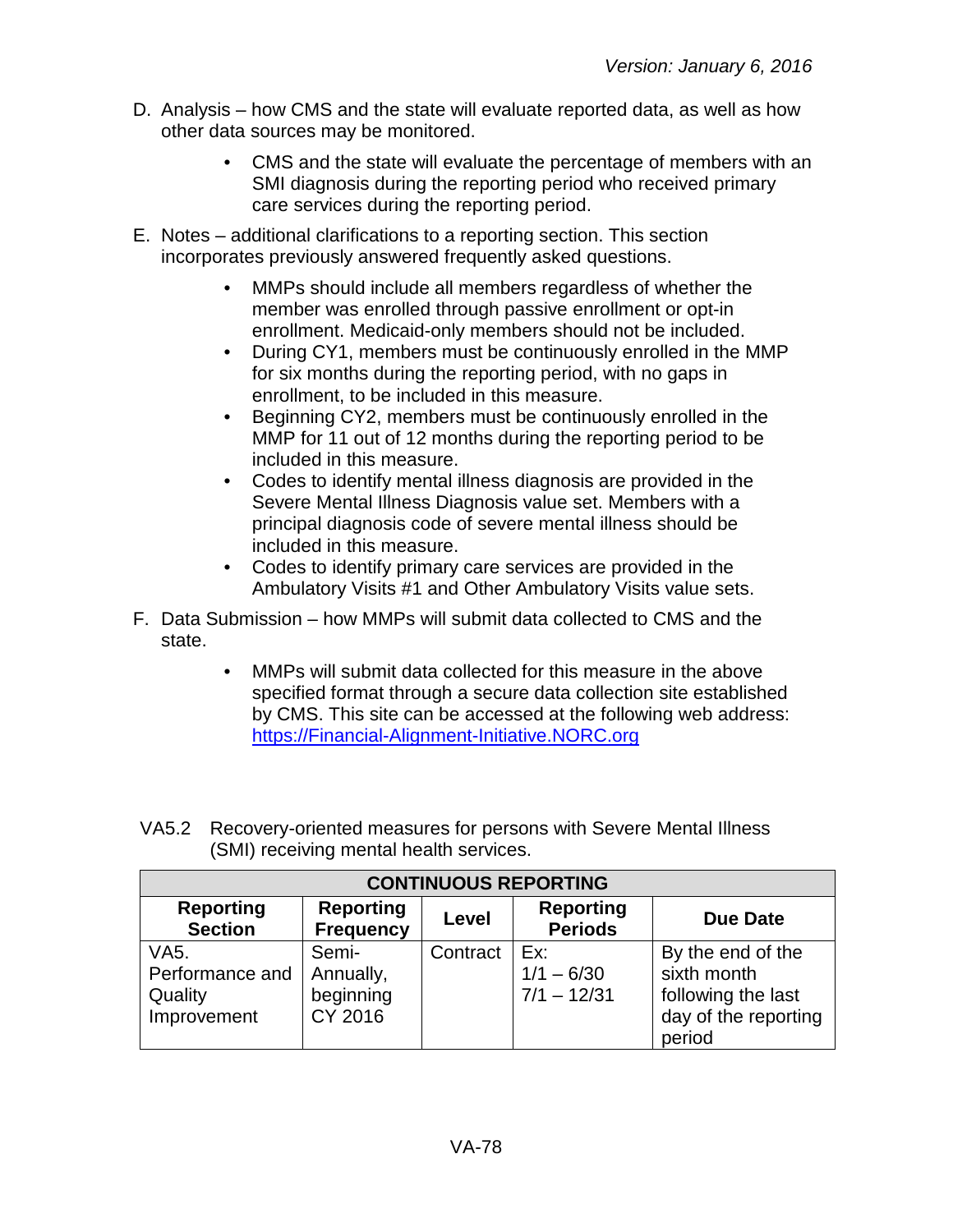- D. Analysis how CMS and the state will evaluate reported data, as well as how other data sources may be monitored.
	- CMS and the state will evaluate the percentage of members with an SMI diagnosis during the reporting period who received primary care services during the reporting period.
- E. Notes additional clarifications to a reporting section. This section incorporates previously answered frequently asked questions.
	- MMPs should include all members regardless of whether the member was enrolled through passive enrollment or opt-in enrollment. Medicaid-only members should not be included.
	- During CY1, members must be continuously enrolled in the MMP for six months during the reporting period, with no gaps in enrollment, to be included in this measure.
	- Beginning CY2, members must be continuously enrolled in the MMP for 11 out of 12 months during the reporting period to be included in this measure.
	- Codes to identify mental illness diagnosis are provided in the Severe Mental Illness Diagnosis value set. Members with a principal diagnosis code of severe mental illness should be included in this measure.
	- Codes to identify primary care services are provided in the Ambulatory Visits #1 and Other Ambulatory Visits value sets.
- F. Data Submission how MMPs will submit data collected to CMS and the state.
	- MMPs will submit data collected for this measure in the above specified format through a secure data collection site established by CMS. This site can be accessed at the following web address: [https://Financial-Alignment-Initiative.NORC.org](https://financial-alignment-initiative.norc.org/)

| <b>CONTINUOUS REPORTING</b>                                    |                                            |          |                                      |                                                                                          |  |
|----------------------------------------------------------------|--------------------------------------------|----------|--------------------------------------|------------------------------------------------------------------------------------------|--|
| <b>Reporting</b><br><b>Section</b>                             | <b>Reporting</b><br><b>Frequency</b>       | Level    | <b>Reporting</b><br><b>Periods</b>   | <b>Due Date</b>                                                                          |  |
| VA <sub>5</sub> .<br>Performance and<br>Quality<br>Improvement | Semi-<br>Annually,<br>beginning<br>CY 2016 | Contract | Ex:<br>$1/1 - 6/30$<br>$7/1 - 12/31$ | By the end of the<br>sixth month<br>following the last<br>day of the reporting<br>period |  |

VA5.2 Recovery-oriented measures for persons with Severe Mental Illness (SMI) receiving mental health services.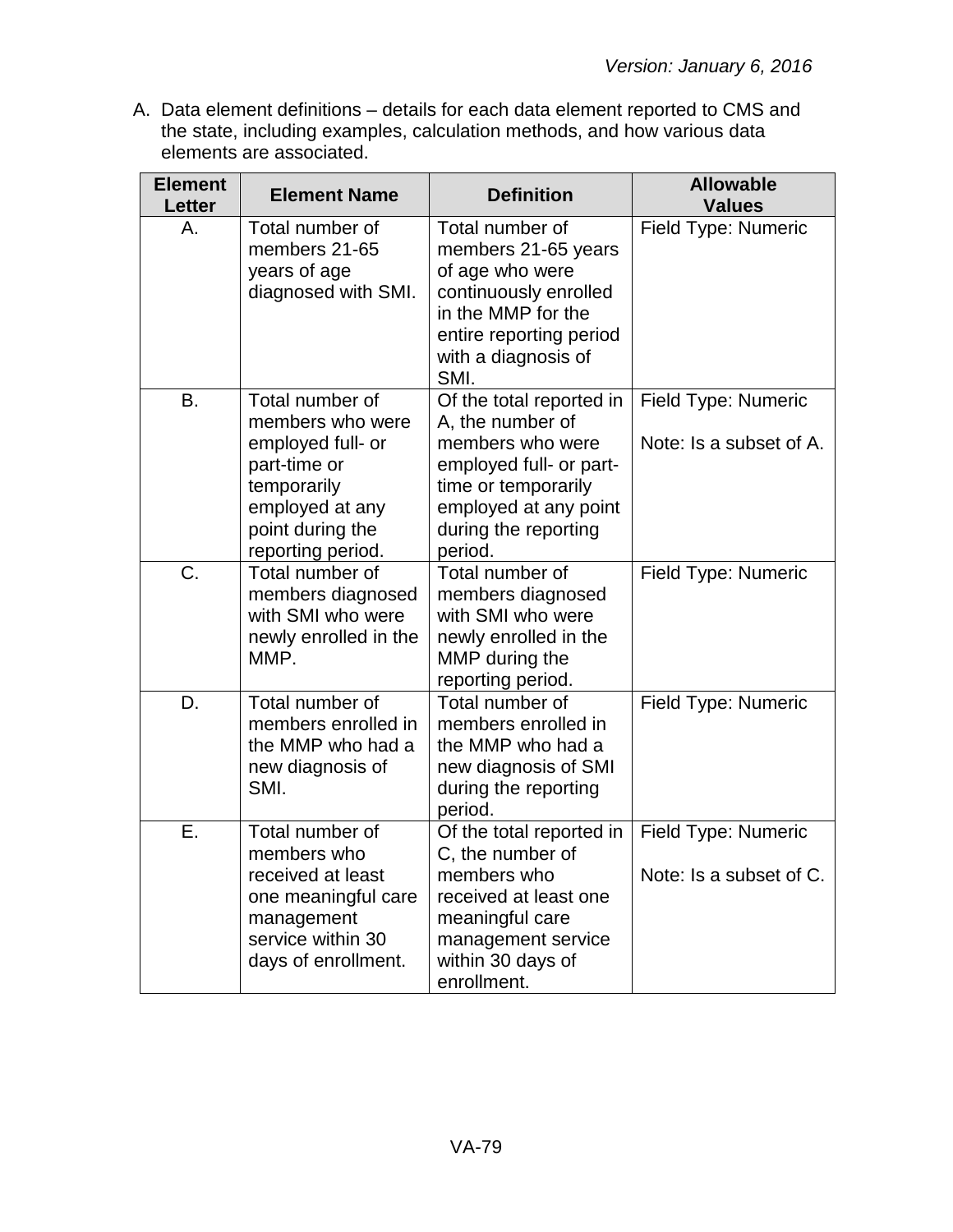| <b>Element</b><br><b>Letter</b> | <b>Element Name</b>                                                                                                                                 | <b>Definition</b>                                                                                                                                                              | <b>Allowable</b><br><b>Values</b>                     |
|---------------------------------|-----------------------------------------------------------------------------------------------------------------------------------------------------|--------------------------------------------------------------------------------------------------------------------------------------------------------------------------------|-------------------------------------------------------|
| Α.                              | Total number of<br>members 21-65<br>years of age<br>diagnosed with SMI.                                                                             | Total number of<br>members 21-65 years<br>of age who were<br>continuously enrolled<br>in the MMP for the<br>entire reporting period<br>with a diagnosis of<br>SMI.             | Field Type: Numeric                                   |
| B.                              | Total number of<br>members who were<br>employed full- or<br>part-time or<br>temporarily<br>employed at any<br>point during the<br>reporting period. | Of the total reported in<br>A, the number of<br>members who were<br>employed full- or part-<br>time or temporarily<br>employed at any point<br>during the reporting<br>period. | Field Type: Numeric<br>Note: Is a subset of A.        |
| C.                              | Total number of<br>members diagnosed<br>with SMI who were<br>newly enrolled in the<br>MMP.                                                          | Total number of<br>members diagnosed<br>with SMI who were<br>newly enrolled in the<br>MMP during the<br>reporting period.                                                      | Field Type: Numeric                                   |
| D.                              | Total number of<br>members enrolled in<br>the MMP who had a<br>new diagnosis of<br>SMI.                                                             | Total number of<br>members enrolled in<br>the MMP who had a<br>new diagnosis of SMI<br>during the reporting<br>period.                                                         | Field Type: Numeric                                   |
| Ε.                              | Total number of<br>members who<br>received at least<br>one meaningful care<br>management<br>service within 30<br>days of enrollment.                | Of the total reported in<br>C, the number of<br>members who<br>received at least one<br>meaningful care<br>management service<br>within 30 days of<br>enrollment.              | <b>Field Type: Numeric</b><br>Note: Is a subset of C. |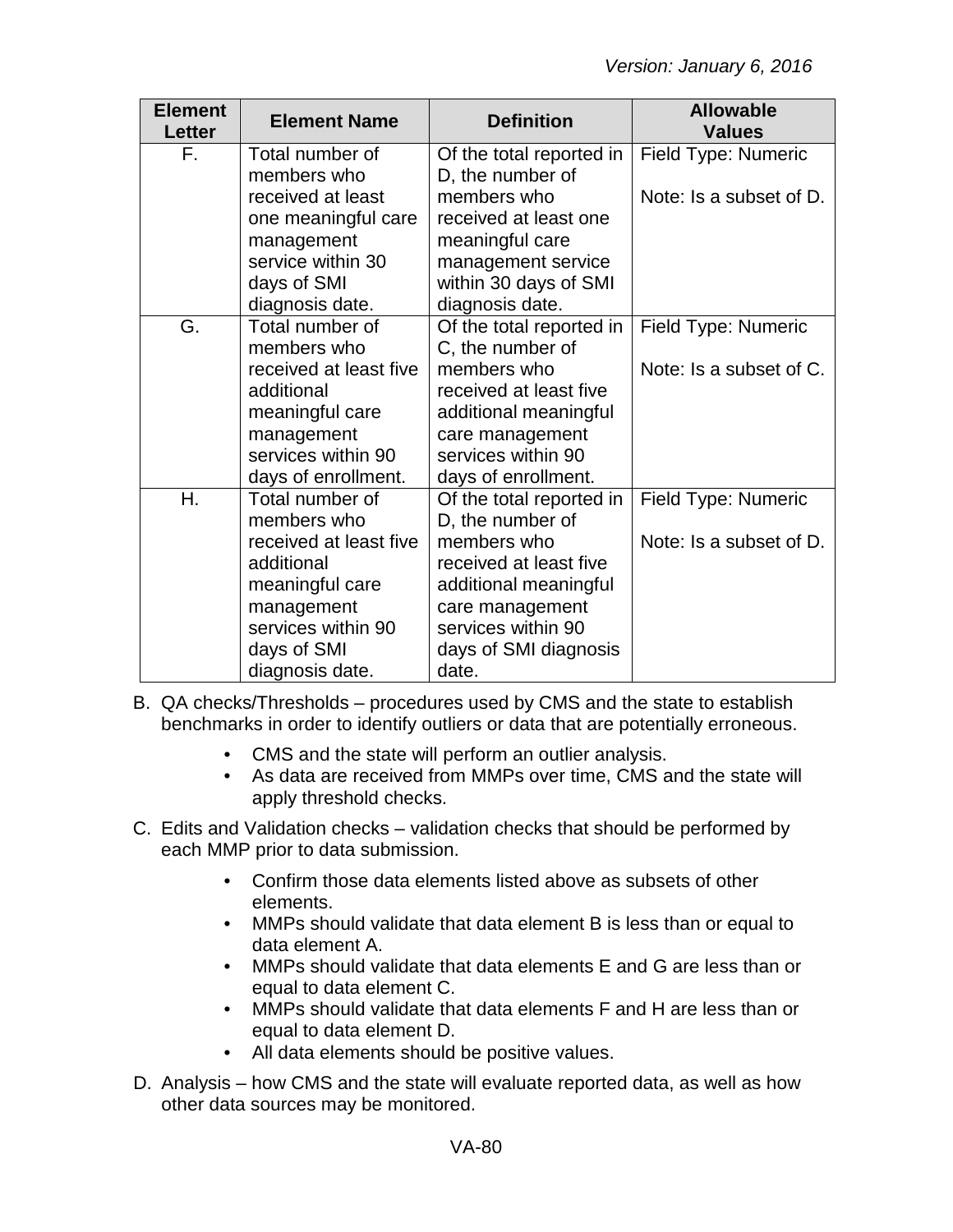| <b>Element</b><br><b>Letter</b> | <b>Element Name</b>    | <b>Definition</b>        | <b>Allowable</b><br><b>Values</b> |
|---------------------------------|------------------------|--------------------------|-----------------------------------|
| F.                              | Total number of        | Of the total reported in | Field Type: Numeric               |
|                                 | members who            | D, the number of         |                                   |
|                                 | received at least      | members who              | Note: Is a subset of D.           |
|                                 | one meaningful care    | received at least one    |                                   |
|                                 | management             | meaningful care          |                                   |
|                                 | service within 30      | management service       |                                   |
|                                 | days of SMI            | within 30 days of SMI    |                                   |
|                                 | diagnosis date.        | diagnosis date.          |                                   |
| G.                              | Total number of        | Of the total reported in | Field Type: Numeric               |
|                                 | members who            | C, the number of         |                                   |
|                                 | received at least five | members who              | Note: Is a subset of C.           |
|                                 | additional             | received at least five   |                                   |
|                                 | meaningful care        | additional meaningful    |                                   |
|                                 | management             | care management          |                                   |
|                                 | services within 90     | services within 90       |                                   |
|                                 | days of enrollment.    | days of enrollment.      |                                   |
| Η.                              | Total number of        | Of the total reported in | Field Type: Numeric               |
|                                 | members who            | D, the number of         |                                   |
|                                 | received at least five | members who              | Note: Is a subset of D.           |
|                                 | additional             | received at least five   |                                   |
|                                 | meaningful care        | additional meaningful    |                                   |
|                                 | management             | care management          |                                   |
|                                 | services within 90     | services within 90       |                                   |
|                                 | days of SMI            | days of SMI diagnosis    |                                   |
|                                 | diagnosis date.        | date.                    |                                   |

- B. QA checks/Thresholds procedures used by CMS and the state to establish benchmarks in order to identify outliers or data that are potentially erroneous.
	- CMS and the state will perform an outlier analysis.
	- As data are received from MMPs over time, CMS and the state will apply threshold checks.
- C. Edits and Validation checks validation checks that should be performed by each MMP prior to data submission.
	- Confirm those data elements listed above as subsets of other elements.
	- MMPs should validate that data element B is less than or equal to data element A.
	- MMPs should validate that data elements E and G are less than or equal to data element C.
	- MMPs should validate that data elements F and H are less than or equal to data element D.
	- All data elements should be positive values.
- D. Analysis how CMS and the state will evaluate reported data, as well as how other data sources may be monitored.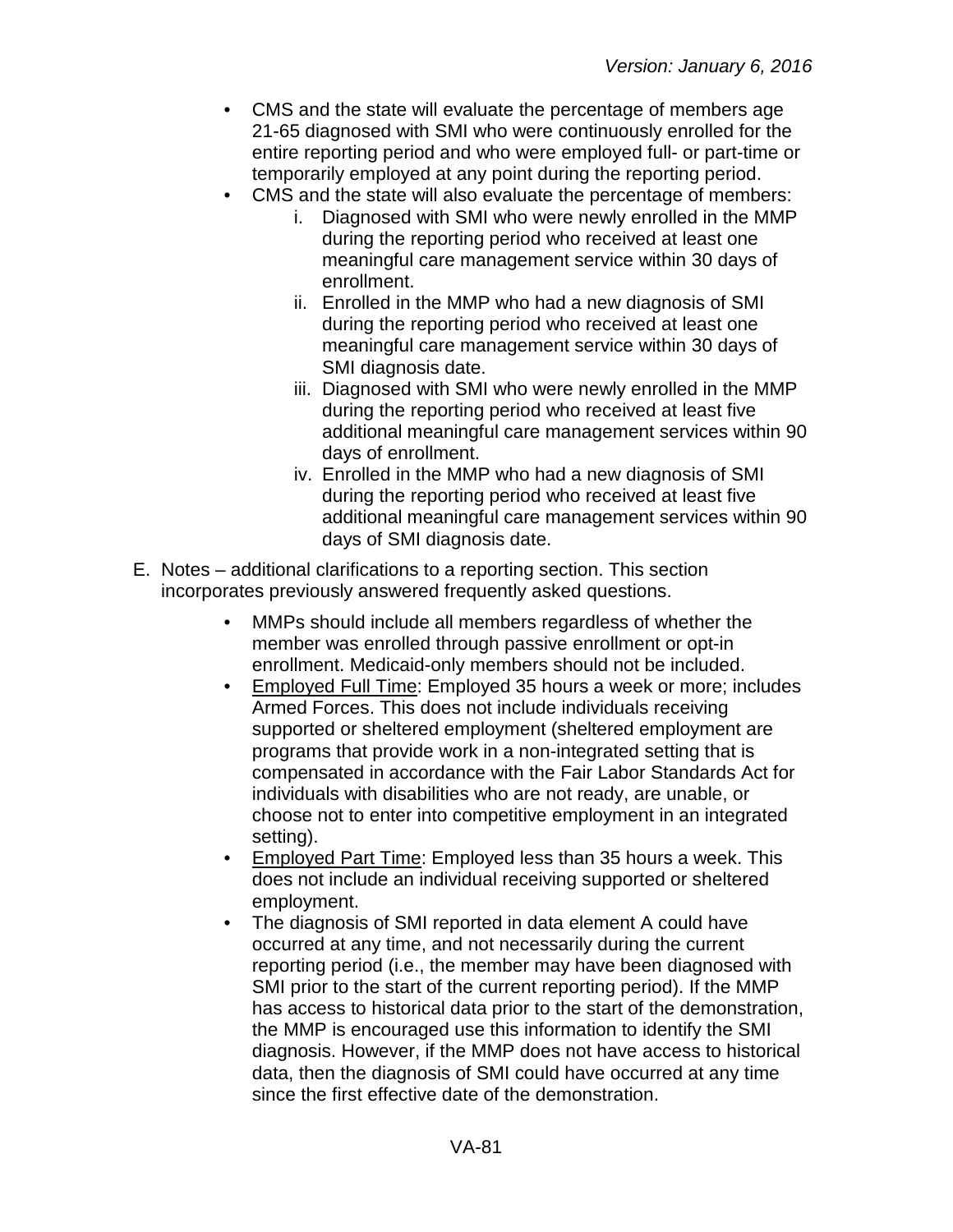- CMS and the state will evaluate the percentage of members age 21-65 diagnosed with SMI who were continuously enrolled for the entire reporting period and who were employed full- or part-time or temporarily employed at any point during the reporting period.
- CMS and the state will also evaluate the percentage of members:
	- i. Diagnosed with SMI who were newly enrolled in the MMP during the reporting period who received at least one meaningful care management service within 30 days of enrollment.
	- ii. Enrolled in the MMP who had a new diagnosis of SMI during the reporting period who received at least one meaningful care management service within 30 days of SMI diagnosis date.
	- iii. Diagnosed with SMI who were newly enrolled in the MMP during the reporting period who received at least five additional meaningful care management services within 90 days of enrollment.
	- iv. Enrolled in the MMP who had a new diagnosis of SMI during the reporting period who received at least five additional meaningful care management services within 90 days of SMI diagnosis date.
- E. Notes additional clarifications to a reporting section. This section incorporates previously answered frequently asked questions.
	- MMPs should include all members regardless of whether the member was enrolled through passive enrollment or opt-in enrollment. Medicaid-only members should not be included.
	- Employed Full Time: Employed 35 hours a week or more; includes Armed Forces. This does not include individuals receiving supported or sheltered employment (sheltered employment are programs that provide work in a non-integrated setting that is compensated in accordance with the Fair Labor Standards Act for individuals with disabilities who are not ready, are unable, or choose not to enter into competitive employment in an integrated setting).
	- Employed Part Time: Employed less than 35 hours a week. This does not include an individual receiving supported or sheltered employment.
	- The diagnosis of SMI reported in data element A could have occurred at any time, and not necessarily during the current reporting period (i.e., the member may have been diagnosed with SMI prior to the start of the current reporting period). If the MMP has access to historical data prior to the start of the demonstration, the MMP is encouraged use this information to identify the SMI diagnosis. However, if the MMP does not have access to historical data, then the diagnosis of SMI could have occurred at any time since the first effective date of the demonstration.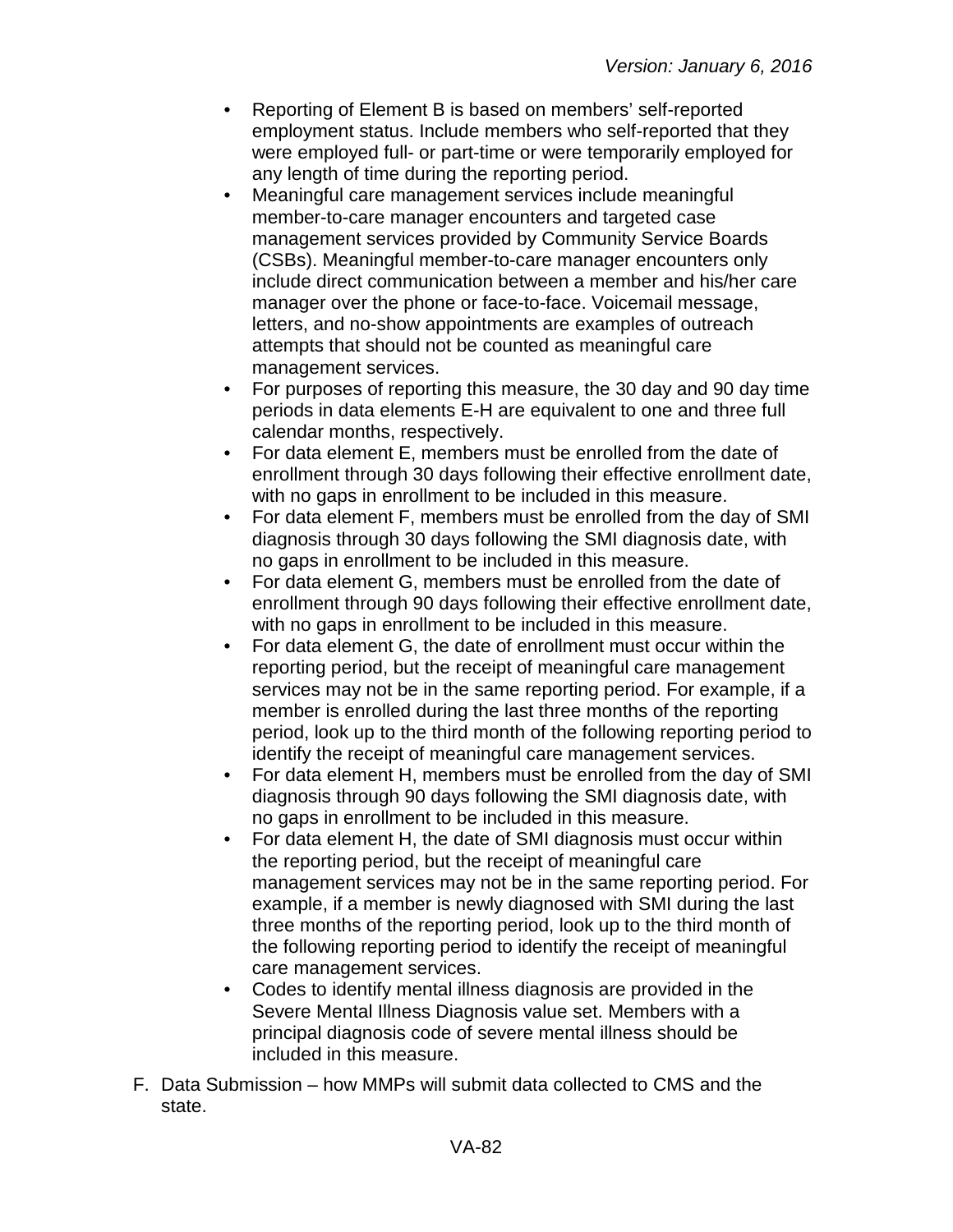- Reporting of Element B is based on members' self-reported employment status. Include members who self-reported that they were employed full- or part-time or were temporarily employed for any length of time during the reporting period.
- Meaningful care management services include meaningful member-to-care manager encounters and targeted case management services provided by Community Service Boards (CSBs). Meaningful member-to-care manager encounters only include direct communication between a member and his/her care manager over the phone or face-to-face. Voicemail message, letters, and no-show appointments are examples of outreach attempts that should not be counted as meaningful care management services.
- For purposes of reporting this measure, the 30 day and 90 day time periods in data elements E-H are equivalent to one and three full calendar months, respectively.
- For data element E, members must be enrolled from the date of enrollment through 30 days following their effective enrollment date, with no gaps in enrollment to be included in this measure.
- For data element F, members must be enrolled from the day of SMI diagnosis through 30 days following the SMI diagnosis date, with no gaps in enrollment to be included in this measure.
- For data element G, members must be enrolled from the date of enrollment through 90 days following their effective enrollment date, with no gaps in enrollment to be included in this measure.
- For data element G, the date of enrollment must occur within the reporting period, but the receipt of meaningful care management services may not be in the same reporting period. For example, if a member is enrolled during the last three months of the reporting period, look up to the third month of the following reporting period to identify the receipt of meaningful care management services.
- For data element H, members must be enrolled from the day of SMI diagnosis through 90 days following the SMI diagnosis date, with no gaps in enrollment to be included in this measure.
- For data element H, the date of SMI diagnosis must occur within the reporting period, but the receipt of meaningful care management services may not be in the same reporting period. For example, if a member is newly diagnosed with SMI during the last three months of the reporting period, look up to the third month of the following reporting period to identify the receipt of meaningful care management services.
- Codes to identify mental illness diagnosis are provided in the Severe Mental Illness Diagnosis value set. Members with a principal diagnosis code of severe mental illness should be included in this measure.
- F. Data Submission how MMPs will submit data collected to CMS and the state.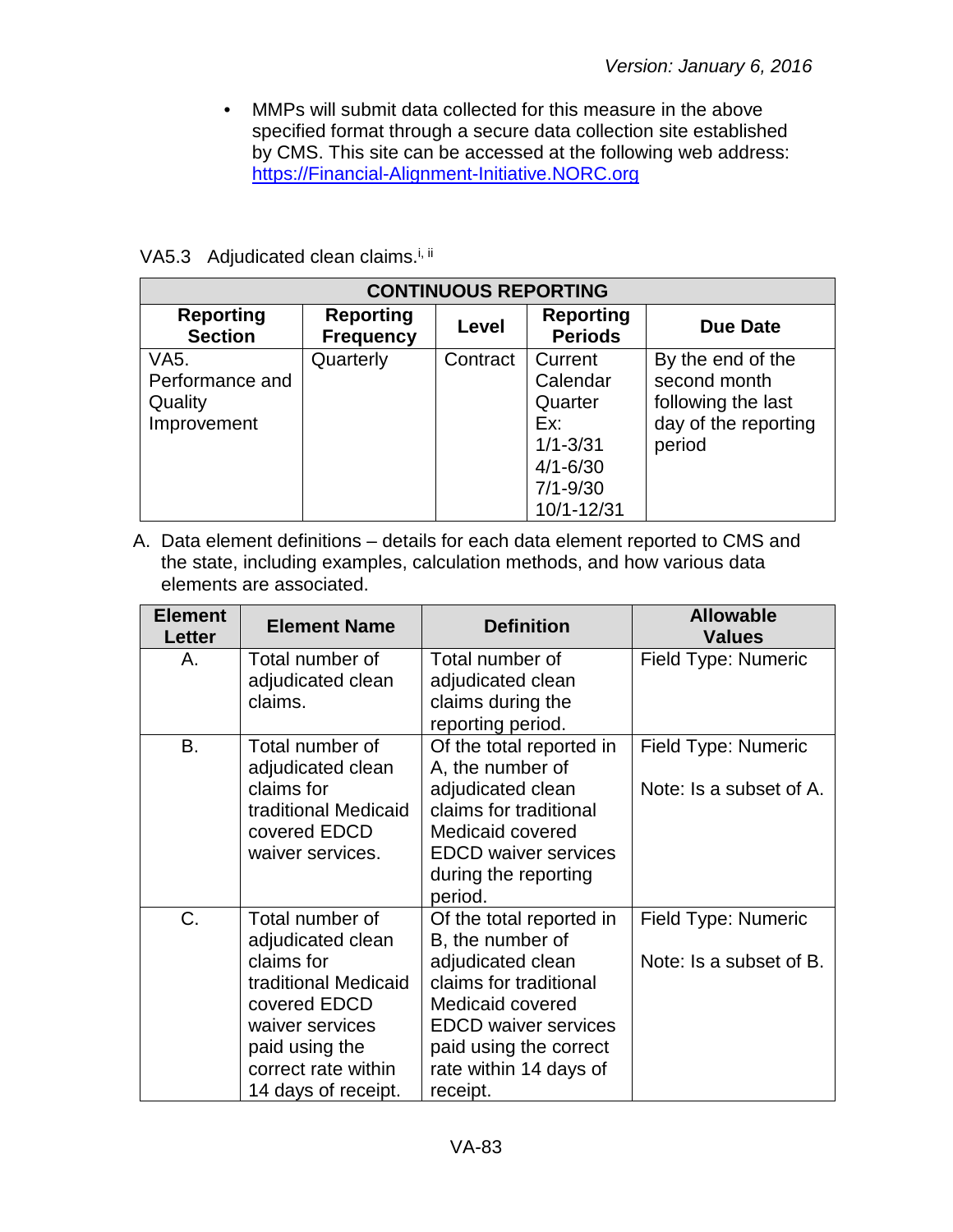• MMPs will submit data collected for this measure in the above specified format through a secure data collection site established by CMS. This site can be accessed at the following web address: [https://Financial-Alignment-Initiative.NORC.org](https://financial-alignment-initiative.norc.org/)

#### VA5.3 Adjudicated clean claims.<sup>i, ii</sup>

| <b>CONTINUOUS REPORTING</b>        |                                      |          |                                    |                      |  |
|------------------------------------|--------------------------------------|----------|------------------------------------|----------------------|--|
| <b>Reporting</b><br><b>Section</b> | <b>Reporting</b><br><b>Frequency</b> | Level    | <b>Reporting</b><br><b>Periods</b> | Due Date             |  |
| VA5.                               | Quarterly                            | Contract | Current                            | By the end of the    |  |
| Performance and                    |                                      |          | Calendar                           | second month         |  |
| Quality                            |                                      |          | Quarter                            | following the last   |  |
| Improvement                        |                                      |          | Ex:                                | day of the reporting |  |
|                                    |                                      |          | $1/1 - 3/31$                       | period               |  |
|                                    |                                      |          | $4/1 - 6/30$                       |                      |  |
|                                    |                                      |          | $7/1 - 9/30$                       |                      |  |
|                                    |                                      |          | 10/1-12/31                         |                      |  |

| <b>Element</b><br>Letter | <b>Element Name</b>                                                                                                                                                           | <b>Definition</b>                                                                                                                                                                                              | <b>Allowable</b><br><b>Values</b>              |
|--------------------------|-------------------------------------------------------------------------------------------------------------------------------------------------------------------------------|----------------------------------------------------------------------------------------------------------------------------------------------------------------------------------------------------------------|------------------------------------------------|
| Α.                       | Total number of<br>adjudicated clean<br>claims.                                                                                                                               | Total number of<br>adjudicated clean<br>claims during the<br>reporting period.                                                                                                                                 | Field Type: Numeric                            |
| B.                       | Total number of<br>adjudicated clean<br>claims for<br>traditional Medicaid<br>covered EDCD<br>waiver services.                                                                | Of the total reported in<br>A, the number of<br>adjudicated clean<br>claims for traditional<br>Medicaid covered<br><b>EDCD</b> waiver services<br>during the reporting<br>period.                              | Field Type: Numeric<br>Note: Is a subset of A. |
| C.                       | Total number of<br>adjudicated clean<br>claims for<br>traditional Medicaid<br>covered EDCD<br>waiver services<br>paid using the<br>correct rate within<br>14 days of receipt. | Of the total reported in<br>B, the number of<br>adjudicated clean<br>claims for traditional<br>Medicaid covered<br><b>EDCD</b> waiver services<br>paid using the correct<br>rate within 14 days of<br>receipt. | Field Type: Numeric<br>Note: Is a subset of B. |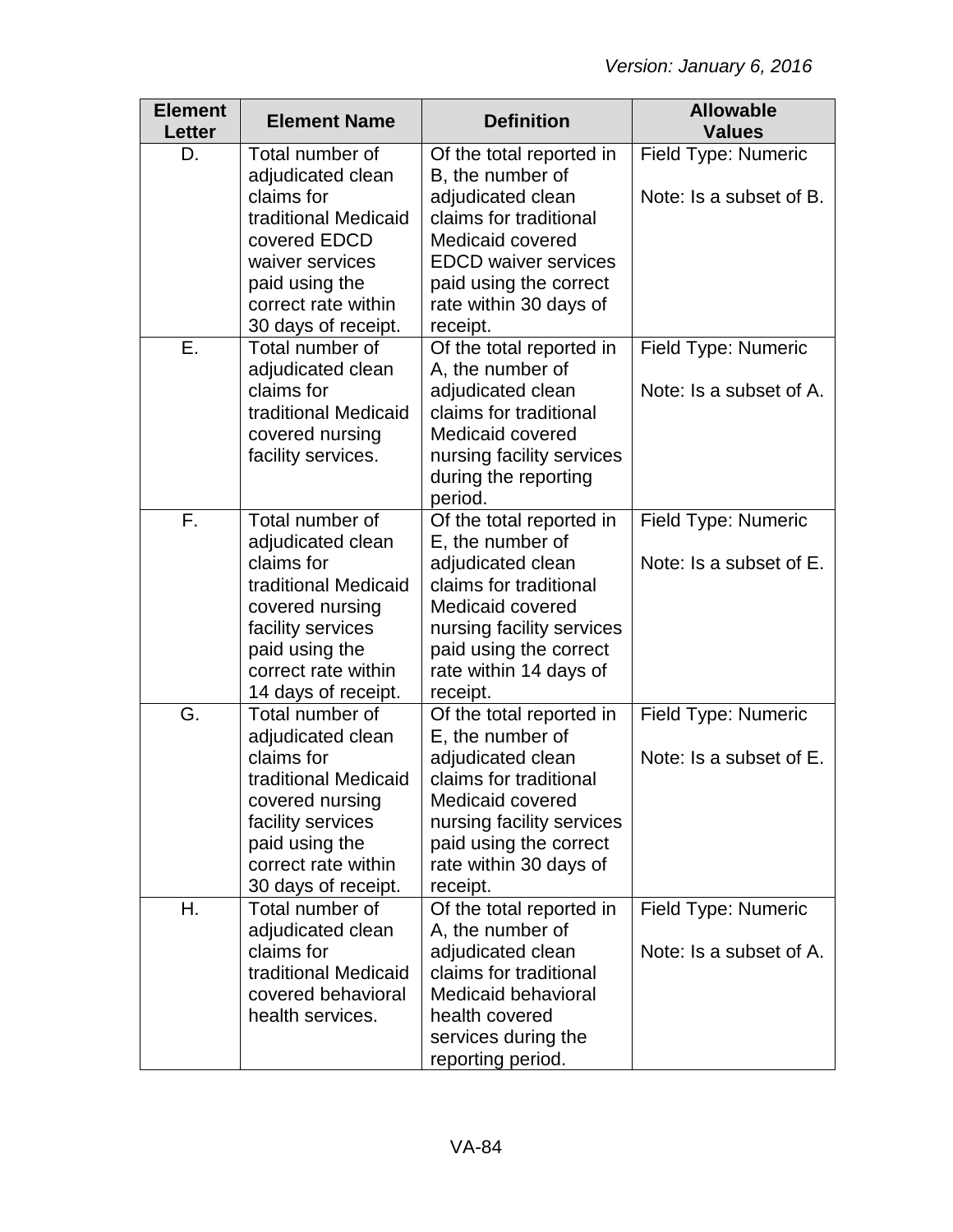| <b>Element</b><br><b>Letter</b> | <b>Element Name</b>                                                                                                                                                                | <b>Definition</b>                                                                                                                                                                                            | <b>Allowable</b><br><b>Values</b>                     |
|---------------------------------|------------------------------------------------------------------------------------------------------------------------------------------------------------------------------------|--------------------------------------------------------------------------------------------------------------------------------------------------------------------------------------------------------------|-------------------------------------------------------|
| D.                              | Total number of<br>adjudicated clean<br>claims for<br>traditional Medicaid                                                                                                         | Of the total reported in<br>B, the number of<br>adjudicated clean<br>claims for traditional                                                                                                                  | <b>Field Type: Numeric</b><br>Note: Is a subset of B. |
|                                 | covered EDCD<br>waiver services<br>paid using the<br>correct rate within                                                                                                           | Medicaid covered<br><b>EDCD</b> waiver services<br>paid using the correct<br>rate within 30 days of                                                                                                          |                                                       |
| Ε.                              | 30 days of receipt.<br>Total number of<br>adjudicated clean<br>claims for<br>traditional Medicaid<br>covered nursing<br>facility services.                                         | receipt.<br>Of the total reported in<br>A, the number of<br>adjudicated clean<br>claims for traditional<br>Medicaid covered<br>nursing facility services<br>during the reporting<br>period.                  | Field Type: Numeric<br>Note: Is a subset of A.        |
| F.                              | Total number of<br>adjudicated clean<br>claims for<br>traditional Medicaid<br>covered nursing<br>facility services<br>paid using the<br>correct rate within<br>14 days of receipt. | Of the total reported in<br>E, the number of<br>adjudicated clean<br>claims for traditional<br>Medicaid covered<br>nursing facility services<br>paid using the correct<br>rate within 14 days of<br>receipt. | Field Type: Numeric<br>Note: Is a subset of E.        |
| G.                              | Total number of<br>adjudicated clean<br>claims for<br>traditional Medicaid<br>covered nursing<br>facility services<br>paid using the<br>correct rate within<br>30 days of receipt. | Of the total reported in<br>E, the number of<br>adjudicated clean<br>claims for traditional<br>Medicaid covered<br>nursing facility services<br>paid using the correct<br>rate within 30 days of<br>receipt. | Field Type: Numeric<br>Note: Is a subset of E.        |
| Η.                              | Total number of<br>adjudicated clean<br>claims for<br>traditional Medicaid<br>covered behavioral<br>health services.                                                               | Of the total reported in<br>A, the number of<br>adjudicated clean<br>claims for traditional<br>Medicaid behavioral<br>health covered<br>services during the<br>reporting period.                             | Field Type: Numeric<br>Note: Is a subset of A.        |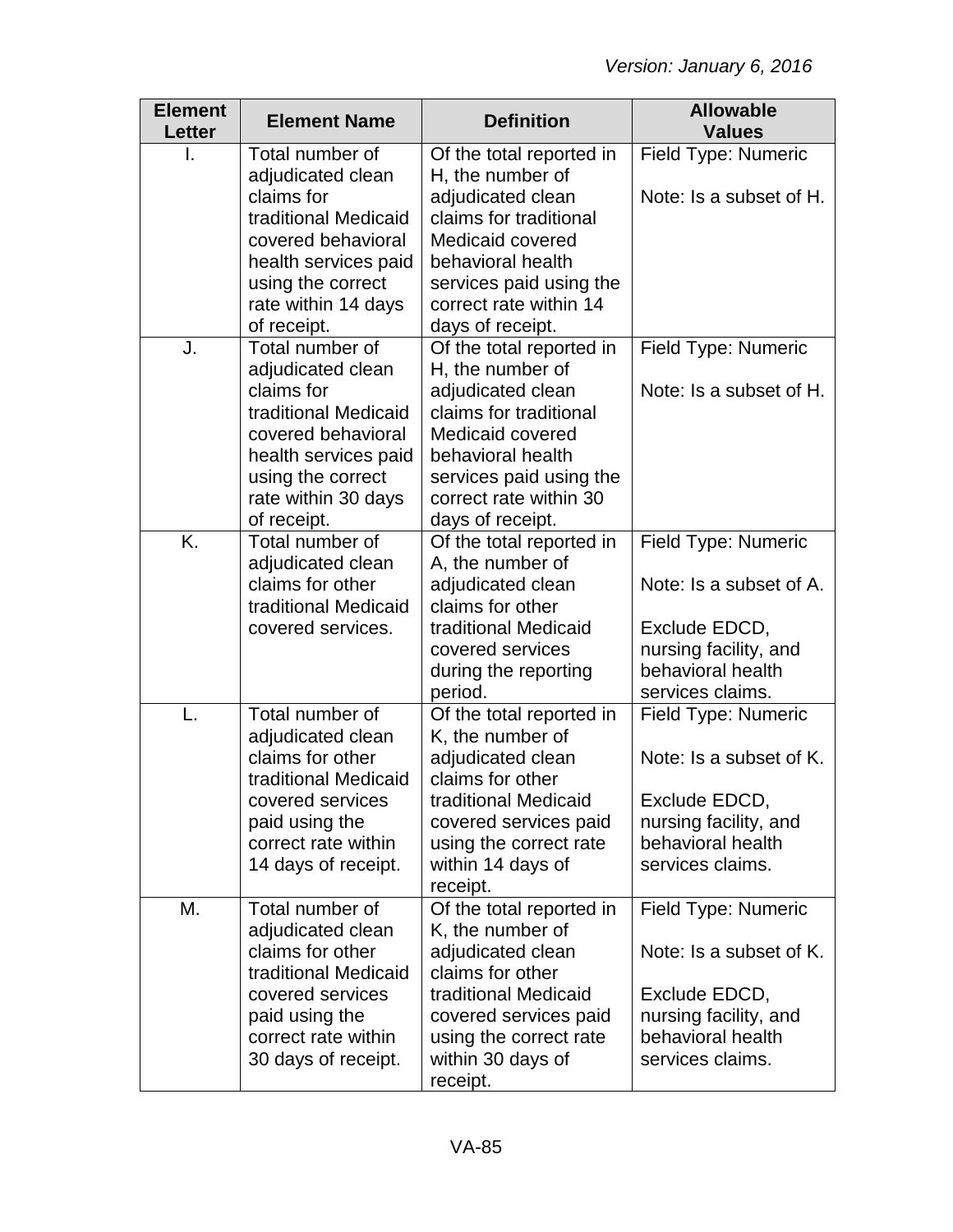| <b>Element</b><br>Letter | <b>Element Name</b>                                                                                                          | <b>Definition</b>                                                                                                                         | <b>Allowable</b><br><b>Values</b>                                               |
|--------------------------|------------------------------------------------------------------------------------------------------------------------------|-------------------------------------------------------------------------------------------------------------------------------------------|---------------------------------------------------------------------------------|
|                          | Total number of<br>adjudicated clean                                                                                         | Of the total reported in<br>H, the number of                                                                                              | Field Type: Numeric                                                             |
|                          | claims for<br>traditional Medicaid<br>covered behavioral                                                                     | adjudicated clean<br>claims for traditional<br>Medicaid covered                                                                           | Note: Is a subset of H.                                                         |
|                          | health services paid<br>using the correct                                                                                    | behavioral health<br>services paid using the                                                                                              |                                                                                 |
|                          | rate within 14 days<br>of receipt.                                                                                           | correct rate within 14<br>days of receipt.                                                                                                |                                                                                 |
| J.                       | Total number of<br>adjudicated clean                                                                                         | Of the total reported in<br>H, the number of                                                                                              | Field Type: Numeric                                                             |
|                          | claims for<br>traditional Medicaid<br>covered behavioral<br>health services paid<br>using the correct<br>rate within 30 days | adjudicated clean<br>claims for traditional<br>Medicaid covered<br>behavioral health<br>services paid using the<br>correct rate within 30 | Note: Is a subset of H.                                                         |
|                          | of receipt.                                                                                                                  | days of receipt.                                                                                                                          |                                                                                 |
| K.                       | Total number of<br>adjudicated clean<br>claims for other<br>traditional Medicaid                                             | Of the total reported in<br>A, the number of<br>adjudicated clean<br>claims for other                                                     | Field Type: Numeric<br>Note: Is a subset of A.                                  |
|                          | covered services.                                                                                                            | traditional Medicaid<br>covered services<br>during the reporting<br>period.                                                               | Exclude EDCD,<br>nursing facility, and<br>behavioral health<br>services claims. |
| L.                       | Total number of<br>adjudicated clean                                                                                         | Of the total reported in<br>K, the number of                                                                                              | Field Type: Numeric                                                             |
|                          | claims for other<br>traditional Medicaid                                                                                     | adjudicated clean<br>claims for other                                                                                                     | Note: Is a subset of K.                                                         |
|                          | covered services<br>paid using the<br>correct rate within<br>14 days of receipt.                                             | traditional Medicaid<br>covered services paid<br>using the correct rate<br>within 14 days of<br>receipt.                                  | Exclude EDCD,<br>nursing facility, and<br>behavioral health<br>services claims. |
| М.                       | Total number of<br>adjudicated clean<br>claims for other                                                                     | Of the total reported in<br>K, the number of<br>adjudicated clean                                                                         | <b>Field Type: Numeric</b><br>Note: Is a subset of K.                           |
|                          | traditional Medicaid<br>covered services                                                                                     | claims for other<br>traditional Medicaid                                                                                                  | Exclude EDCD,                                                                   |
|                          | paid using the<br>correct rate within<br>30 days of receipt.                                                                 | covered services paid<br>using the correct rate<br>within 30 days of<br>receipt.                                                          | nursing facility, and<br>behavioral health<br>services claims.                  |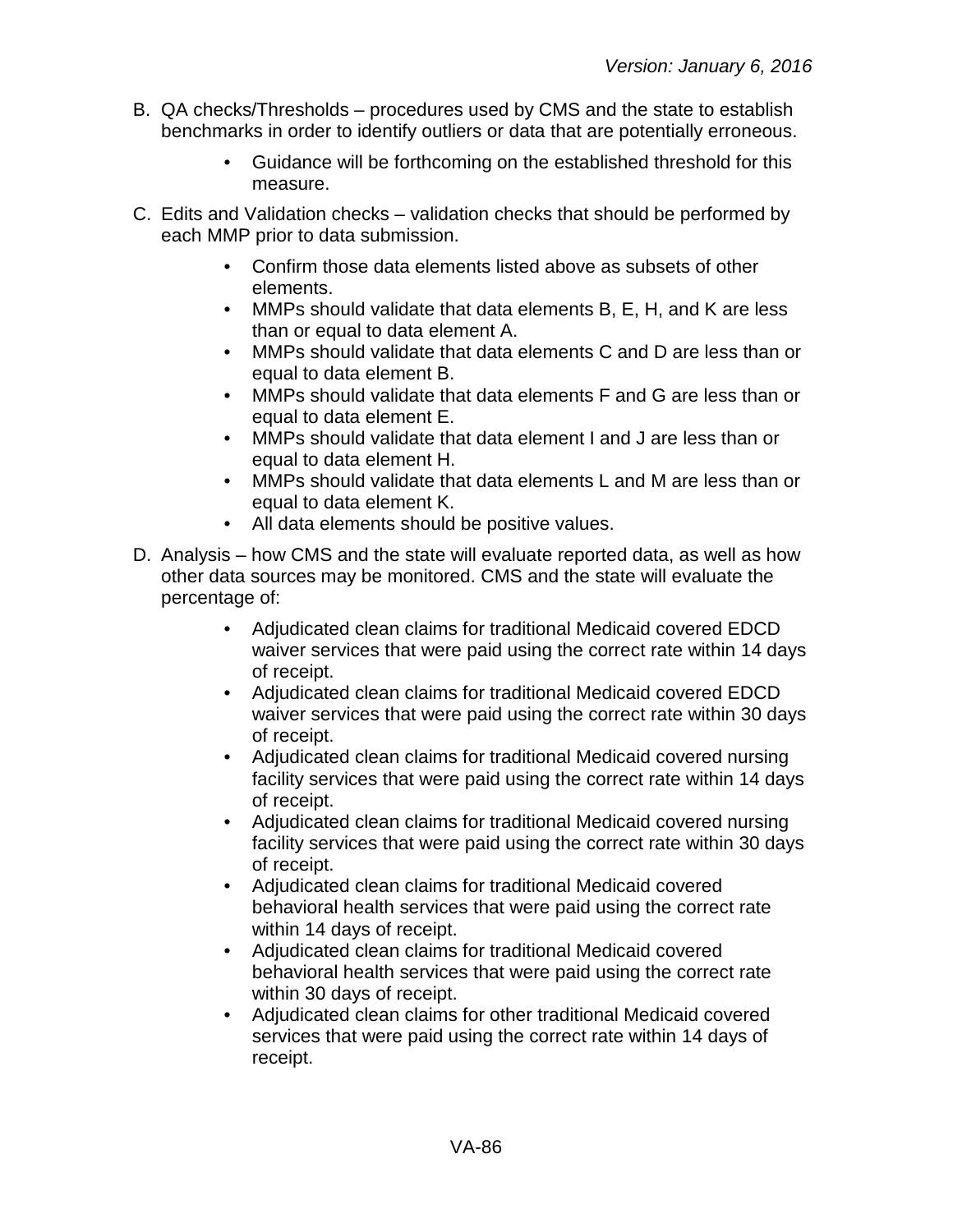- B. QA checks/Thresholds procedures used by CMS and the state to establish benchmarks in order to identify outliers or data that are potentially erroneous.
	- Guidance will be forthcoming on the established threshold for this measure.
- C. Edits and Validation checks validation checks that should be performed by each MMP prior to data submission.
	- Confirm those data elements listed above as subsets of other elements.
	- MMPs should validate that data elements B, E, H, and K are less than or equal to data element A.
	- MMPs should validate that data elements C and D are less than or equal to data element B.
	- MMPs should validate that data elements F and G are less than or equal to data element E.
	- MMPs should validate that data element I and J are less than or equal to data element H.
	- MMPs should validate that data elements L and M are less than or equal to data element K.
	- All data elements should be positive values.
- D. Analysis how CMS and the state will evaluate reported data, as well as how other data sources may be monitored. CMS and the state will evaluate the percentage of:
	- Adjudicated clean claims for traditional Medicaid covered EDCD waiver services that were paid using the correct rate within 14 days of receipt.
	- Adjudicated clean claims for traditional Medicaid covered EDCD waiver services that were paid using the correct rate within 30 days of receipt.
	- Adjudicated clean claims for traditional Medicaid covered nursing facility services that were paid using the correct rate within 14 days of receipt.
	- Adjudicated clean claims for traditional Medicaid covered nursing facility services that were paid using the correct rate within 30 days of receipt.
	- Adjudicated clean claims for traditional Medicaid covered behavioral health services that were paid using the correct rate within 14 days of receipt.
	- Adjudicated clean claims for traditional Medicaid covered behavioral health services that were paid using the correct rate within 30 days of receipt.
	- Adjudicated clean claims for other traditional Medicaid covered services that were paid using the correct rate within 14 days of receipt.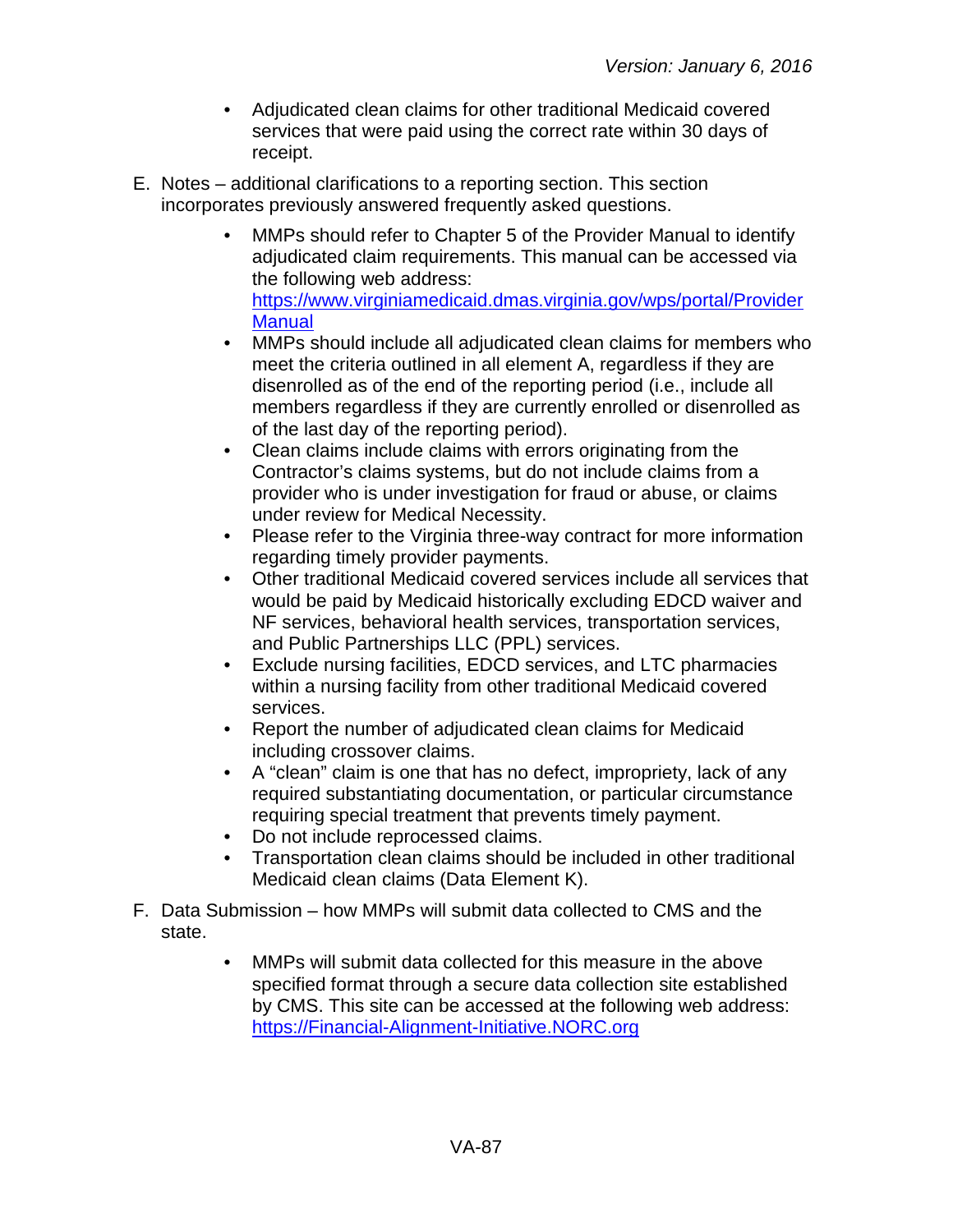- Adjudicated clean claims for other traditional Medicaid covered services that were paid using the correct rate within 30 days of receipt.
- E. Notes additional clarifications to a reporting section. This section incorporates previously answered frequently asked questions.
	- MMPs should refer to Chapter 5 of the Provider Manual to identify adjudicated claim requirements. This manual can be accessed via the following web address: [https://www.virginiamedicaid.dmas.virginia.gov/wps/portal/Provider](https://www.virginiamedicaid.dmas.virginia.gov/wps/portal/ProviderManual) **[Manual](https://www.virginiamedicaid.dmas.virginia.gov/wps/portal/ProviderManual)**
	- MMPs should include all adjudicated clean claims for members who meet the criteria outlined in all element A, regardless if they are disenrolled as of the end of the reporting period (i.e., include all members regardless if they are currently enrolled or disenrolled as of the last day of the reporting period).
	- Clean claims include claims with errors originating from the Contractor's claims systems, but do not include claims from a provider who is under investigation for fraud or abuse, or claims under review for Medical Necessity.
	- Please refer to the Virginia three-way contract for more information regarding timely provider payments.
	- Other traditional Medicaid covered services include all services that would be paid by Medicaid historically excluding EDCD waiver and NF services, behavioral health services, transportation services, and Public Partnerships LLC (PPL) services.
	- Exclude nursing facilities, EDCD services, and LTC pharmacies within a nursing facility from other traditional Medicaid covered services.
	- Report the number of adjudicated clean claims for Medicaid including crossover claims.
	- A "clean" claim is one that has no defect, impropriety, lack of any required substantiating documentation, or particular circumstance requiring special treatment that prevents timely payment.
	- Do not include reprocessed claims.
	- Transportation clean claims should be included in other traditional Medicaid clean claims (Data Element K).
- F. Data Submission how MMPs will submit data collected to CMS and the state.
	- MMPs will submit data collected for this measure in the above specified format through a secure data collection site established by CMS. This site can be accessed at the following web address: [https://Financial-Alignment-Initiative.NORC.org](https://financial-alignment-initiative.norc.org/)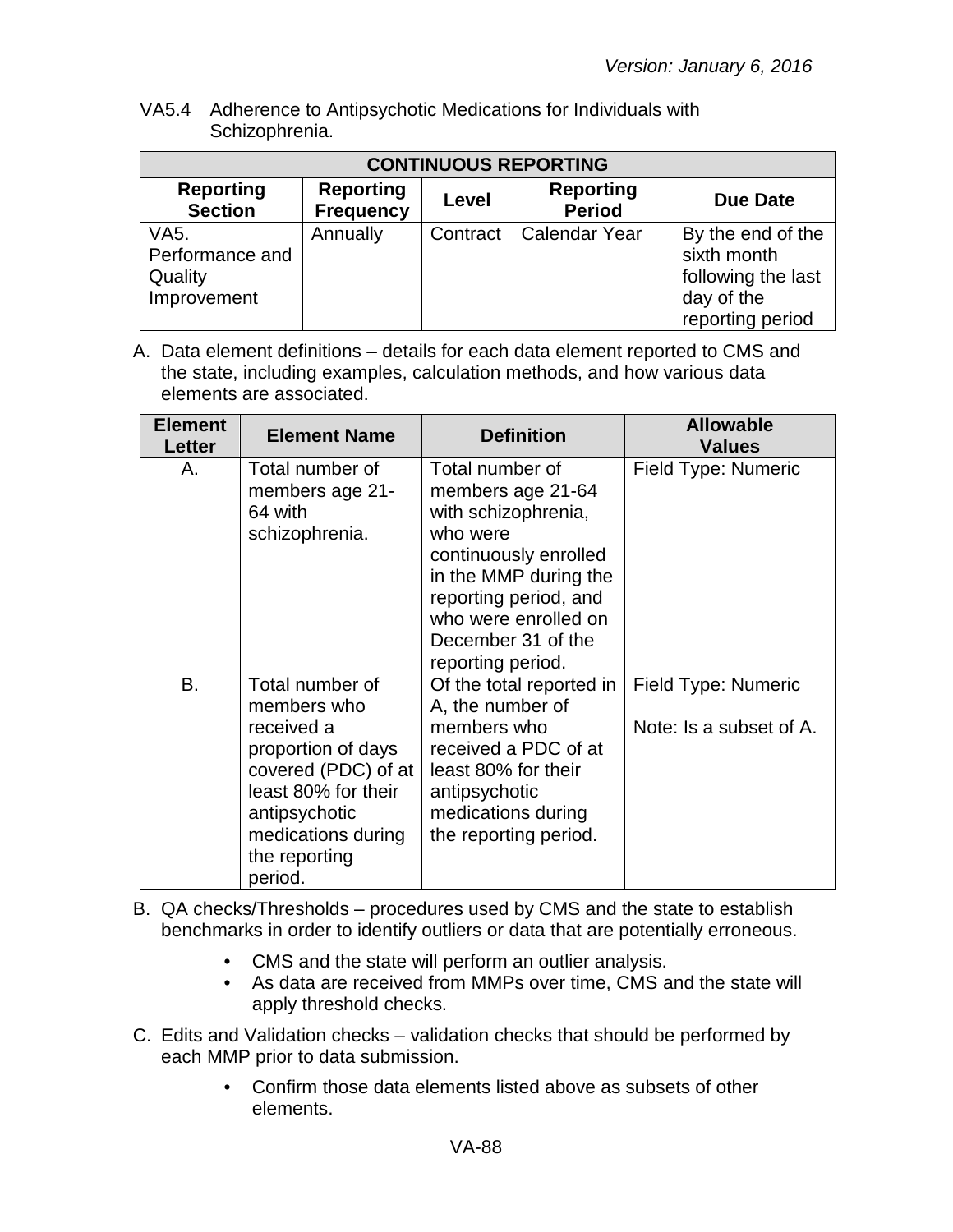VA5.4 Adherence to Antipsychotic Medications for Individuals with Schizophrenia.

| <b>CONTINUOUS REPORTING</b>                       |                                      |          |                                   |                                                                                          |  |
|---------------------------------------------------|--------------------------------------|----------|-----------------------------------|------------------------------------------------------------------------------------------|--|
| <b>Reporting</b><br><b>Section</b>                | <b>Reporting</b><br><b>Frequency</b> | Level    | <b>Reporting</b><br><b>Period</b> | <b>Due Date</b>                                                                          |  |
| VA5.<br>Performance and<br>Quality<br>Improvement | Annually                             | Contract | <b>Calendar Year</b>              | By the end of the<br>sixth month<br>following the last<br>day of the<br>reporting period |  |

| <b>Element</b><br><b>Letter</b> | <b>Element Name</b>                                                                                                                                                                 | <b>Definition</b>                                                                                                                                                                                                     | <b>Allowable</b><br><b>Values</b>              |
|---------------------------------|-------------------------------------------------------------------------------------------------------------------------------------------------------------------------------------|-----------------------------------------------------------------------------------------------------------------------------------------------------------------------------------------------------------------------|------------------------------------------------|
| А.                              | Total number of<br>members age 21-<br>64 with<br>schizophrenia.                                                                                                                     | Total number of<br>members age 21-64<br>with schizophrenia,<br>who were<br>continuously enrolled<br>in the MMP during the<br>reporting period, and<br>who were enrolled on<br>December 31 of the<br>reporting period. | Field Type: Numeric                            |
| <b>B.</b>                       | Total number of<br>members who<br>received a<br>proportion of days<br>covered (PDC) of at<br>least 80% for their<br>antipsychotic<br>medications during<br>the reporting<br>period. | Of the total reported in<br>A, the number of<br>members who<br>received a PDC of at<br>least 80% for their<br>antipsychotic<br>medications during<br>the reporting period.                                            | Field Type: Numeric<br>Note: Is a subset of A. |

- B. QA checks/Thresholds procedures used by CMS and the state to establish benchmarks in order to identify outliers or data that are potentially erroneous.
	- CMS and the state will perform an outlier analysis.
	- As data are received from MMPs over time, CMS and the state will apply threshold checks.
- C. Edits and Validation checks validation checks that should be performed by each MMP prior to data submission.
	- Confirm those data elements listed above as subsets of other elements.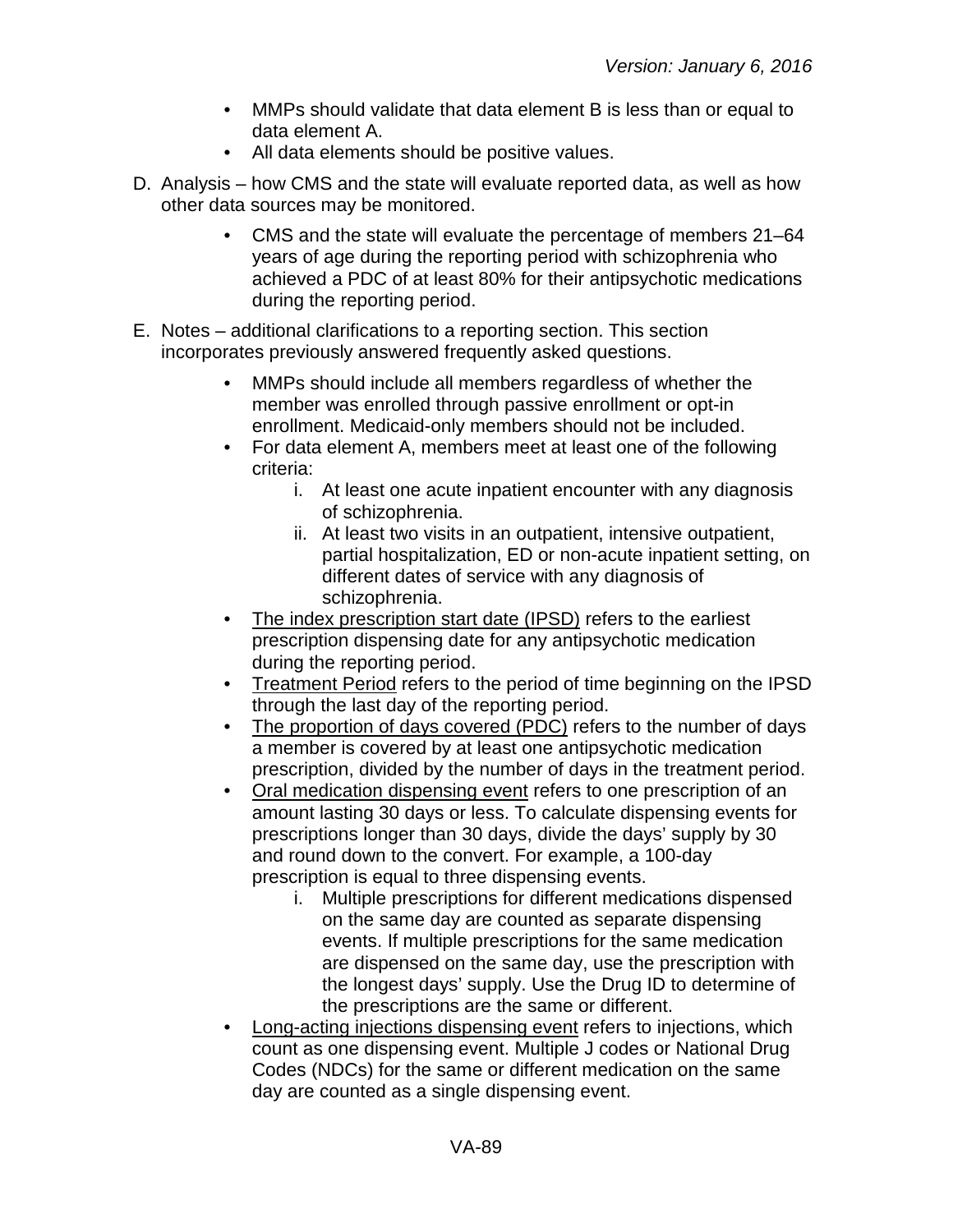- MMPs should validate that data element B is less than or equal to data element A.
- All data elements should be positive values.
- D. Analysis how CMS and the state will evaluate reported data, as well as how other data sources may be monitored.
	- CMS and the state will evaluate the percentage of members 21–64 years of age during the reporting period with schizophrenia who achieved a PDC of at least 80% for their antipsychotic medications during the reporting period.
- E. Notes additional clarifications to a reporting section. This section incorporates previously answered frequently asked questions.
	- MMPs should include all members regardless of whether the member was enrolled through passive enrollment or opt-in enrollment. Medicaid-only members should not be included.
	- For data element A, members meet at least one of the following criteria:
		- i. At least one acute inpatient encounter with any diagnosis of schizophrenia.
		- ii. At least two visits in an outpatient, intensive outpatient, partial hospitalization, ED or non-acute inpatient setting, on different dates of service with any diagnosis of schizophrenia.
	- The index prescription start date (IPSD) refers to the earliest prescription dispensing date for any antipsychotic medication during the reporting period.
	- Treatment Period refers to the period of time beginning on the IPSD through the last day of the reporting period.
	- The proportion of days covered (PDC) refers to the number of days a member is covered by at least one antipsychotic medication prescription, divided by the number of days in the treatment period.
	- Oral medication dispensing event refers to one prescription of an amount lasting 30 days or less. To calculate dispensing events for prescriptions longer than 30 days, divide the days' supply by 30 and round down to the convert. For example, a 100-day prescription is equal to three dispensing events.
		- i. Multiple prescriptions for different medications dispensed on the same day are counted as separate dispensing events. If multiple prescriptions for the same medication are dispensed on the same day, use the prescription with the longest days' supply. Use the Drug ID to determine of the prescriptions are the same or different.
	- Long-acting injections dispensing event refers to injections, which count as one dispensing event. Multiple J codes or National Drug Codes (NDCs) for the same or different medication on the same day are counted as a single dispensing event.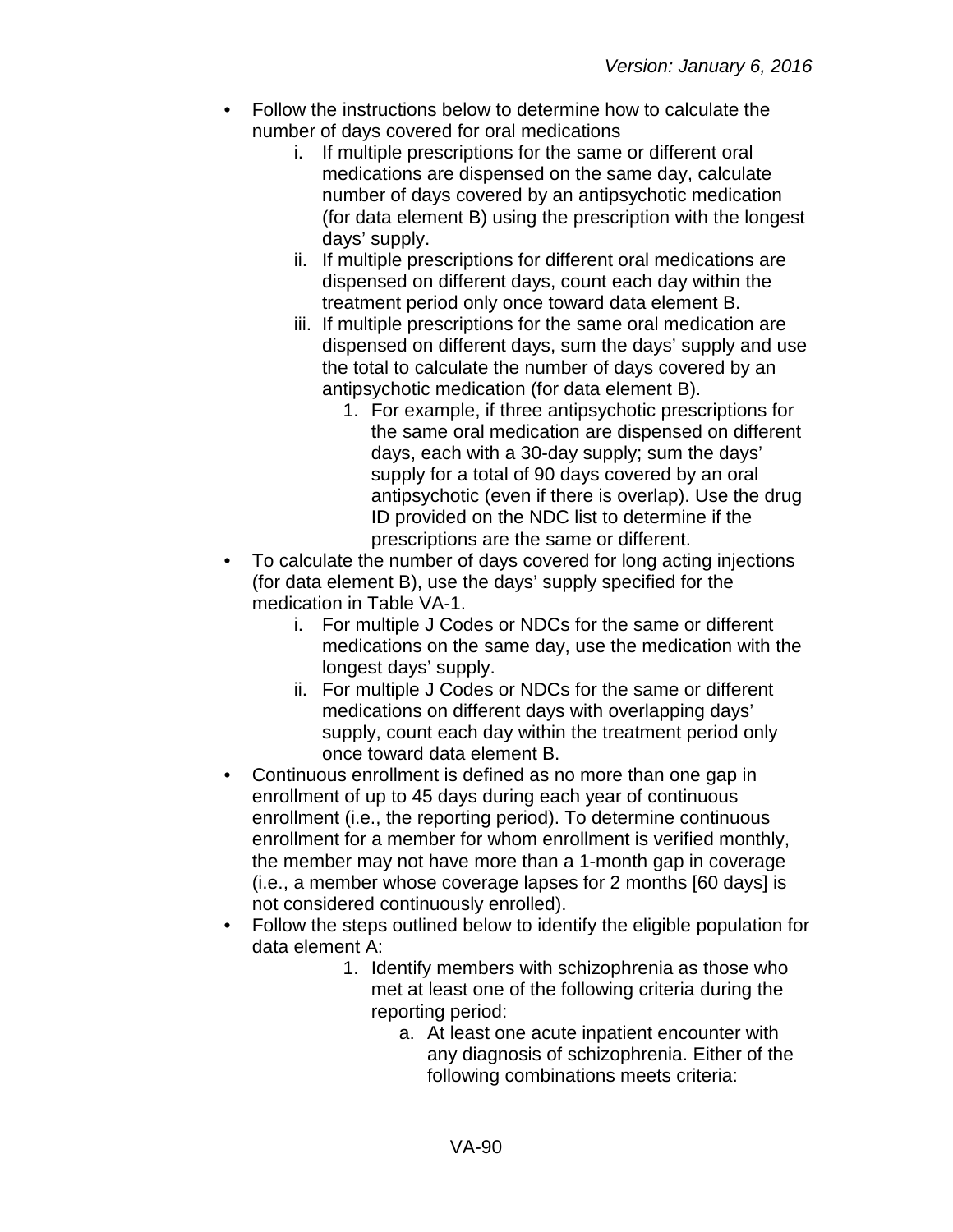- Follow the instructions below to determine how to calculate the number of days covered for oral medications
	- i. If multiple prescriptions for the same or different oral medications are dispensed on the same day, calculate number of days covered by an antipsychotic medication (for data element B) using the prescription with the longest days' supply.
	- ii. If multiple prescriptions for different oral medications are dispensed on different days, count each day within the treatment period only once toward data element B.
	- iii. If multiple prescriptions for the same oral medication are dispensed on different days, sum the days' supply and use the total to calculate the number of days covered by an antipsychotic medication (for data element B).
		- 1. For example, if three antipsychotic prescriptions for the same oral medication are dispensed on different days, each with a 30-day supply; sum the days' supply for a total of 90 days covered by an oral antipsychotic (even if there is overlap). Use the drug ID provided on the NDC list to determine if the prescriptions are the same or different.
- To calculate the number of days covered for long acting injections (for data element B), use the days' supply specified for the medication in Table VA-1.
	- i. For multiple J Codes or NDCs for the same or different medications on the same day, use the medication with the longest days' supply.
	- ii. For multiple J Codes or NDCs for the same or different medications on different days with overlapping days' supply, count each day within the treatment period only once toward data element B.
- Continuous enrollment is defined as no more than one gap in enrollment of up to 45 days during each year of continuous enrollment (i.e., the reporting period). To determine continuous enrollment for a member for whom enrollment is verified monthly, the member may not have more than a 1-month gap in coverage (i.e., a member whose coverage lapses for 2 months [60 days] is not considered continuously enrolled).
- Follow the steps outlined below to identify the eligible population for data element A:
	- 1. Identify members with schizophrenia as those who met at least one of the following criteria during the reporting period:
		- a. At least one acute inpatient encounter with any diagnosis of schizophrenia. Either of the following combinations meets criteria: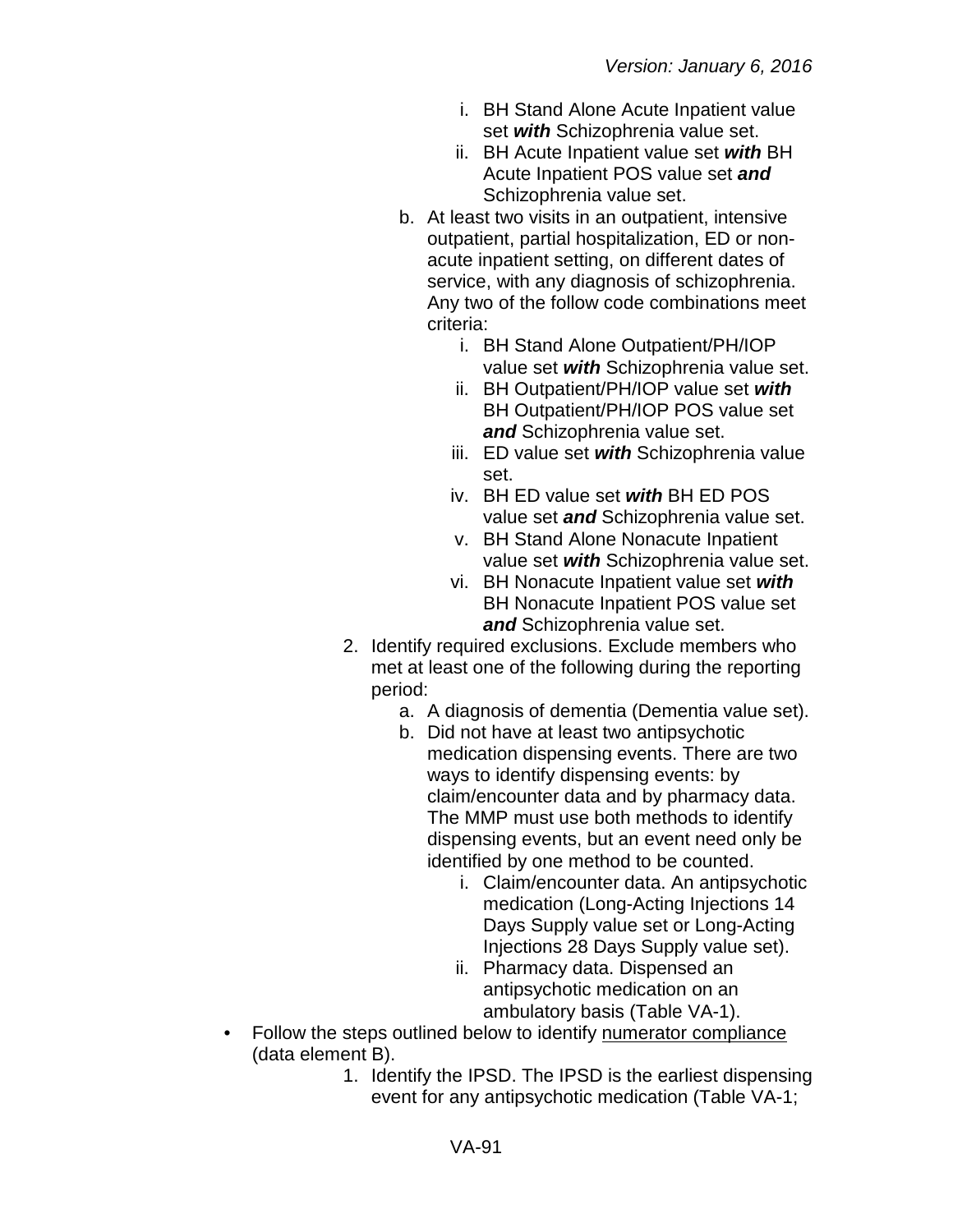- i. BH Stand Alone Acute Inpatient value set *with* Schizophrenia value set.
- ii. BH Acute Inpatient value set *with* BH Acute Inpatient POS value set *and* Schizophrenia value set.
- b. At least two visits in an outpatient, intensive outpatient, partial hospitalization, ED or nonacute inpatient setting, on different dates of service, with any diagnosis of schizophrenia. Any two of the follow code combinations meet criteria:
	- i. BH Stand Alone Outpatient/PH/IOP value set *with* Schizophrenia value set.
	- ii. BH Outpatient/PH/IOP value set *with* BH Outpatient/PH/IOP POS value set *and* Schizophrenia value set.
	- iii. ED value set *with* Schizophrenia value set.
	- iv. BH ED value set *with* BH ED POS value set *and* Schizophrenia value set.
	- v. BH Stand Alone Nonacute Inpatient value set *with* Schizophrenia value set.
	- vi. BH Nonacute Inpatient value set *with* BH Nonacute Inpatient POS value set *and* Schizophrenia value set.
- 2. Identify required exclusions. Exclude members who met at least one of the following during the reporting period:
	- a. A diagnosis of dementia (Dementia value set).
	- b. Did not have at least two antipsychotic medication dispensing events. There are two ways to identify dispensing events: by claim/encounter data and by pharmacy data. The MMP must use both methods to identify dispensing events, but an event need only be identified by one method to be counted.
		- i. Claim/encounter data. An antipsychotic medication (Long-Acting Injections 14 Days Supply value set or Long-Acting Injections 28 Days Supply value set).
		- ii. Pharmacy data. Dispensed an antipsychotic medication on an ambulatory basis (Table VA-1).
- Follow the steps outlined below to identify numerator compliance (data element B).
	- 1. Identify the IPSD. The IPSD is the earliest dispensing event for any antipsychotic medication (Table VA-1;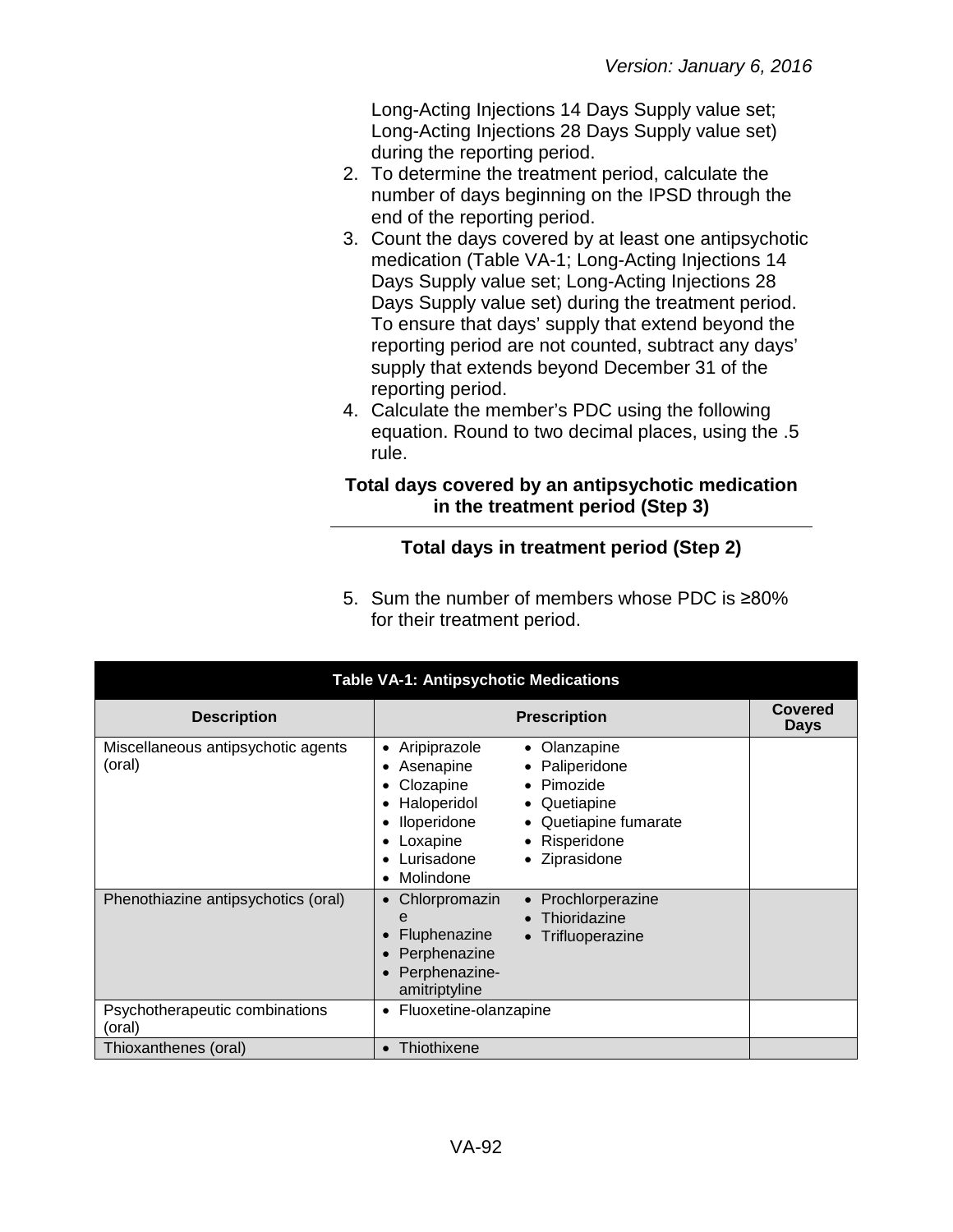Long-Acting Injections 14 Days Supply value set; Long-Acting Injections 28 Days Supply value set) during the reporting period.

- 2. To determine the treatment period, calculate the number of days beginning on the IPSD through the end of the reporting period.
- 3. Count the days covered by at least one antipsychotic medication (Table VA-1; Long-Acting Injections 14 Days Supply value set; Long-Acting Injections 28 Days Supply value set) during the treatment period. To ensure that days' supply that extend beyond the reporting period are not counted, subtract any days' supply that extends beyond December 31 of the reporting period.
- 4. Calculate the member's PDC using the following equation. Round to two decimal places, using the .5 rule.

### **Total days covered by an antipsychotic medication in the treatment period (Step 3)**

# **Total days in treatment period (Step 2)**

5. Sum the number of members whose PDC is ≥80% for their treatment period.

| <b>Table VA-1: Antipsychotic Medications</b> |                                                                                                                                                                                                                                                                |                               |  |  |
|----------------------------------------------|----------------------------------------------------------------------------------------------------------------------------------------------------------------------------------------------------------------------------------------------------------------|-------------------------------|--|--|
| <b>Description</b>                           | <b>Prescription</b>                                                                                                                                                                                                                                            | <b>Covered</b><br><b>Days</b> |  |  |
| Miscellaneous antipsychotic agents<br>(oral) | Aripiprazole<br>Olanzapine<br>$\bullet$<br>• Paliperidone<br>Asenapine<br>• Pimozide<br>Clozapine<br>Haloperidol<br>• Quetiapine<br>• Quetiapine fumarate<br>Iloperidone<br>Loxapine<br>• Risperidone<br>• Ziprasidone<br>Lurisadone<br>Molindone<br>$\bullet$ |                               |  |  |
| Phenothiazine antipsychotics (oral)          | Prochlorperazine<br>Chlorpromazin<br>$\bullet$<br>Thioridazine<br>e<br>Fluphenazine<br>• Trifluoperazine<br>Perphenazine<br>Perphenazine-<br>amitriptyline                                                                                                     |                               |  |  |
| Psychotherapeutic combinations<br>(oral)     | Fluoxetine-olanzapine<br>٠                                                                                                                                                                                                                                     |                               |  |  |
| Thioxanthenes (oral)                         | Thiothixene<br>$\bullet$                                                                                                                                                                                                                                       |                               |  |  |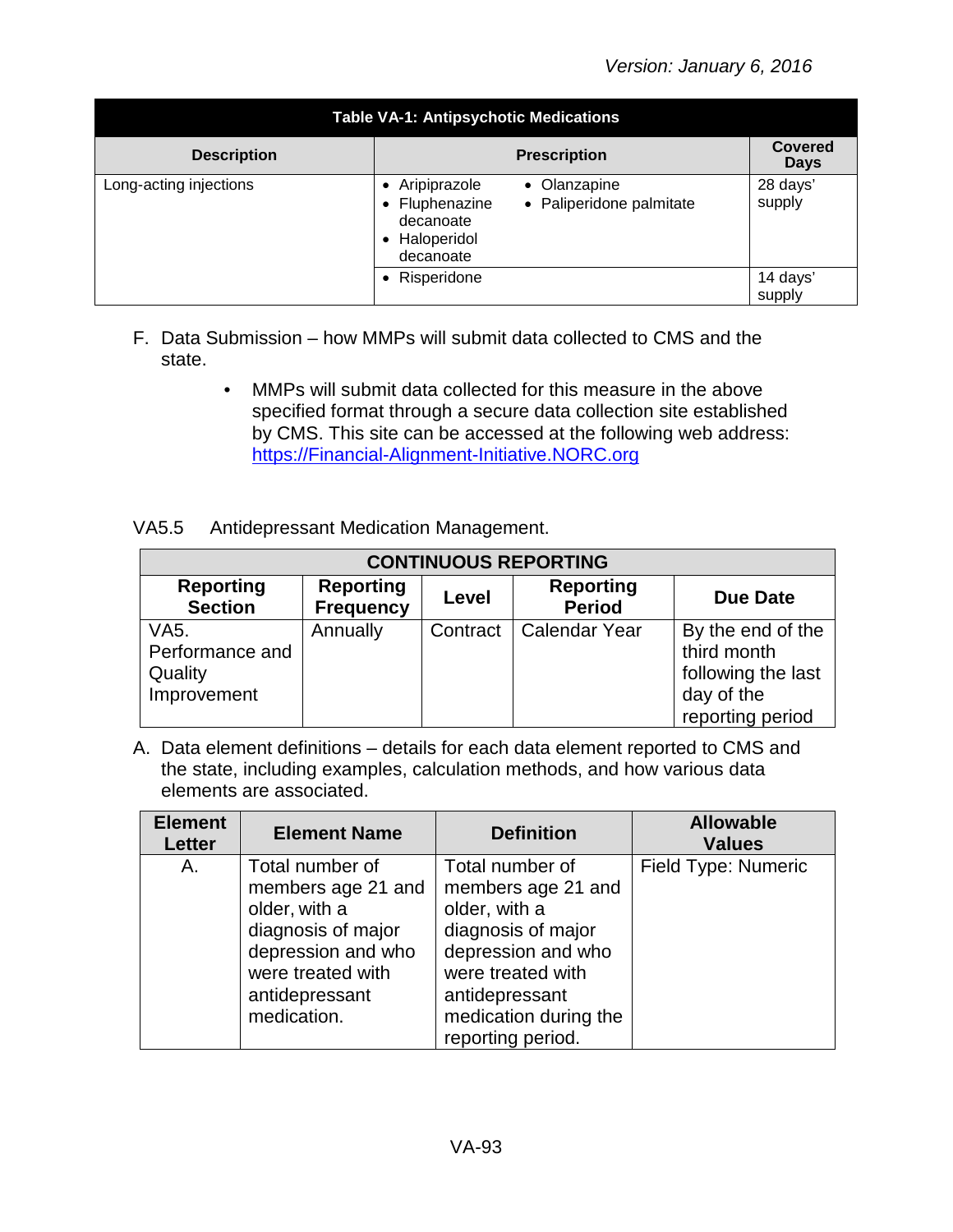| <b>Table VA-1: Antipsychotic Medications</b> |                                                                                                                     |                               |  |  |  |
|----------------------------------------------|---------------------------------------------------------------------------------------------------------------------|-------------------------------|--|--|--|
| <b>Description</b>                           | <b>Prescription</b>                                                                                                 | <b>Covered</b><br><b>Days</b> |  |  |  |
| Long-acting injections                       | Aripiprazole<br>• Olanzapine<br>• Fluphenazine<br>• Paliperidone palmitate<br>decanoate<br>Haloperidol<br>decanoate | 28 days'<br>supply            |  |  |  |
|                                              | • Risperidone                                                                                                       | 14 days'<br>supply            |  |  |  |

- F. Data Submission how MMPs will submit data collected to CMS and the state.
	- MMPs will submit data collected for this measure in the above specified format through a secure data collection site established by CMS. This site can be accessed at the following web address: [https://Financial-Alignment-Initiative.NORC.org](https://financial-alignment-initiative.norc.org/)

| <b>CONTINUOUS REPORTING</b>                                    |                                      |          |                                   |                                                                                          |  |
|----------------------------------------------------------------|--------------------------------------|----------|-----------------------------------|------------------------------------------------------------------------------------------|--|
| <b>Reporting</b><br><b>Section</b>                             | <b>Reporting</b><br><b>Frequency</b> | Level    | <b>Reporting</b><br><b>Period</b> | <b>Due Date</b>                                                                          |  |
| VA <sub>5</sub> .<br>Performance and<br>Quality<br>Improvement | Annually                             | Contract | Calendar Year                     | By the end of the<br>third month<br>following the last<br>day of the<br>reporting period |  |

| <b>Element</b><br><b>Letter</b> | <b>Element Name</b>                                                                                                                                      | <b>Definition</b>                                                                                                                                                                       | <b>Allowable</b><br><b>Values</b> |
|---------------------------------|----------------------------------------------------------------------------------------------------------------------------------------------------------|-----------------------------------------------------------------------------------------------------------------------------------------------------------------------------------------|-----------------------------------|
| Α.                              | Total number of<br>members age 21 and<br>older, with a<br>diagnosis of major<br>depression and who<br>were treated with<br>antidepressant<br>medication. | Total number of<br>members age 21 and<br>older, with a<br>diagnosis of major<br>depression and who<br>were treated with<br>antidepressant<br>medication during the<br>reporting period. | Field Type: Numeric               |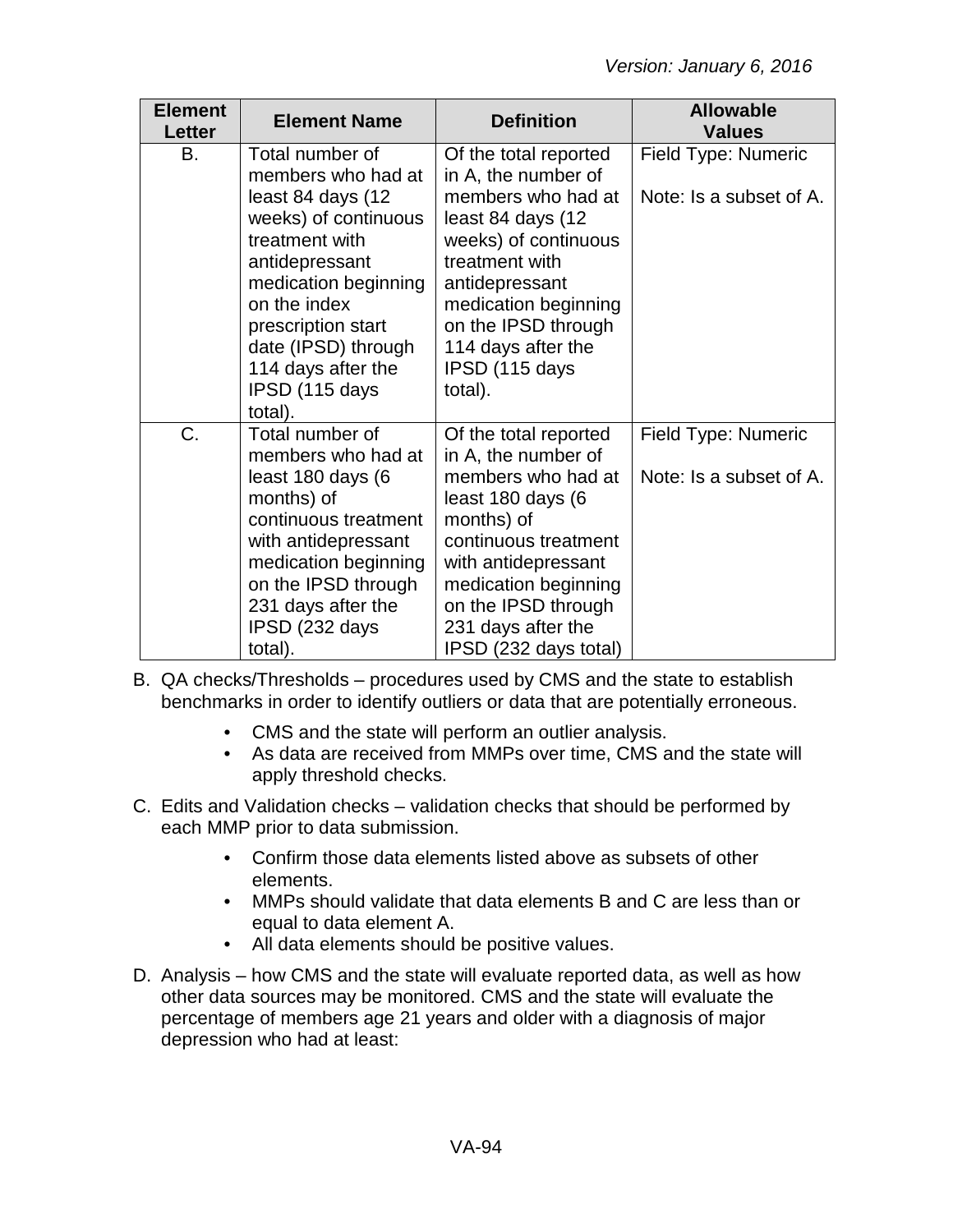| <b>Element</b><br>Letter | <b>Element Name</b>                                                                                                                                                                                                                                            | <b>Definition</b>                                                                                                                                                                                                                                     | <b>Allowable</b><br><b>Values</b>              |
|--------------------------|----------------------------------------------------------------------------------------------------------------------------------------------------------------------------------------------------------------------------------------------------------------|-------------------------------------------------------------------------------------------------------------------------------------------------------------------------------------------------------------------------------------------------------|------------------------------------------------|
| В.                       | Total number of<br>members who had at<br>least 84 days (12<br>weeks) of continuous<br>treatment with<br>antidepressant<br>medication beginning<br>on the index<br>prescription start<br>date (IPSD) through<br>114 days after the<br>IPSD (115 days<br>total). | Of the total reported<br>in A, the number of<br>members who had at<br>least 84 days (12<br>weeks) of continuous<br>treatment with<br>antidepressant<br>medication beginning<br>on the IPSD through<br>114 days after the<br>IPSD (115 days<br>total). | Field Type: Numeric<br>Note: Is a subset of A. |
| C.                       | Total number of<br>members who had at<br>least 180 days (6<br>months) of<br>continuous treatment<br>with antidepressant<br>medication beginning<br>on the IPSD through<br>231 days after the<br>IPSD (232 days<br>total).                                      | Of the total reported<br>in A, the number of<br>members who had at<br>least 180 days (6<br>months) of<br>continuous treatment<br>with antidepressant<br>medication beginning<br>on the IPSD through<br>231 days after the<br>IPSD (232 days total)    | Field Type: Numeric<br>Note: Is a subset of A. |

- B. QA checks/Thresholds procedures used by CMS and the state to establish benchmarks in order to identify outliers or data that are potentially erroneous.
	- CMS and the state will perform an outlier analysis.
	- As data are received from MMPs over time, CMS and the state will apply threshold checks.
- C. Edits and Validation checks validation checks that should be performed by each MMP prior to data submission.
	- Confirm those data elements listed above as subsets of other elements.
	- MMPs should validate that data elements B and C are less than or equal to data element A.
	- All data elements should be positive values.
- D. Analysis how CMS and the state will evaluate reported data, as well as how other data sources may be monitored. CMS and the state will evaluate the percentage of members age 21 years and older with a diagnosis of major depression who had at least: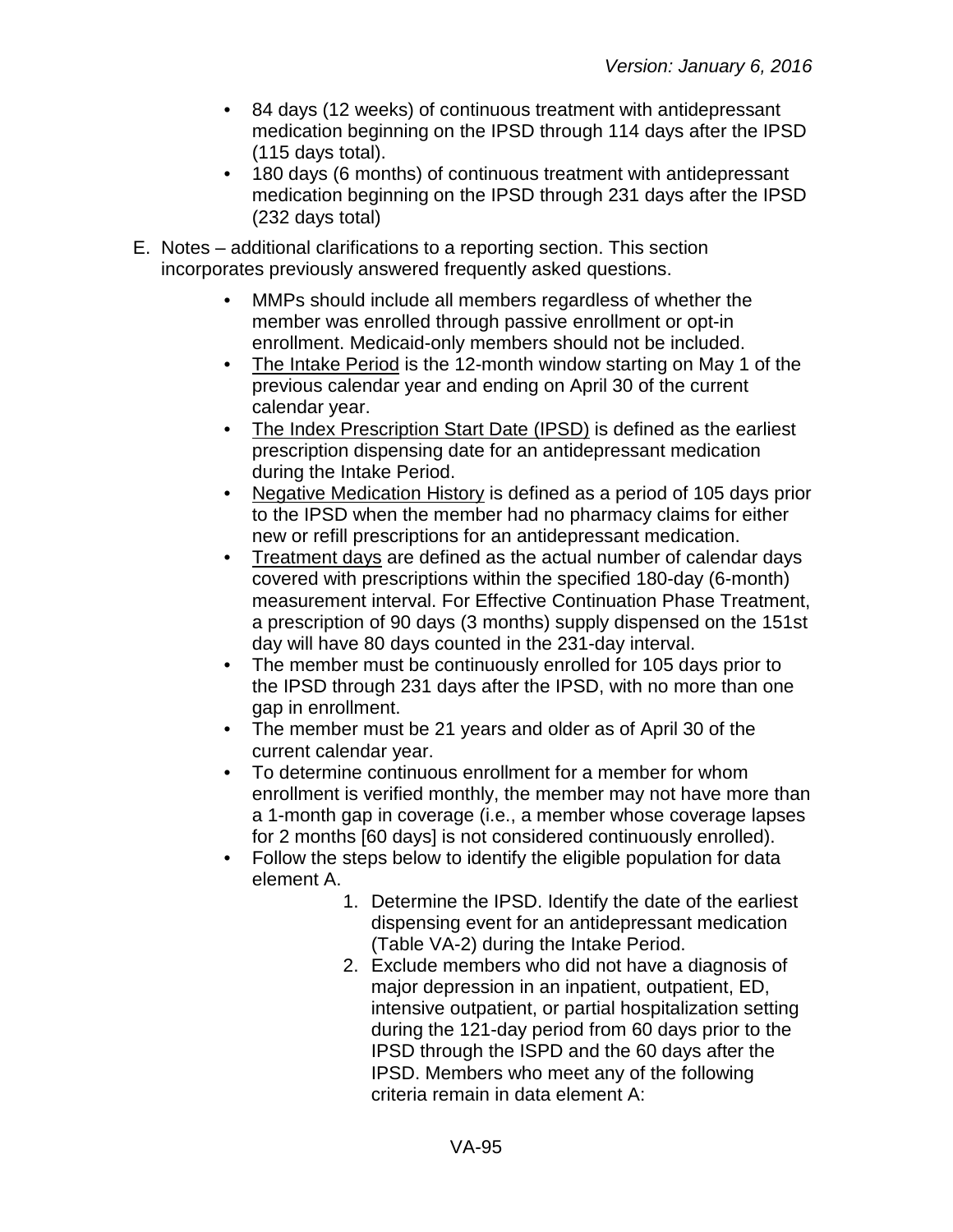- 84 days (12 weeks) of continuous treatment with antidepressant medication beginning on the IPSD through 114 days after the IPSD (115 days total).
- 180 days (6 months) of continuous treatment with antidepressant medication beginning on the IPSD through 231 days after the IPSD (232 days total)
- E. Notes additional clarifications to a reporting section. This section incorporates previously answered frequently asked questions.
	- MMPs should include all members regardless of whether the member was enrolled through passive enrollment or opt-in enrollment. Medicaid-only members should not be included.
	- The Intake Period is the 12-month window starting on May 1 of the previous calendar year and ending on April 30 of the current calendar year.
	- The Index Prescription Start Date (IPSD) is defined as the earliest prescription dispensing date for an antidepressant medication during the Intake Period.
	- Negative Medication History is defined as a period of 105 days prior to the IPSD when the member had no pharmacy claims for either new or refill prescriptions for an antidepressant medication.
	- Treatment days are defined as the actual number of calendar days covered with prescriptions within the specified 180-day (6-month) measurement interval. For Effective Continuation Phase Treatment, a prescription of 90 days (3 months) supply dispensed on the 151st day will have 80 days counted in the 231-day interval.
	- The member must be continuously enrolled for 105 days prior to the IPSD through 231 days after the IPSD, with no more than one gap in enrollment.
	- The member must be 21 years and older as of April 30 of the current calendar year.
	- To determine continuous enrollment for a member for whom enrollment is verified monthly, the member may not have more than a 1-month gap in coverage (i.e., a member whose coverage lapses for 2 months [60 days] is not considered continuously enrolled).
	- Follow the steps below to identify the eligible population for data element A.
		- 1. Determine the IPSD. Identify the date of the earliest dispensing event for an antidepressant medication (Table VA-2) during the Intake Period.
		- 2. Exclude members who did not have a diagnosis of major depression in an inpatient, outpatient, ED, intensive outpatient, or partial hospitalization setting during the 121-day period from 60 days prior to the IPSD through the ISPD and the 60 days after the IPSD. Members who meet any of the following criteria remain in data element A: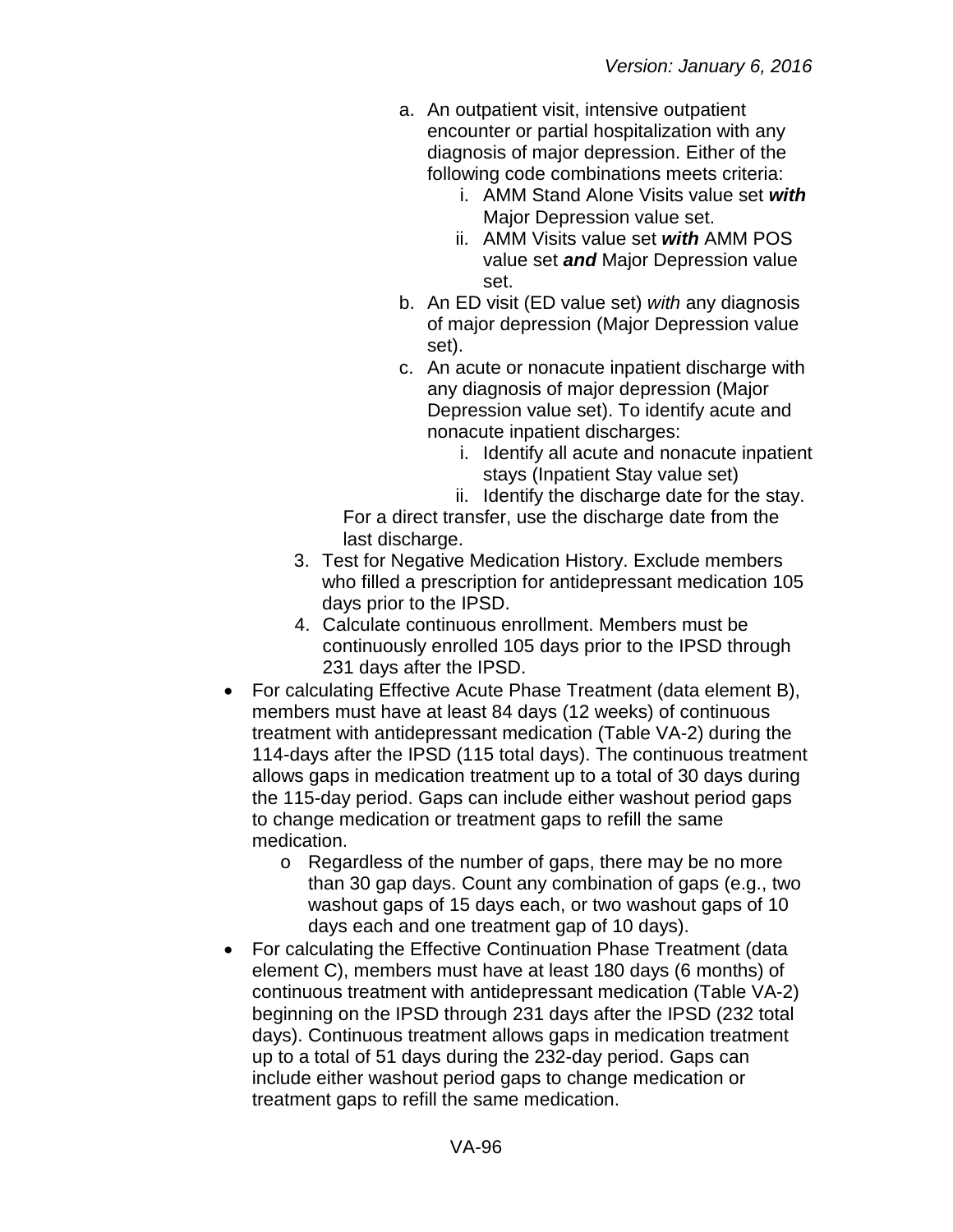- a. An outpatient visit, intensive outpatient encounter or partial hospitalization with any diagnosis of major depression. Either of the following code combinations meets criteria:
	- i. AMM Stand Alone Visits value set *with* Major Depression value set.
	- ii. AMM Visits value set *with* AMM POS value set *and* Major Depression value set.
- b. An ED visit (ED value set) *with* any diagnosis of major depression (Major Depression value set).
- c. An acute or nonacute inpatient discharge with any diagnosis of major depression (Major Depression value set). To identify acute and nonacute inpatient discharges:
	- i. Identify all acute and nonacute inpatient stays (Inpatient Stay value set)
	- ii. Identify the discharge date for the stay.

For a direct transfer, use the discharge date from the last discharge.

- 3. Test for Negative Medication History. Exclude members who filled a prescription for antidepressant medication 105 days prior to the IPSD.
- 4. Calculate continuous enrollment. Members must be continuously enrolled 105 days prior to the IPSD through 231 days after the IPSD.
- For calculating Effective Acute Phase Treatment (data element B), members must have at least 84 days (12 weeks) of continuous treatment with antidepressant medication (Table VA-2) during the 114-days after the IPSD (115 total days). The continuous treatment allows gaps in medication treatment up to a total of 30 days during the 115-day period. Gaps can include either washout period gaps to change medication or treatment gaps to refill the same medication.
	- o Regardless of the number of gaps, there may be no more than 30 gap days. Count any combination of gaps (e.g., two washout gaps of 15 days each, or two washout gaps of 10 days each and one treatment gap of 10 days).
- For calculating the Effective Continuation Phase Treatment (data element C), members must have at least 180 days (6 months) of continuous treatment with antidepressant medication (Table VA-2) beginning on the IPSD through 231 days after the IPSD (232 total days). Continuous treatment allows gaps in medication treatment up to a total of 51 days during the 232-day period. Gaps can include either washout period gaps to change medication or treatment gaps to refill the same medication.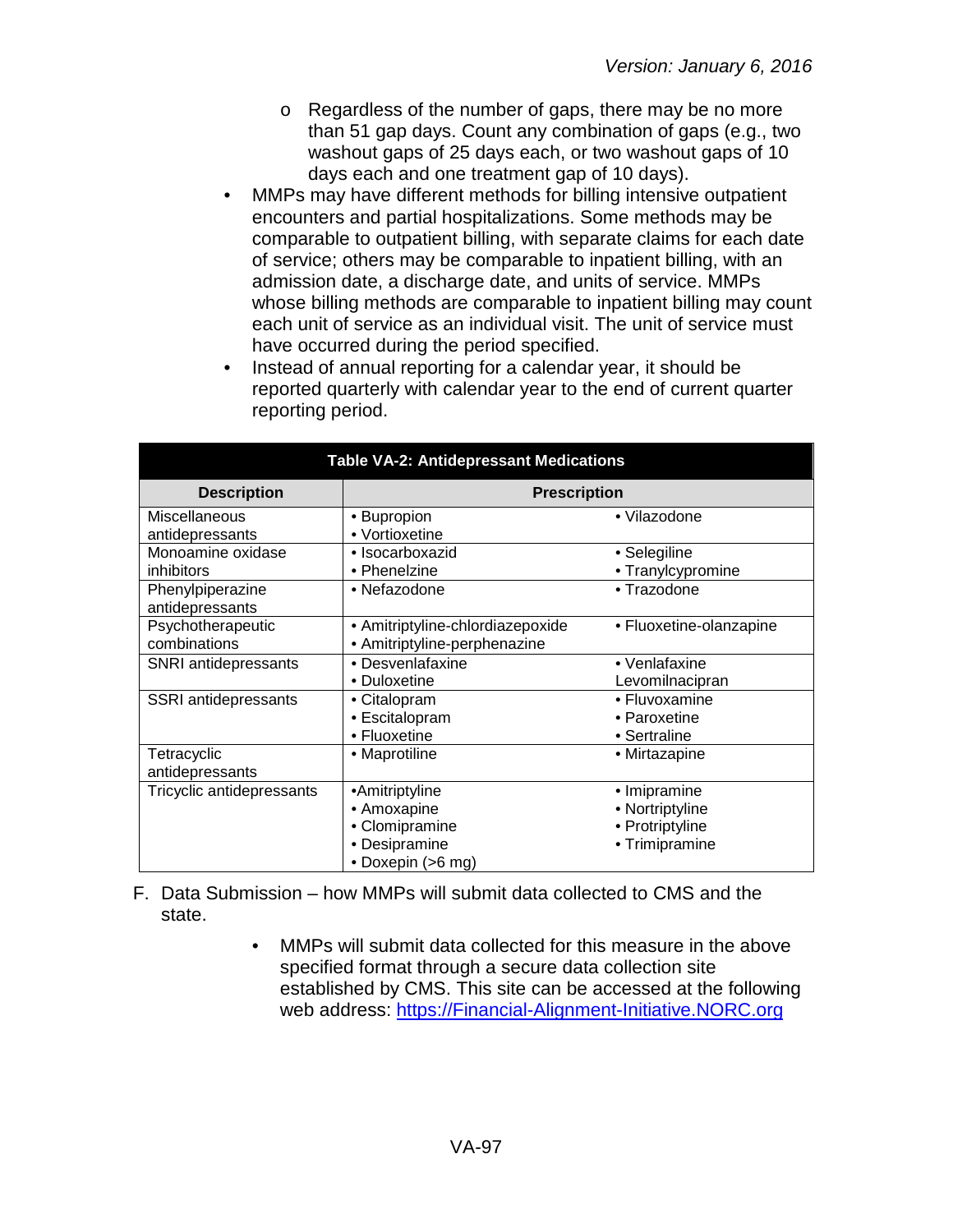- o Regardless of the number of gaps, there may be no more than 51 gap days. Count any combination of gaps (e.g., two washout gaps of 25 days each, or two washout gaps of 10 days each and one treatment gap of 10 days).
- MMPs may have different methods for billing intensive outpatient encounters and partial hospitalizations. Some methods may be comparable to outpatient billing, with separate claims for each date of service; others may be comparable to inpatient billing, with an admission date, a discharge date, and units of service. MMPs whose billing methods are comparable to inpatient billing may count each unit of service as an individual visit. The unit of service must have occurred during the period specified.
- Instead of annual reporting for a calendar year, it should be reported quarterly with calendar year to the end of current quarter reporting period.

| <b>Table VA-2: Antidepressant Medications</b> |                                                                                       |                                                                      |  |  |
|-----------------------------------------------|---------------------------------------------------------------------------------------|----------------------------------------------------------------------|--|--|
| <b>Description</b>                            | <b>Prescription</b>                                                                   |                                                                      |  |  |
| Miscellaneous<br>antidepressants              | • Bupropion<br>• Vortioxetine                                                         | • Vilazodone                                                         |  |  |
| Monoamine oxidase<br>inhibitors               | · Isocarboxazid<br>• Phenelzine                                                       | • Selegiline<br>• Tranylcypromine                                    |  |  |
| Phenylpiperazine<br>antidepressants           | • Nefazodone                                                                          | • Trazodone                                                          |  |  |
| Psychotherapeutic<br>combinations             | • Amitriptyline-chlordiazepoxide<br>• Amitriptyline-perphenazine                      |                                                                      |  |  |
| SNRI antidepressants                          | • Desvenlafaxine<br>• Duloxetine                                                      | • Venlafaxine<br>Levomilnacipran                                     |  |  |
| SSRI antidepressants                          | • Citalopram<br>• Escitalopram<br>• Fluoxetine                                        | • Fluvoxamine<br>• Paroxetine<br>• Sertraline                        |  |  |
| Tetracyclic<br>antidepressants                | • Maprotiline                                                                         | • Mirtazapine                                                        |  |  |
| Tricyclic antidepressants                     | •Amitriptyline<br>• Amoxapine<br>• Clomipramine<br>• Desipramine<br>• Doxepin (>6 mg) | • Imipramine<br>• Nortriptyline<br>• Protriptyline<br>• Trimipramine |  |  |

- F. Data Submission how MMPs will submit data collected to CMS and the state.
	- MMPs will submit data collected for this measure in the above specified format through a secure data collection site established by CMS. This site can be accessed at the following web address: [https://Financial-Alignment-Initiative.NORC.org](https://financial-alignment-initiative.norc.org/)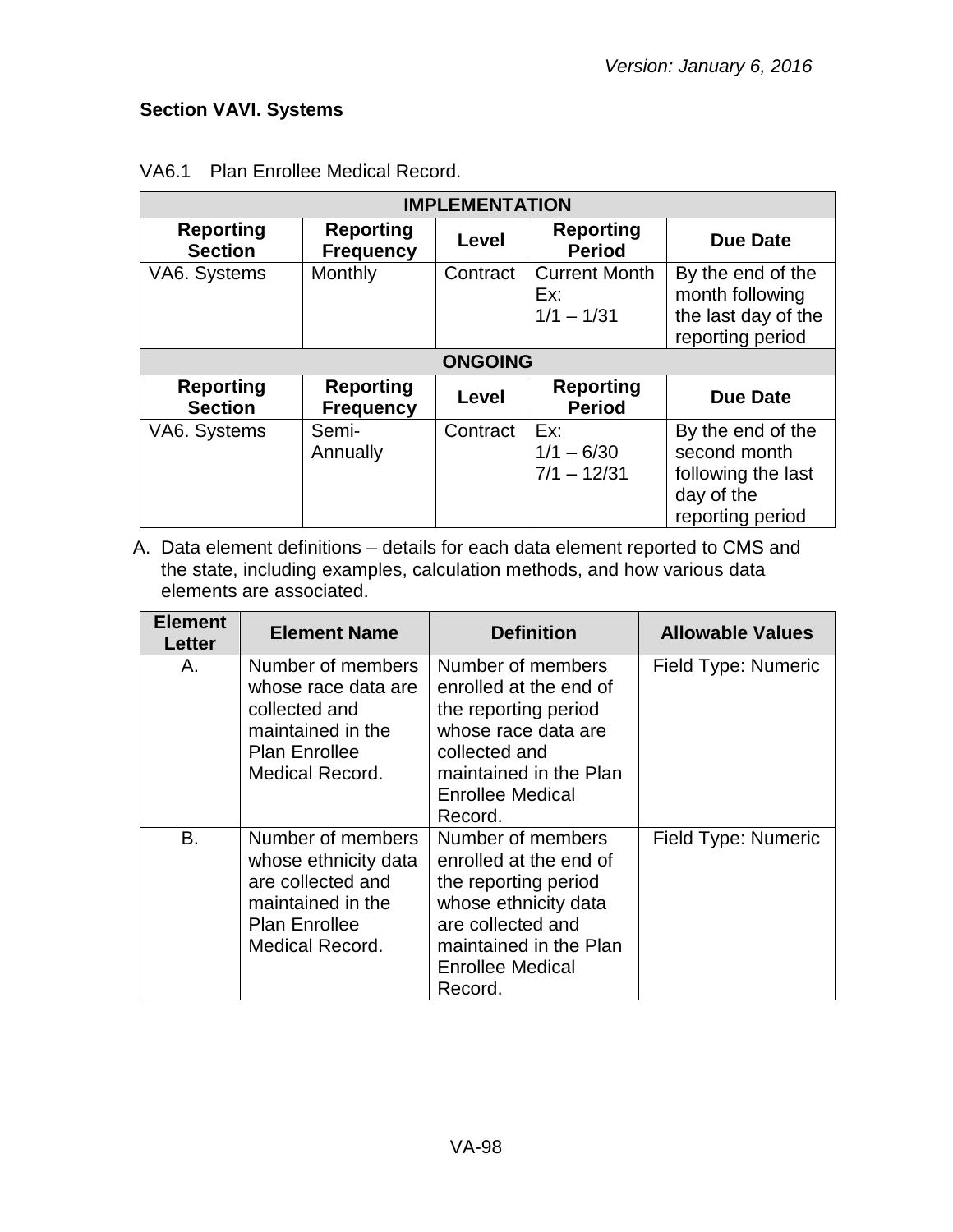## **Section VAVI. Systems**

| <b>IMPLEMENTATION</b>              |                                      |                |                                             |                                                                                           |
|------------------------------------|--------------------------------------|----------------|---------------------------------------------|-------------------------------------------------------------------------------------------|
| <b>Reporting</b><br><b>Section</b> | <b>Reporting</b><br><b>Frequency</b> | Level          | <b>Reporting</b><br><b>Period</b>           | <b>Due Date</b>                                                                           |
| VA6. Systems                       | Monthly                              | Contract       | <b>Current Month</b><br>Ex:<br>$1/1 - 1/31$ | By the end of the<br>month following<br>the last day of the<br>reporting period           |
|                                    |                                      | <b>ONGOING</b> |                                             |                                                                                           |
| <b>Reporting</b><br><b>Section</b> | <b>Reporting</b><br><b>Frequency</b> | Level          | <b>Reporting</b><br><b>Period</b>           | <b>Due Date</b>                                                                           |
| VA6. Systems                       | Semi-<br>Annually                    | Contract       | Ex:<br>$1/1 - 6/30$<br>$7/1 - 12/31$        | By the end of the<br>second month<br>following the last<br>day of the<br>reporting period |

### VA6.1 Plan Enrollee Medical Record.

| <b>Element</b><br>Letter | <b>Element Name</b>                                                                                                            | <b>Definition</b>                                                                                                                                                           | <b>Allowable Values</b> |
|--------------------------|--------------------------------------------------------------------------------------------------------------------------------|-----------------------------------------------------------------------------------------------------------------------------------------------------------------------------|-------------------------|
| Α.                       | Number of members<br>whose race data are<br>collected and<br>maintained in the<br><b>Plan Enrollee</b><br>Medical Record.      | Number of members<br>enrolled at the end of<br>the reporting period<br>whose race data are<br>collected and<br>maintained in the Plan<br><b>Enrollee Medical</b><br>Record. | Field Type: Numeric     |
| B.                       | Number of members<br>whose ethnicity data<br>are collected and<br>maintained in the<br><b>Plan Enrollee</b><br>Medical Record. | Number of members<br>enrolled at the end of<br>the reporting period<br>whose ethnicity data<br>are collected and<br>maintained in the Plan<br>Enrollee Medical<br>Record.   | Field Type: Numeric     |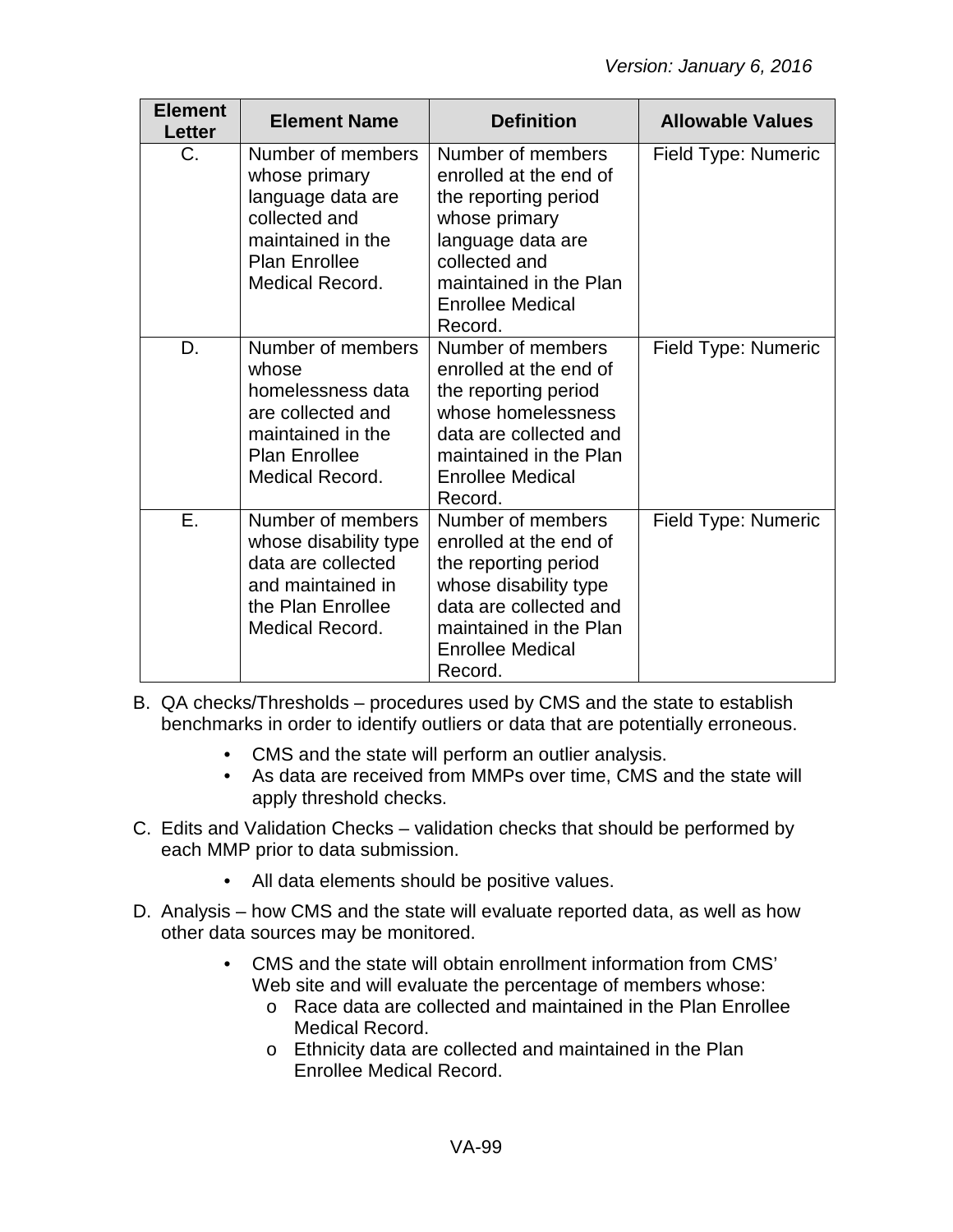| <b>Element</b><br><b>Letter</b> | <b>Element Name</b>                                                                                                                         | <b>Definition</b>                                                                                                                                                                          | <b>Allowable Values</b> |
|---------------------------------|---------------------------------------------------------------------------------------------------------------------------------------------|--------------------------------------------------------------------------------------------------------------------------------------------------------------------------------------------|-------------------------|
| C.                              | Number of members<br>whose primary<br>language data are<br>collected and<br>maintained in the<br><b>Plan Enrollee</b><br>Medical Record.    | Number of members<br>enrolled at the end of<br>the reporting period<br>whose primary<br>language data are<br>collected and<br>maintained in the Plan<br><b>Enrollee Medical</b><br>Record. | Field Type: Numeric     |
| D.                              | Number of members<br>whose<br>homelessness data<br>are collected and<br>maintained in the<br><b>Plan Enrollee</b><br><b>Medical Record.</b> | Number of members<br>enrolled at the end of<br>the reporting period<br>whose homelessness<br>data are collected and<br>maintained in the Plan<br><b>Enrollee Medical</b><br>Record.        | Field Type: Numeric     |
| Ε.                              | Number of members<br>whose disability type<br>data are collected<br>and maintained in<br>the Plan Enrollee<br><b>Medical Record.</b>        | Number of members<br>enrolled at the end of<br>the reporting period<br>whose disability type<br>data are collected and<br>maintained in the Plan<br><b>Enrollee Medical</b><br>Record.     | Field Type: Numeric     |

- B. QA checks/Thresholds procedures used by CMS and the state to establish benchmarks in order to identify outliers or data that are potentially erroneous.
	- CMS and the state will perform an outlier analysis.
	- As data are received from MMPs over time, CMS and the state will apply threshold checks.
- C. Edits and Validation Checks validation checks that should be performed by each MMP prior to data submission.
	- All data elements should be positive values.
- D. Analysis how CMS and the state will evaluate reported data, as well as how other data sources may be monitored.
	- CMS and the state will obtain enrollment information from CMS' Web site and will evaluate the percentage of members whose:
		- o Race data are collected and maintained in the Plan Enrollee Medical Record.
		- o Ethnicity data are collected and maintained in the Plan Enrollee Medical Record.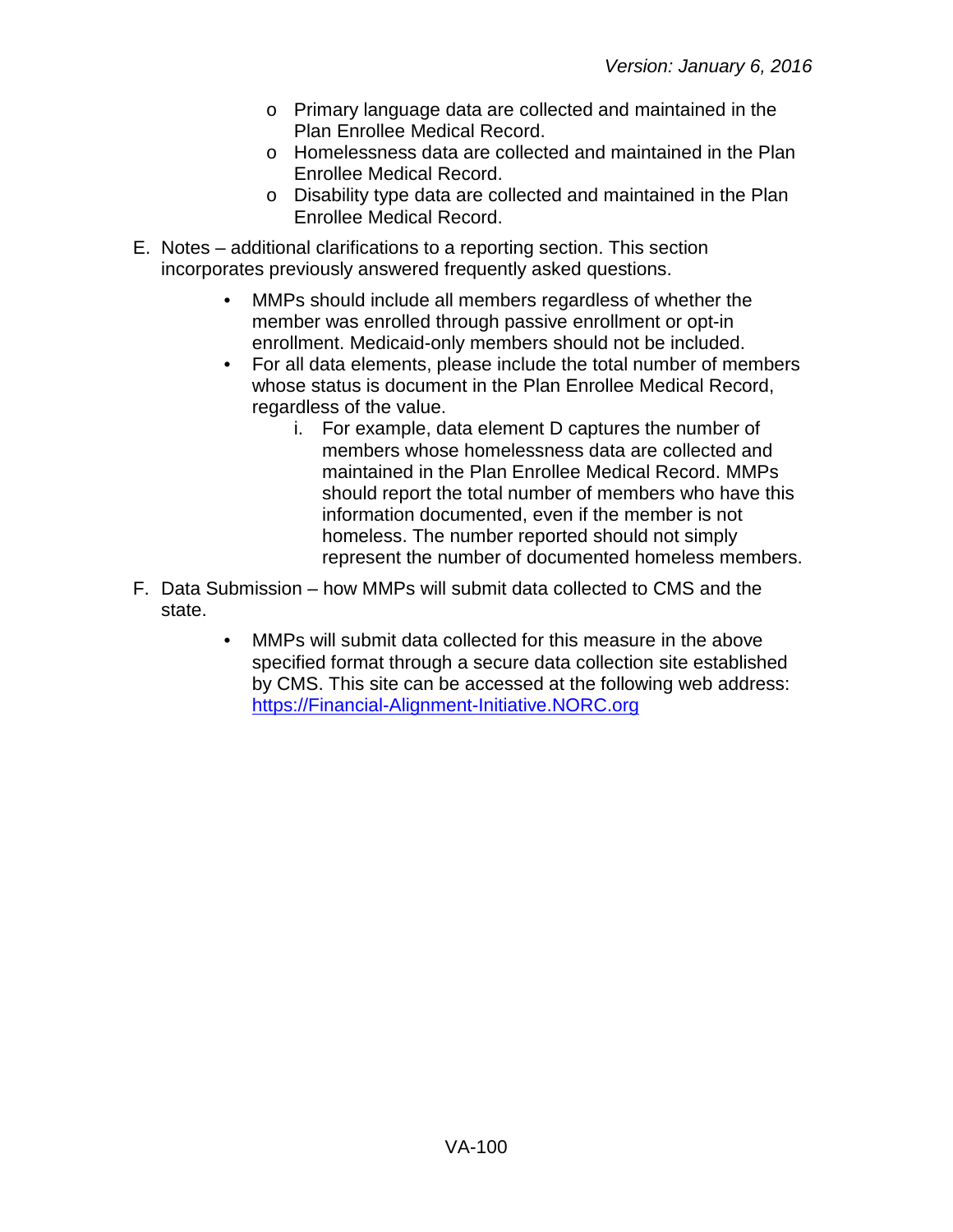- o Primary language data are collected and maintained in the Plan Enrollee Medical Record.
- o Homelessness data are collected and maintained in the Plan Enrollee Medical Record.
- o Disability type data are collected and maintained in the Plan Enrollee Medical Record.
- E. Notes additional clarifications to a reporting section. This section incorporates previously answered frequently asked questions.
	- MMPs should include all members regardless of whether the member was enrolled through passive enrollment or opt-in enrollment. Medicaid-only members should not be included.
	- For all data elements, please include the total number of members whose status is document in the Plan Enrollee Medical Record, regardless of the value.
		- i. For example, data element D captures the number of members whose homelessness data are collected and maintained in the Plan Enrollee Medical Record. MMPs should report the total number of members who have this information documented, even if the member is not homeless. The number reported should not simply represent the number of documented homeless members.
- F. Data Submission how MMPs will submit data collected to CMS and the state.
	- MMPs will submit data collected for this measure in the above specified format through a secure data collection site established by CMS. This site can be accessed at the following web address: [https://Financial-Alignment-Initiative.NORC.org](https://financial-alignment-initiative.norc.org/)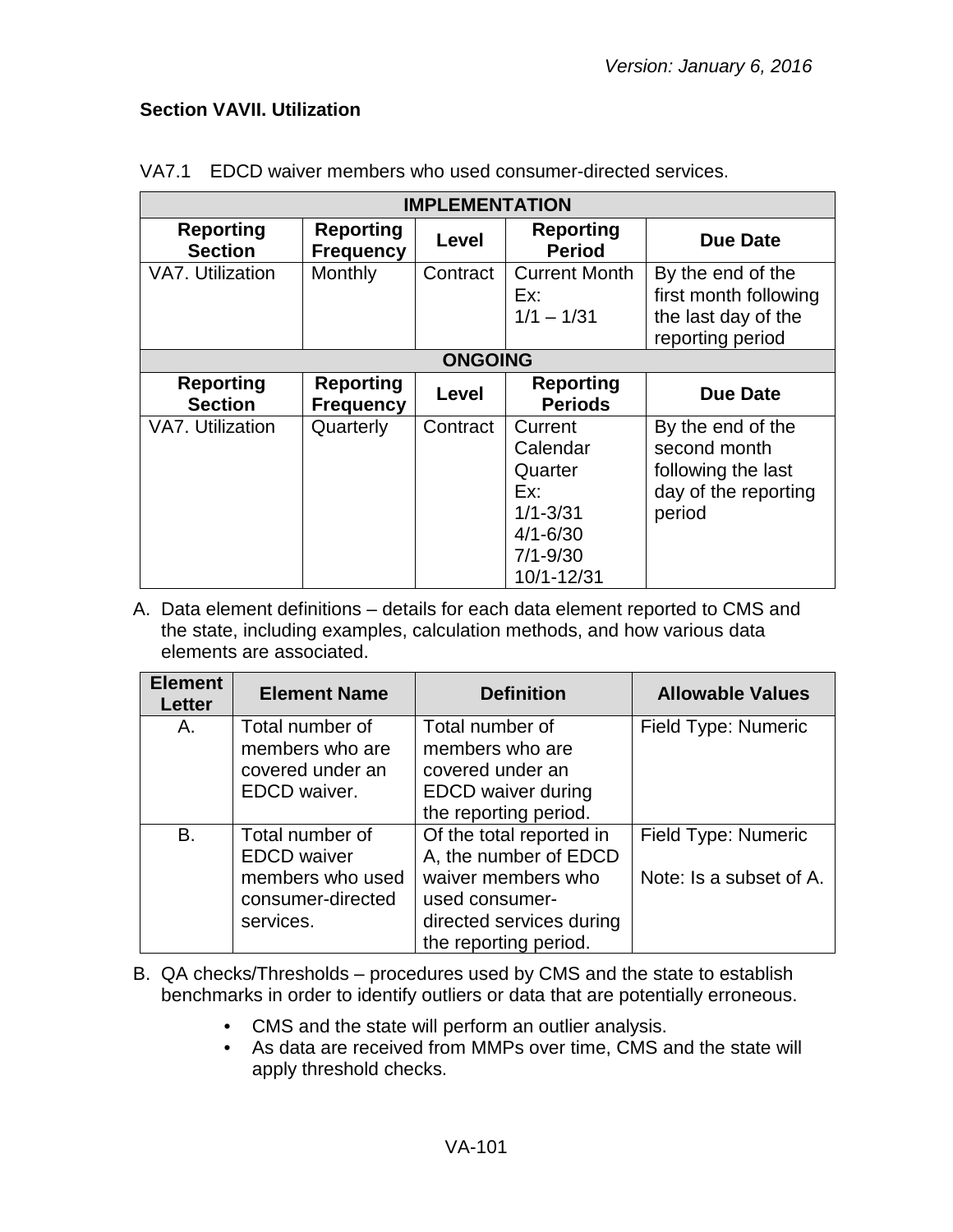### **Section VAVII. Utilization**

| <b>IMPLEMENTATION</b>              |                                      |                |                                                                                                     |                                                                                           |  |
|------------------------------------|--------------------------------------|----------------|-----------------------------------------------------------------------------------------------------|-------------------------------------------------------------------------------------------|--|
| <b>Reporting</b><br><b>Section</b> | <b>Reporting</b><br><b>Frequency</b> | Level          | <b>Reporting</b><br><b>Period</b>                                                                   | <b>Due Date</b>                                                                           |  |
| VA7. Utilization                   | Monthly                              | Contract       | <b>Current Month</b><br>Ex:<br>$1/1 - 1/31$                                                         | By the end of the<br>first month following<br>the last day of the<br>reporting period     |  |
|                                    |                                      | <b>ONGOING</b> |                                                                                                     |                                                                                           |  |
| <b>Reporting</b><br><b>Section</b> | <b>Reporting</b><br><b>Frequency</b> | Level          | <b>Reporting</b><br><b>Periods</b>                                                                  | <b>Due Date</b>                                                                           |  |
| <b>VA7. Utilization</b>            | Quarterly                            | Contract       | Current<br>Calendar<br>Quarter<br>Ex:<br>$1/1 - 3/31$<br>$4/1 - 6/30$<br>$7/1 - 9/30$<br>10/1-12/31 | By the end of the<br>second month<br>following the last<br>day of the reporting<br>period |  |

### VA7.1 EDCD waiver members who used consumer-directed services.

| <b>Element</b><br>Letter | <b>Element Name</b>                                                                         | <b>Definition</b>                                                                                                                              | <b>Allowable Values</b>                        |
|--------------------------|---------------------------------------------------------------------------------------------|------------------------------------------------------------------------------------------------------------------------------------------------|------------------------------------------------|
| Α.                       | Total number of<br>members who are<br>covered under an<br>EDCD waiver.                      | Total number of<br>members who are<br>covered under an<br><b>EDCD</b> waiver during<br>the reporting period.                                   | Field Type: Numeric                            |
| B.                       | Total number of<br><b>EDCD</b> waiver<br>members who used<br>consumer-directed<br>services. | Of the total reported in<br>A, the number of EDCD<br>waiver members who<br>used consumer-<br>directed services during<br>the reporting period. | Field Type: Numeric<br>Note: Is a subset of A. |

- B. QA checks/Thresholds procedures used by CMS and the state to establish benchmarks in order to identify outliers or data that are potentially erroneous.
	- CMS and the state will perform an outlier analysis.
	- As data are received from MMPs over time, CMS and the state will apply threshold checks.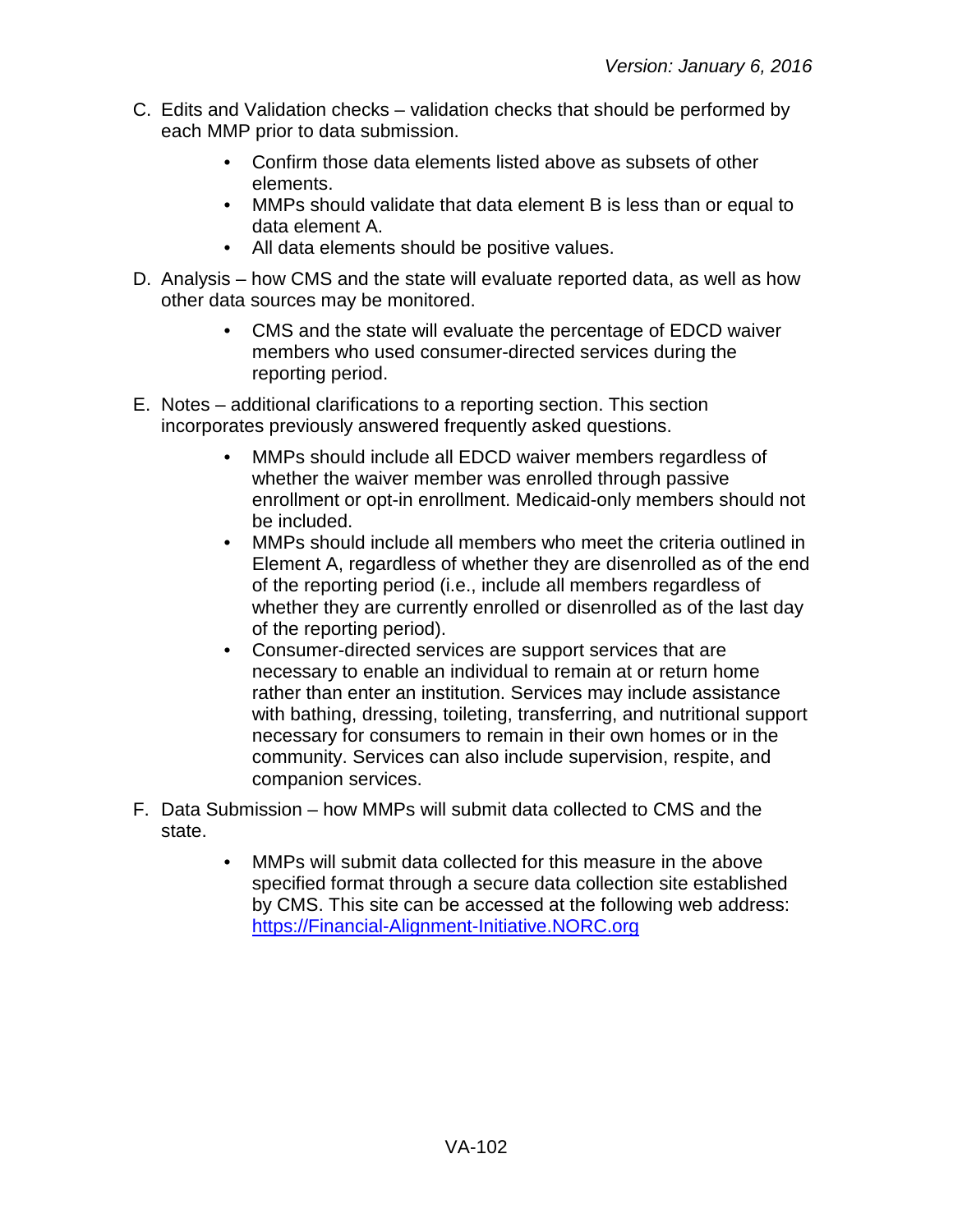- C. Edits and Validation checks validation checks that should be performed by each MMP prior to data submission.
	- Confirm those data elements listed above as subsets of other elements.
	- MMPs should validate that data element B is less than or equal to data element A.
	- All data elements should be positive values.
- D. Analysis how CMS and the state will evaluate reported data, as well as how other data sources may be monitored.
	- CMS and the state will evaluate the percentage of EDCD waiver members who used consumer-directed services during the reporting period.
- E. Notes additional clarifications to a reporting section. This section incorporates previously answered frequently asked questions.
	- MMPs should include all EDCD waiver members regardless of whether the waiver member was enrolled through passive enrollment or opt-in enrollment. Medicaid-only members should not be included.
	- MMPs should include all members who meet the criteria outlined in Element A, regardless of whether they are disenrolled as of the end of the reporting period (i.e., include all members regardless of whether they are currently enrolled or disenrolled as of the last day of the reporting period).
	- Consumer-directed services are support services that are necessary to enable an individual to remain at or return home rather than enter an institution. Services may include assistance with bathing, dressing, toileting, transferring, and nutritional support necessary for consumers to remain in their own homes or in the community. Services can also include supervision, respite, and companion services.
- F. Data Submission how MMPs will submit data collected to CMS and the state.
	- MMPs will submit data collected for this measure in the above specified format through a secure data collection site established by CMS. This site can be accessed at the following web address: [https://Financial-Alignment-Initiative.NORC.org](https://financial-alignment-initiative.norc.org/)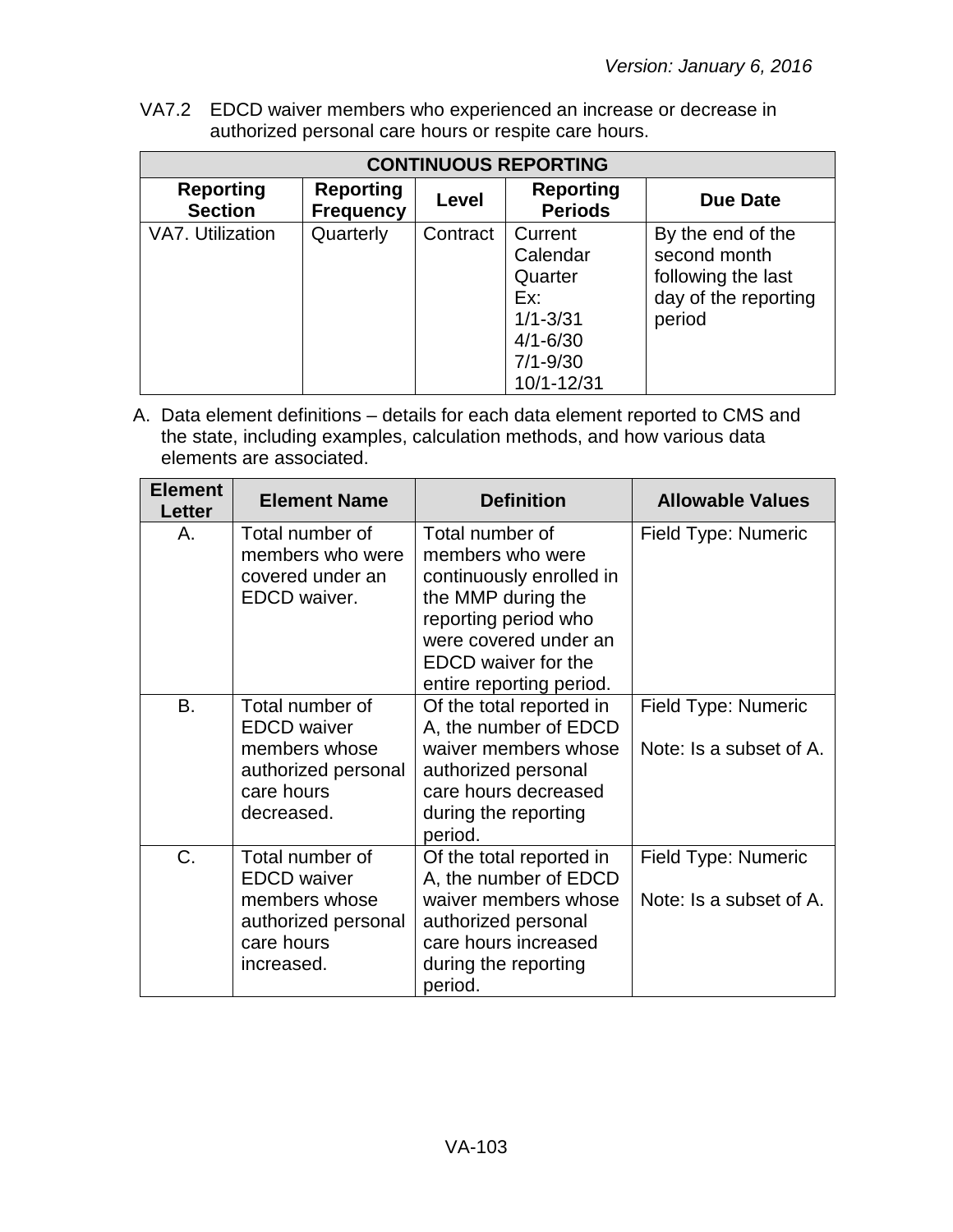VA7.2 EDCD waiver members who experienced an increase or decrease in authorized personal care hours or respite care hours.

| <b>CONTINUOUS REPORTING</b>        |                                      |          |                                                                                                     |                                                                                           |  |
|------------------------------------|--------------------------------------|----------|-----------------------------------------------------------------------------------------------------|-------------------------------------------------------------------------------------------|--|
| <b>Reporting</b><br><b>Section</b> | <b>Reporting</b><br><b>Frequency</b> | Level    | <b>Reporting</b><br><b>Periods</b>                                                                  | <b>Due Date</b>                                                                           |  |
| VA7. Utilization                   | Quarterly                            | Contract | Current<br>Calendar<br>Quarter<br>Ex:<br>$1/1 - 3/31$<br>$4/1 - 6/30$<br>$7/1 - 9/30$<br>10/1-12/31 | By the end of the<br>second month<br>following the last<br>day of the reporting<br>period |  |

| <b>Element</b><br>Letter | <b>Element Name</b>                                                                                       | <b>Definition</b>                                                                                                                                                                                | <b>Allowable Values</b>                        |
|--------------------------|-----------------------------------------------------------------------------------------------------------|--------------------------------------------------------------------------------------------------------------------------------------------------------------------------------------------------|------------------------------------------------|
| Α.                       | Total number of<br>members who were<br>covered under an<br>EDCD waiver.                                   | Total number of<br>members who were<br>continuously enrolled in<br>the MMP during the<br>reporting period who<br>were covered under an<br><b>EDCD</b> waiver for the<br>entire reporting period. | Field Type: Numeric                            |
| <b>B.</b>                | Total number of<br><b>EDCD</b> waiver<br>members whose<br>authorized personal<br>care hours<br>decreased. | Of the total reported in<br>A, the number of EDCD<br>waiver members whose<br>authorized personal<br>care hours decreased<br>during the reporting<br>period.                                      | Field Type: Numeric<br>Note: Is a subset of A. |
| C.                       | Total number of<br><b>EDCD</b> waiver<br>members whose<br>authorized personal<br>care hours<br>increased. | Of the total reported in<br>A, the number of EDCD<br>waiver members whose<br>authorized personal<br>care hours increased<br>during the reporting<br>period.                                      | Field Type: Numeric<br>Note: Is a subset of A. |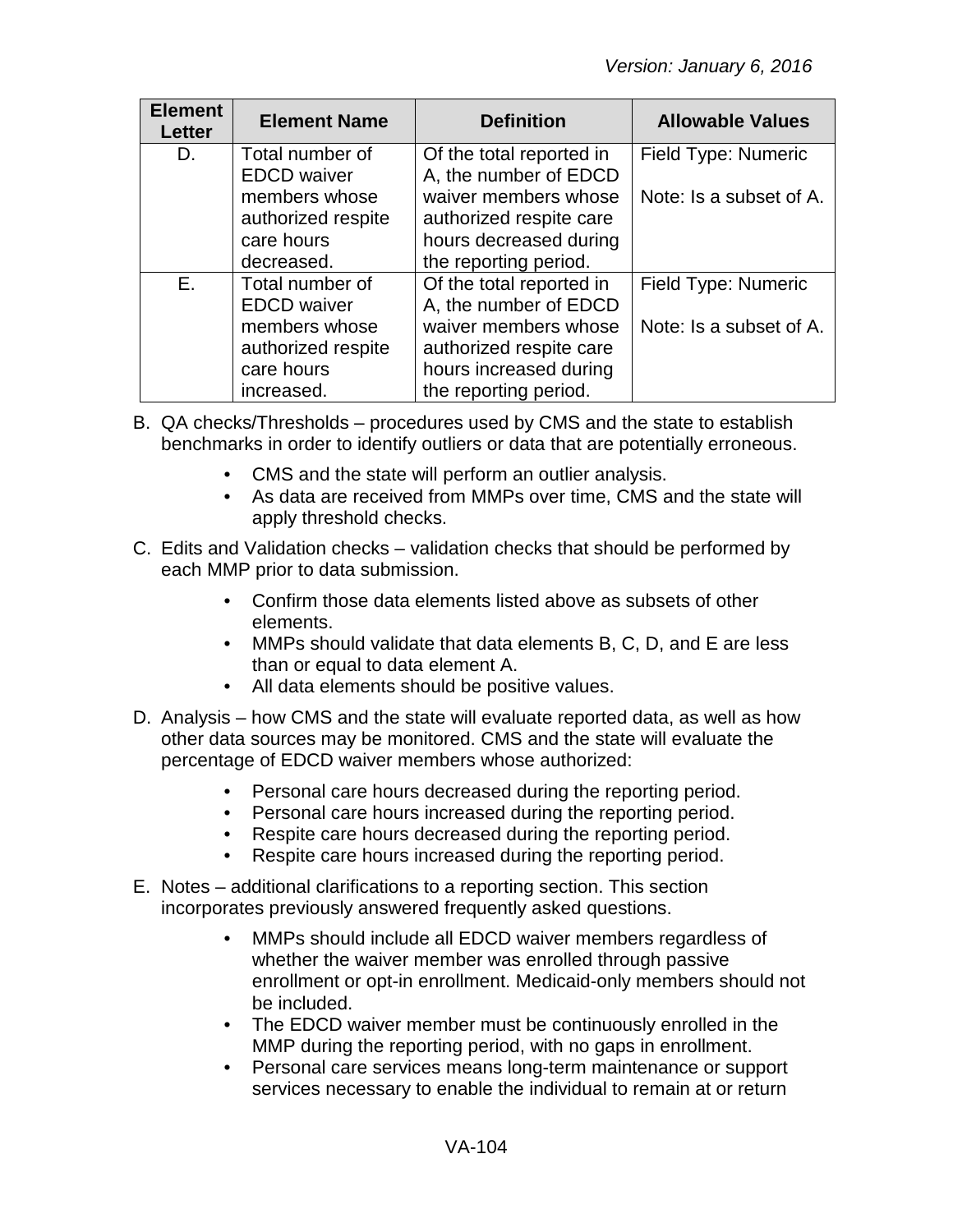| <b>Element</b><br><b>Letter</b> | <b>Element Name</b> | <b>Definition</b>        | <b>Allowable Values</b> |
|---------------------------------|---------------------|--------------------------|-------------------------|
| D.                              | Total number of     | Of the total reported in | Field Type: Numeric     |
|                                 | <b>EDCD</b> waiver  | A, the number of EDCD    |                         |
|                                 | members whose       | waiver members whose     | Note: Is a subset of A. |
|                                 | authorized respite  | authorized respite care  |                         |
|                                 | care hours          | hours decreased during   |                         |
|                                 | decreased.          | the reporting period.    |                         |
| E.                              | Total number of     | Of the total reported in | Field Type: Numeric     |
|                                 | <b>EDCD</b> waiver  | A, the number of EDCD    |                         |
|                                 | members whose       | waiver members whose     | Note: Is a subset of A. |
|                                 | authorized respite  | authorized respite care  |                         |
|                                 | care hours          | hours increased during   |                         |
|                                 | increased.          | the reporting period.    |                         |

- B. QA checks/Thresholds procedures used by CMS and the state to establish benchmarks in order to identify outliers or data that are potentially erroneous.
	- CMS and the state will perform an outlier analysis.
	- As data are received from MMPs over time, CMS and the state will apply threshold checks.
- C. Edits and Validation checks validation checks that should be performed by each MMP prior to data submission.
	- Confirm those data elements listed above as subsets of other elements.
	- MMPs should validate that data elements B, C, D, and E are less than or equal to data element A.
	- All data elements should be positive values.
- D. Analysis how CMS and the state will evaluate reported data, as well as how other data sources may be monitored. CMS and the state will evaluate the percentage of EDCD waiver members whose authorized:
	- Personal care hours decreased during the reporting period.
	- Personal care hours increased during the reporting period.
	- Respite care hours decreased during the reporting period.
	- Respite care hours increased during the reporting period.
- E. Notes additional clarifications to a reporting section. This section incorporates previously answered frequently asked questions.
	- MMPs should include all EDCD waiver members regardless of whether the waiver member was enrolled through passive enrollment or opt-in enrollment. Medicaid-only members should not be included.
	- The EDCD waiver member must be continuously enrolled in the MMP during the reporting period, with no gaps in enrollment.
	- Personal care services means long-term maintenance or support services necessary to enable the individual to remain at or return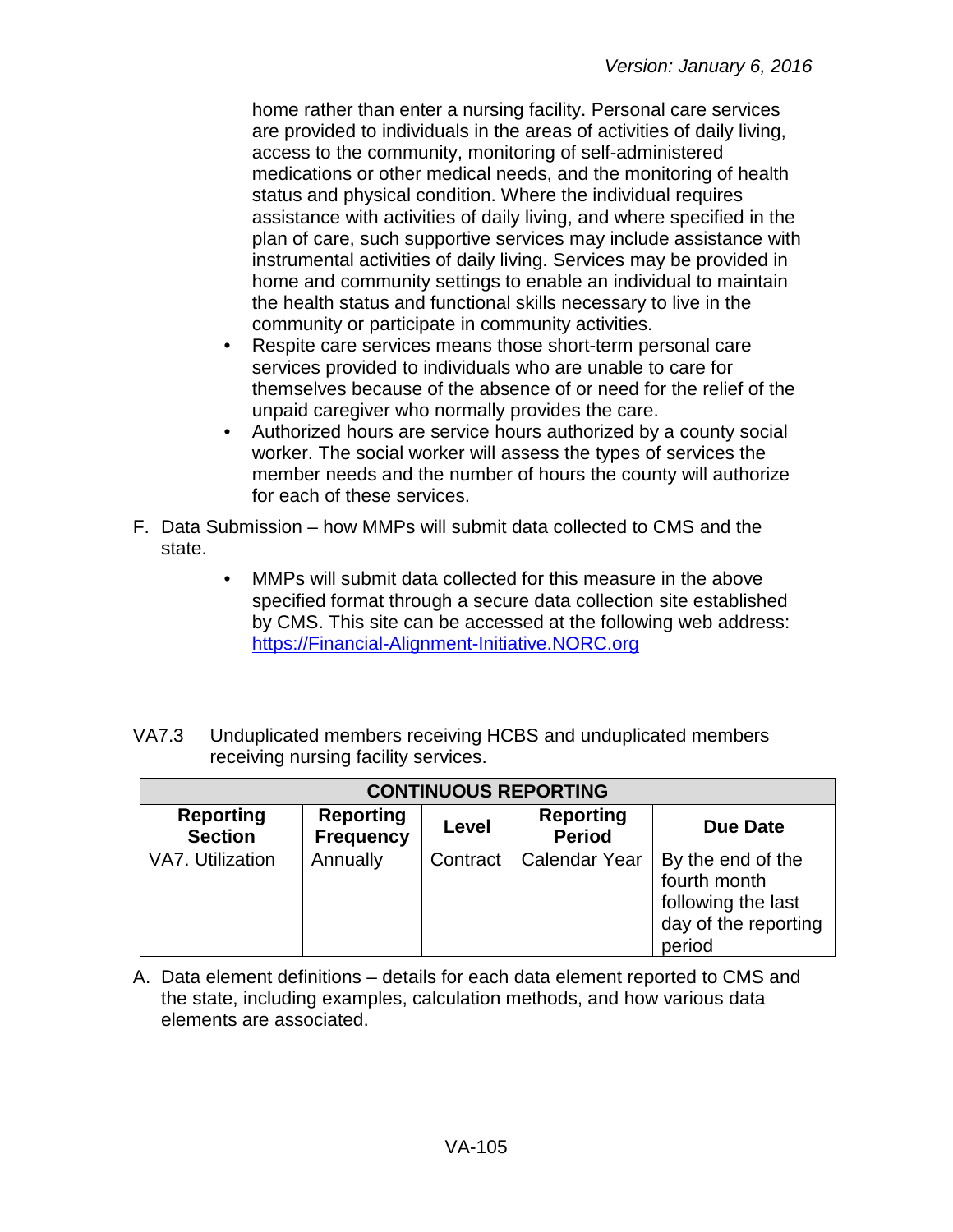home rather than enter a nursing facility. Personal care services are provided to individuals in the areas of activities of daily living, access to the community, monitoring of self-administered medications or other medical needs, and the monitoring of health status and physical condition. Where the individual requires assistance with activities of daily living, and where specified in the plan of care, such supportive services may include assistance with instrumental activities of daily living. Services may be provided in home and community settings to enable an individual to maintain the health status and functional skills necessary to live in the community or participate in community activities.

- Respite care services means those short-term personal care services provided to individuals who are unable to care for themselves because of the absence of or need for the relief of the unpaid caregiver who normally provides the care.
- Authorized hours are service hours authorized by a county social worker. The social worker will assess the types of services the member needs and the number of hours the county will authorize for each of these services.
- F. Data Submission how MMPs will submit data collected to CMS and the state.
	- MMPs will submit data collected for this measure in the above specified format through a secure data collection site established by CMS. This site can be accessed at the following web address: [https://Financial-Alignment-Initiative.NORC.org](https://financial-alignment-initiative.norc.org/)
- VA7.3 Unduplicated members receiving HCBS and unduplicated members receiving nursing facility services.

| <b>CONTINUOUS REPORTING</b>        |                                      |          |                                   |                                                                                           |
|------------------------------------|--------------------------------------|----------|-----------------------------------|-------------------------------------------------------------------------------------------|
| <b>Reporting</b><br><b>Section</b> | <b>Reporting</b><br><b>Frequency</b> | Level    | <b>Reporting</b><br><b>Period</b> | Due Date                                                                                  |
| VA7. Utilization                   | Annually                             | Contract | <b>Calendar Year</b>              | By the end of the<br>fourth month<br>following the last<br>day of the reporting<br>period |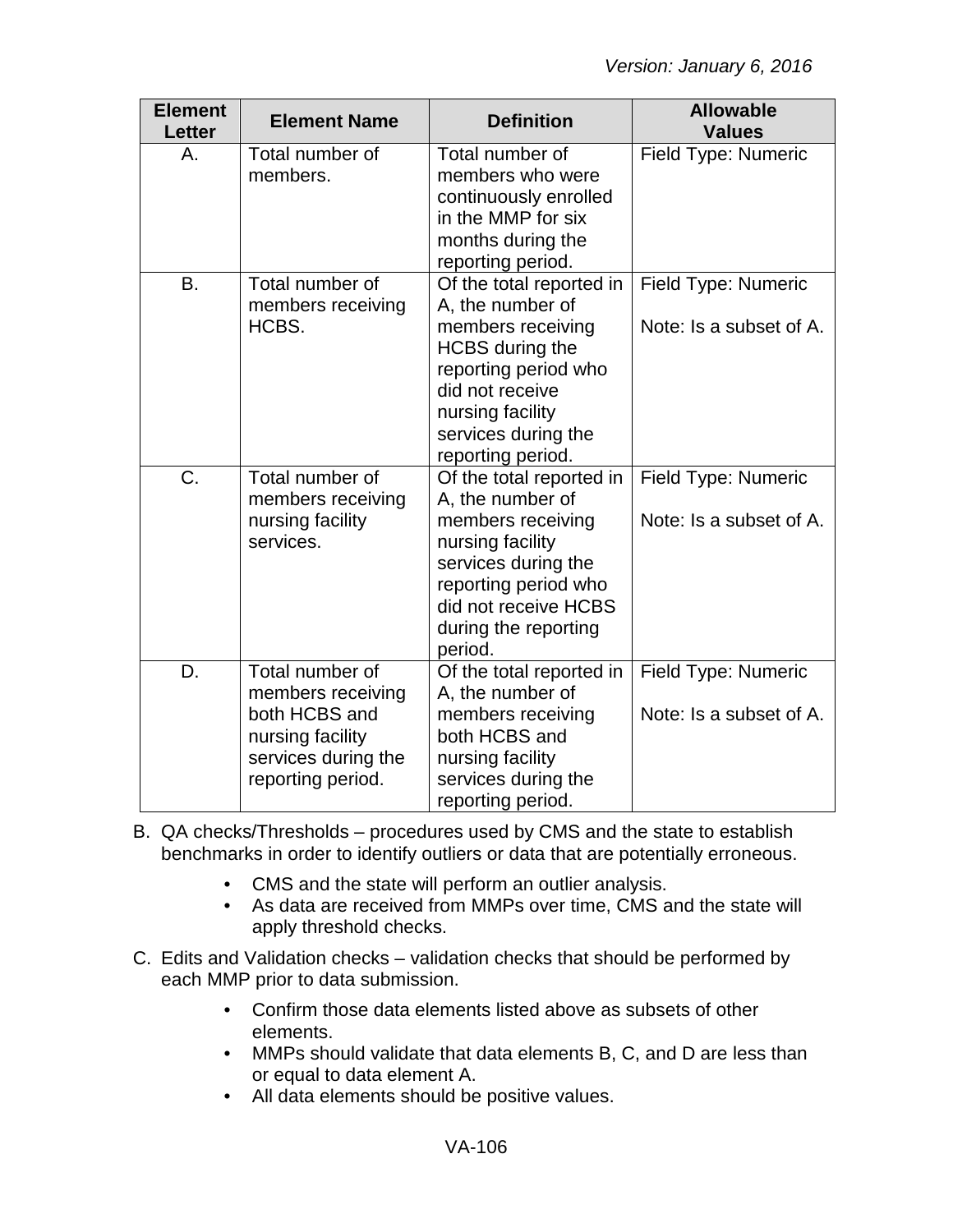| <b>Element</b><br>Letter | <b>Element Name</b>                                                                                                   | <b>Definition</b>                                                                                                                                                                                      | <b>Allowable</b><br><b>Values</b>                     |
|--------------------------|-----------------------------------------------------------------------------------------------------------------------|--------------------------------------------------------------------------------------------------------------------------------------------------------------------------------------------------------|-------------------------------------------------------|
| А.                       | Total number of<br>members.                                                                                           | Total number of<br>members who were<br>continuously enrolled<br>in the MMP for six<br>months during the<br>reporting period.                                                                           | <b>Field Type: Numeric</b>                            |
| <b>B.</b>                | Total number of<br>members receiving<br>HCBS.                                                                         | Of the total reported in<br>A, the number of<br>members receiving<br><b>HCBS</b> during the<br>reporting period who<br>did not receive<br>nursing facility<br>services during the<br>reporting period. | Field Type: Numeric<br>Note: Is a subset of A.        |
| $\overline{C}$ .         | Total number of<br>members receiving<br>nursing facility<br>services.                                                 | Of the total reported in<br>A, the number of<br>members receiving<br>nursing facility<br>services during the<br>reporting period who<br>did not receive HCBS<br>during the reporting<br>period.        | Field Type: Numeric<br>Note: Is a subset of A.        |
| D.                       | Total number of<br>members receiving<br>both HCBS and<br>nursing facility<br>services during the<br>reporting period. | Of the total reported in<br>A, the number of<br>members receiving<br>both HCBS and<br>nursing facility<br>services during the<br>reporting period.                                                     | <b>Field Type: Numeric</b><br>Note: Is a subset of A. |

- B. QA checks/Thresholds procedures used by CMS and the state to establish benchmarks in order to identify outliers or data that are potentially erroneous.
	- CMS and the state will perform an outlier analysis.
	- As data are received from MMPs over time, CMS and the state will apply threshold checks.
- C. Edits and Validation checks validation checks that should be performed by each MMP prior to data submission.
	- Confirm those data elements listed above as subsets of other elements.
	- MMPs should validate that data elements B, C, and D are less than or equal to data element A.
	- All data elements should be positive values.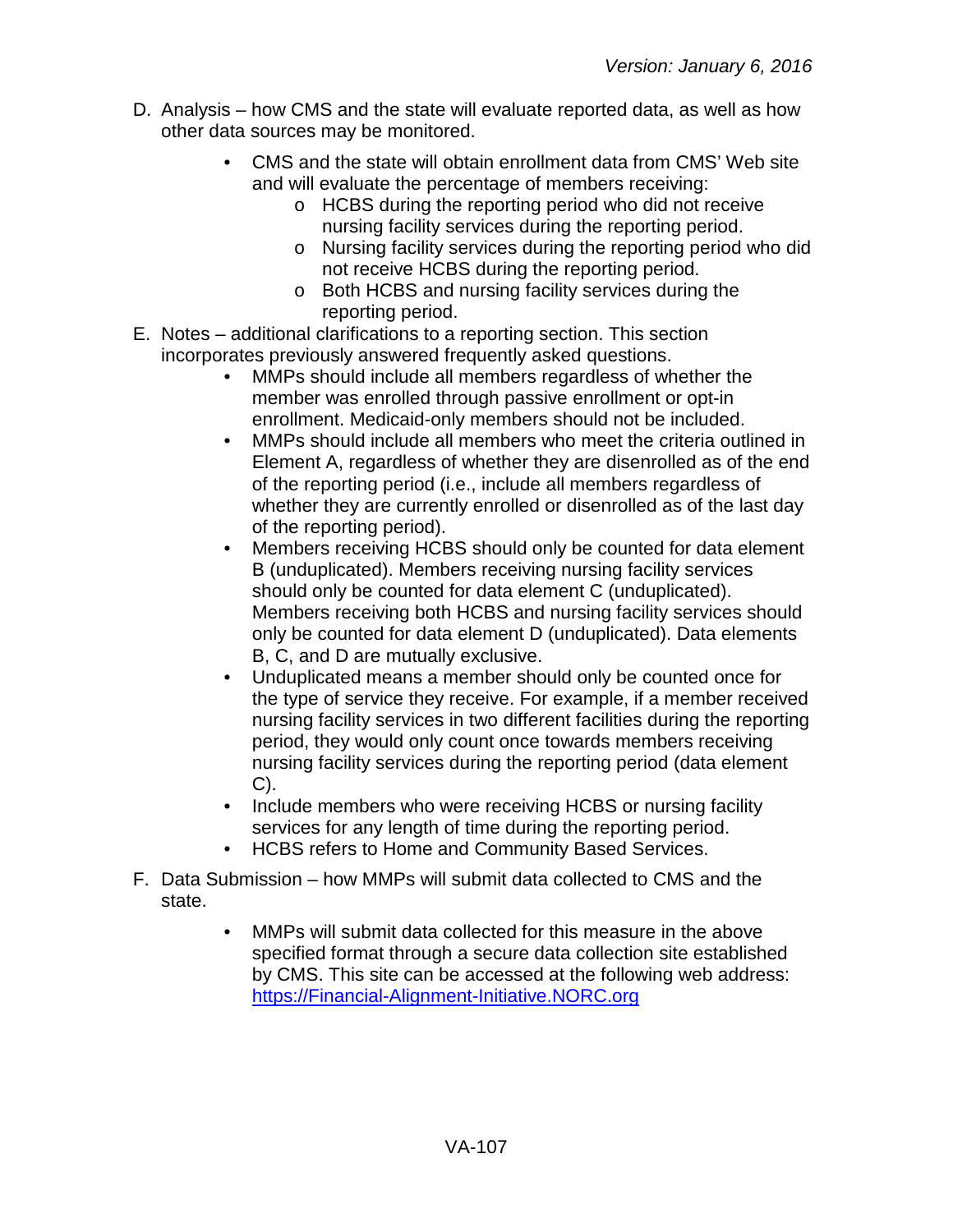- D. Analysis how CMS and the state will evaluate reported data, as well as how other data sources may be monitored.
	- CMS and the state will obtain enrollment data from CMS' Web site and will evaluate the percentage of members receiving:
		- o HCBS during the reporting period who did not receive nursing facility services during the reporting period.
		- o Nursing facility services during the reporting period who did not receive HCBS during the reporting period.
		- o Both HCBS and nursing facility services during the reporting period.
- E. Notes additional clarifications to a reporting section. This section incorporates previously answered frequently asked questions.
	- MMPs should include all members regardless of whether the member was enrolled through passive enrollment or opt-in enrollment. Medicaid-only members should not be included.
	- MMPs should include all members who meet the criteria outlined in Element A, regardless of whether they are disenrolled as of the end of the reporting period (i.e., include all members regardless of whether they are currently enrolled or disenrolled as of the last day of the reporting period).
	- Members receiving HCBS should only be counted for data element B (unduplicated). Members receiving nursing facility services should only be counted for data element C (unduplicated). Members receiving both HCBS and nursing facility services should only be counted for data element D (unduplicated). Data elements B, C, and D are mutually exclusive.
	- Unduplicated means a member should only be counted once for the type of service they receive. For example, if a member received nursing facility services in two different facilities during the reporting period, they would only count once towards members receiving nursing facility services during the reporting period (data element C).
	- Include members who were receiving HCBS or nursing facility services for any length of time during the reporting period.
	- HCBS refers to Home and Community Based Services.
- F. Data Submission how MMPs will submit data collected to CMS and the state.
	- MMPs will submit data collected for this measure in the above specified format through a secure data collection site established by CMS. This site can be accessed at the following web address: [https://Financial-Alignment-Initiative.NORC.org](https://financial-alignment-initiative.norc.org/)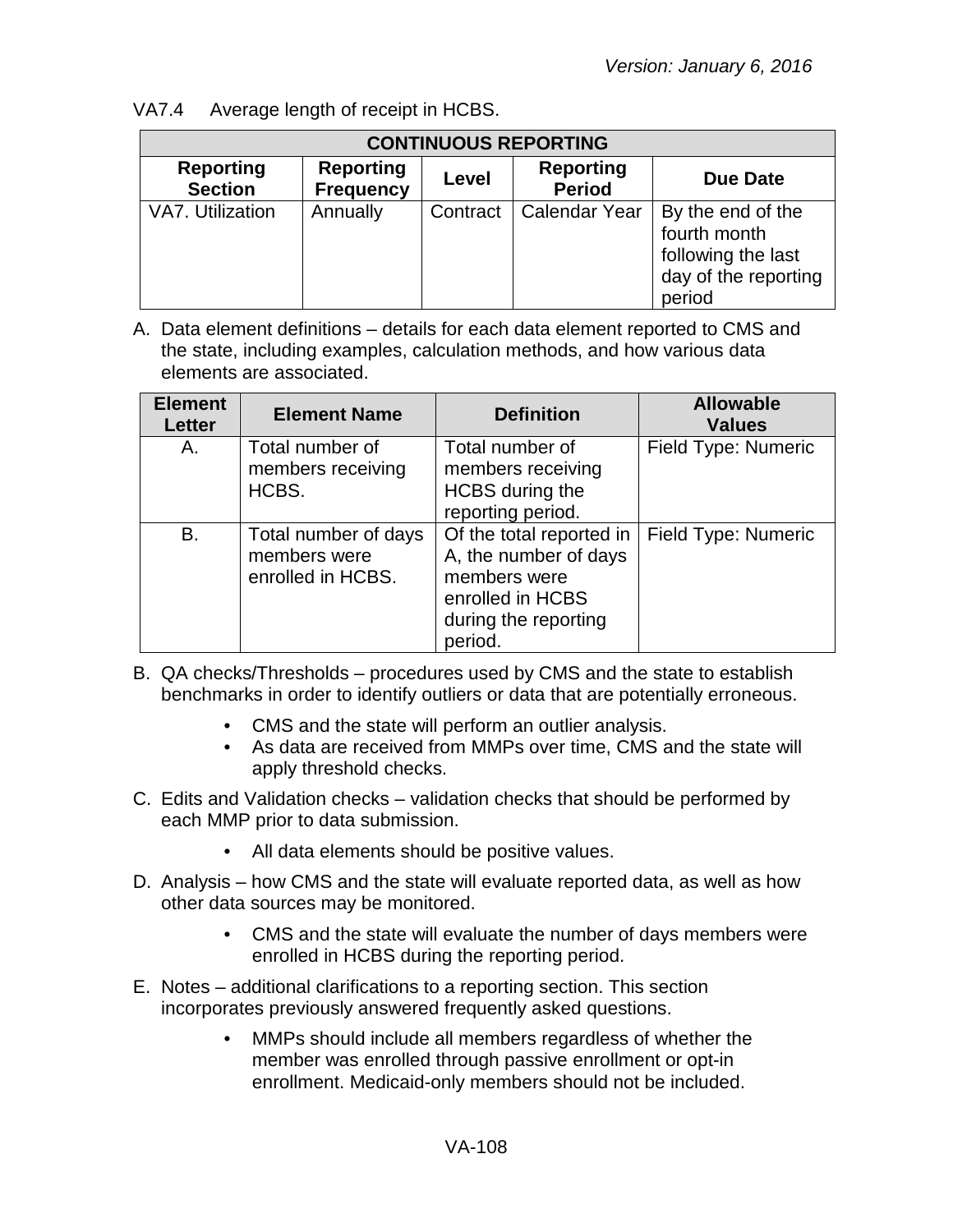VA7.4 Average length of receipt in HCBS.

| <b>CONTINUOUS REPORTING</b>        |                                      |          |                                   |                                                                                           |
|------------------------------------|--------------------------------------|----------|-----------------------------------|-------------------------------------------------------------------------------------------|
| <b>Reporting</b><br><b>Section</b> | <b>Reporting</b><br><b>Frequency</b> | Level    | <b>Reporting</b><br><b>Period</b> | Due Date                                                                                  |
| VA7. Utilization                   | Annually                             | Contract | <b>Calendar Year</b>              | By the end of the<br>fourth month<br>following the last<br>day of the reporting<br>period |

| <b>Element</b><br><b>Letter</b> | <b>Element Name</b>                                       | <b>Definition</b>                                                                                                        | <b>Allowable</b><br><b>Values</b> |
|---------------------------------|-----------------------------------------------------------|--------------------------------------------------------------------------------------------------------------------------|-----------------------------------|
| Α.                              | Total number of<br>members receiving<br>HCBS.             | Total number of<br>members receiving<br><b>HCBS</b> during the<br>reporting period.                                      | Field Type: Numeric               |
| В.                              | Total number of days<br>members were<br>enrolled in HCBS. | Of the total reported in<br>A, the number of days<br>members were<br>enrolled in HCBS<br>during the reporting<br>period. | Field Type: Numeric               |

- B. QA checks/Thresholds procedures used by CMS and the state to establish benchmarks in order to identify outliers or data that are potentially erroneous.
	- CMS and the state will perform an outlier analysis.
	- As data are received from MMPs over time, CMS and the state will apply threshold checks.
- C. Edits and Validation checks validation checks that should be performed by each MMP prior to data submission.
	- All data elements should be positive values.
- D. Analysis how CMS and the state will evaluate reported data, as well as how other data sources may be monitored.
	- CMS and the state will evaluate the number of days members were enrolled in HCBS during the reporting period.
- E. Notes additional clarifications to a reporting section. This section incorporates previously answered frequently asked questions.
	- MMPs should include all members regardless of whether the member was enrolled through passive enrollment or opt-in enrollment. Medicaid-only members should not be included.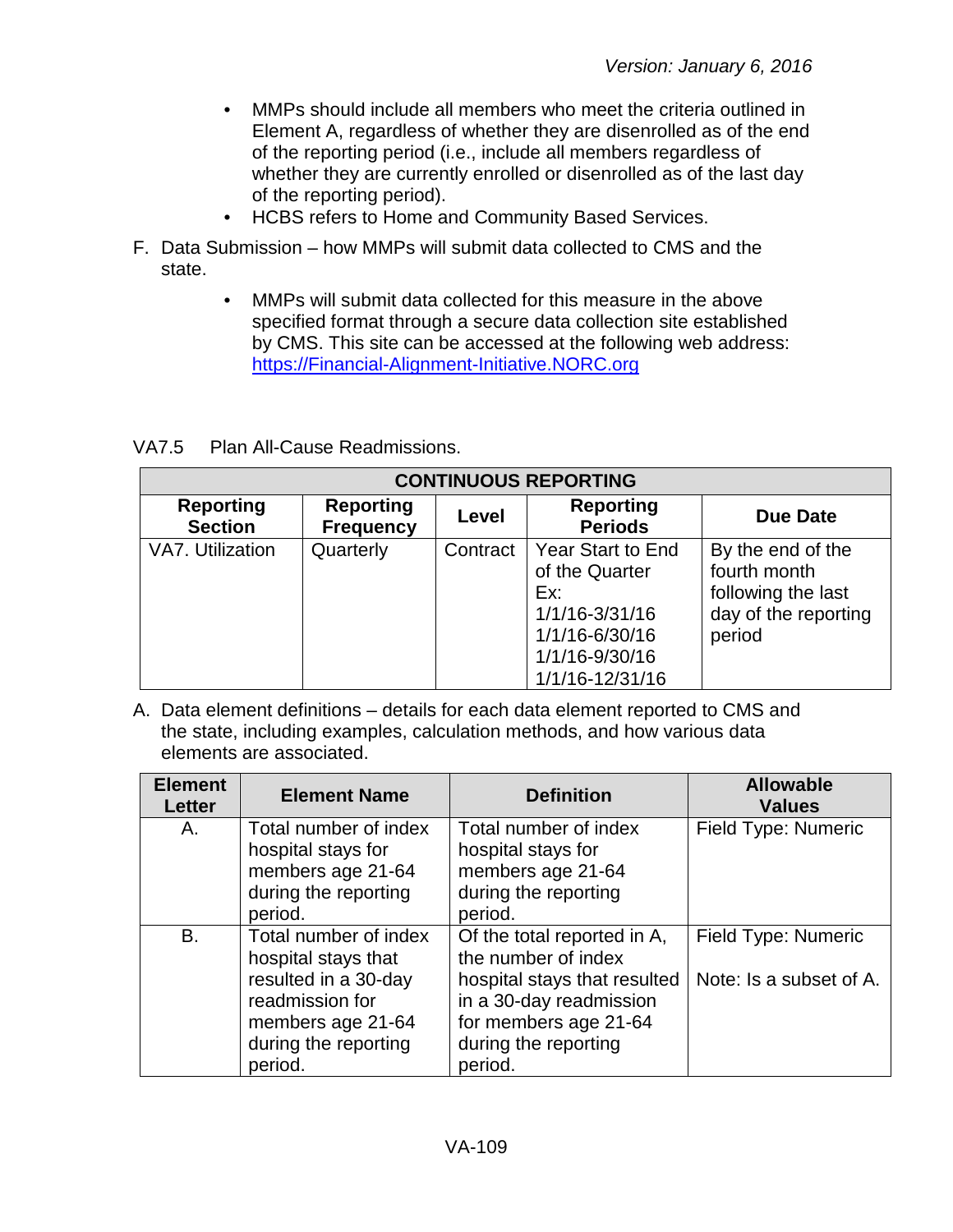- MMPs should include all members who meet the criteria outlined in Element A, regardless of whether they are disenrolled as of the end of the reporting period (i.e., include all members regardless of whether they are currently enrolled or disenrolled as of the last day of the reporting period).
- HCBS refers to Home and Community Based Services.
- F. Data Submission how MMPs will submit data collected to CMS and the state.
	- MMPs will submit data collected for this measure in the above specified format through a secure data collection site established by CMS. This site can be accessed at the following web address: [https://Financial-Alignment-Initiative.NORC.org](https://financial-alignment-initiative.norc.org/)

VA7.5 Plan All-Cause Readmissions.

| <b>CONTINUOUS REPORTING</b>        |                                      |          |                                                                                                                            |                                                                                           |  |
|------------------------------------|--------------------------------------|----------|----------------------------------------------------------------------------------------------------------------------------|-------------------------------------------------------------------------------------------|--|
| <b>Reporting</b><br><b>Section</b> | <b>Reporting</b><br><b>Frequency</b> | Level    | <b>Reporting</b><br><b>Periods</b>                                                                                         | Due Date                                                                                  |  |
| VA7. Utilization                   | Quarterly                            | Contract | <b>Year Start to End</b><br>of the Quarter<br>Ex:<br>1/1/16-3/31/16<br>1/1/16-6/30/16<br>1/1/16-9/30/16<br>1/1/16-12/31/16 | By the end of the<br>fourth month<br>following the last<br>day of the reporting<br>period |  |

| <b>Element</b><br><b>Letter</b> | <b>Element Name</b>                                                                                                                             | <b>Definition</b>                                                                                                                                                         | <b>Allowable</b><br><b>Values</b>              |
|---------------------------------|-------------------------------------------------------------------------------------------------------------------------------------------------|---------------------------------------------------------------------------------------------------------------------------------------------------------------------------|------------------------------------------------|
| Α.                              | Total number of index<br>hospital stays for<br>members age 21-64<br>during the reporting<br>period.                                             | Total number of index<br>hospital stays for<br>members age 21-64<br>during the reporting<br>period.                                                                       | Field Type: Numeric                            |
| B.                              | Total number of index<br>hospital stays that<br>resulted in a 30-day<br>readmission for<br>members age 21-64<br>during the reporting<br>period. | Of the total reported in A,<br>the number of index<br>hospital stays that resulted<br>in a 30-day readmission<br>for members age 21-64<br>during the reporting<br>period. | Field Type: Numeric<br>Note: Is a subset of A. |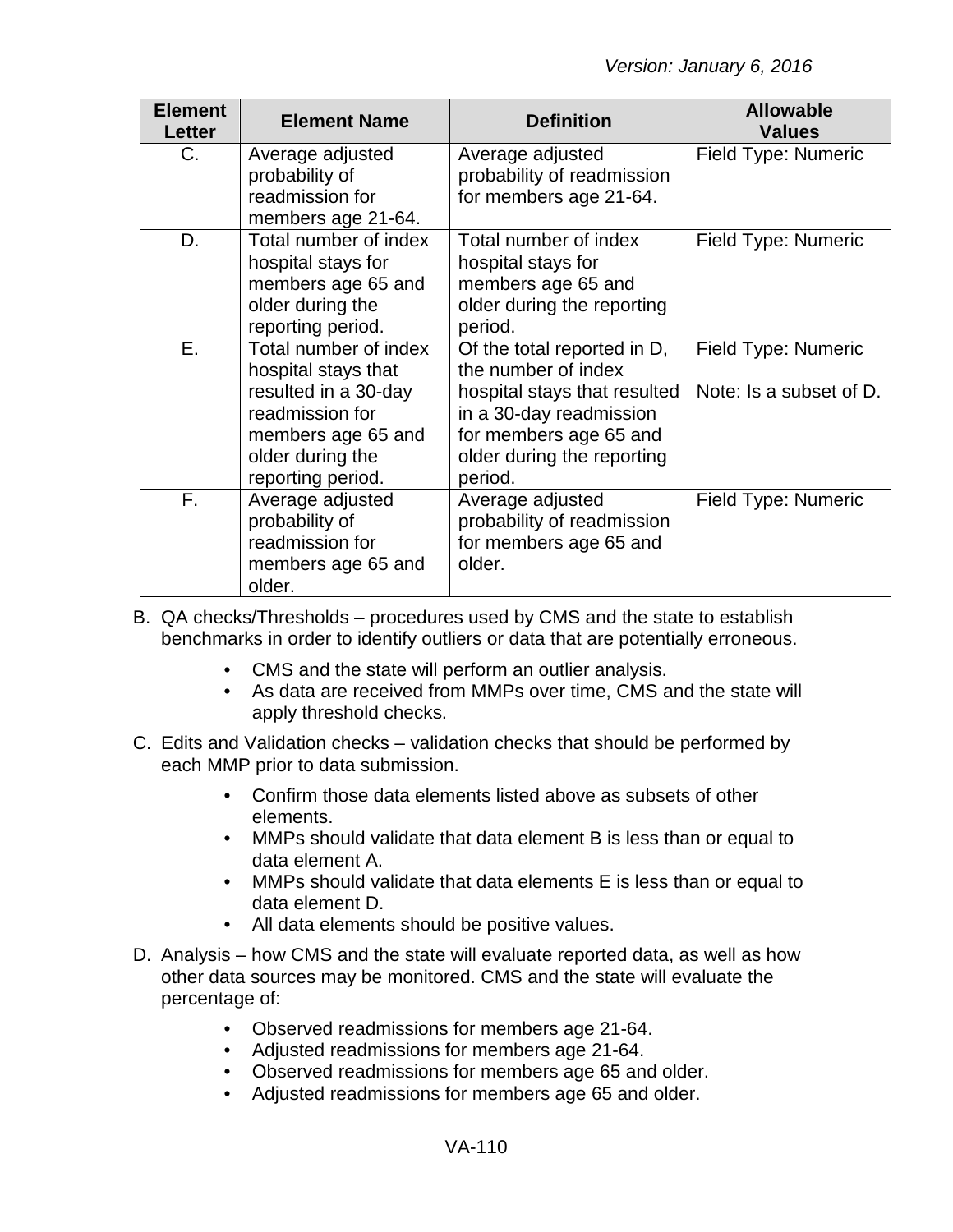| <b>Element</b><br>Letter | <b>Element Name</b>                                                                                                                                    | <b>Definition</b>                                                                                                                                                                | <b>Allowable</b><br><b>Values</b>                     |
|--------------------------|--------------------------------------------------------------------------------------------------------------------------------------------------------|----------------------------------------------------------------------------------------------------------------------------------------------------------------------------------|-------------------------------------------------------|
| $C_{\cdot}$              | Average adjusted<br>probability of<br>readmission for<br>members age 21-64.                                                                            | Average adjusted<br>probability of readmission<br>for members age 21-64.                                                                                                         | Field Type: Numeric                                   |
| D.                       | Total number of index<br>hospital stays for<br>members age 65 and<br>older during the<br>reporting period.                                             | Total number of index<br>hospital stays for<br>members age 65 and<br>older during the reporting<br>period.                                                                       | Field Type: Numeric                                   |
| Ε.                       | Total number of index<br>hospital stays that<br>resulted in a 30-day<br>readmission for<br>members age 65 and<br>older during the<br>reporting period. | Of the total reported in D,<br>the number of index<br>hospital stays that resulted<br>in a 30-day readmission<br>for members age 65 and<br>older during the reporting<br>period. | <b>Field Type: Numeric</b><br>Note: Is a subset of D. |
| F.                       | Average adjusted<br>probability of<br>readmission for<br>members age 65 and<br>older.                                                                  | Average adjusted<br>probability of readmission<br>for members age 65 and<br>older.                                                                                               | Field Type: Numeric                                   |

- B. QA checks/Thresholds procedures used by CMS and the state to establish benchmarks in order to identify outliers or data that are potentially erroneous.
	- CMS and the state will perform an outlier analysis.
	- As data are received from MMPs over time, CMS and the state will apply threshold checks.
- C. Edits and Validation checks validation checks that should be performed by each MMP prior to data submission.
	- Confirm those data elements listed above as subsets of other elements.
	- MMPs should validate that data element B is less than or equal to data element A.
	- MMPs should validate that data elements E is less than or equal to data element D.
	- All data elements should be positive values.
- D. Analysis how CMS and the state will evaluate reported data, as well as how other data sources may be monitored. CMS and the state will evaluate the percentage of:
	- Observed readmissions for members age 21-64.
	- Adjusted readmissions for members age 21-64.
	- Observed readmissions for members age 65 and older.
	- Adjusted readmissions for members age 65 and older.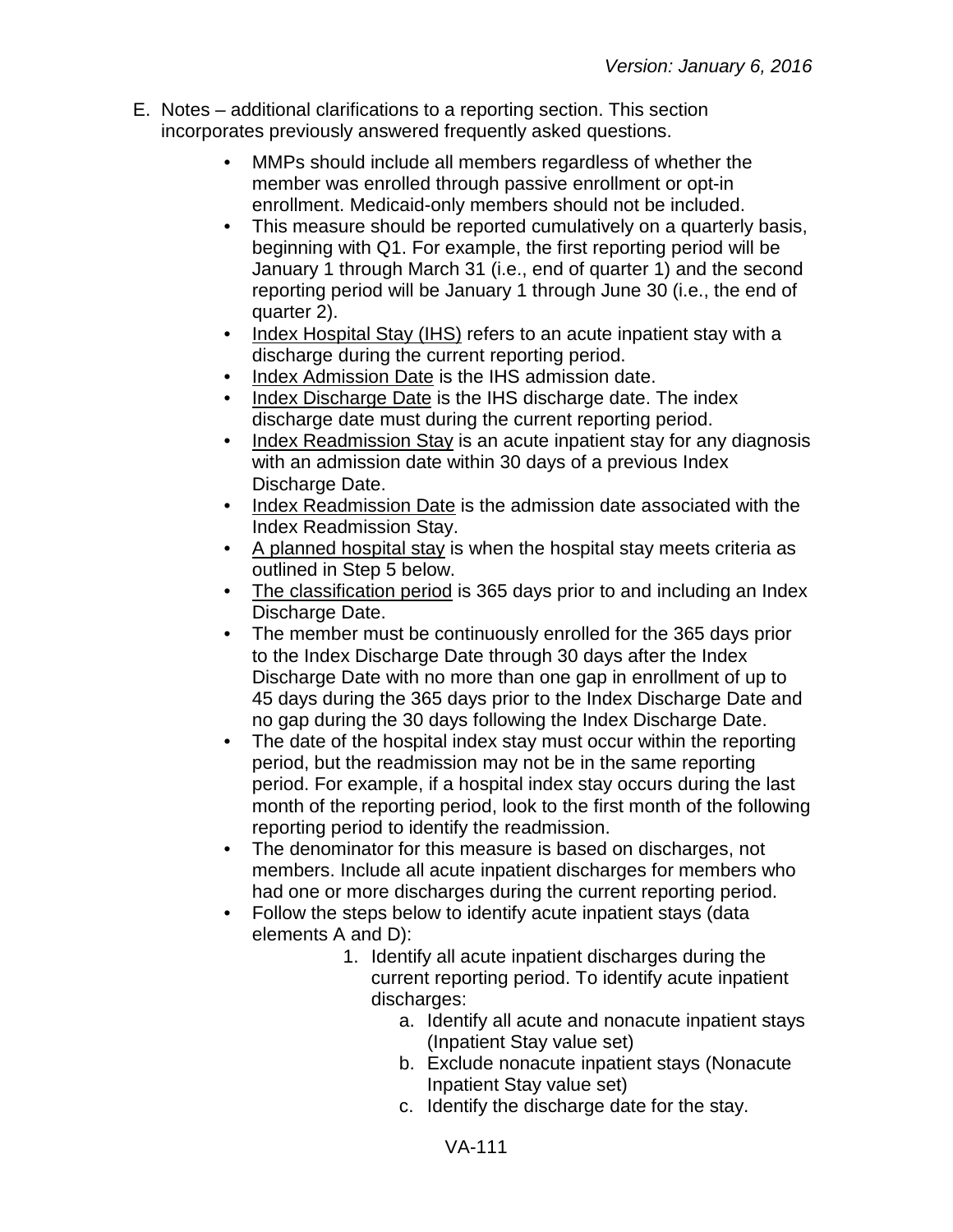- E. Notes additional clarifications to a reporting section. This section incorporates previously answered frequently asked questions.
	- MMPs should include all members regardless of whether the member was enrolled through passive enrollment or opt-in enrollment. Medicaid-only members should not be included.
	- This measure should be reported cumulatively on a quarterly basis, beginning with Q1. For example, the first reporting period will be January 1 through March 31 (i.e., end of quarter 1) and the second reporting period will be January 1 through June 30 (i.e., the end of quarter 2).
	- Index Hospital Stay (IHS) refers to an acute inpatient stay with a discharge during the current reporting period.
	- Index Admission Date is the IHS admission date.
	- Index Discharge Date is the IHS discharge date. The index discharge date must during the current reporting period.
	- Index Readmission Stay is an acute inpatient stay for any diagnosis with an admission date within 30 days of a previous Index Discharge Date.
	- Index Readmission Date is the admission date associated with the Index Readmission Stay.
	- A planned hospital stay is when the hospital stay meets criteria as outlined in Step 5 below.
	- The classification period is 365 days prior to and including an Index Discharge Date.
	- The member must be continuously enrolled for the 365 days prior to the Index Discharge Date through 30 days after the Index Discharge Date with no more than one gap in enrollment of up to 45 days during the 365 days prior to the Index Discharge Date and no gap during the 30 days following the Index Discharge Date.
	- The date of the hospital index stay must occur within the reporting period, but the readmission may not be in the same reporting period. For example, if a hospital index stay occurs during the last month of the reporting period, look to the first month of the following reporting period to identify the readmission.
	- The denominator for this measure is based on discharges, not members. Include all acute inpatient discharges for members who had one or more discharges during the current reporting period.
	- Follow the steps below to identify acute inpatient stays (data elements A and D):
		- 1. Identify all acute inpatient discharges during the current reporting period. To identify acute inpatient discharges:
			- a. Identify all acute and nonacute inpatient stays (Inpatient Stay value set)
			- b. Exclude nonacute inpatient stays (Nonacute Inpatient Stay value set)
			- c. Identify the discharge date for the stay.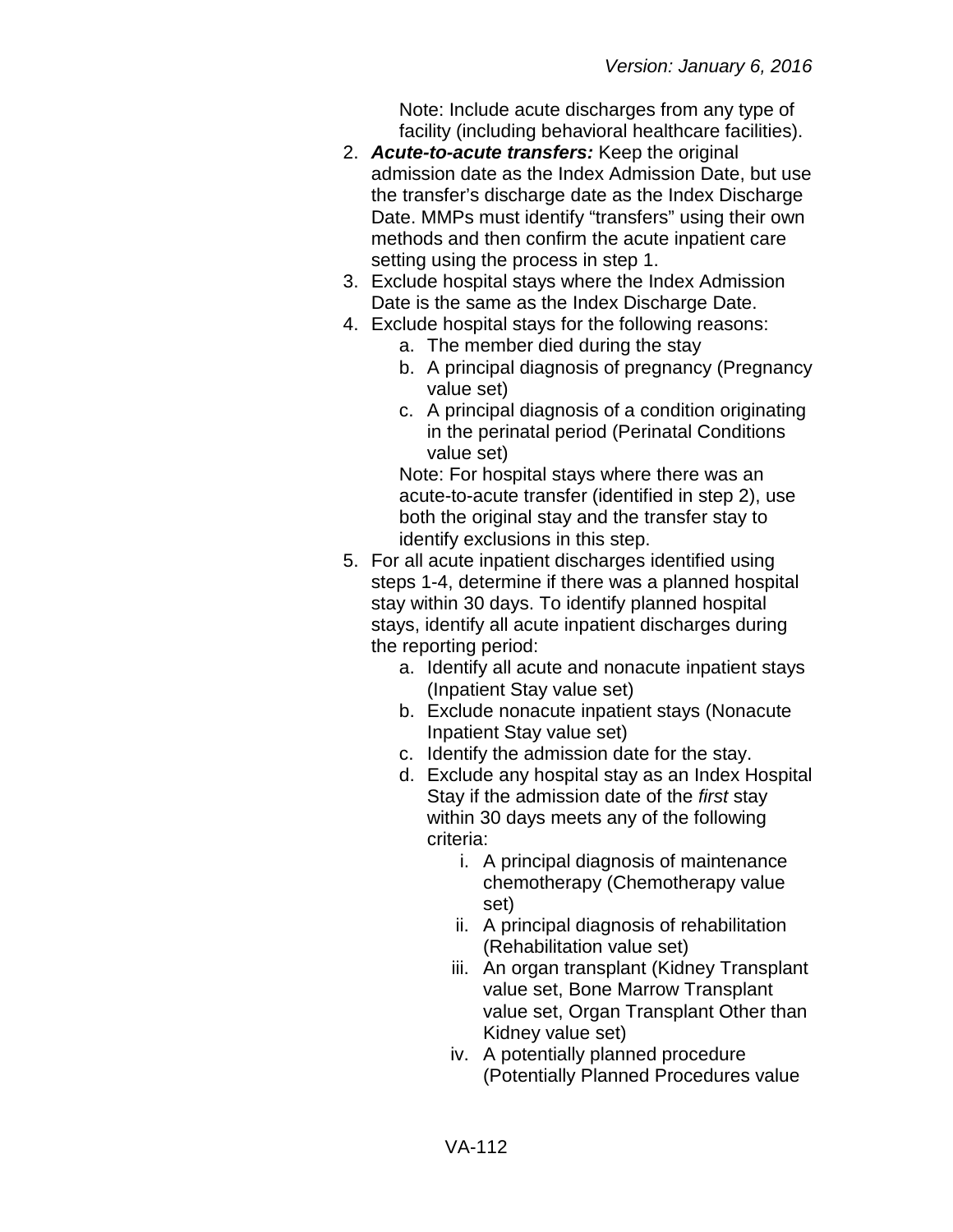Note: Include acute discharges from any type of facility (including behavioral healthcare facilities).

- 2. *Acute-to-acute transfers:* Keep the original admission date as the Index Admission Date, but use the transfer's discharge date as the Index Discharge Date. MMPs must identify "transfers" using their own methods and then confirm the acute inpatient care setting using the process in step 1.
- 3. Exclude hospital stays where the Index Admission Date is the same as the Index Discharge Date.
- 4. Exclude hospital stays for the following reasons:
	- a. The member died during the stay
	- b. A principal diagnosis of pregnancy (Pregnancy value set)
	- c. A principal diagnosis of a condition originating in the perinatal period (Perinatal Conditions value set)

Note: For hospital stays where there was an acute-to-acute transfer (identified in step 2), use both the original stay and the transfer stay to identify exclusions in this step.

- 5. For all acute inpatient discharges identified using steps 1-4, determine if there was a planned hospital stay within 30 days. To identify planned hospital stays, identify all acute inpatient discharges during the reporting period:
	- a. Identify all acute and nonacute inpatient stays (Inpatient Stay value set)
	- b. Exclude nonacute inpatient stays (Nonacute Inpatient Stay value set)
	- c. Identify the admission date for the stay.
	- d. Exclude any hospital stay as an Index Hospital Stay if the admission date of the *first* stay within 30 days meets any of the following criteria:
		- i. A principal diagnosis of maintenance chemotherapy (Chemotherapy value set)
		- ii. A principal diagnosis of rehabilitation (Rehabilitation value set)
		- iii. An organ transplant (Kidney Transplant value set, Bone Marrow Transplant value set, Organ Transplant Other than Kidney value set)
		- iv. A potentially planned procedure (Potentially Planned Procedures value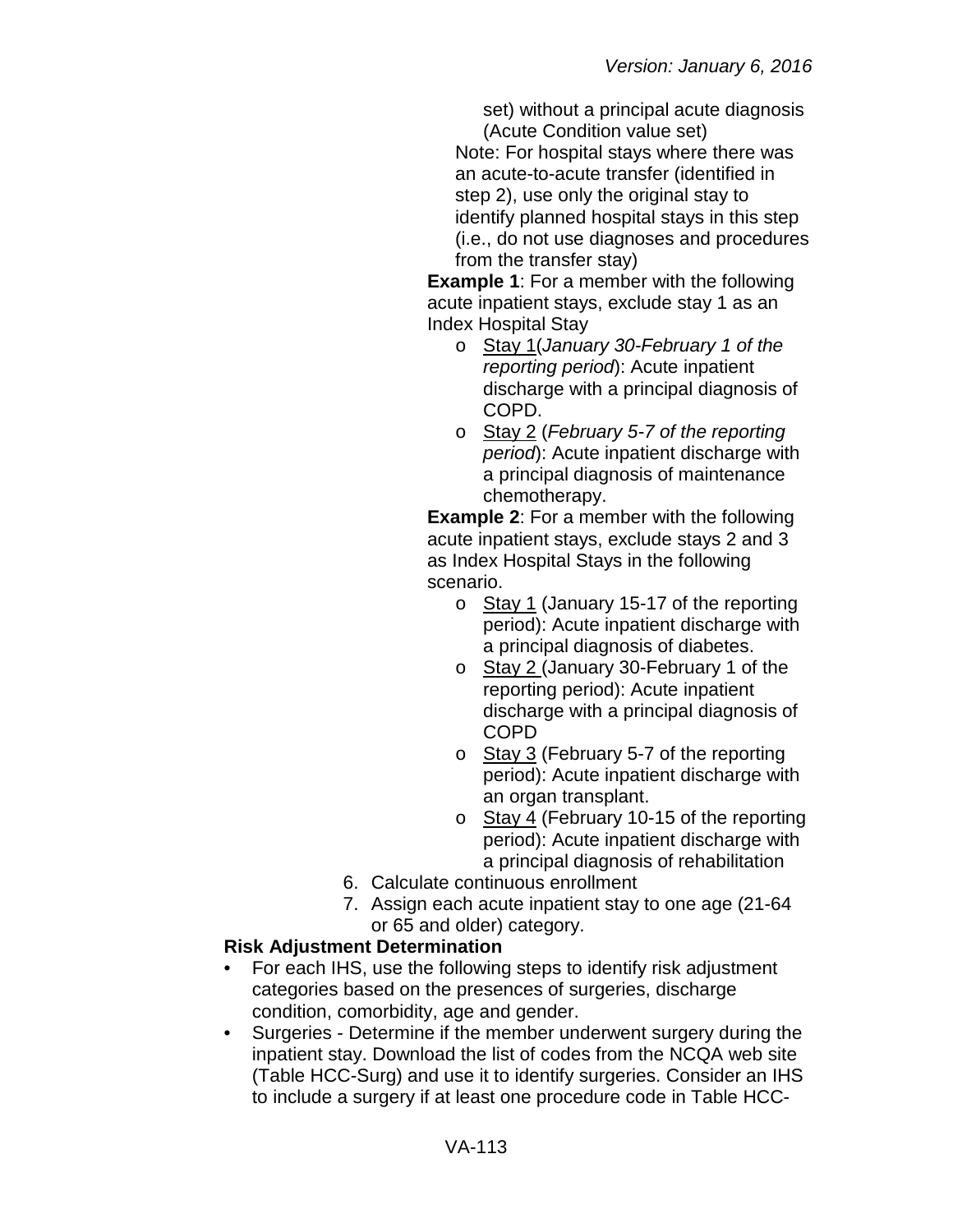set) without a principal acute diagnosis (Acute Condition value set)

Note: For hospital stays where there was an acute-to-acute transfer (identified in step 2), use only the original stay to identify planned hospital stays in this step (i.e., do not use diagnoses and procedures from the transfer stay)

**Example 1**: For a member with the following acute inpatient stays, exclude stay 1 as an Index Hospital Stay

- o Stay 1(*January 30-February 1 of the reporting period*): Acute inpatient discharge with a principal diagnosis of COPD.
- o Stay 2 (*February 5-7 of the reporting period*): Acute inpatient discharge with a principal diagnosis of maintenance chemotherapy.

**Example 2**: For a member with the following acute inpatient stays, exclude stays 2 and 3 as Index Hospital Stays in the following scenario.

- o Stay 1 (January 15-17 of the reporting period): Acute inpatient discharge with a principal diagnosis of diabetes.
- o Stay 2 (January 30-February 1 of the reporting period): Acute inpatient discharge with a principal diagnosis of COPD
- o Stay 3 (February 5-7 of the reporting period): Acute inpatient discharge with an organ transplant.
- o Stay 4 (February 10-15 of the reporting period): Acute inpatient discharge with a principal diagnosis of rehabilitation
- 6. Calculate continuous enrollment
- 7. Assign each acute inpatient stay to one age (21-64 or 65 and older) category.

## **Risk Adjustment Determination**

- For each IHS, use the following steps to identify risk adjustment categories based on the presences of surgeries, discharge condition, comorbidity, age and gender.
- Surgeries Determine if the member underwent surgery during the inpatient stay. Download the list of codes from the NCQA web site (Table HCC-Surg) and use it to identify surgeries. Consider an IHS to include a surgery if at least one procedure code in Table HCC-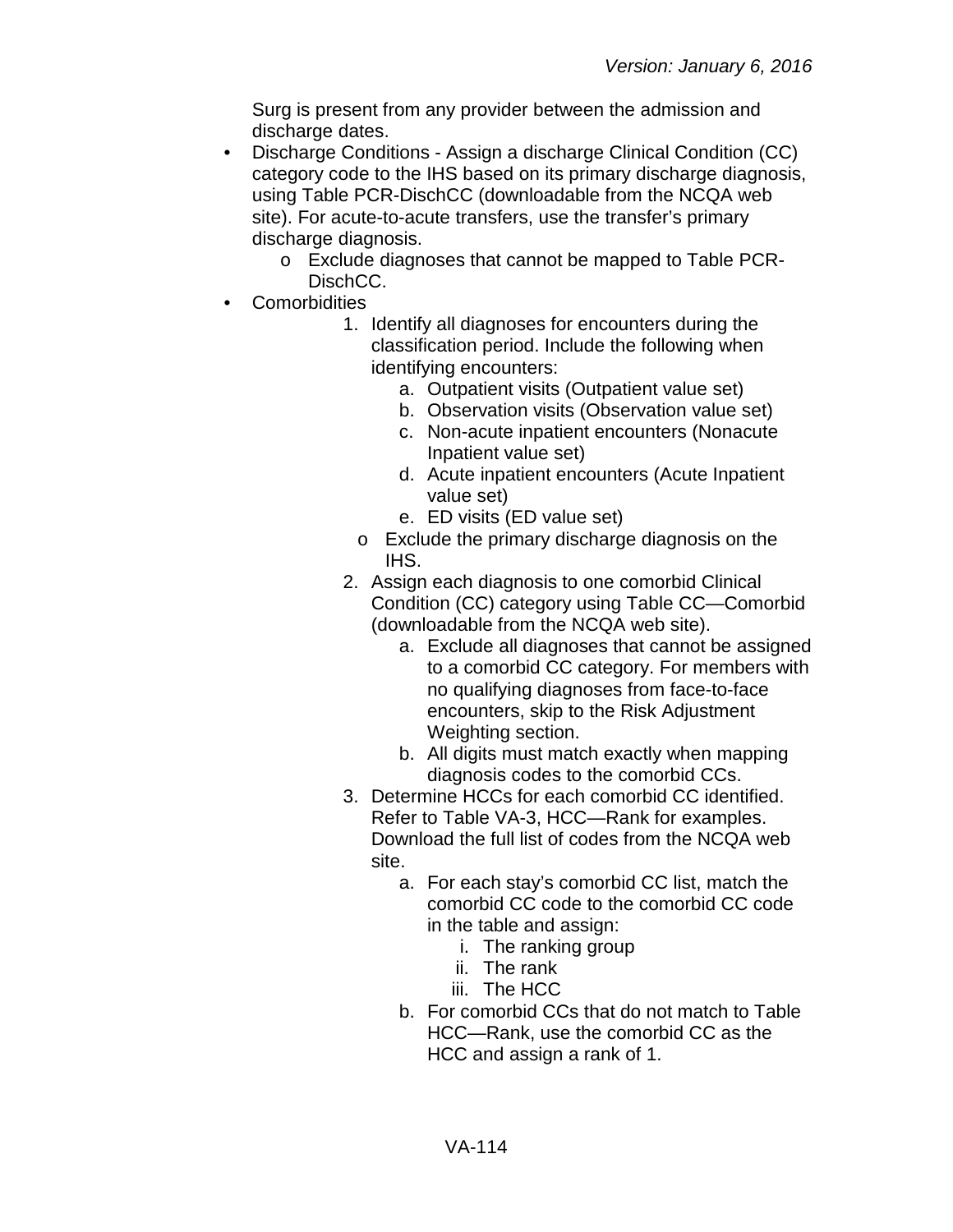Surg is present from any provider between the admission and discharge dates.

- Discharge Conditions Assign a discharge Clinical Condition (CC) category code to the IHS based on its primary discharge diagnosis, using Table PCR-DischCC (downloadable from the NCQA web site). For acute-to-acute transfers, use the transfer's primary discharge diagnosis.
	- o Exclude diagnoses that cannot be mapped to Table PCR-DischCC.
- Comorbidities
	- 1. Identify all diagnoses for encounters during the classification period. Include the following when identifying encounters:
		- a. Outpatient visits (Outpatient value set)
		- b. Observation visits (Observation value set)
		- c. Non-acute inpatient encounters (Nonacute Inpatient value set)
		- d. Acute inpatient encounters (Acute Inpatient value set)
		- e. ED visits (ED value set)
		- o Exclude the primary discharge diagnosis on the IHS.
	- 2. Assign each diagnosis to one comorbid Clinical Condition (CC) category using Table CC—Comorbid (downloadable from the NCQA web site).
		- a. Exclude all diagnoses that cannot be assigned to a comorbid CC category. For members with no qualifying diagnoses from face-to-face encounters, skip to the Risk Adjustment Weighting section.
		- b. All digits must match exactly when mapping diagnosis codes to the comorbid CCs.
	- 3. Determine HCCs for each comorbid CC identified. Refer to Table VA-3, HCC—Rank for examples. Download the full list of codes from the NCQA web site.
		- a. For each stay's comorbid CC list, match the comorbid CC code to the comorbid CC code in the table and assign:
			- i. The ranking group
			- ii. The rank
			- iii. The HCC
		- b. For comorbid CCs that do not match to Table HCC—Rank, use the comorbid CC as the HCC and assign a rank of 1.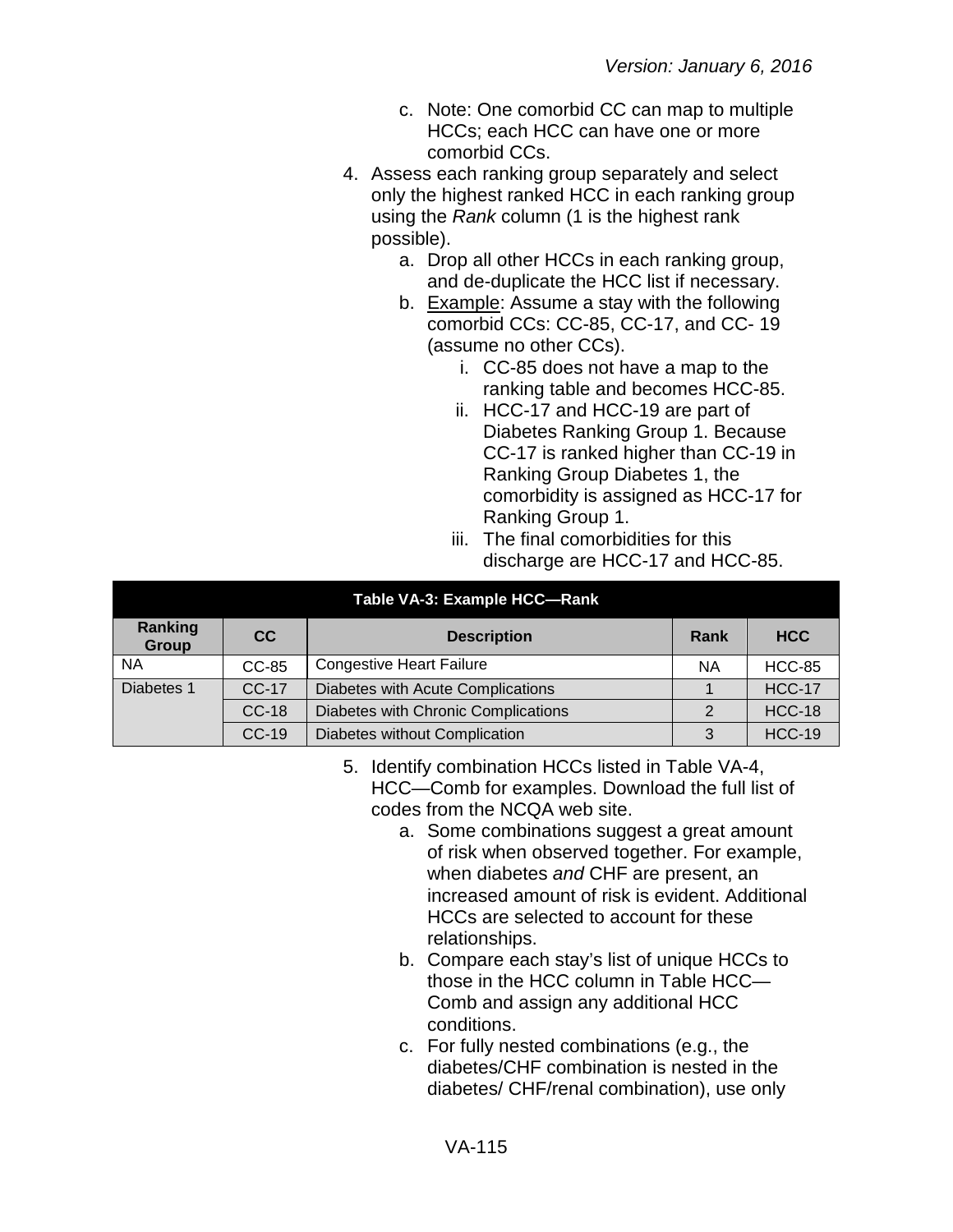- c. Note: One comorbid CC can map to multiple HCCs; each HCC can have one or more comorbid CCs.
- 4. Assess each ranking group separately and select only the highest ranked HCC in each ranking group using the *Rank* column (1 is the highest rank possible).
	- a. Drop all other HCCs in each ranking group, and de-duplicate the HCC list if necessary.
	- b. Example: Assume a stay with the following comorbid CCs: CC-85, CC-17, and CC- 19 (assume no other CCs).
		- i. CC-85 does not have a map to the ranking table and becomes HCC-85.
		- ii. HCC-17 and HCC-19 are part of Diabetes Ranking Group 1. Because CC-17 is ranked higher than CC-19 in Ranking Group Diabetes 1, the comorbidity is assigned as HCC-17 for Ranking Group 1.
		- iii. The final comorbidities for this discharge are HCC-17 and HCC-85.

| Table VA-3: Example HCC-Rank |         |                                     |            |               |  |
|------------------------------|---------|-------------------------------------|------------|---------------|--|
| Ranking<br>Group             | CC.     | Rank                                | <b>HCC</b> |               |  |
| <b>NA</b>                    | $CC-85$ | <b>Congestive Heart Failure</b>     | <b>NA</b>  | <b>HCC-85</b> |  |
| Diabetes 1                   | CC-17   | Diabetes with Acute Complications   |            | <b>HCC-17</b> |  |
|                              | $CC-18$ | Diabetes with Chronic Complications |            | <b>HCC-18</b> |  |
|                              | $CC-19$ | Diabetes without Complication       | ◠          | <b>HCC-19</b> |  |

- 5. Identify combination HCCs listed in Table VA-4, HCC—Comb for examples. Download the full list of codes from the NCQA web site.
	- a. Some combinations suggest a great amount of risk when observed together. For example, when diabetes *and* CHF are present, an increased amount of risk is evident. Additional HCCs are selected to account for these relationships.
	- b. Compare each stay's list of unique HCCs to those in the HCC column in Table HCC— Comb and assign any additional HCC conditions.
	- c. For fully nested combinations (e.g., the diabetes/CHF combination is nested in the diabetes/ CHF/renal combination), use only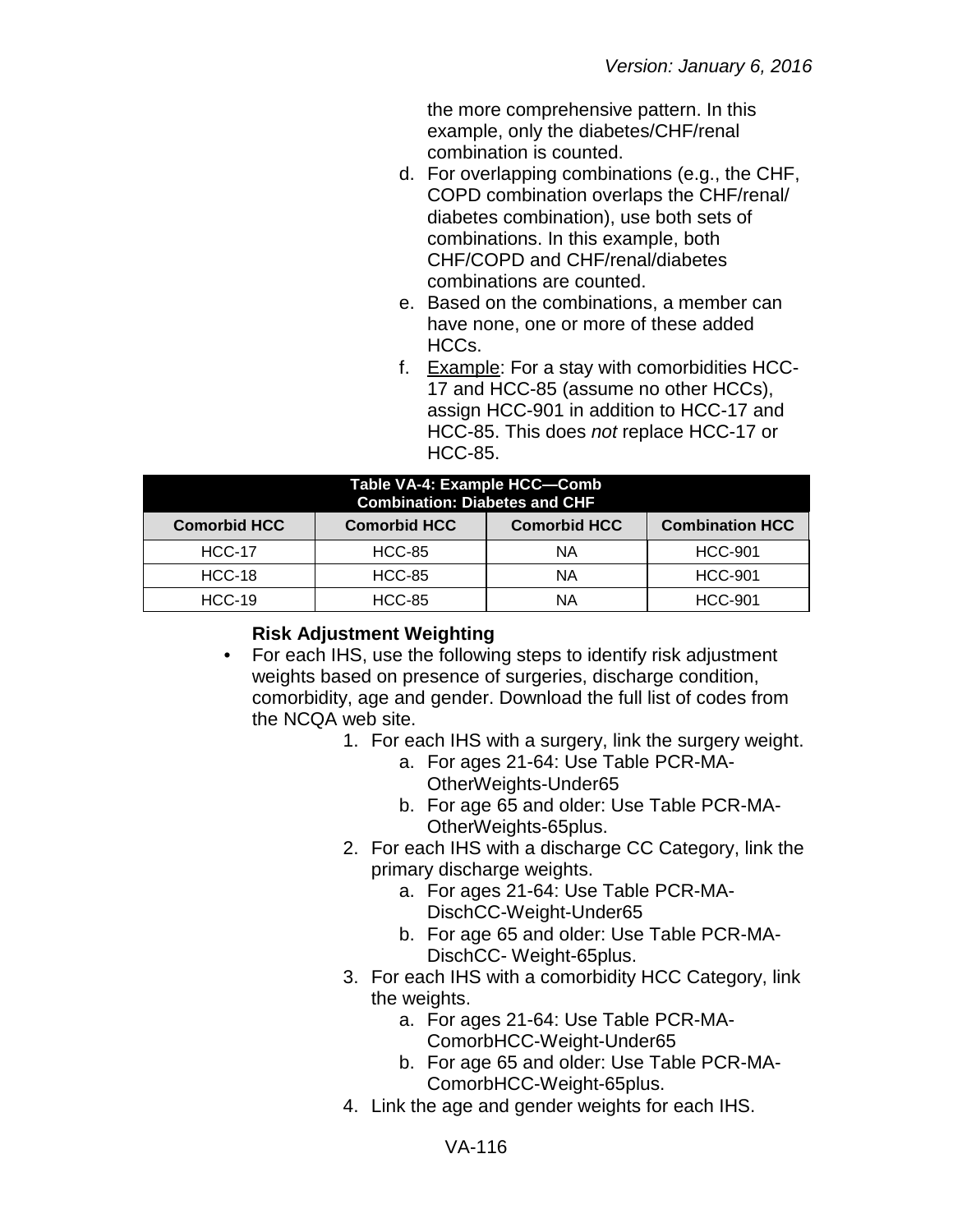the more comprehensive pattern. In this example, only the diabetes/CHF/renal combination is counted.

- d. For overlapping combinations (e.g., the CHF, COPD combination overlaps the CHF/renal/ diabetes combination), use both sets of combinations. In this example, both CHF/COPD and CHF/renal/diabetes combinations are counted.
- e. Based on the combinations, a member can have none, one or more of these added HCCs.
- f. Example: For a stay with comorbidities HCC-17 and HCC-85 (assume no other HCCs), assign HCC-901 in addition to HCC-17 and HCC-85. This does *not* replace HCC-17 or HCC-85.

| Table VA-4: Example HCC-Comb<br><b>Combination: Diabetes and CHF</b>                        |               |    |                |  |
|---------------------------------------------------------------------------------------------|---------------|----|----------------|--|
| <b>Combination HCC</b><br><b>Comorbid HCC</b><br><b>Comorbid HCC</b><br><b>Comorbid HCC</b> |               |    |                |  |
| <b>HCC-17</b>                                                                               | <b>HCC-85</b> | ΝA | <b>HCC-901</b> |  |
| <b>HCC-18</b>                                                                               | <b>HCC-85</b> | ΝA | <b>HCC-901</b> |  |
| $HCC-19$                                                                                    | <b>HCC-85</b> | NΑ | <b>HCC-901</b> |  |

## **Risk Adjustment Weighting**

- For each IHS, use the following steps to identify risk adjustment weights based on presence of surgeries, discharge condition, comorbidity, age and gender. Download the full list of codes from the NCQA web site.
	- 1. For each IHS with a surgery, link the surgery weight.
		- a. For ages 21-64: Use Table PCR-MA-OtherWeights-Under65
		- b. For age 65 and older: Use Table PCR-MA-OtherWeights-65plus.
	- 2. For each IHS with a discharge CC Category, link the primary discharge weights.
		- a. For ages 21-64: Use Table PCR-MA-DischCC-Weight-Under65
		- b. For age 65 and older: Use Table PCR-MA-DischCC- Weight-65plus.
	- 3. For each IHS with a comorbidity HCC Category, link the weights.
		- a. For ages 21-64: Use Table PCR-MA-ComorbHCC-Weight-Under65
		- b. For age 65 and older: Use Table PCR-MA-ComorbHCC-Weight-65plus.
	- 4. Link the age and gender weights for each IHS.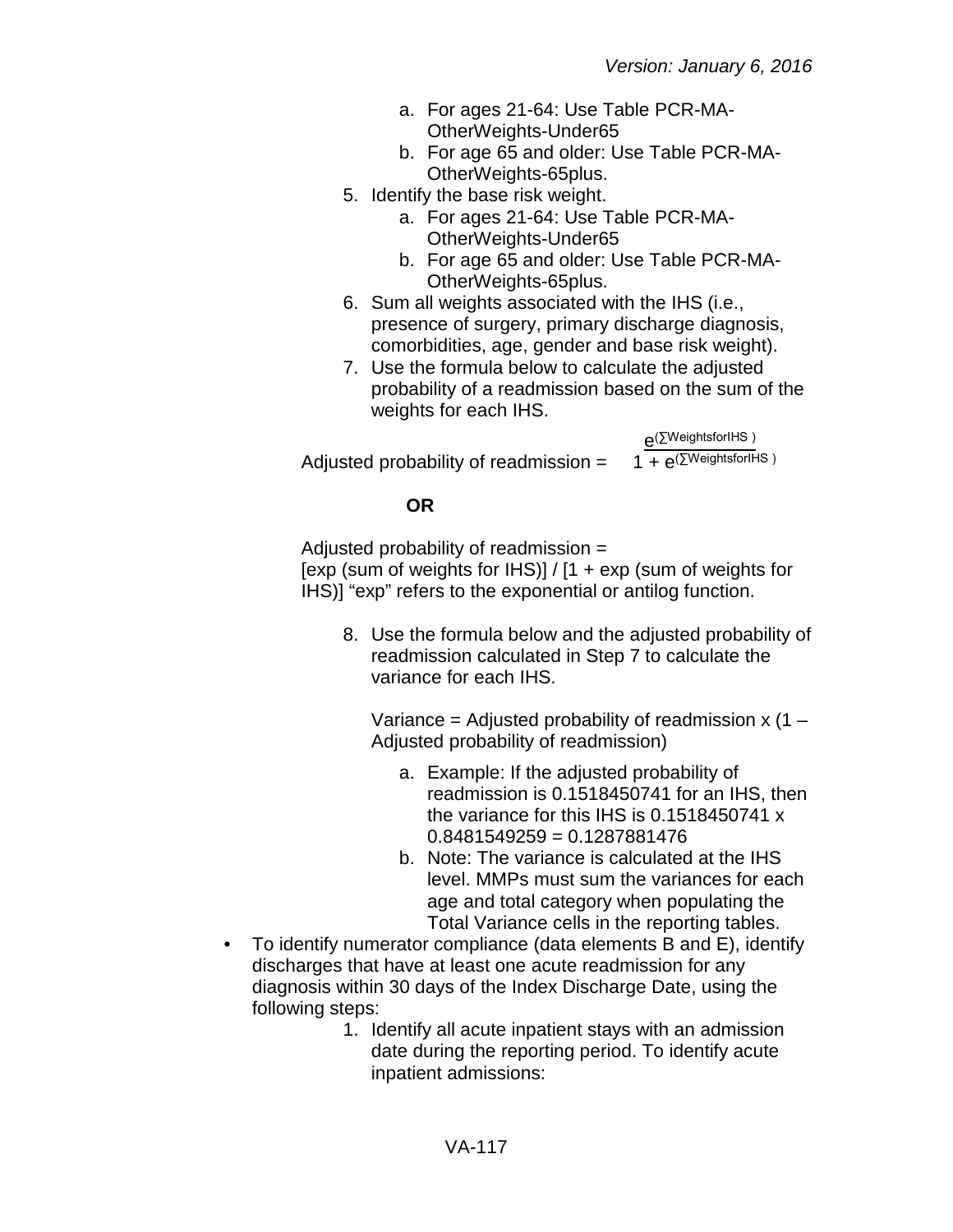- a. For ages 21-64: Use Table PCR-MA-OtherWeights-Under65
- b. For age 65 and older: Use Table PCR-MA-OtherWeights-65plus.
- 5. Identify the base risk weight.
	- a. For ages 21-64: Use Table PCR-MA-OtherWeights-Under65
	- b. For age 65 and older: Use Table PCR-MA-OtherWeights-65plus.
- 6. Sum all weights associated with the IHS (i.e., presence of surgery, primary discharge diagnosis, comorbidities, age, gender and base risk weight).
- 7. Use the formula below to calculate the adjusted probability of a readmission based on the sum of the weights for each IHS.

 $e^{(\sum WeightsforIHS )}$ <br>1 +  $e^{(\sum WeightsforIHS )}$ Adjusted probability of readmission =

## **OR**

Adjusted probability of readmission = [exp (sum of weights for IHS)] /  $[1 + \exp(\text{sum of weights for})]$ IHS)] "exp" refers to the exponential or antilog function.

8. Use the formula below and the adjusted probability of readmission calculated in Step 7 to calculate the variance for each IHS.

Variance = Adjusted probability of readmission  $x(1 -$ Adjusted probability of readmission)

- a. Example: If the adjusted probability of readmission is 0.1518450741 for an IHS, then the variance for this IHS is 0.1518450741 x 0.8481549259 = 0.1287881476
- b. Note: The variance is calculated at the IHS level. MMPs must sum the variances for each age and total category when populating the Total Variance cells in the reporting tables.
- To identify numerator compliance (data elements B and E), identify discharges that have at least one acute readmission for any diagnosis within 30 days of the Index Discharge Date, using the following steps:
	- 1. Identify all acute inpatient stays with an admission date during the reporting period. To identify acute inpatient admissions: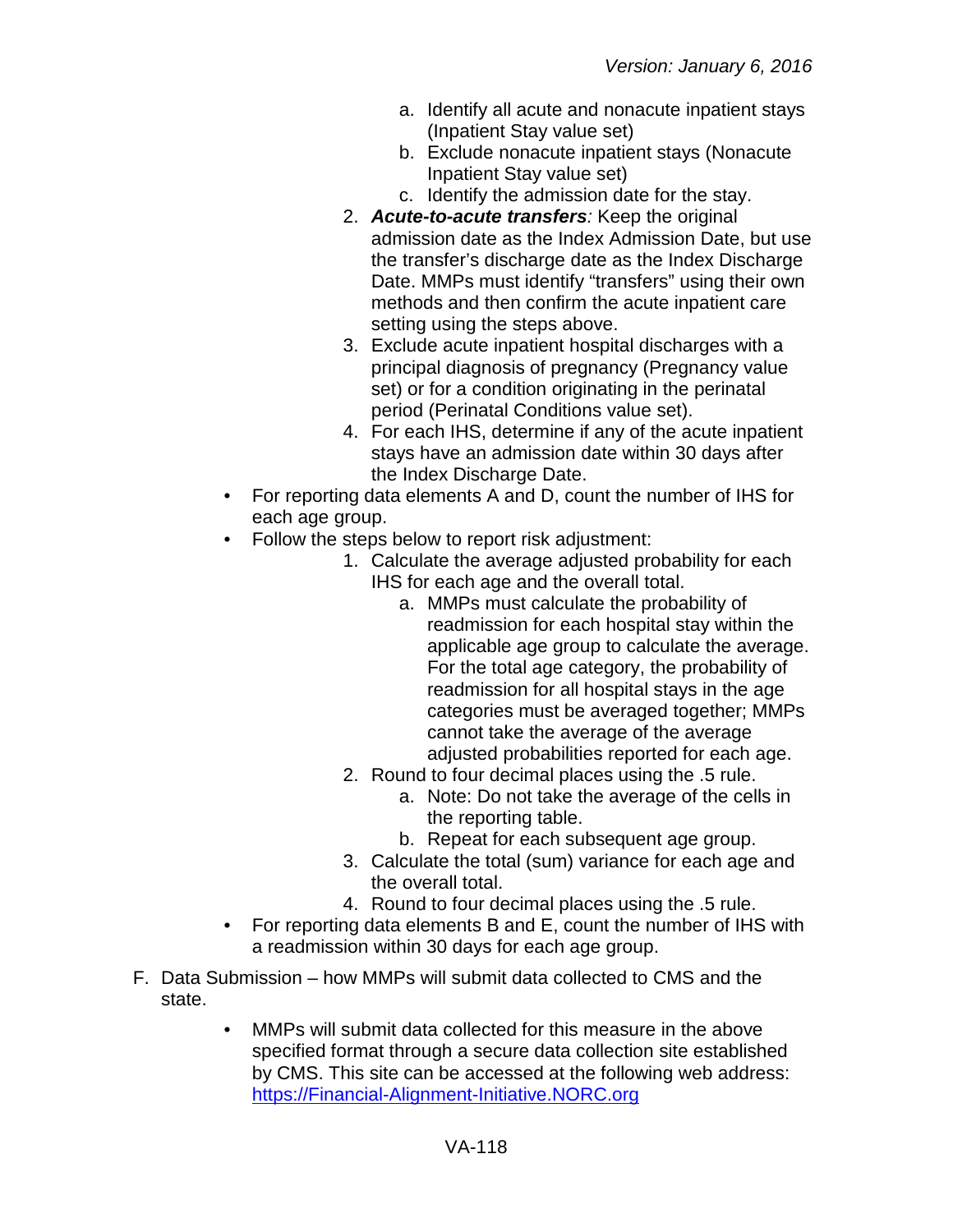- a. Identify all acute and nonacute inpatient stays (Inpatient Stay value set)
- b. Exclude nonacute inpatient stays (Nonacute Inpatient Stay value set)
- c. Identify the admission date for the stay.
- 2. *Acute-to-acute transfers:* Keep the original admission date as the Index Admission Date, but use the transfer's discharge date as the Index Discharge Date. MMPs must identify "transfers" using their own methods and then confirm the acute inpatient care setting using the steps above.
- 3. Exclude acute inpatient hospital discharges with a principal diagnosis of pregnancy (Pregnancy value set) or for a condition originating in the perinatal period (Perinatal Conditions value set).
- 4. For each IHS, determine if any of the acute inpatient stays have an admission date within 30 days after the Index Discharge Date.
- For reporting data elements A and D, count the number of IHS for each age group.
- Follow the steps below to report risk adjustment:
	- 1. Calculate the average adjusted probability for each IHS for each age and the overall total.
		- a. MMPs must calculate the probability of readmission for each hospital stay within the applicable age group to calculate the average. For the total age category, the probability of readmission for all hospital stays in the age categories must be averaged together; MMPs cannot take the average of the average adjusted probabilities reported for each age.
	- 2. Round to four decimal places using the .5 rule.
		- a. Note: Do not take the average of the cells in the reporting table.
		- b. Repeat for each subsequent age group.
	- 3. Calculate the total (sum) variance for each age and the overall total.
	- 4. Round to four decimal places using the .5 rule.
- For reporting data elements B and E, count the number of IHS with a readmission within 30 days for each age group.
- F. Data Submission how MMPs will submit data collected to CMS and the state.
	- MMPs will submit data collected for this measure in the above specified format through a secure data collection site established by CMS. This site can be accessed at the following web address: [https://Financial-Alignment-Initiative.NORC.org](https://financial-alignment-initiative.norc.org/)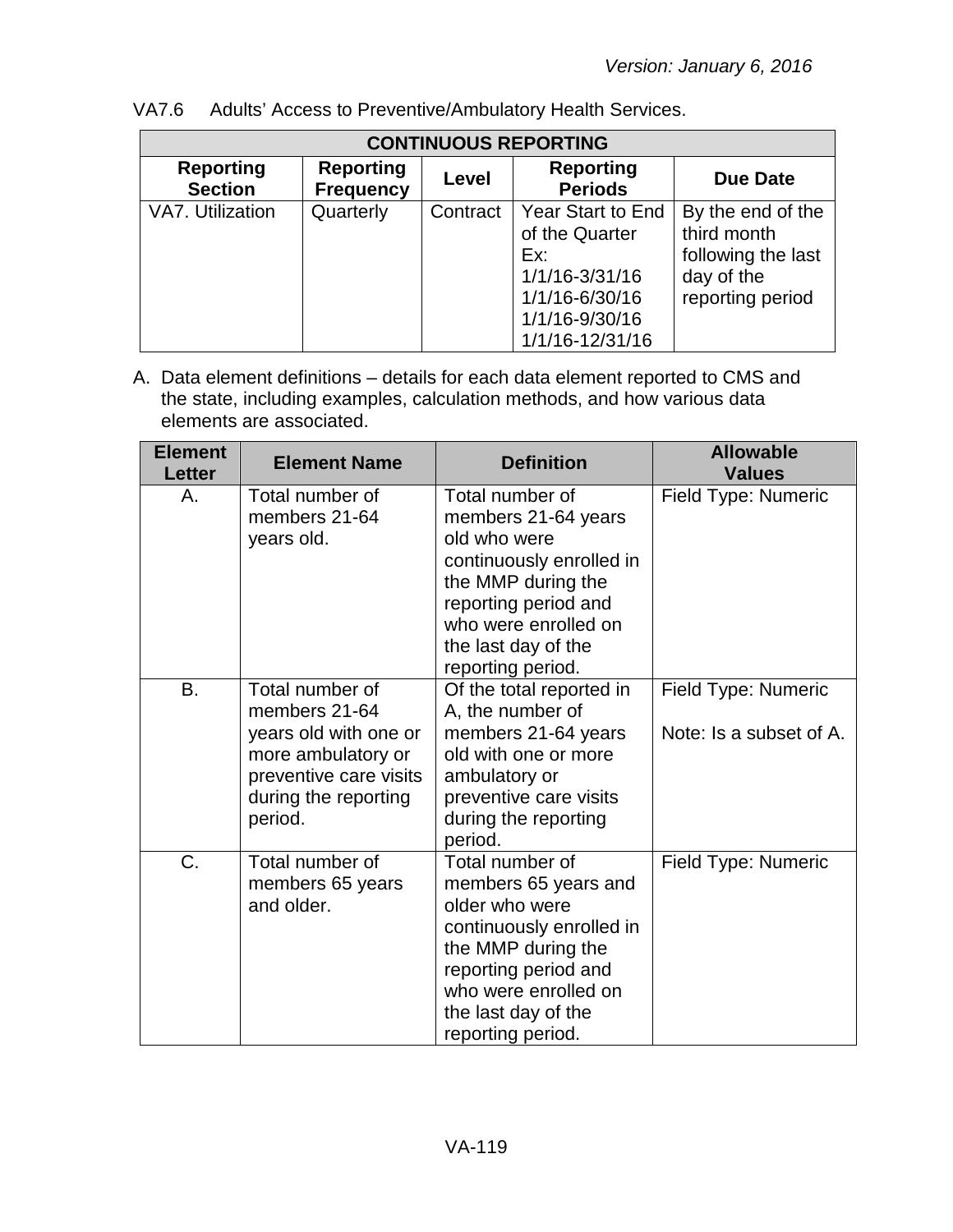| <b>CONTINUOUS REPORTING</b>        |                                      |          |                                                                                                                     |                                                                                          |  |
|------------------------------------|--------------------------------------|----------|---------------------------------------------------------------------------------------------------------------------|------------------------------------------------------------------------------------------|--|
| <b>Reporting</b><br><b>Section</b> | <b>Reporting</b><br><b>Frequency</b> | Level    | <b>Reporting</b><br><b>Periods</b>                                                                                  | <b>Due Date</b>                                                                          |  |
| VA7. Utilization                   | Quarterly                            | Contract | Year Start to End<br>of the Quarter<br>Ex:<br>1/1/16-3/31/16<br>1/1/16-6/30/16<br>1/1/16-9/30/16<br>1/1/16-12/31/16 | By the end of the<br>third month<br>following the last<br>day of the<br>reporting period |  |

VA7.6 Adults' Access to Preventive/Ambulatory Health Services.

| <b>Element</b><br><b>Letter</b> | <b>Element Name</b>                                                                                                                          | <b>Definition</b>                                                                                                                                                                                       | <b>Allowable</b><br><b>Values</b>              |
|---------------------------------|----------------------------------------------------------------------------------------------------------------------------------------------|---------------------------------------------------------------------------------------------------------------------------------------------------------------------------------------------------------|------------------------------------------------|
| А.                              | Total number of<br>members 21-64<br>years old.                                                                                               | Total number of<br>members 21-64 years<br>old who were<br>continuously enrolled in<br>the MMP during the<br>reporting period and<br>who were enrolled on<br>the last day of the<br>reporting period.    | Field Type: Numeric                            |
| B.                              | Total number of<br>members 21-64<br>years old with one or<br>more ambulatory or<br>preventive care visits<br>during the reporting<br>period. | Of the total reported in<br>A, the number of<br>members 21-64 years<br>old with one or more<br>ambulatory or<br>preventive care visits<br>during the reporting<br>period.                               | Field Type: Numeric<br>Note: Is a subset of A. |
| C.                              | Total number of<br>members 65 years<br>and older.                                                                                            | Total number of<br>members 65 years and<br>older who were<br>continuously enrolled in<br>the MMP during the<br>reporting period and<br>who were enrolled on<br>the last day of the<br>reporting period. | Field Type: Numeric                            |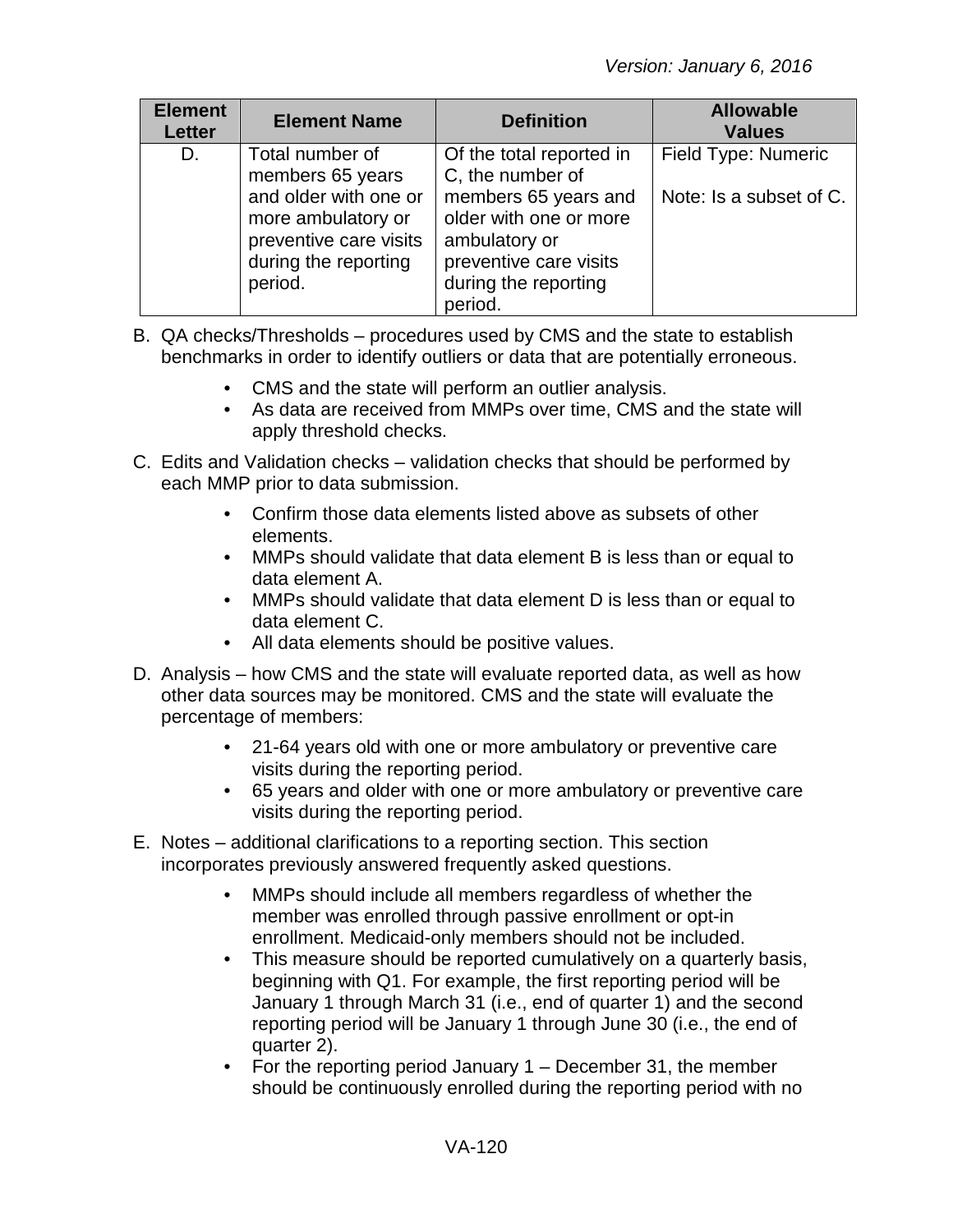| <b>Element</b><br><b>Letter</b> | <b>Element Name</b>                                                                                      | <b>Definition</b>                                                                                                            | <b>Allowable</b><br><b>Values</b> |
|---------------------------------|----------------------------------------------------------------------------------------------------------|------------------------------------------------------------------------------------------------------------------------------|-----------------------------------|
| D.                              | Total number of<br>members 65 years                                                                      | Of the total reported in<br>C, the number of                                                                                 | Field Type: Numeric               |
|                                 | and older with one or<br>more ambulatory or<br>preventive care visits<br>during the reporting<br>period. | members 65 years and<br>older with one or more<br>ambulatory or<br>preventive care visits<br>during the reporting<br>period. | Note: Is a subset of C.           |

- B. QA checks/Thresholds procedures used by CMS and the state to establish benchmarks in order to identify outliers or data that are potentially erroneous.
	- CMS and the state will perform an outlier analysis.
	- As data are received from MMPs over time, CMS and the state will apply threshold checks.
- C. Edits and Validation checks validation checks that should be performed by each MMP prior to data submission.
	- Confirm those data elements listed above as subsets of other elements.
	- MMPs should validate that data element B is less than or equal to data element A.
	- MMPs should validate that data element D is less than or equal to data element C.
	- All data elements should be positive values.
- D. Analysis how CMS and the state will evaluate reported data, as well as how other data sources may be monitored. CMS and the state will evaluate the percentage of members:
	- 21-64 years old with one or more ambulatory or preventive care visits during the reporting period.
	- 65 years and older with one or more ambulatory or preventive care visits during the reporting period.
- E. Notes additional clarifications to a reporting section. This section incorporates previously answered frequently asked questions.
	- MMPs should include all members regardless of whether the member was enrolled through passive enrollment or opt-in enrollment. Medicaid-only members should not be included.
	- This measure should be reported cumulatively on a quarterly basis, beginning with Q1. For example, the first reporting period will be January 1 through March 31 (i.e., end of quarter 1) and the second reporting period will be January 1 through June 30 (i.e., the end of quarter 2).
	- For the reporting period January 1 December 31, the member should be continuously enrolled during the reporting period with no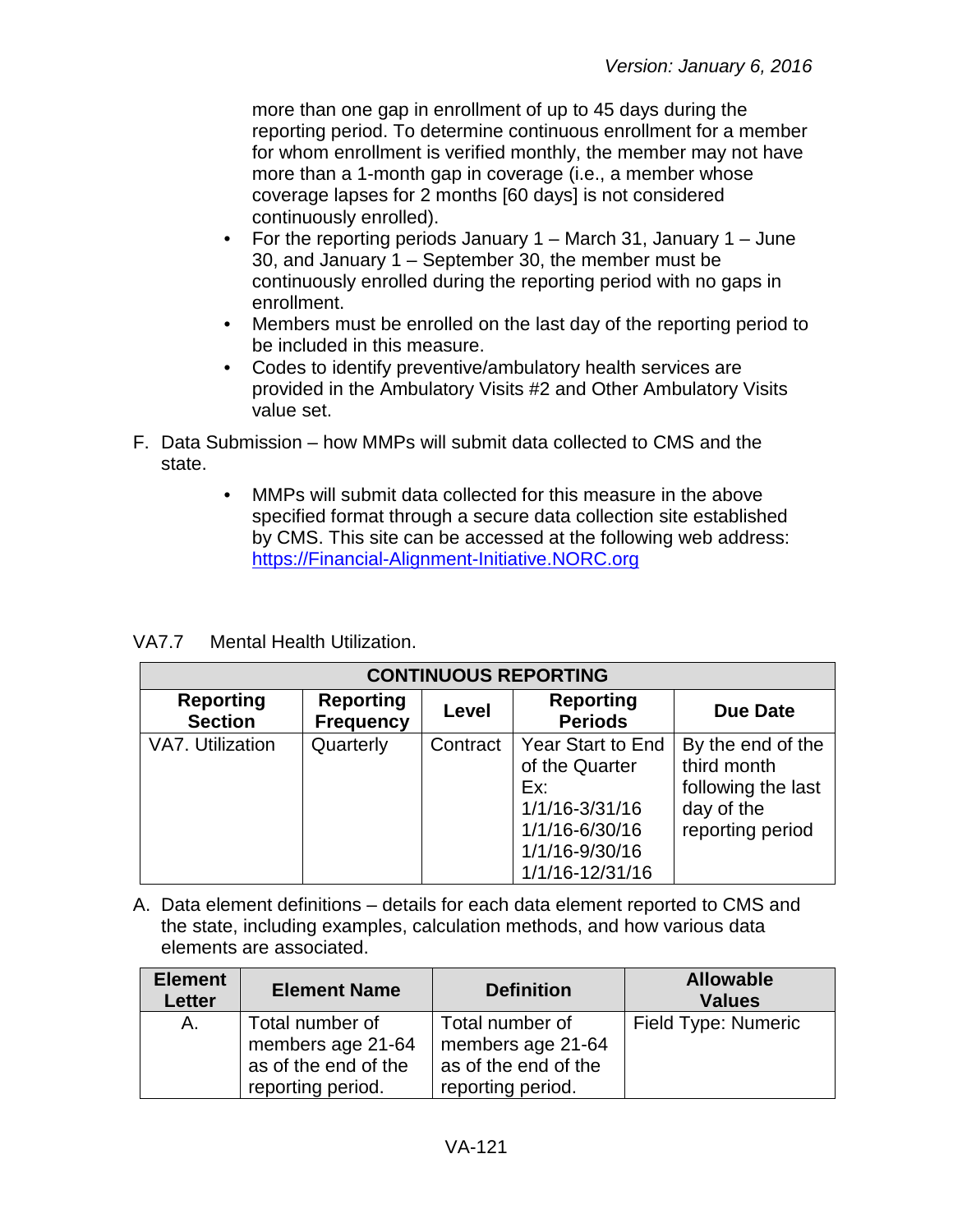more than one gap in enrollment of up to 45 days during the reporting period. To determine continuous enrollment for a member for whom enrollment is verified monthly, the member may not have more than a 1-month gap in coverage (i.e., a member whose coverage lapses for 2 months [60 days] is not considered continuously enrolled).

- For the reporting periods January 1 March 31, January 1 June 30, and January 1 – September 30, the member must be continuously enrolled during the reporting period with no gaps in enrollment.
- Members must be enrolled on the last day of the reporting period to be included in this measure.
- Codes to identify preventive/ambulatory health services are provided in the Ambulatory Visits #2 and Other Ambulatory Visits value set.
- F. Data Submission how MMPs will submit data collected to CMS and the state.
	- MMPs will submit data collected for this measure in the above specified format through a secure data collection site established by CMS. This site can be accessed at the following web address: [https://Financial-Alignment-Initiative.NORC.org](https://financial-alignment-initiative.norc.org/)

VA7.7 Mental Health Utilization.

| <b>CONTINUOUS REPORTING</b>        |                                      |          |                                                                                                                            |                                                                                          |  |
|------------------------------------|--------------------------------------|----------|----------------------------------------------------------------------------------------------------------------------------|------------------------------------------------------------------------------------------|--|
| <b>Reporting</b><br><b>Section</b> | <b>Reporting</b><br><b>Frequency</b> | Level    | <b>Reporting</b><br><b>Periods</b>                                                                                         | Due Date                                                                                 |  |
| VA7. Utilization                   | Quarterly                            | Contract | <b>Year Start to End</b><br>of the Quarter<br>Ex:<br>1/1/16-3/31/16<br>1/1/16-6/30/16<br>1/1/16-9/30/16<br>1/1/16-12/31/16 | By the end of the<br>third month<br>following the last<br>day of the<br>reporting period |  |

| <b>Element</b><br><b>Letter</b> | <b>Element Name</b>                                                               | <b>Definition</b>                                                                 | <b>Allowable</b><br><b>Values</b> |
|---------------------------------|-----------------------------------------------------------------------------------|-----------------------------------------------------------------------------------|-----------------------------------|
| A.                              | Total number of<br>members age 21-64<br>as of the end of the<br>reporting period. | Total number of<br>members age 21-64<br>as of the end of the<br>reporting period. | Field Type: Numeric               |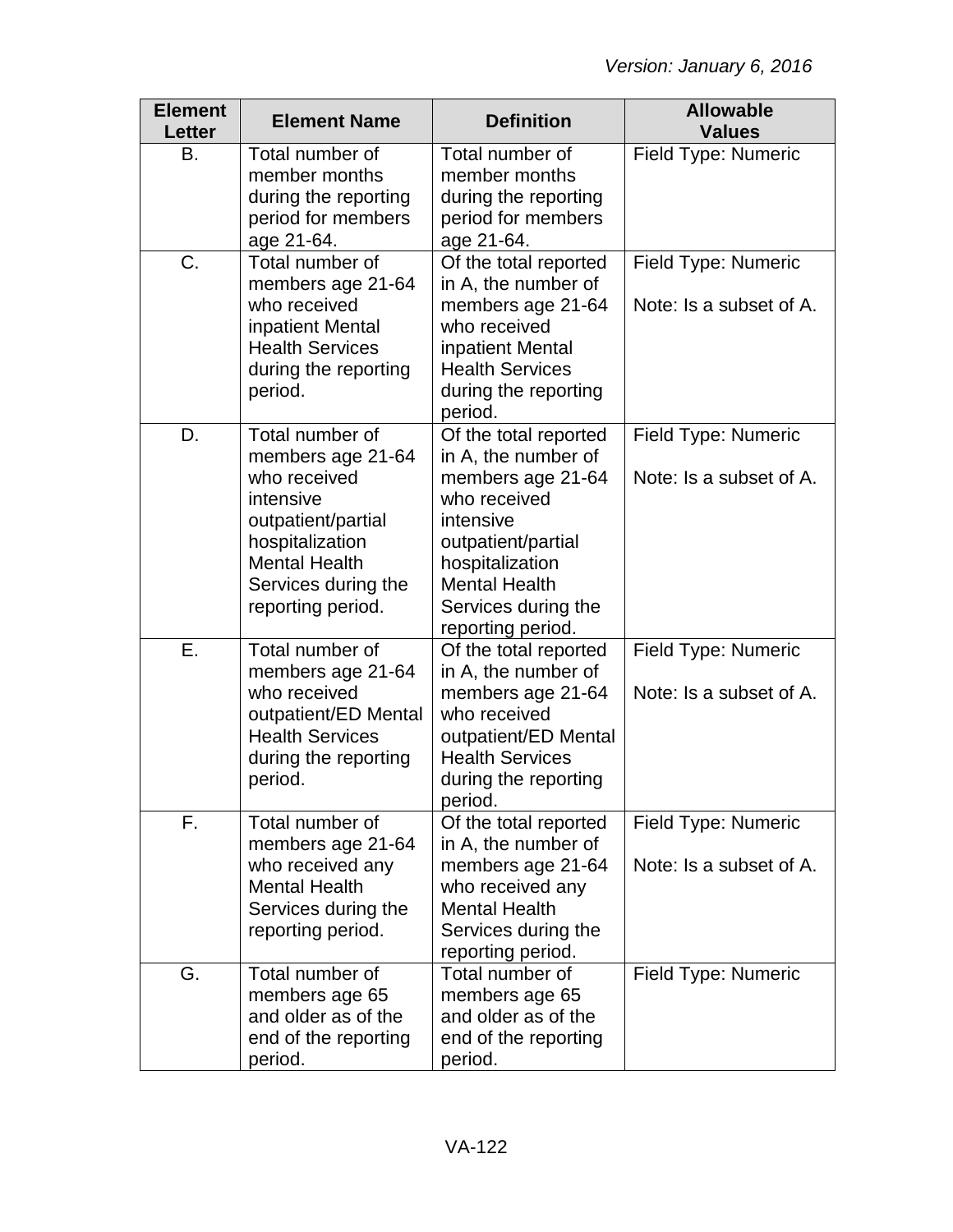| <b>Element</b><br><b>Letter</b> | <b>Element Name</b>                                                                                                                                                            | <b>Definition</b>                                                                                                                                                                                           | <b>Allowable</b><br><b>Values</b>              |
|---------------------------------|--------------------------------------------------------------------------------------------------------------------------------------------------------------------------------|-------------------------------------------------------------------------------------------------------------------------------------------------------------------------------------------------------------|------------------------------------------------|
| В.                              | Total number of<br>member months<br>during the reporting<br>period for members<br>age 21-64.                                                                                   | Total number of<br>member months<br>during the reporting<br>period for members<br>age 21-64.                                                                                                                | Field Type: Numeric                            |
| C.                              | Total number of<br>members age 21-64<br>who received<br>inpatient Mental<br><b>Health Services</b><br>during the reporting<br>period.                                          | Of the total reported<br>in A, the number of<br>members age 21-64<br>who received<br>inpatient Mental<br><b>Health Services</b><br>during the reporting<br>period.                                          | Field Type: Numeric<br>Note: Is a subset of A. |
| D.                              | Total number of<br>members age 21-64<br>who received<br>intensive<br>outpatient/partial<br>hospitalization<br><b>Mental Health</b><br>Services during the<br>reporting period. | Of the total reported<br>in A, the number of<br>members age 21-64<br>who received<br>intensive<br>outpatient/partial<br>hospitalization<br><b>Mental Health</b><br>Services during the<br>reporting period. | Field Type: Numeric<br>Note: Is a subset of A. |
| Е.                              | Total number of<br>members age 21-64<br>who received<br>outpatient/ED Mental<br><b>Health Services</b><br>during the reporting<br>period.                                      | Of the total reported<br>in A, the number of<br>members age 21-64<br>who received<br>outpatient/ED Mental<br><b>Health Services</b><br>during the reporting<br>period.                                      | Field Type: Numeric<br>Note: Is a subset of A. |
| F.                              | Total number of<br>members age 21-64<br>who received any<br><b>Mental Health</b><br>Services during the<br>reporting period.                                                   | Of the total reported<br>in A, the number of<br>members age 21-64<br>who received any<br><b>Mental Health</b><br>Services during the<br>reporting period.                                                   | Field Type: Numeric<br>Note: Is a subset of A. |
| G.                              | Total number of<br>members age 65<br>and older as of the<br>end of the reporting<br>period.                                                                                    | Total number of<br>members age 65<br>and older as of the<br>end of the reporting<br>period.                                                                                                                 | Field Type: Numeric                            |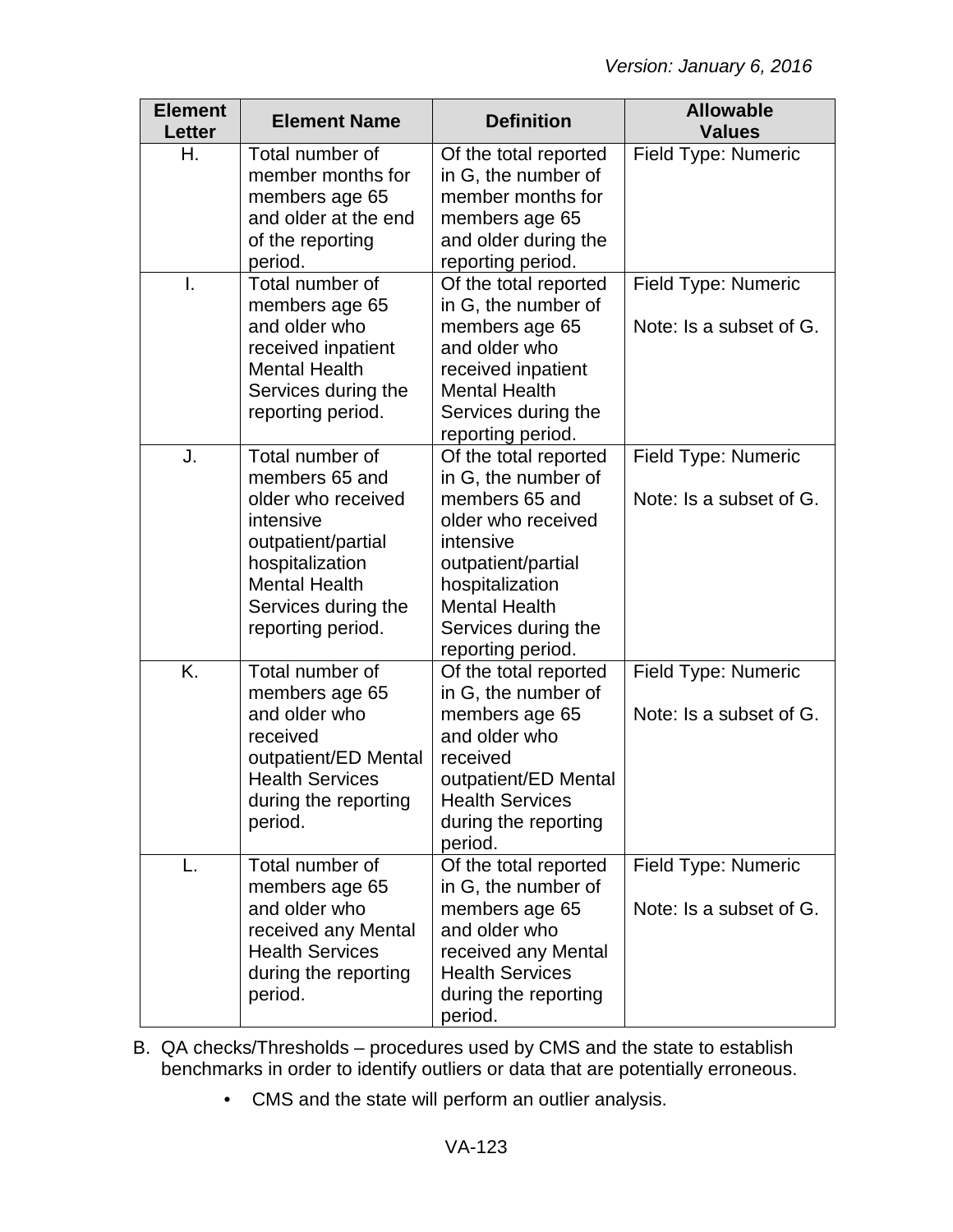| <b>Element</b><br><b>Letter</b> | <b>Element Name</b>                                                                                                                                                               | <b>Definition</b>                                                                                                                                                                                              | <b>Allowable</b><br><b>Values</b>              |
|---------------------------------|-----------------------------------------------------------------------------------------------------------------------------------------------------------------------------------|----------------------------------------------------------------------------------------------------------------------------------------------------------------------------------------------------------------|------------------------------------------------|
| Η.                              | Total number of<br>member months for<br>members age 65<br>and older at the end<br>of the reporting<br>period.                                                                     | Of the total reported<br>in G, the number of<br>member months for<br>members age 65<br>and older during the<br>reporting period.                                                                               | Field Type: Numeric                            |
| I.                              | Total number of<br>members age 65<br>and older who<br>received inpatient<br><b>Mental Health</b><br>Services during the<br>reporting period.                                      | Of the total reported<br>in G, the number of<br>members age 65<br>and older who<br>received inpatient<br><b>Mental Health</b><br>Services during the<br>reporting period.                                      | Field Type: Numeric<br>Note: Is a subset of G. |
| J.                              | Total number of<br>members 65 and<br>older who received<br>intensive<br>outpatient/partial<br>hospitalization<br><b>Mental Health</b><br>Services during the<br>reporting period. | Of the total reported<br>in G, the number of<br>members 65 and<br>older who received<br>intensive<br>outpatient/partial<br>hospitalization<br><b>Mental Health</b><br>Services during the<br>reporting period. | Field Type: Numeric<br>Note: Is a subset of G. |
| K.                              | Total number of<br>members age 65<br>and older who<br>received<br>outpatient/ED Mental<br><b>Health Services</b><br>during the reporting<br>period.                               | Of the total reported<br>in G, the number of<br>members age 65<br>and older who<br>received<br>outpatient/ED Mental<br><b>Health Services</b><br>during the reporting<br>period.                               | Field Type: Numeric<br>Note: Is a subset of G. |
| L.                              | Total number of<br>members age 65<br>and older who<br>received any Mental<br><b>Health Services</b><br>during the reporting<br>period.                                            | Of the total reported<br>in G, the number of<br>members age 65<br>and older who<br>received any Mental<br><b>Health Services</b><br>during the reporting<br>period.                                            | Field Type: Numeric<br>Note: Is a subset of G. |

- B. QA checks/Thresholds procedures used by CMS and the state to establish benchmarks in order to identify outliers or data that are potentially erroneous.
	- CMS and the state will perform an outlier analysis.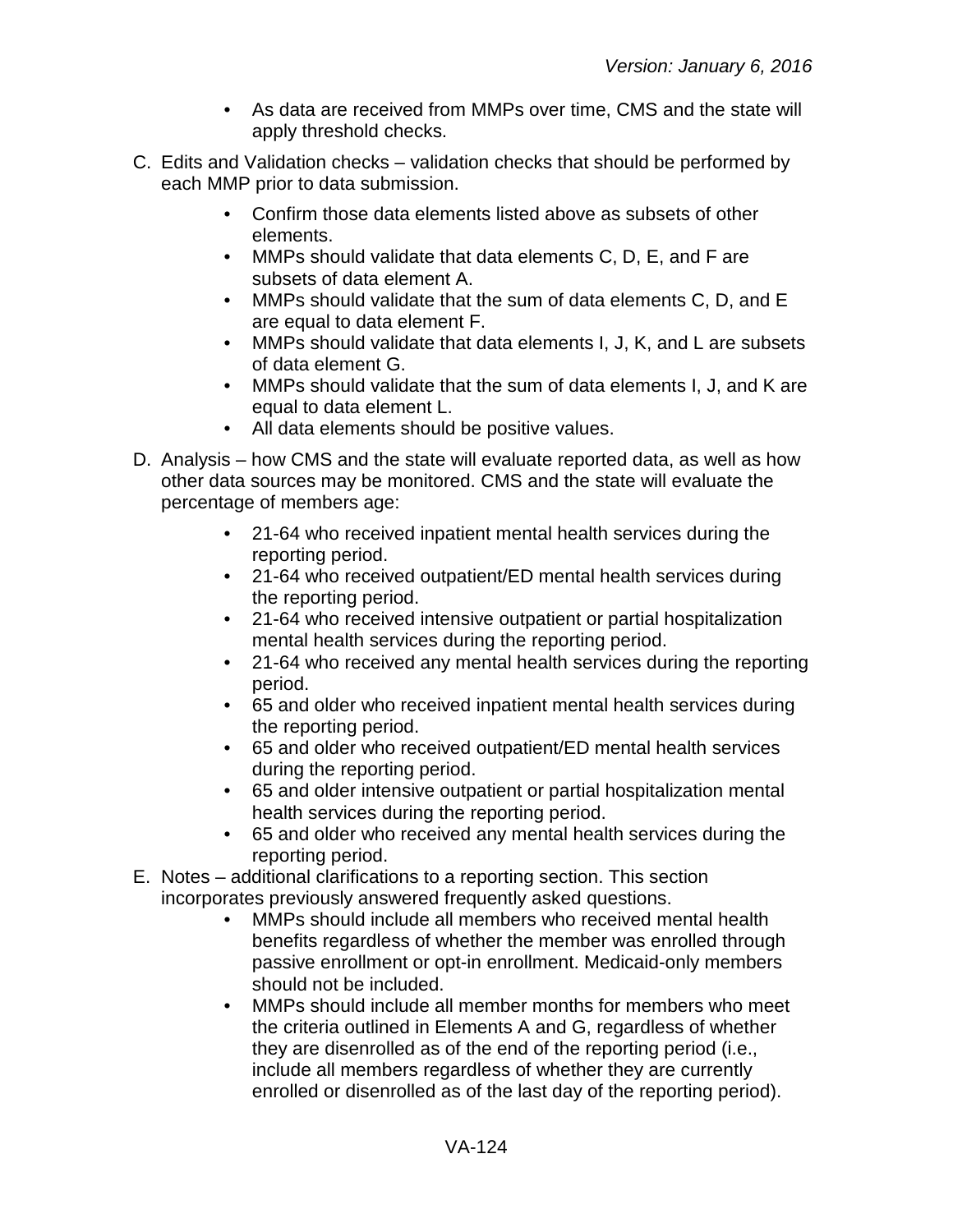- As data are received from MMPs over time, CMS and the state will apply threshold checks.
- C. Edits and Validation checks validation checks that should be performed by each MMP prior to data submission.
	- Confirm those data elements listed above as subsets of other elements.
	- MMPs should validate that data elements C, D, E, and F are subsets of data element A.
	- MMPs should validate that the sum of data elements C, D, and E are equal to data element F.
	- MMPs should validate that data elements I, J, K, and L are subsets of data element G.
	- MMPs should validate that the sum of data elements I, J, and K are equal to data element L.
	- All data elements should be positive values.
- D. Analysis how CMS and the state will evaluate reported data, as well as how other data sources may be monitored. CMS and the state will evaluate the percentage of members age:
	- 21-64 who received inpatient mental health services during the reporting period.
	- 21-64 who received outpatient/ED mental health services during the reporting period.
	- 21-64 who received intensive outpatient or partial hospitalization mental health services during the reporting period.
	- 21-64 who received any mental health services during the reporting period.
	- 65 and older who received inpatient mental health services during the reporting period.
	- 65 and older who received outpatient/ED mental health services during the reporting period.
	- 65 and older intensive outpatient or partial hospitalization mental health services during the reporting period.
	- 65 and older who received any mental health services during the reporting period.
- E. Notes additional clarifications to a reporting section. This section incorporates previously answered frequently asked questions.
	- MMPs should include all members who received mental health benefits regardless of whether the member was enrolled through passive enrollment or opt-in enrollment. Medicaid-only members should not be included.
	- MMPs should include all member months for members who meet the criteria outlined in Elements A and G, regardless of whether they are disenrolled as of the end of the reporting period (i.e., include all members regardless of whether they are currently enrolled or disenrolled as of the last day of the reporting period).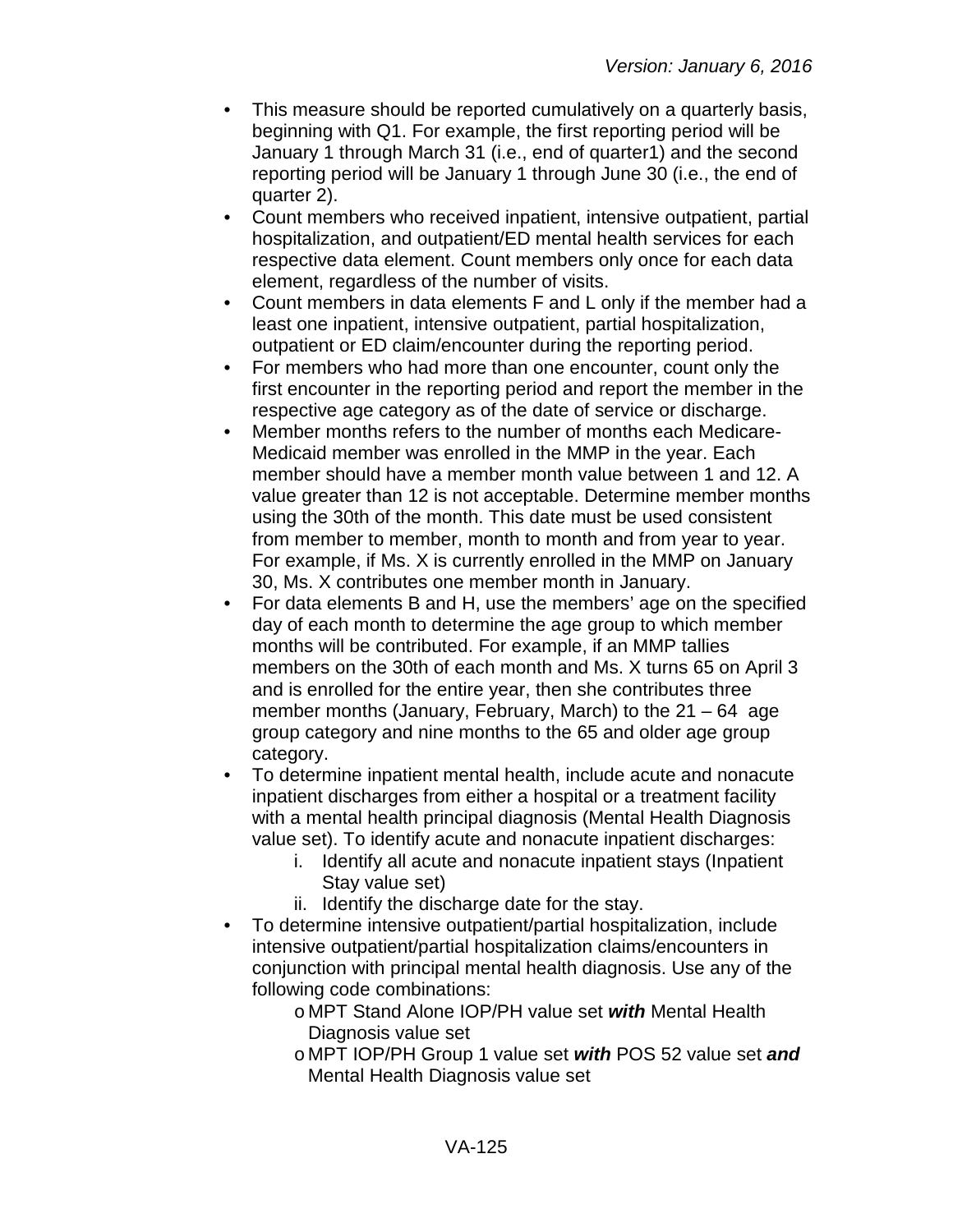- This measure should be reported cumulatively on a quarterly basis, beginning with Q1. For example, the first reporting period will be January 1 through March 31 (i.e., end of quarter1) and the second reporting period will be January 1 through June 30 (i.e., the end of quarter 2).
- Count members who received inpatient, intensive outpatient, partial hospitalization, and outpatient/ED mental health services for each respective data element. Count members only once for each data element, regardless of the number of visits.
- Count members in data elements F and L only if the member had a least one inpatient, intensive outpatient, partial hospitalization, outpatient or ED claim/encounter during the reporting period.
- For members who had more than one encounter, count only the first encounter in the reporting period and report the member in the respective age category as of the date of service or discharge.
- Member months refers to the number of months each Medicare-Medicaid member was enrolled in the MMP in the year. Each member should have a member month value between 1 and 12. A value greater than 12 is not acceptable. Determine member months using the 30th of the month. This date must be used consistent from member to member, month to month and from year to year. For example, if Ms. X is currently enrolled in the MMP on January 30, Ms. X contributes one member month in January.
- For data elements B and H, use the members' age on the specified day of each month to determine the age group to which member months will be contributed. For example, if an MMP tallies members on the 30th of each month and Ms. X turns 65 on April 3 and is enrolled for the entire year, then she contributes three member months (January, February, March) to the  $21 - 64$  age group category and nine months to the 65 and older age group category.
- To determine inpatient mental health, include acute and nonacute inpatient discharges from either a hospital or a treatment facility with a mental health principal diagnosis (Mental Health Diagnosis value set). To identify acute and nonacute inpatient discharges:
	- i. Identify all acute and nonacute inpatient stays (Inpatient Stay value set)
	- ii. Identify the discharge date for the stay.
- To determine intensive outpatient/partial hospitalization, include intensive outpatient/partial hospitalization claims/encounters in conjunction with principal mental health diagnosis. Use any of the following code combinations:
	- o MPT Stand Alone IOP/PH value set *with* Mental Health Diagnosis value set
	- o MPT IOP/PH Group 1 value set *with* POS 52 value set *and* Mental Health Diagnosis value set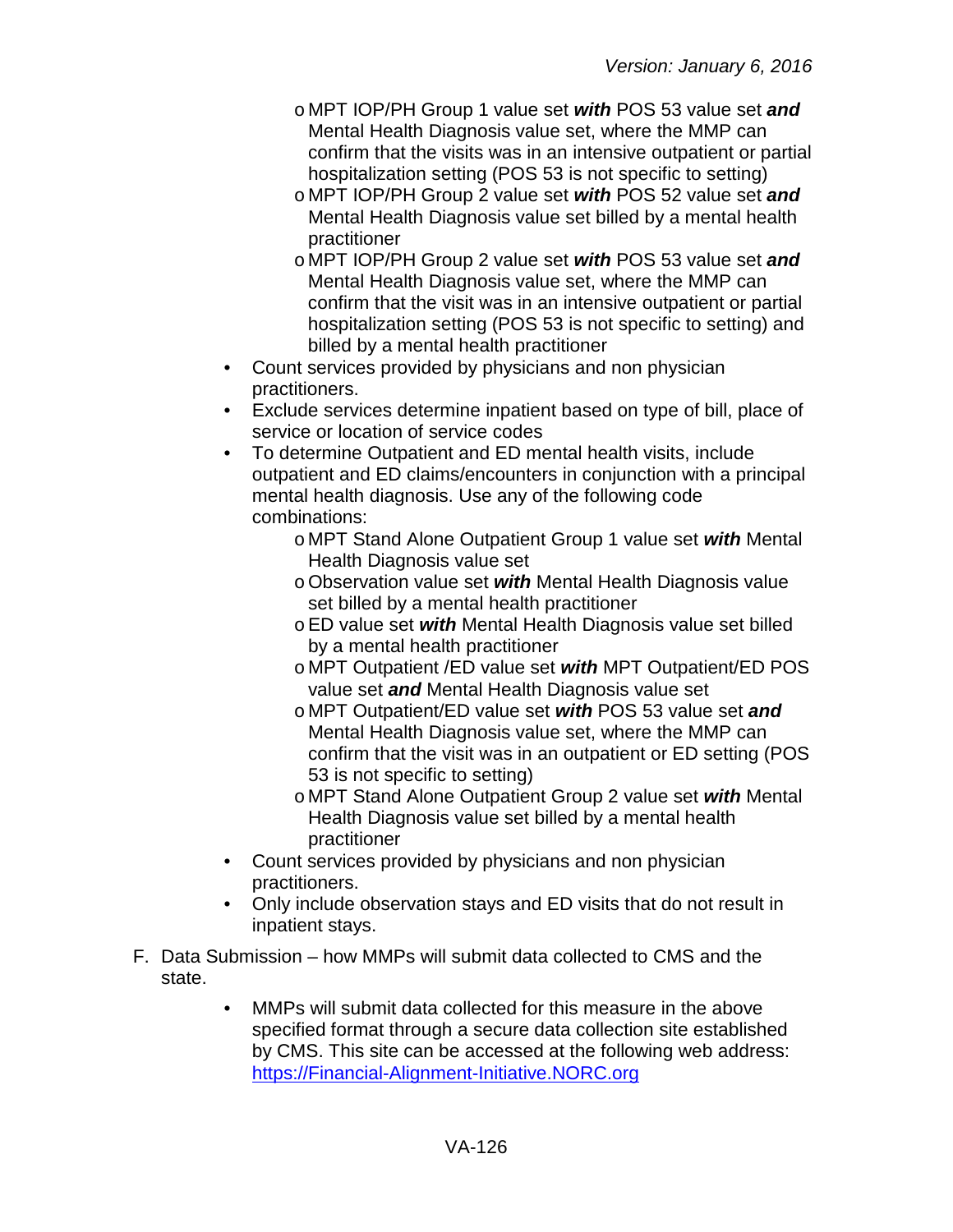- o MPT IOP/PH Group 1 value set *with* POS 53 value set *and* Mental Health Diagnosis value set, where the MMP can confirm that the visits was in an intensive outpatient or partial hospitalization setting (POS 53 is not specific to setting)
- o MPT IOP/PH Group 2 value set *with* POS 52 value set *and* Mental Health Diagnosis value set billed by a mental health practitioner
- o MPT IOP/PH Group 2 value set *with* POS 53 value set *and* Mental Health Diagnosis value set, where the MMP can confirm that the visit was in an intensive outpatient or partial hospitalization setting (POS 53 is not specific to setting) and billed by a mental health practitioner
- Count services provided by physicians and non physician practitioners.
- Exclude services determine inpatient based on type of bill, place of service or location of service codes
- To determine Outpatient and ED mental health visits, include outpatient and ED claims/encounters in conjunction with a principal mental health diagnosis. Use any of the following code combinations:
	- o MPT Stand Alone Outpatient Group 1 value set *with* Mental Health Diagnosis value set
	- oObservation value set *with* Mental Health Diagnosis value set billed by a mental health practitioner
	- oED value set *with* Mental Health Diagnosis value set billed by a mental health practitioner
	- o MPT Outpatient /ED value set *with* MPT Outpatient/ED POS value set *and* Mental Health Diagnosis value set
	- o MPT Outpatient/ED value set *with* POS 53 value set *and* Mental Health Diagnosis value set, where the MMP can confirm that the visit was in an outpatient or ED setting (POS 53 is not specific to setting)
	- o MPT Stand Alone Outpatient Group 2 value set *with* Mental Health Diagnosis value set billed by a mental health practitioner
- Count services provided by physicians and non physician practitioners.
- Only include observation stays and ED visits that do not result in inpatient stays.
- F. Data Submission how MMPs will submit data collected to CMS and the state.
	- MMPs will submit data collected for this measure in the above specified format through a secure data collection site established by CMS. This site can be accessed at the following web address: [https://Financial-Alignment-Initiative.NORC.org](https://financial-alignment-initiative.norc.org/)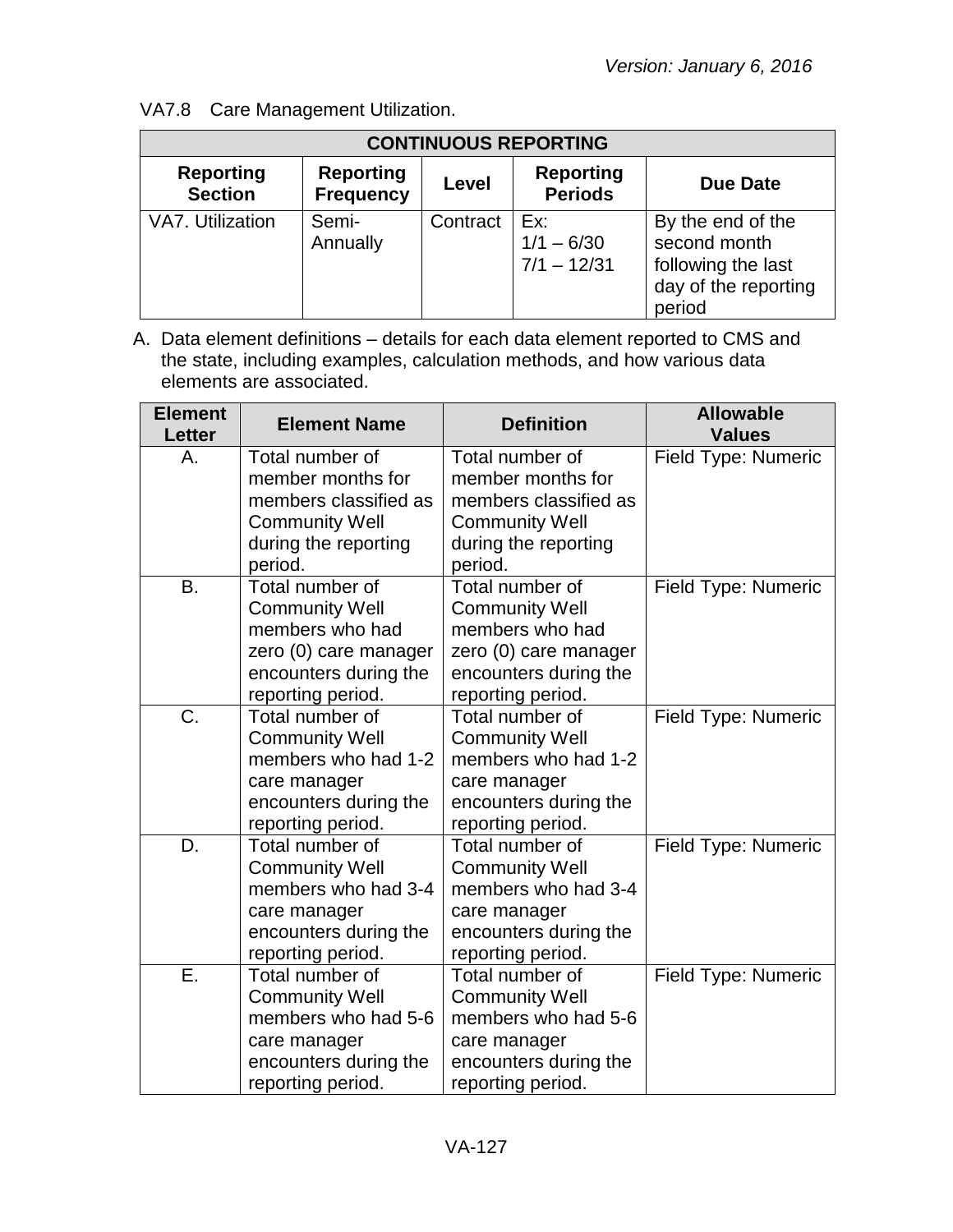| <b>CONTINUOUS REPORTING</b>        |                                      |          |                                      |                                                                                           |
|------------------------------------|--------------------------------------|----------|--------------------------------------|-------------------------------------------------------------------------------------------|
| <b>Reporting</b><br><b>Section</b> | <b>Reporting</b><br><b>Frequency</b> | Level    | <b>Reporting</b><br><b>Periods</b>   | <b>Due Date</b>                                                                           |
| VA7. Utilization                   | Semi-<br>Annually                    | Contract | Ex:<br>$1/1 - 6/30$<br>$7/1 - 12/31$ | By the end of the<br>second month<br>following the last<br>day of the reporting<br>period |

## VA7.8 Care Management Utilization.

| <b>Element</b><br>Letter | <b>Element Name</b>                                                                                                                | <b>Definition</b>                                                                                                                  | <b>Allowable</b><br><b>Values</b> |
|--------------------------|------------------------------------------------------------------------------------------------------------------------------------|------------------------------------------------------------------------------------------------------------------------------------|-----------------------------------|
| А.                       | Total number of<br>member months for<br>members classified as<br><b>Community Well</b><br>during the reporting<br>period.          | Total number of<br>member months for<br>members classified as<br><b>Community Well</b><br>during the reporting<br>period.          | Field Type: Numeric               |
| <b>B.</b>                | Total number of<br><b>Community Well</b><br>members who had<br>zero (0) care manager<br>encounters during the<br>reporting period. | Total number of<br><b>Community Well</b><br>members who had<br>zero (0) care manager<br>encounters during the<br>reporting period. | Field Type: Numeric               |
| C.                       | Total number of<br><b>Community Well</b><br>members who had 1-2<br>care manager<br>encounters during the<br>reporting period.      | Total number of<br><b>Community Well</b><br>members who had 1-2<br>care manager<br>encounters during the<br>reporting period.      | Field Type: Numeric               |
| D.                       | Total number of<br><b>Community Well</b><br>members who had 3-4<br>care manager<br>encounters during the<br>reporting period.      | Total number of<br><b>Community Well</b><br>members who had 3-4<br>care manager<br>encounters during the<br>reporting period.      | Field Type: Numeric               |
| Ε.                       | Total number of<br><b>Community Well</b><br>members who had 5-6<br>care manager<br>encounters during the<br>reporting period.      | Total number of<br><b>Community Well</b><br>members who had 5-6<br>care manager<br>encounters during the<br>reporting period.      | Field Type: Numeric               |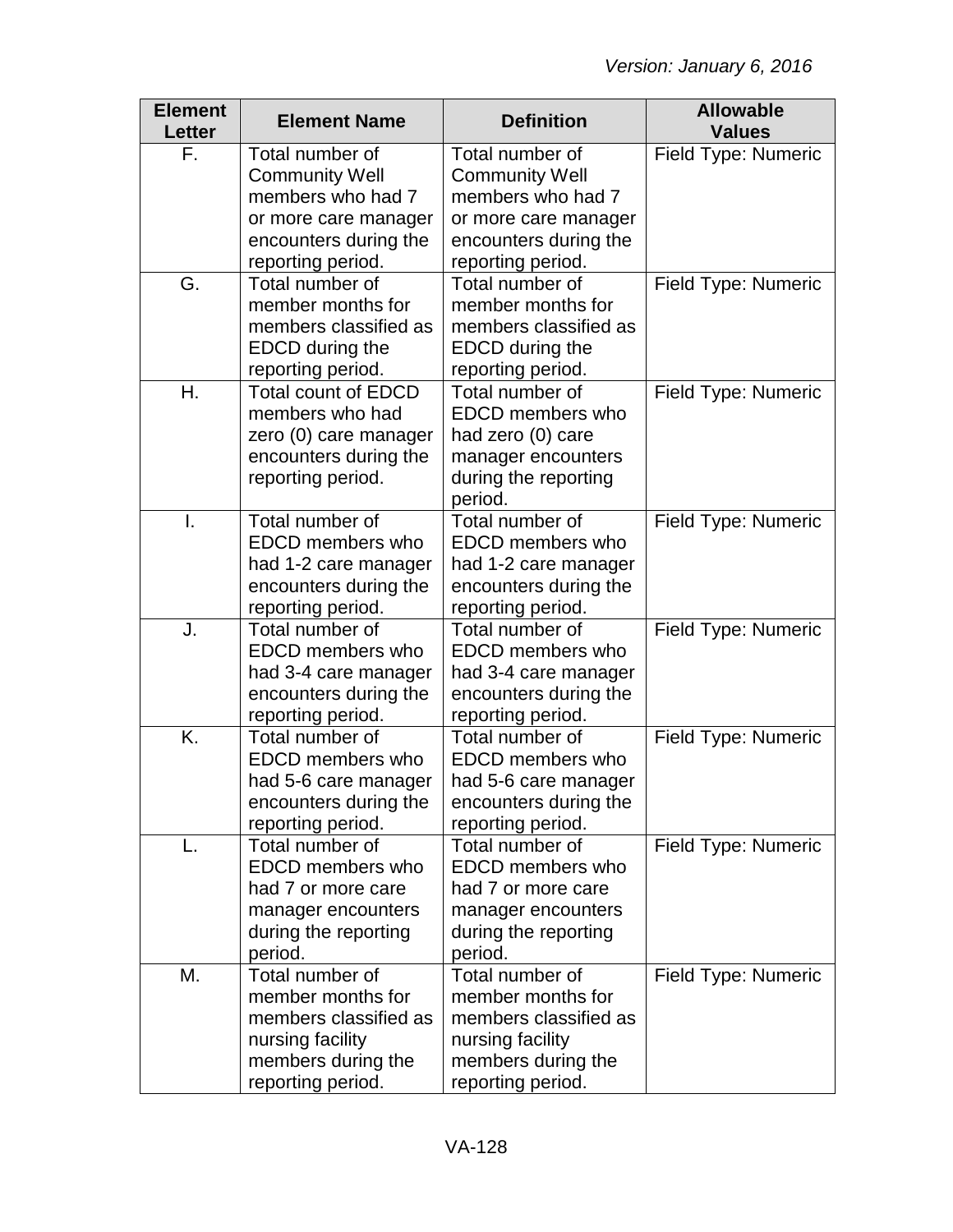| <b>Element</b><br>Letter | <b>Element Name</b>        | <b>Definition</b>          | <b>Allowable</b><br><b>Values</b> |
|--------------------------|----------------------------|----------------------------|-----------------------------------|
| F.                       | Total number of            | Total number of            | Field Type: Numeric               |
|                          | <b>Community Well</b>      | <b>Community Well</b>      |                                   |
|                          | members who had 7          | members who had 7          |                                   |
|                          | or more care manager       | or more care manager       |                                   |
|                          | encounters during the      | encounters during the      |                                   |
|                          | reporting period.          | reporting period.          |                                   |
| G.                       | Total number of            | Total number of            | Field Type: Numeric               |
|                          | member months for          | member months for          |                                   |
|                          | members classified as      | members classified as      |                                   |
|                          | EDCD during the            | EDCD during the            |                                   |
|                          | reporting period.          | reporting period.          |                                   |
| Η.                       | <b>Total count of EDCD</b> | Total number of            | Field Type: Numeric               |
|                          | members who had            | EDCD members who           |                                   |
|                          | zero (0) care manager      | had zero (0) care          |                                   |
|                          | encounters during the      | manager encounters         |                                   |
|                          | reporting period.          | during the reporting       |                                   |
| Ī.                       | Total number of            | period.<br>Total number of |                                   |
|                          | EDCD members who           | EDCD members who           | Field Type: Numeric               |
|                          | had 1-2 care manager       | had 1-2 care manager       |                                   |
|                          | encounters during the      | encounters during the      |                                   |
|                          | reporting period.          | reporting period.          |                                   |
| J.                       | Total number of            | Total number of            | Field Type: Numeric               |
|                          | EDCD members who           | EDCD members who           |                                   |
|                          | had 3-4 care manager       | had 3-4 care manager       |                                   |
|                          | encounters during the      | encounters during the      |                                   |
|                          | reporting period.          | reporting period.          |                                   |
| K.                       | Total number of            | Total number of            | Field Type: Numeric               |
|                          | EDCD members who           | EDCD members who           |                                   |
|                          | had 5-6 care manager       | had 5-6 care manager       |                                   |
|                          | encounters during the      | encounters during the      |                                   |
|                          | reporting period.          | reporting period.          |                                   |
| L.                       | Total number of            | Total number of            | Field Type: Numeric               |
|                          | EDCD members who           | EDCD members who           |                                   |
|                          | had 7 or more care         | had 7 or more care         |                                   |
|                          | manager encounters         | manager encounters         |                                   |
|                          | during the reporting       | during the reporting       |                                   |
|                          | period.                    | period.                    |                                   |
| М.                       | Total number of            | Total number of            | Field Type: Numeric               |
|                          | member months for          | member months for          |                                   |
|                          | members classified as      | members classified as      |                                   |
|                          | nursing facility           | nursing facility           |                                   |
|                          | members during the         | members during the         |                                   |
|                          | reporting period.          | reporting period.          |                                   |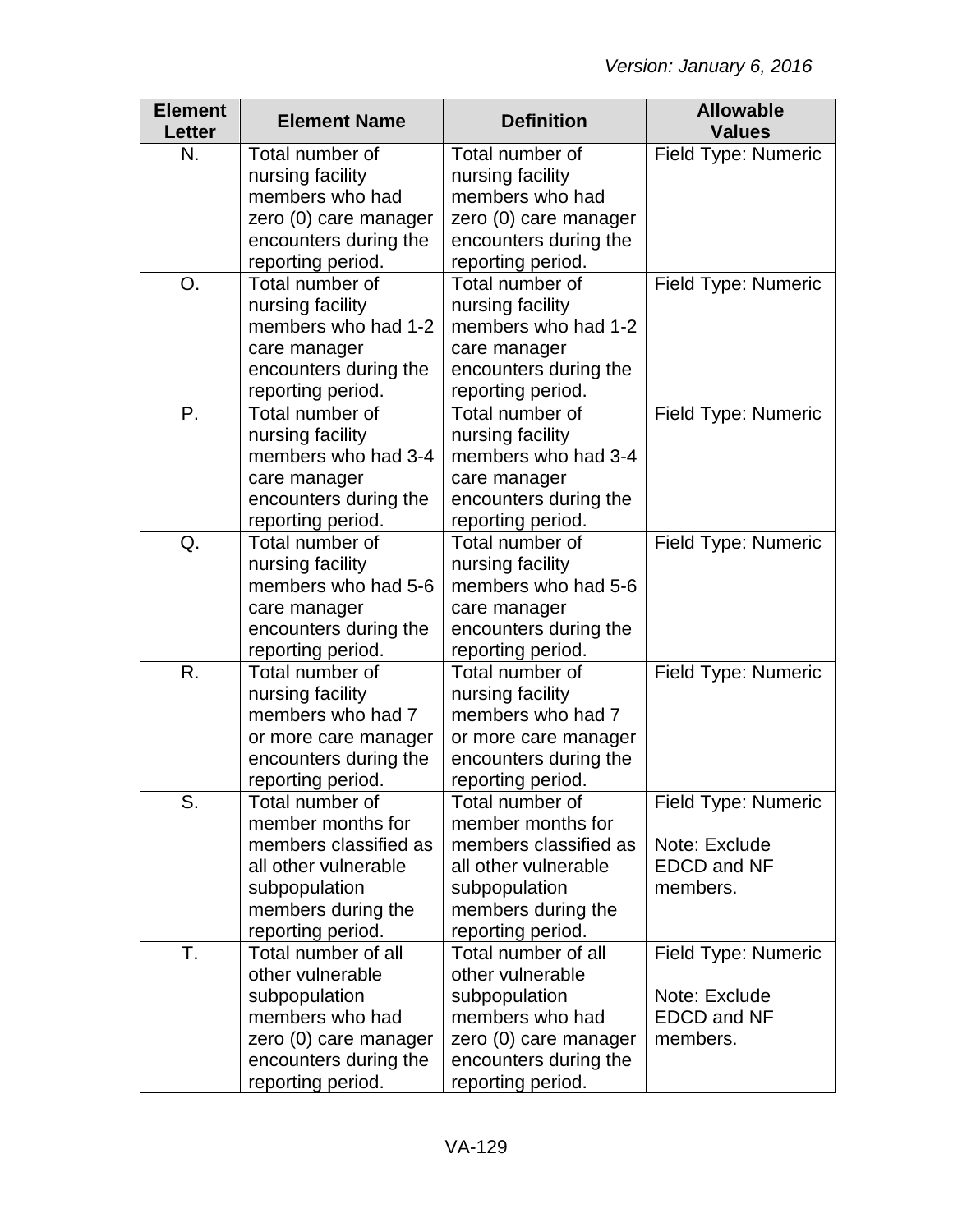| <b>Element</b><br><b>Letter</b> | <b>Element Name</b>   | <b>Definition</b>     | <b>Allowable</b><br><b>Values</b> |
|---------------------------------|-----------------------|-----------------------|-----------------------------------|
| N.                              | Total number of       | Total number of       | Field Type: Numeric               |
|                                 | nursing facility      | nursing facility      |                                   |
|                                 | members who had       | members who had       |                                   |
|                                 | zero (0) care manager | zero (0) care manager |                                   |
|                                 | encounters during the | encounters during the |                                   |
|                                 | reporting period.     | reporting period.     |                                   |
| O.                              | Total number of       | Total number of       | Field Type: Numeric               |
|                                 | nursing facility      | nursing facility      |                                   |
|                                 | members who had 1-2   | members who had 1-2   |                                   |
|                                 | care manager          | care manager          |                                   |
|                                 | encounters during the | encounters during the |                                   |
|                                 | reporting period.     | reporting period.     |                                   |
| Ρ.                              | Total number of       | Total number of       | Field Type: Numeric               |
|                                 | nursing facility      | nursing facility      |                                   |
|                                 | members who had 3-4   | members who had 3-4   |                                   |
|                                 | care manager          | care manager          |                                   |
|                                 | encounters during the | encounters during the |                                   |
|                                 | reporting period.     | reporting period.     |                                   |
| Q.                              | Total number of       | Total number of       | Field Type: Numeric               |
|                                 | nursing facility      | nursing facility      |                                   |
|                                 | members who had 5-6   | members who had 5-6   |                                   |
|                                 | care manager          | care manager          |                                   |
|                                 | encounters during the | encounters during the |                                   |
|                                 | reporting period.     | reporting period.     |                                   |
| R.                              | Total number of       | Total number of       | Field Type: Numeric               |
|                                 | nursing facility      | nursing facility      |                                   |
|                                 | members who had 7     | members who had 7     |                                   |
|                                 | or more care manager  | or more care manager  |                                   |
|                                 | encounters during the | encounters during the |                                   |
|                                 | reporting period.     | reporting period.     |                                   |
| S.                              | Total number of       | Total number of       | Field Type: Numeric               |
|                                 | member months for     | member months for     |                                   |
|                                 | members classified as | members classified as | Note: Exclude                     |
|                                 | all other vulnerable  | all other vulnerable  | <b>EDCD and NF</b>                |
|                                 | subpopulation         | subpopulation         | members.                          |
|                                 | members during the    | members during the    |                                   |
|                                 | reporting period.     | reporting period.     |                                   |
| T.                              | Total number of all   | Total number of all   | Field Type: Numeric               |
|                                 | other vulnerable      | other vulnerable      |                                   |
|                                 | subpopulation         | subpopulation         | Note: Exclude                     |
|                                 | members who had       | members who had       | <b>EDCD and NF</b>                |
|                                 | zero (0) care manager | zero (0) care manager | members.                          |
|                                 | encounters during the | encounters during the |                                   |
|                                 | reporting period.     | reporting period.     |                                   |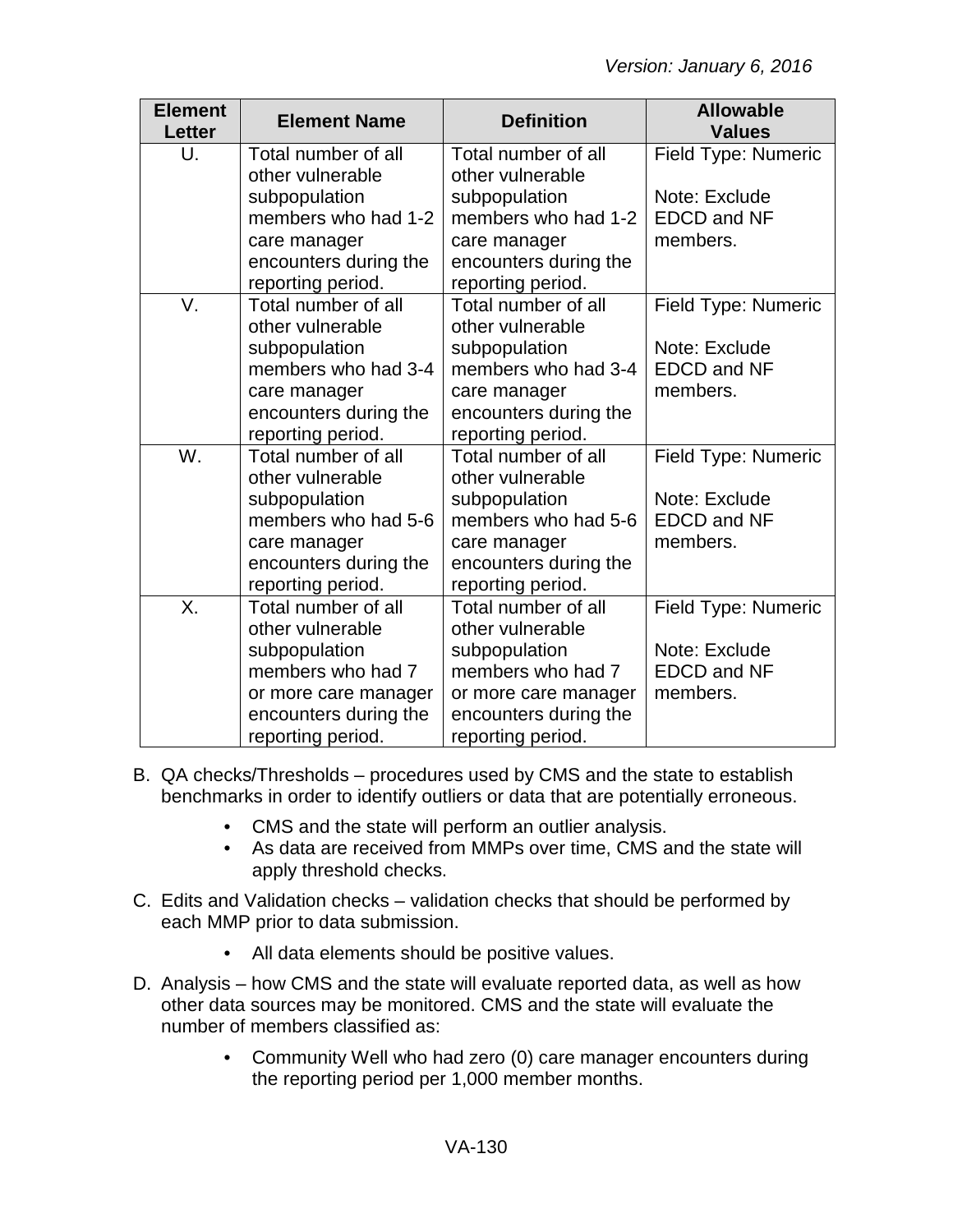| <b>Element</b><br><b>Letter</b> | <b>Element Name</b>   | <b>Definition</b>     | <b>Allowable</b><br><b>Values</b> |
|---------------------------------|-----------------------|-----------------------|-----------------------------------|
| U.                              | Total number of all   | Total number of all   | Field Type: Numeric               |
|                                 | other vulnerable      | other vulnerable      |                                   |
|                                 | subpopulation         | subpopulation         | Note: Exclude                     |
|                                 | members who had 1-2   | members who had 1-2   | <b>EDCD and NF</b>                |
|                                 | care manager          | care manager          | members.                          |
|                                 | encounters during the | encounters during the |                                   |
|                                 | reporting period.     | reporting period.     |                                   |
| V.                              | Total number of all   | Total number of all   | Field Type: Numeric               |
|                                 | other vulnerable      | other vulnerable      |                                   |
|                                 | subpopulation         | subpopulation         | Note: Exclude                     |
|                                 | members who had 3-4   | members who had 3-4   | <b>EDCD and NF</b>                |
|                                 | care manager          | care manager          | members.                          |
|                                 | encounters during the | encounters during the |                                   |
|                                 | reporting period.     | reporting period.     |                                   |
| W.                              | Total number of all   | Total number of all   | Field Type: Numeric               |
|                                 | other vulnerable      | other vulnerable      |                                   |
|                                 | subpopulation         | subpopulation         | Note: Exclude                     |
|                                 | members who had 5-6   | members who had 5-6   | <b>EDCD and NF</b>                |
|                                 | care manager          | care manager          | members.                          |
|                                 | encounters during the | encounters during the |                                   |
|                                 | reporting period.     | reporting period.     |                                   |
| Χ.                              | Total number of all   | Total number of all   | Field Type: Numeric               |
|                                 | other vulnerable      | other vulnerable      |                                   |
|                                 | subpopulation         | subpopulation         | Note: Exclude                     |
|                                 | members who had 7     | members who had 7     | <b>EDCD and NF</b>                |
|                                 | or more care manager  | or more care manager  | members.                          |
|                                 | encounters during the | encounters during the |                                   |
|                                 | reporting period.     | reporting period.     |                                   |

- B. QA checks/Thresholds procedures used by CMS and the state to establish benchmarks in order to identify outliers or data that are potentially erroneous.
	- CMS and the state will perform an outlier analysis.
	- As data are received from MMPs over time, CMS and the state will apply threshold checks.
- C. Edits and Validation checks validation checks that should be performed by each MMP prior to data submission.
	- All data elements should be positive values.
- D. Analysis how CMS and the state will evaluate reported data, as well as how other data sources may be monitored. CMS and the state will evaluate the number of members classified as:
	- Community Well who had zero (0) care manager encounters during the reporting period per 1,000 member months.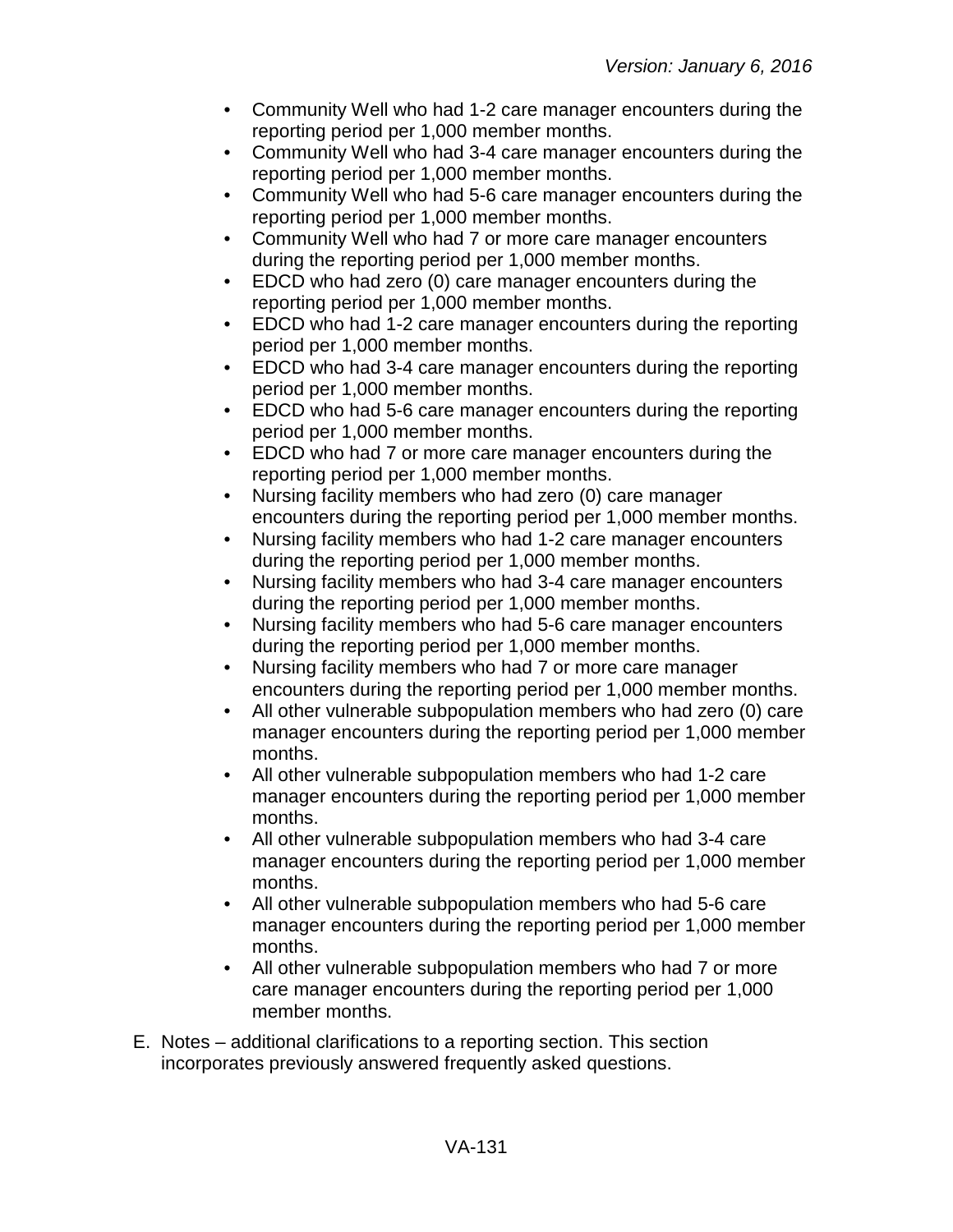- Community Well who had 1-2 care manager encounters during the reporting period per 1,000 member months.
- Community Well who had 3-4 care manager encounters during the reporting period per 1,000 member months.
- Community Well who had 5-6 care manager encounters during the reporting period per 1,000 member months.
- Community Well who had 7 or more care manager encounters during the reporting period per 1,000 member months.
- EDCD who had zero (0) care manager encounters during the reporting period per 1,000 member months.
- EDCD who had 1-2 care manager encounters during the reporting period per 1,000 member months.
- EDCD who had 3-4 care manager encounters during the reporting period per 1,000 member months.
- EDCD who had 5-6 care manager encounters during the reporting period per 1,000 member months.
- EDCD who had 7 or more care manager encounters during the reporting period per 1,000 member months.
- Nursing facility members who had zero (0) care manager encounters during the reporting period per 1,000 member months.
- Nursing facility members who had 1-2 care manager encounters during the reporting period per 1,000 member months.
- Nursing facility members who had 3-4 care manager encounters during the reporting period per 1,000 member months.
- Nursing facility members who had 5-6 care manager encounters during the reporting period per 1,000 member months.
- Nursing facility members who had 7 or more care manager encounters during the reporting period per 1,000 member months.
- All other vulnerable subpopulation members who had zero (0) care manager encounters during the reporting period per 1,000 member months.
- All other vulnerable subpopulation members who had 1-2 care manager encounters during the reporting period per 1,000 member months.
- All other vulnerable subpopulation members who had 3-4 care manager encounters during the reporting period per 1,000 member months.
- All other vulnerable subpopulation members who had 5-6 care manager encounters during the reporting period per 1,000 member months.
- All other vulnerable subpopulation members who had 7 or more care manager encounters during the reporting period per 1,000 member months.
- E. Notes additional clarifications to a reporting section. This section incorporates previously answered frequently asked questions.